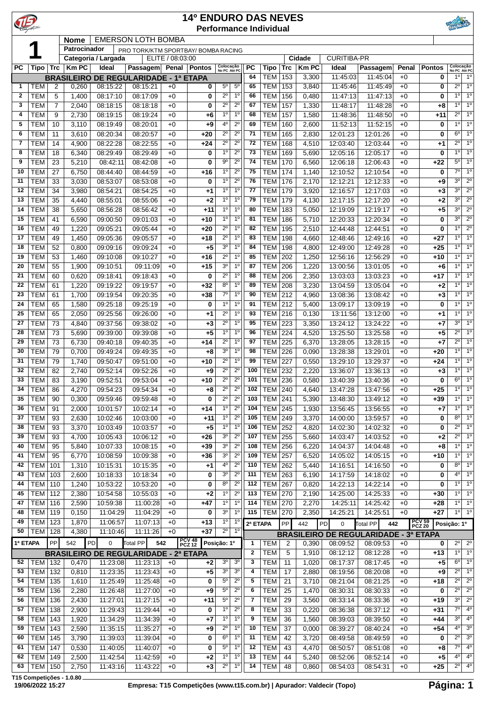|              |                          |                     |                |                      |                                              |                  | <b>14º ENDURO DAS NEVES</b> |                                  |                                  |              | <b>Performance Individual</b> |                |                |                      |                                                                 |              |                         |                                  |                                              |
|--------------|--------------------------|---------------------|----------------|----------------------|----------------------------------------------|------------------|-----------------------------|----------------------------------|----------------------------------|--------------|-------------------------------|----------------|----------------|----------------------|-----------------------------------------------------------------|--------------|-------------------------|----------------------------------|----------------------------------------------|
|              |                          |                     | <b>Nome</b>    |                      | <b>EMERSON LOTH BOMBA</b>                    |                  |                             |                                  |                                  |              |                               |                |                |                      |                                                                 |              |                         |                                  |                                              |
|              |                          |                     | Patrocinador   | Categoria / Largada  | PRO TORK/KTM SPORTBAY/ BOMBA RACING          | ELITE / 08:03:00 |                             |                                  |                                  |              |                               |                | Cidade         | <b>CURITIBA-PR</b>   |                                                                 |              |                         |                                  |                                              |
| <b>PC</b>    | Tipo                     | <b>Trc</b>          | <b>Km PC</b>   | Ideal                | Passagem Penal Pontos                        |                  |                             | Colocação<br>No PC Até PC        |                                  | <b>PC</b>    | Tipo                          | <b>Trc</b>     | <b>Km PC</b>   | Ideal                | Passagem                                                        | Penal        | <b>Pontos</b>           | Colocação<br>No PC Até PC        |                                              |
|              |                          |                     |                |                      | <b>BRASILEIRO DE REGULARIDADE - 1ª ETAPA</b> |                  |                             |                                  |                                  | 64           | <b>TEM</b>                    | 153            | 3,300          | 11:45:03             | 11:45:04                                                        | $+0$         | 0                       | $1^{\circ}$                      | 1 <sup>0</sup>                               |
| 1            | TEM                      | 2                   | 0,260          | 08:15:22             | 08:15:21                                     | $+0$             | 0                           | $5^{\circ}$                      | $5^{\circ}$                      | 65           | <b>TEM</b>                    | 153            | 3,840          | 11:45:46             | 11:45:49                                                        | $+0$         | 0                       | $2^{\circ}$                      | 1 <sup>0</sup>                               |
| $\mathbf{2}$ | <b>TEM</b>               | 5                   | 1,400          | 08:17:10             | 08:17:09                                     | $+0$             | 0                           | $2^{\circ}$                      | 1 <sup>0</sup>                   | 66           | <b>TEM</b>                    | 156            | 0,480          | 11:47:13             | 11:47:13                                                        | $+0$         | 0                       | $1^{\circ}$                      | 1 <sup>0</sup>                               |
| 3<br>4       | <b>TEM</b><br><b>TEM</b> | $\overline{7}$<br>9 | 2,040<br>2,730 | 08:18:15<br>08:19:15 | 08:18:18<br>08:19:24                         | $+0$<br>$+0$     | 0<br>+6                     | $2^{\circ}$<br>1 <sup>0</sup>    | $2^{\circ}$<br>1 <sup>0</sup>    | 67<br>68     | <b>TEM</b><br><b>TEM</b>      | 157<br>157     | 1,330<br>1,580 | 11:48:17<br>11:48:36 | 11:48:28<br>11:48:50                                            | $+0$<br>$+0$ | +8<br>$+11$             | 1 <sup>0</sup><br>$2^{\circ}$    | 1 <sup>0</sup><br>1 <sup>0</sup>             |
| 5            | <b>TEM</b>               | 10                  | 3,110          | 08:19:49             | 08:20:01                                     | $+0$             | +9                          | 4 <sup>0</sup>                   | $2^{\circ}$                      | 69           | <b>TEM</b>                    | 160            | 2,600          | 11:52:13             | 11:52:15                                                        | $+0$         | 0                       | $1^{\circ}$                      | 1 <sup>0</sup>                               |
| 6            | <b>TEM</b>               | 11                  | 3,610          | 08:20:34             | 08:20:57                                     | $+0$             | $+20$                       | $2^{\circ}$                      | $2^{\circ}$                      | 71           | <b>TEM</b>                    | 165            | 2,830          | 12:01:23             | 12:01:26                                                        | $+0$         | 0                       | $6^{\circ}$                      | 1 <sup>0</sup>                               |
| 7            | <b>TEM</b>               | 14                  | 4,900          | 08:22:28             | 08:22:55                                     | $+0$             | $+24$                       | $2^{\circ}$                      | $2^{\circ}$                      | 72           | <b>TEM</b>                    | 168            | 4,510          | 12:03:40             | 12:03:44                                                        | $+0$         | +1                      | $2^{\circ}$                      | 1 <sup>0</sup>                               |
| 8            | <b>TEM</b>               | 18                  | 6,340          | 08:29:49             | 08:29:49                                     | $+0$             | 0                           | 1 <sup>0</sup>                   | $2^{\circ}$                      | 73           | <b>TEM</b>                    | 169            | 5,690          | 12:05:16             | 12:05:17                                                        | $+0$         | 0                       | 10                               | 1 <sup>0</sup>                               |
| 9<br>10      | <b>TEM</b>               | 23                  | 5,210          | 08:42:11             | 08:42:08                                     | $+0$             | 0                           | $9^{\circ}$<br>1 <sup>0</sup>    | $2^{\circ}$<br>$2^{\circ}$       | 74<br>75     | <b>TEM</b>                    | 170            | 6,560          | 12:06:18             | 12:06:43                                                        | $+0$         | $+22$                   | $5^{\circ}$<br>$7^\circ$         | 1 <sup>0</sup><br>1 <sup>0</sup>             |
| 11           | <b>TEM</b><br><b>TEM</b> | 27<br>33            | 6,750<br>3,030 | 08:44:40<br>08:53:07 | 08:44:59<br>08:53:08                         | $+0$<br>$+0$     | $+16$<br>0                  | 1 <sup>0</sup>                   | $2^{\circ}$                      | 76           | <b>TEM</b><br><b>TEM</b>      | 174<br>176     | 1,140<br>2,170 | 12:10:52<br>12:12:21 | 12:10:54<br>12:12:33                                            | $+0$<br>$+0$ | 0<br>+9                 | 3 <sup>0</sup>                   | $2^{\circ}$                                  |
| 12           | <b>TEM</b>               | 34                  | 3,980          | 08:54:21             | 08:54:25                                     | $+0$             | $^{+1}$                     | 1 <sup>0</sup>                   | 1 <sup>0</sup>                   | 77           | <b>TEM</b>                    | 179            | 3,920          | 12:16:57             | 12:17:03                                                        | $+0$         | +3                      | 3 <sup>0</sup>                   | $2^{\circ}$                                  |
| 13           | <b>TEM</b>               | 35                  | 4,440          | 08:55:01             | 08:55:06                                     | $+0$             | $+2$                        | 1 <sup>0</sup>                   | 1 <sup>0</sup>                   | 79           | <b>TEM</b>                    | 179            | 4,130          | 12:17:15             | 12:17:20                                                        | $+0$         | +2                      | 3 <sup>0</sup>                   | $2^{\circ}$                                  |
| 14           | <b>TEM</b>               | 38                  | 5,650          | 08:56:28             | 08:56:42                                     | $+0$             | $+11$                       | 1 <sup>0</sup>                   | 1 <sup>0</sup>                   | 80           | <b>TEM</b>                    | 183            | 5,050          | 12:19:09             | 12:19:17                                                        | $+0$         | $+5$                    | 3 <sup>o</sup>                   | $2^{\circ}$                                  |
| 15           | <b>TEM</b>               | 41                  | 6,590          | 09:00:50             | 09:01:03                                     | $+0$             | $+10$                       | 1 <sup>0</sup>                   | 1 <sup>0</sup>                   | 81           | <b>TEM</b>                    | 186            | 5,710          | 12:20:33             | 12:20:34                                                        | $+0$         | 0                       | 3 <sup>0</sup>                   | $2^{\circ}$                                  |
| 16<br>17     | <b>TEM</b>               | 49                  | 1,220          | 09:05:21             | 09:05:44                                     | $+0$             | $+20$                       | $2^{\circ}$<br>$2^{\circ}$       | 1 <sup>0</sup><br>1 <sup>0</sup> | 82<br>83     | <b>TEM</b>                    | 195            | 2,510          | 12:44:48             | 12:44:51                                                        | $+0$         | 0                       | 1 <sup>0</sup><br>1 <sup>0</sup> | $2^{\circ}$<br>1 <sup>0</sup>                |
| 18           | <b>TEM</b><br>TEM        | 49<br>52            | 1,450<br>0,800 | 09:05:36<br>09:09:16 | 09:05:57<br>09:09:24                         | $+0$<br>$+0$     | $+18$<br>$+5$               | 3 <sup>o</sup>                   | $1^{\circ}$                      | 84           | <b>TEM</b><br><b>TEM</b>      | 198<br>198     | 4,660<br>4,800 | 12:48:46<br>12:49:00 | 12:49:16<br>12:49:28                                            | $+0$<br>$+0$ | $+27$<br>$+25$          | $1^{\circ}$                      | 1 <sup>o</sup>                               |
| 19           | <b>TEM</b>               | 53                  | 1,460          | 09:10:08             | 09:10:27                                     | $+0$             | $+16$                       | $2^{\circ}$                      | $1^{\circ}$                      | 85           | <b>TEM</b>                    | 202            | 1,250          | 12:56:16             | 12:56:29                                                        | $+0$         | +10                     |                                  | $1^{\circ}$ 1°                               |
| 20           | <b>TEM</b>               | 55                  | 1,900          | 09:10:51             | 09:11:09                                     | $+0$             | $+15$                       | 3 <sup>o</sup>                   | 1 <sup>0</sup>                   | 87           | <b>TEM</b>                    | 206            | 1,220          | 13:00:56             | 13:01:05                                                        | $+0$         | +6                      | $1^{\circ}$                      | 1 <sup>0</sup>                               |
| 21           | <b>TEM</b>               | 60                  | 0,620          | 09:18:41             | 09:18:43                                     | $+0$             | 0                           | $2^{\circ}$                      | 1 <sup>0</sup>                   | 88           | <b>TEM</b>                    | 206            | 2,350          | 13:03:03             | 13:03:23                                                        | $+0$         | +17                     | 1 <sup>0</sup>                   | 1 <sup>0</sup>                               |
| 22           | <b>TEM</b>               | 61                  | 1,220          | 09:19:22             | 09:19:57                                     | $+0$             | $+32$                       | 8 <sup>o</sup>                   | 1 <sup>0</sup>                   | 89           | <b>TEM</b>                    | 208            | 3,230          | 13:04:59             | 13:05:04                                                        | $+0$         | $+2$                    | $1^{\circ}$                      | 1 <sup>0</sup>                               |
| 23           | <b>TEM</b>               | 61                  | 1,700          | 09:19:54             | 09:20:35                                     | $+0$             | $+38$                       | $7^{\circ}$                      | 1 <sup>0</sup><br>1 <sup>0</sup> | 90           | <b>TEM</b>                    | 212            | 4,960          | 13:08:36             | 13:08:42                                                        | $+0$         | $+3$                    | $1^{\circ}$<br>$\overline{1^0}$  | 1 <sup>0</sup><br>1 <sup>0</sup>             |
| 24<br>25     | <b>TEM</b><br><b>TEM</b> | 65<br>65            | 1,580<br>2,050 | 09:25:18<br>09:25:56 | 09:25:19<br>09:26:00                         | $+0$<br>$+0$     | 0<br>$^{+1}$                | 1 <sup>0</sup><br>$2^{\circ}$    | 1 <sup>0</sup>                   | 91<br>93     | <b>TEM</b><br><b>TEM</b>      | 212<br>216     | 5,400<br>0,130 | 13:09:17<br>13:11:56 | 13:09:19<br>13:12:00                                            | $+0$<br>$+0$ | 0<br>+1                 | 1 <sup>0</sup>                   | 1 <sup>0</sup>                               |
| 27           | <b>TEM</b>               | 73                  | 4,840          | 09:37:56             | 09:38:02                                     | $+0$             | +3                          | $2^{\circ}$                      | 1 <sup>0</sup>                   | 95           | <b>TEM</b>                    | 223            | 3,350          | 13:24:12             | 13:24:22                                                        | $+0$         | +7                      | $3^{\circ}$                      | 1 <sup>0</sup>                               |
| 28           | <b>TEM</b>               | 73                  | 5,690          | 09:39:00             | 09:39:08                                     | $+0$             | $+5$                        | 1 <sup>0</sup>                   | 1 <sup>0</sup>                   | 96           | <b>TEM</b>                    | 224            | 4,520          | 13:25:50             | 13:25:58                                                        | $+0$         | +5                      | $2^{\circ}$                      | 1 <sup>0</sup>                               |
| 29           | <b>TEM</b>               | 73                  | 6,730          | 09:40:18             | 09:40:35                                     | $+0$             | +14                         | $2^{\circ}$                      | $1^{\circ}$                      | 97           | <b>TEM</b>                    | 225            | 6,370          | 13:28:05             | 13:28:15                                                        | $+0$         | +7                      | $2^{\circ}$                      | 1 <sup>0</sup>                               |
| 30           | <b>TEM</b>               | 79                  | 0,700          | 09:49:24             | 09:49:35                                     | $+0$             | +8                          | 3 <sup>0</sup>                   | 1 <sup>0</sup>                   | 98           | <b>TEM</b>                    | 226            | 0,090          | 13:28:38             | 13:29:01                                                        | $+0$         | +20                     | 1 <sup>0</sup>                   | 1 <sup>0</sup>                               |
| 31           | <b>TEM</b>               | 79                  | 1,740          | 09:50:47             | 09:51:00                                     | $+0$             | $+10$                       | $2^{\circ}$                      | 1 <sup>0</sup>                   | 99           | <b>TEM</b>                    | 227            | 0,550          | 13:29:10             | 13:29:37                                                        | $+0$         | +24                     | $1^{\circ}$                      | 1 <sup>0</sup>                               |
| 32<br>33     | <b>TEM</b><br><b>TEM</b> | 82<br>83            | 2,740<br>3,190 | 09:52:14<br>09:52:51 | 09:52:26<br>09:53:04                         | $+0$<br>$+0$     | $+9$<br>$+10$               | $2^{\circ}$<br>$2^{\circ}$       | $2^{\circ}$<br>$2^{\circ}$       | 100<br>101   | <b>TEM</b><br><b>TEM</b>      | 232<br>236     | 2,220<br>0,580 | 13:36:07<br>13:40:39 | 13:36:13<br>13:40:36                                            | $+0$<br>$+0$ | +3<br>0                 | 10<br>$6^{\circ}$                | 1 <sup>0</sup><br>1 <sup>0</sup>             |
| 34           | <b>TEM</b>               | 86                  | 4,270          | 09:54:23             | 09:54:34                                     | $+0$             | +8                          | $2^{\circ}$                      | $2^{\circ}$                      | 102          | <b>TEM 240</b>                |                | 4,640          | 13:47:28             | 13:47:56                                                        | $+0$         | $+25$                   |                                  | $10^{9}$ 1 <sup>0</sup>                      |
| 35           | <b>TEM</b>               | 90                  | 0,300          | 09:59:46             | 09:59:48                                     | $+0$             | 0                           | $2^{\circ}$                      | $2^{\circ}$                      | 103          | <b>TEM</b>                    | 241            | 5,390          | 13:48:30             | 13:49:12                                                        | $+0$         | $+39$                   | $1^{\circ}$                      | 10                                           |
| 36           | <b>TEM</b>               | 91                  | 2,000          | 10:01:57             | 10:02:14                                     | $+0$             | $+14$                       | 1 <sup>0</sup>                   | $2^{\circ}$                      | 104          | <b>TEM</b>                    | 245            | 1,930          | 13:56:45             | 13:56:55                                                        | $+0$         | $+7$                    |                                  | $1^{\circ}$ 1°                               |
| 37           | <b>TEM</b>               | 93                  | 2,630          | 10:02:46             | 10:03:00                                     | $+0$             | $+11$                       | 1 <sup>0</sup>                   | $2^{\circ}$                      | 105          | <b>TEM</b>                    | 249            | 3,370          | 14:00:00             | 13:59:57                                                        | $+0$         | 0                       | $8^{\circ}$                      | 1 <sup>0</sup>                               |
| 38           | <b>TEM</b>               | 93                  | 3,370          | 10:03:49             | 10:03:57                                     | $+0$             | $+5$                        | 1 <sup>0</sup>                   | 1 <sup>0</sup>                   | 106          | <b>TEM</b>                    | 252            | 4,820          | 14:02:30             | 14:02:32                                                        | $+0$         | 0                       | $2^{\circ}$                      | 1 <sup>o</sup>                               |
| 39<br>40     | <b>TEM</b>               | 93<br>95            | 4,700          | 10:05:43             | 10:06:12                                     | $+0$             | $+26$                       | 3 <sup>o</sup><br>3 <sup>o</sup> | $2^{\circ}$<br>$2^{\circ}$       | 107<br>108   | <b>TEM</b>                    | 255            | 5,660          | 14:03:47             | 14:03:52                                                        | $+0$         | +2                      | $2^{\circ}$<br>$1^{\circ}$       | 1 <sup>o</sup><br>$1^{\circ}$                |
| 41           | <b>TEM</b><br><b>TEM</b> | 95                  | 5,840<br>6,770 | 10:07:33<br>10:08:59 | 10:08:15<br>10:09:38                         | $+0$<br>$+0$     | $+39$<br>$+36$              | 3 <sup>o</sup>                   | $2^{\circ}$                      | 109          | <b>TEM</b><br><b>TEM</b>      | 256<br>257     | 6,220<br>6,520 | 14:04:37<br>14:05:02 | 14:04:48<br>14:05:15                                            | $+0$<br>$+0$ | $+8$<br>$+10$           | $10^{10}$                        |                                              |
| 42           | TEM                      | 101                 | 1,310          | 10:15:31             | 10:15:35                                     | $+0$             | $+1$                        | 4°                               | $2^{\circ}$                      | 110          | TEM                           | 262            | 5,440          | 14:16:51             | 14:16:50                                                        | $+0$         | 0                       | $8^{\circ}$ 1 <sup>o</sup>       |                                              |
| 43           | TEM                      | 103                 | 2,600          | 10:18:33             | 10:18:34                                     | $+0$             | 0                           | 3 <sup>o</sup>                   | $2^{\circ}$                      | 111          | <b>TEM</b>                    | 263            | 6,190          | 14:17:59             | 14:18:02                                                        | $+0$         | 0                       |                                  | $4^{\circ}$ 1°                               |
| 44           | TEM                      | 110                 | 1,240          | 10:53:22             | 10:53:20                                     | $+0$             | 0                           | $8^{\circ}$                      | $2^{\circ}$                      | 112          | <b>TEM</b>                    | 267            | 0,820          | 14:22:13             | 14:22:14                                                        | $+0$         | 0                       | $1^{\circ}$                      | 1 <sup>0</sup>                               |
| 45           | TEM                      | 112                 | 2,380          | 10:54:58             | 10:55:03                                     | $+0$             | $+2$                        | $1^{\rm o}$                      | $2^{\circ}$                      | 113          | <b>TEM</b>                    | 270            | 2,190          | 14:25:00             | 14:25:33                                                        | $+0$         | +30                     | $10^{0}$ 1 <sup>0</sup>          |                                              |
| 47           | TEM                      | 116                 | 2,590          | 10:59:38             | 11:00:28                                     | $+0$             | $+47$                       | 1 <sup>0</sup><br>3 <sup>o</sup> | 1 <sup>0</sup><br>1 <sup>0</sup> | 114<br>115   | <b>TEM</b>                    | 270            | 2,270          | 14:25:11             | 14:25:42                                                        | $+0$         | $+28$                   |                                  | $1^{\circ}$ 1°<br>$1^{\circ}$ 1 <sup>o</sup> |
| 48<br>49     | TEM<br>TEM               | 119<br>123          | 0,150<br>1,870 | 11:04:29<br>11:06:57 | 11:04:29<br>11:07:13                         | $+0$<br>$+0$     | 0<br>$+13$                  | $1^{\rm o}$                      | 1 <sup>0</sup>                   |              | <b>TEM</b>                    | 270            | 2,350          | 14:25:21             | 14:25:51                                                        | $+0$         | $+27$                   |                                  |                                              |
| 50           | TEM                      | 128                 | 4,380          | 11:10:46             | 11:11:26                                     | $+0$             | $+37$                       | $2^{\circ}$                      | $1^{\circ}$                      | 2ª ETAPA     |                               | PP             | 442            | $\pmb{0}$<br>PD      | Total PP<br>442<br><b>BRASILEIRO DE REGULARIDADE - 3ª ETAPA</b> |              | <b>PCV 59</b><br>PCZ 20 | Posição: 1º                      |                                              |
| 1ª ETAPA     |                          | PP                  | 542            | PD<br>0              | Total PP<br>542                              |                  | <b>PCV 48<br/>PCZ 12</b>    | Posição: 1º                      |                                  | 1            | TEM                           | $\overline{2}$ | 0,390          | 08:09:52             | 08:09:53                                                        | $+0$         | 0                       | $2^{\circ}$                      | $2^{\circ}$                                  |
|              |                          |                     |                |                      | <b>BRASILEIRO DE REGULARIDADE - 2ª ETAPA</b> |                  |                             |                                  |                                  | $\mathbf{2}$ | <b>TEM</b>                    | 5              | 1,910          | 08:12:12             | 08:12:28                                                        | $+0$         | $+13$                   |                                  | $1^{\circ}$ 1°                               |
| 52           | <b>TEM 132</b>           |                     | 0,470          | 11:23:08             | 11:23:13                                     | $+0$             | $+2$                        | 3 <sup>o</sup>                   | 3 <sup>o</sup>                   | 3            | <b>TEM</b>                    | 11             | 1,020          | 08:17:37             | 08:17:45                                                        | $+0$         | $+5$                    | $6^{\circ}$ 1 <sup>o</sup>       |                                              |
| 53           | TEM                      | 132                 | 0,810          | 11:23:35             | 11:23:43                                     | $+0$             | $+5$                        | 3 <sup>o</sup>                   | 3 <sup>o</sup>                   | 4            | <b>TEM</b>                    | 17             | 2,880          | 08:19:56             | 08:20:08                                                        | $+0$         | +9                      |                                  | $2^{\circ}$ 1°                               |
| 54           | TEM                      | 135                 | 1,610          | 11:25:49             | 11:25:48                                     | $+0$             | 0                           | $5^{\circ}$                      | $2^{\circ}$                      | 5            | <b>TEM</b>                    | 21             | 3,710          | 08:21:04             | 08:21:25                                                        | $+0$         | $+18$                   | $2^{\circ}$                      | $2^{\circ}$                                  |
| 55           | TEM                      | 136                 | 2,280          | 11:26:48             | 11:27:00                                     | $+0$             | $+9$                        | $5^{\circ}$<br>$5^{\circ}$       | $2^{\circ}$<br>$2^{\circ}$       | 6<br>7       | <b>TEM</b>                    | 25             | 1,470          | 08:30:31             | 08:30:33                                                        | $+0$         | 0                       | $2^{\circ}$<br>$3^{\circ}$       | $2^{\circ}$<br>$2^{\circ}$                   |
| 56<br>57     | TEM<br>TEM               | 136<br>138          | 2,430<br>2,900 | 11:27:01<br>11:29:43 | 11:27:15<br>11:29:44                         | $+0$<br>$+0$     | $+11$<br>0                  | $1^{\circ}$                      | $2^{\circ}$                      | 8            | <b>TEM</b><br><b>TEM</b>      | 29<br>33       | 3,560<br>0,220 | 08:33:14<br>08:36:38 | 08:33:36<br>08:37:12                                            | $+0$<br>$+0$ | $+19$<br>$+31$          | $7^{\circ}$                      | 4 <sup>o</sup>                               |
| 58           | <b>TEM</b>               | 143                 | 1,920          | 11:34:29             | 11:34:39                                     | $+0$             | $+7$                        | 1 <sup>0</sup>                   | 1 <sup>0</sup>                   | 9            | <b>TEM</b>                    | 36             | 1,560          | 08:39:03             | 08:39:50                                                        | $+0$         | +44                     | $3^{\circ}$                      | $4^{\circ}$                                  |
| 59           | <b>TEM</b>               | 143                 | 2,590          | 11:35:15             | 11:35:27                                     | $+0$             | $+9$                        | $2^{\circ}$                      | $1^{\circ}$                      | 10           | <b>TEM</b>                    | 37             | 0,000          | 08:39:27             | 08:40:24                                                        | $+0$         | $+54$                   | $4^{\circ}$                      | 3 <sup>o</sup>                               |
| 60           | TEM                      | 145                 | 3,790          | 11:39:03             | 11:39:04                                     | $+0$             | 0                           | $6^{\circ}$                      | 1 <sup>0</sup>                   | 11           | <b>TEM</b>                    | 42             | 3,720          | 08:49:58             | 08:49:59                                                        | $+0$         | 0                       | $2^{\circ}$                      | 3 <sup>o</sup>                               |
| 61           | TEM                      | 147                 | 0,530          | 11:40:05             | 11:40:07                                     | $+0$             | 0                           | $5^{\circ}$                      | $1^{\circ}$                      | 12           | <b>TEM</b>                    | 43             | 4,470          | 08:50:57             | 08:51:08                                                        | $+0$         | +8                      | $7^{\circ}$                      | 4 <sup>o</sup>                               |
| 62           | TEM                      | 149                 | 2,500          | 11:42:54             | 11:42:59                                     | $+0$             | +2                          | $1^{\circ}$                      | $1^{\circ}$                      | 13           | <b>TEM</b>                    | 44             | 5,240          | 08:52:06             | 08:52:14                                                        | $+0$         | +5                      |                                  | $4^{\circ}$ 4 <sup>°</sup>                   |
| 63           | $TEM$ 150                |                     | 2,750          | 11:43:16             | 11:43:22                                     | $+0$             | $+3$                        | $2^{\circ}$                      | $1^{\circ}$                      | 14           | <b>TEM</b>                    | 48             | 0,860          | 08:54:03             | 08:54:31                                                        | $+0$         | $+25$                   | $2^{\circ}$ 4 <sup>°</sup>       |                                              |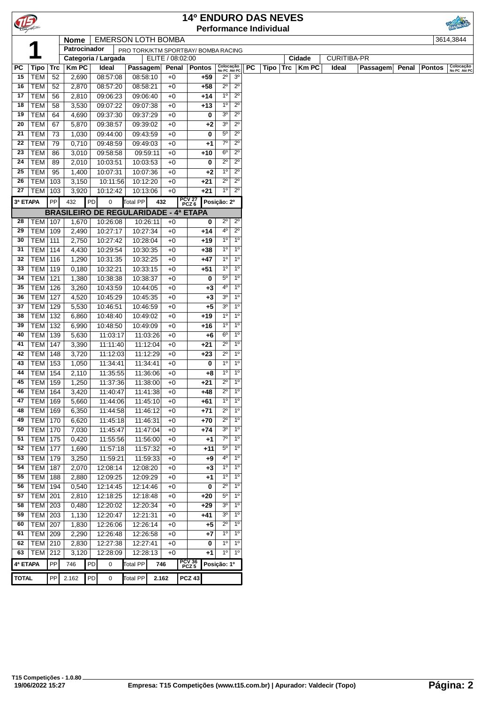| TE       |                  |            |              |    |                                              |                 |                  |       | <b>14º ENDURO DAS NEVES</b>                                    |                                            |                            |                    | <b>Performance Individual</b> |     |              |       |          |       |               |                           |
|----------|------------------|------------|--------------|----|----------------------------------------------|-----------------|------------------|-------|----------------------------------------------------------------|--------------------------------------------|----------------------------|--------------------|-------------------------------|-----|--------------|-------|----------|-------|---------------|---------------------------|
|          |                  |            | <b>Nome</b>  |    | <b>EMERSON LOTH BOMBA</b>                    |                 |                  |       |                                                                |                                            |                            |                    |                               |     |              |       |          |       |               | 3614,3844                 |
|          |                  |            | Patrocinador |    |                                              |                 |                  |       | PRO TORK/KTM SPORTBAY/ BOMBA RACING                            |                                            |                            |                    |                               |     |              |       |          |       |               |                           |
|          |                  |            |              |    | Categoria / Largada                          |                 |                  |       |                                                                |                                            | Cidade                     | <b>CURITIBA-PR</b> |                               |     |              |       |          |       |               |                           |
| РC       | <b>Tipo</b>      | <b>Trc</b> | KmPC         |    | Ideal                                        | Passagem        | ELITE / 08:02:00 | Penal | Pontos                                                         | Colocação<br>No PC Até PC                  |                            | <b>PC</b>          | Tipo                          | Trc | <b>Km PC</b> | Ideal | Passagem | Penal | <b>Pontos</b> | Colocação<br>No PC Até PC |
| 15       | <b>TEM</b>       | 52         | 2,690        |    | 08:57:08                                     | 08:58:10        |                  | $+0$  | $+59$                                                          | $2^{\circ}$                                | 3 <sup>o</sup>             |                    |                               |     |              |       |          |       |               |                           |
| 16       | <b>TEM</b>       | 52         | 2,870        |    | 08:57:20                                     | 08:58:21        |                  | $+0$  | +58                                                            | $2^{\circ}$                                | $2^{\circ}$                |                    |                               |     |              |       |          |       |               |                           |
| 17       | <b>TEM</b>       |            |              |    |                                              |                 |                  |       |                                                                | $1^{\circ}$                                | $2^{\circ}$                |                    |                               |     |              |       |          |       |               |                           |
|          |                  | 56         | 2,810        |    | 09:06:23                                     | 09:06:40        |                  | $+0$  | $+14$                                                          |                                            |                            |                    |                               |     |              |       |          |       |               |                           |
| 18       | <b>TEM</b>       | 58         | 3,530        |    | 09:07:22                                     | 09:07:38        |                  | $+0$  | +13                                                            | $1^{\circ}$<br>3 <sup>o</sup>              | $2^{\circ}$<br>$2^{\circ}$ |                    |                               |     |              |       |          |       |               |                           |
| 19       | <b>TEM</b>       | 64         | 4,690        |    | 09:37:30                                     | 09:37:29        |                  | $+0$  | 0                                                              |                                            |                            |                    |                               |     |              |       |          |       |               |                           |
| 20       | TEM              | 67         | 5,870        |    | 09:38:57                                     | 09:39:02        |                  | $+0$  | +2                                                             | 3 <sup>o</sup>                             | $2^{\circ}$                |                    |                               |     |              |       |          |       |               |                           |
| 21       | TEM              | 73         | 1,030        |    | 09:44:00                                     | 09:43:59        |                  | $+0$  | 0                                                              | $5^{\circ}$                                | $2^{\circ}$                |                    |                               |     |              |       |          |       |               |                           |
| 22       | <b>TEM</b>       | 79         | 0,710        |    | 09:48:59                                     | 09:49:03        |                  | $+0$  | +1                                                             | $7^\circ$                                  | $2^{\circ}$                |                    |                               |     |              |       |          |       |               |                           |
| 23       | <b>TEM</b>       | 86         | 3,010        |    | 09:58:58                                     | 09:59:11        |                  | $+0$  | +10                                                            | $6^{\circ}$                                | $2^{\circ}$                |                    |                               |     |              |       |          |       |               |                           |
| 24       | <b>TEM</b>       | 89         | 2,010        |    | 10:03:51                                     | 10:03:53        |                  | $+0$  | 0                                                              | $2^{\circ}$                                | $2^{\circ}$                |                    |                               |     |              |       |          |       |               |                           |
| 25       | <b>TEM</b>       | 95         | 1,400        |    | 10:07:31                                     | 10:07:36        |                  | +0    | +2                                                             | $1^{\circ}$                                | $2^{\circ}$                |                    |                               |     |              |       |          |       |               |                           |
| 26       | TEM              | 103        | 3,150        |    | 10:11:56                                     | 10:12:20        |                  | $+0$  | +21                                                            | $2^{\circ}$<br>1 <sup>0</sup>              | $2^{\circ}$                |                    |                               |     |              |       |          |       |               |                           |
| 27       | <b>TEM   103</b> |            | 3,920        |    | 10:12:42                                     | 10:13:06        |                  | $+0$  | +21                                                            | $2^{\circ}$                                |                            |                    |                               |     |              |       |          |       |               |                           |
| 3ª ETAPA |                  | PP         | 432          | PD | 0                                            | Total PP        | 432              |       | PCV 27<br>PCZ 6                                                | Posição: 2º                                |                            |                    |                               |     |              |       |          |       |               |                           |
|          |                  |            |              |    | <b>BRASILEIRO DE REGULARIDADE - 4ª ETAPA</b> |                 |                  |       |                                                                |                                            |                            |                    |                               |     |              |       |          |       |               |                           |
| 28       | <b>TEM   107</b> |            | 1,670        |    | 10:26:08                                     | 10:26:11        |                  | $+0$  | 0                                                              | $2^{\circ}$                                | $2^{\circ}$                |                    |                               |     |              |       |          |       |               |                           |
| 29       | <b>TEM</b>       | 109        | 2,490        |    | 10:27:17                                     | 10:27:34        |                  | $+0$  | +14                                                            | $2^{\circ}$                                |                            |                    |                               |     |              |       |          |       |               |                           |
| 30       | <b>TEM</b>       | 111        | 2,750        |    | 10:27:42                                     | 10:28:04        |                  | $+0$  | $4^{\circ}$<br>1 <sup>0</sup><br>+19                           |                                            |                            |                    |                               |     |              |       |          |       |               |                           |
| 31       | <b>TEM</b>       | 114        | 4,430        |    | 10:29:54                                     | 10:30:35        |                  | $+0$  | $1^{\circ}$<br>1 <sup>0</sup><br>$1^{\circ}$<br>+38            |                                            |                            |                    |                               |     |              |       |          |       |               |                           |
| 32       | <b>TEM 116</b>   |            | 1,290        |    | 10:31:35                                     | 10:32:25        |                  | +0    | $1^{\circ}$<br>+47                                             |                                            |                            |                    |                               |     |              |       |          |       |               |                           |
| 33       | <b>TEM</b>       | 119        | 0,180        |    | 10:32:21                                     | 10:33:15        |                  | $+0$  | 1 <sup>0</sup><br>+51                                          |                                            |                            |                    |                               |     |              |       |          |       |               |                           |
| 34       | TEM   121        |            | 1,380        |    | 10:38:38                                     | 10:38:37        |                  | $+0$  | 1 <sup>o</sup><br>$1^{\circ}$<br>$5^{\circ}$<br>1 <sup>0</sup> |                                            |                            |                    |                               |     |              |       |          |       |               |                           |
| 35       |                  |            |              |    |                                              |                 |                  |       |                                                                | 0<br>$4^{\circ}$<br>1 <sup>0</sup><br>$+3$ |                            |                    |                               |     |              |       |          |       |               |                           |
|          | <b>TEM</b>       | 126        | 3,260        |    | 10:43:59                                     | 10:44:05        |                  | $+0$  |                                                                |                                            | 1 <sup>0</sup>             |                    |                               |     |              |       |          |       |               |                           |
| 36       | <b>TEM</b>       | 127        | 4,520        |    | 10:45:29                                     | 10:45:35        |                  | $+0$  | +3                                                             | 3 <sup>o</sup>                             |                            |                    |                               |     |              |       |          |       |               |                           |
| 37       | TEM              | 129        | 5,530        |    | 10:46:51                                     | 10:46:59        |                  | $+0$  | +5                                                             | 3 <sup>o</sup>                             | 1 <sup>0</sup>             |                    |                               |     |              |       |          |       |               |                           |
| 38       | <b>TEM</b>       | 132        | 6,860        |    | 10:48:40                                     | 10:49:02        |                  | $+0$  | +19                                                            | $1^{\circ}$                                | $1^{\circ}$                |                    |                               |     |              |       |          |       |               |                           |
| 39       | TEM              | 132        | 6,990        |    | 10:48:50                                     | 10:49:09        |                  | $+0$  | +16                                                            | $1^{\circ}$                                | 1 <sup>0</sup>             |                    |                               |     |              |       |          |       |               |                           |
| 40       | <b>TEM</b>       | 139        | 5,630        |    | 11:03:17                                     | 11:03:26        |                  | $+0$  | +6                                                             | $6^{\circ}$                                | 1 <sup>0</sup>             |                    |                               |     |              |       |          |       |               |                           |
| 41       | <b>TEM</b>       | 147        | 3,390        |    | 11:11:40                                     | 11:12:04        |                  | $+0$  | +21                                                            | $\overline{2^0}$                           | 1 <sup>0</sup>             |                    |                               |     |              |       |          |       |               |                           |
| 42       | <b>TEM</b>       | 148        | 3,720        |    | 11:12:03                                     | 11:12:29        |                  | $+0$  | $+23$                                                          | $2^{\circ}$                                | $1^{\circ}$                |                    |                               |     |              |       |          |       |               |                           |
| 43       | $TEM$ 153        |            | 1,050        |    | 11:34:41                                     | 11:34:41        |                  | $+0$  | 0                                                              | 1 <sup>0</sup>                             | 1 <sup>0</sup>             |                    |                               |     |              |       |          |       |               |                           |
| 44       | TEM              | 154        | 2,110        |    | 11:35:55                                     | 11:36:06        |                  | $+0$  | +8                                                             | $1^{\circ}$                                | $1^{\circ}$                |                    |                               |     |              |       |          |       |               |                           |
| 45       | <b>TEM 159</b>   |            | 1,250        |    | 11:37:36                                     | 11:38:00        |                  | $+0$  | +21                                                            | $2^{\circ}$                                | 1 <sup>0</sup>             |                    |                               |     |              |       |          |       |               |                           |
| 46       | <b>TEM   164</b> |            | 3,420        |    | 11:40:47                                     | 11:41:38        |                  | $+0$  | +48                                                            | $2^{\circ}$                                | $1^{\circ}$                |                    |                               |     |              |       |          |       |               |                           |
| 47       | <b>TEM</b>       | 169        | 5,660        |    | 11:44:06                                     | 11:45:10        |                  | $+0$  | +61                                                            | 1 <sup>0</sup>                             | 1 <sup>0</sup>             |                    |                               |     |              |       |          |       |               |                           |
| 48       | <b>TEM</b>       | 169        | 6,350        |    | 11:44:58                                     | 11:46:12        |                  | $+0$  | +71                                                            | $2^{\circ}$                                | $1^{\circ}$                |                    |                               |     |              |       |          |       |               |                           |
| 49       | <b>TEM</b>       | 170        | 6,620        |    | 11:45:18                                     | 11:46:31        |                  | $+0$  | +70                                                            | $2^{\circ}$                                | $1^{\circ}$                |                    |                               |     |              |       |          |       |               |                           |
| 50       | <b>TEM</b>       | 170        | 7,030        |    | 11:45:47                                     | 11:47:04        |                  | $+0$  | +74                                                            | 3 <sup>o</sup>                             | $1^{\circ}$                |                    |                               |     |              |       |          |       |               |                           |
| 51       | <b>TEM</b>       | 175        | 0,420        |    | 11:55:56                                     | 11:56:00        |                  | $+0$  | $+1$                                                           | 7 <sup>o</sup>                             | 1 <sup>0</sup>             |                    |                               |     |              |       |          |       |               |                           |
| 52       | <b>TEM</b>       | 177        | 1,690        |    | 11:57:18                                     | 11:57:32        |                  | $+0$  | +11                                                            | $5^{\circ}$                                | $1^{\circ}$                |                    |                               |     |              |       |          |       |               |                           |
| 53       | <b>TEM</b>       | 179        | 3,250        |    | 11:59:21                                     | 11:59:33        |                  | $+0$  | +9                                                             | $4^{\circ}$                                | $1^{\circ}$                |                    |                               |     |              |       |          |       |               |                           |
| 54       | <b>TEM</b>       | 187        | 2,070        |    | 12:08:14                                     | 12:08:20        |                  | $+0$  | +3                                                             | $1^{\circ}$                                | $1^{\circ}$                |                    |                               |     |              |       |          |       |               |                           |
| 55       | <b>TEM</b>       | 188        | 2,880        |    | 12:09:25                                     | 12:09:29        |                  | $+0$  | +1                                                             | $1^{\circ}$                                | $1^{\circ}$                |                    |                               |     |              |       |          |       |               |                           |
| 56       | <b>TEM</b>       | 194        | 0,540        |    | 12:14:45                                     | 12:14:46        |                  | $+0$  | 0                                                              | $2^{\circ}$                                | $1^{\circ}$                |                    |                               |     |              |       |          |       |               |                           |
| 57       | <b>TEM</b>       | 201        | 2,810        |    | 12:18:25                                     | 12:18:48        |                  | $+0$  | +20                                                            | $5^{\circ}$                                | $1^{\circ}$                |                    |                               |     |              |       |          |       |               |                           |
| 58       | <b>TEM</b>       | 203        | 0,480        |    | 12:20:02                                     | 12:20:34        |                  | $+0$  | +29                                                            | 3 <sup>o</sup>                             | $1^{\circ}$                |                    |                               |     |              |       |          |       |               |                           |
| 59       | <b>TEM 203</b>   |            | 1,130        |    | 12:20:47                                     | 12:21:31        |                  | $+0$  | +41                                                            | 3 <sup>o</sup>                             | $1^{\circ}$                |                    |                               |     |              |       |          |       |               |                           |
| 60       | <b>TEM 207</b>   |            | 1,830        |    | 12:26:06                                     | 12:26:14        |                  | $+0$  | +5                                                             | $2^{\circ}$                                | 1 <sup>0</sup>             |                    |                               |     |              |       |          |       |               |                           |
| 61       | TEM 209          |            | 2,290        |    | 12:26:48                                     | 12:26:58        |                  | $+0$  | +7                                                             | $1^{\circ}$                                | $1^{\circ}$                |                    |                               |     |              |       |          |       |               |                           |
| 62       | <b>TEM 210</b>   |            | 2,830        |    | 12:27:38                                     | 12:27:41        |                  | $+0$  | 0                                                              | 1 <sup>0</sup>                             | $1^{\circ}$                |                    |                               |     |              |       |          |       |               |                           |
| 63       | <b>TEM 212</b>   |            | 3,120        |    | 12:28:09                                     | 12:28:13        |                  | $+0$  | +1                                                             | $1^{\circ}$                                | $1^{\circ}$                |                    |                               |     |              |       |          |       |               |                           |
|          |                  |            |              |    |                                              |                 |                  |       |                                                                |                                            |                            |                    |                               |     |              |       |          |       |               |                           |
| 4ª ETAPA |                  | PP         | 746          | PD | 0                                            | <b>Total PP</b> | 746              |       | PCV 36<br>PCZ 5                                                | Posição: 1º                                |                            |                    |                               |     |              |       |          |       |               |                           |
| TOTAL    |                  | PP         | 2.162        | PD | 0                                            | <b>Total PP</b> | 2.162            |       | <b>PCZ 43</b>                                                  |                                            |                            |                    |                               |     |              |       |          |       |               |                           |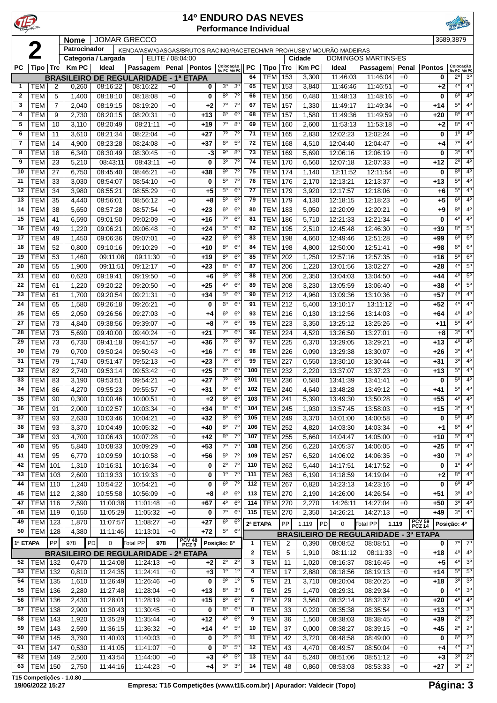| $\mathbf{P}$ |                          |                |                |                      |                                                                       |                  | <b>14º ENDURO DAS NEVES</b><br><b>Performance Individual</b> |                               |                                  |                 |                          |                   |                       |                      |                                              |               |                          |                                          |                               |
|--------------|--------------------------|----------------|----------------|----------------------|-----------------------------------------------------------------------|------------------|--------------------------------------------------------------|-------------------------------|----------------------------------|-----------------|--------------------------|-------------------|-----------------------|----------------------|----------------------------------------------|---------------|--------------------------|------------------------------------------|-------------------------------|
|              |                          |                | <b>Nome</b>    |                      | <b>JOMAR GRECCO</b>                                                   |                  |                                                              |                               |                                  |                 |                          |                   |                       |                      |                                              |               |                          | 3589,3879                                |                               |
|              | $\boldsymbol{2}$         |                | Patrocinador   |                      | KENDA/ASW/GASGAS/BRUTOS RACING/RACETECH/MR PRO/HUSBY/ MOURÃO MADEIRAS |                  |                                                              |                               |                                  |                 |                          |                   |                       |                      |                                              |               |                          |                                          |                               |
|              |                          |                |                | Categoria / Largada  |                                                                       | ELITE / 08:04:00 |                                                              |                               |                                  |                 |                          |                   | Cidade                |                      | <b>DOMINGOS MARTINS-ES</b>                   |               |                          |                                          |                               |
| <b>PC</b>    | Tipo                     | <b>Trc</b>     | <b>Km PC</b>   | Ideal                | <b>Passagem</b>                                                       |                  | Penal   Pontos                                               | Colocação<br>No PC Até PC     |                                  | <b>PC</b><br>64 | Tipo<br>TEM              | <b>Trc</b><br>153 | <b>Km PC</b><br>3,300 | Ideal<br>11:46:03    | Passagem<br>11:46:04                         | Penal<br>$+0$ | <b>Pontos</b><br>0       | Colocação<br>No PC Até PC<br>$2^{\circ}$ | 3 <sup>0</sup>                |
| $\mathbf{1}$ | <b>TEM</b>               | $\overline{2}$ | 0,260          | 08:16:22             | <b>BRASILEIRO DE REGULARIDADE - 1ª ETAPA</b><br>08:16:22              | $+0$             | 0                                                            | 3 <sup>o</sup>                | 3 <sup>o</sup>                   | 65              | <b>TEM</b>               | 153               | 3,840                 | 11:46:46             | 11:46:51                                     | $+0$          | $+2$                     | 4 <sup>0</sup>                           | 4 <sup>0</sup>                |
| $\mathbf{2}$ | <b>TEM</b>               | 5              | 1,400          | 08:18:10             | 08:18:08                                                              | $+0$             | 0                                                            | $8^{\circ}$                   | $7^{\circ}$                      | 66              | <b>TEM</b>               | 156               | 0,480                 | 11:48:13             | 11:48:16                                     | $+0$          | 0                        | $6^{\circ}$                              | 4 <sup>0</sup>                |
| 3            | <b>TEM</b>               | $\overline{7}$ | 2,040          | 08:19:15             | 08:19:20                                                              | $+0$             | +2                                                           | $7^{\circ}$                   | $7^{\circ}$                      | 67              | <b>TEM</b>               | 157               | 1,330                 | 11:49:17             | 11:49:34                                     | $+0$          | $+14$                    | 5 <sup>0</sup>                           | 4 <sup>0</sup>                |
| 4            | <b>TEM</b>               | 9              | 2,730          | 08:20:15             | 08:20:31                                                              | $+0$             | $+13$                                                        | $6^{\circ}$                   | $6^{\circ}$                      | 68              | <b>TEM</b>               | 157               | 1,580                 | 11:49:36             | 11:49:59                                     | $+0$          | $+20$                    | 8 <sup>0</sup>                           | 4 <sup>0</sup>                |
| 5            | <b>TEM</b>               | 10             | 3,110          | 08:20:49             | 08:21:11                                                              | $+0$             | $+19$                                                        | 7 <sup>o</sup>                | 8 <sup>o</sup>                   | 69              | <b>TEM</b>               | 160               | 2,600                 | 11:53:13             | 11:53:18                                     | $+0$          | $+2$                     | 8 <sup>0</sup>                           | 4 <sup>0</sup>                |
| 6            | <b>TEM</b>               | 11             | 3,610          | 08:21:34             | 08:22:04                                                              | $+0$             | $+27$                                                        | $7^\circ$                     | $7^\circ$                        | 71              | <b>TEM</b>               | 165               | 2,830                 | 12:02:23             | 12:02:24                                     | $+0$          | $\bf{0}$                 | 1 <sup>0</sup>                           | 4 <sup>0</sup>                |
| 7            | <b>TEM</b>               | 14             | 4,900          | 08:23:28             | 08:24:08                                                              | $+0$             | $+37$                                                        | $6^{\circ}$                   | $5^{\circ}$                      | 72              | <b>TEM</b>               | 168               | 4,510                 | 12:04:40             | 12:04:47                                     | $+0$          | $+4$                     | $7^{\circ}$                              | 4°                            |
| 8            | <b>TEM</b>               | 18             | 6,340          | 08:30:49             | 08:30:45                                                              | $+0$             | -3                                                           | $9^{\circ}$                   | 8 <sup>o</sup>                   | 73              | <b>TEM</b>               | 169               | 5,690                 | 12:06:16             | 12:06:19                                     | $+0$          | 0                        | 3 <sup>0</sup>                           | 4 <sup>0</sup>                |
| 9            | <b>TEM</b>               | 23             | 5,210          | 08:43:11             | 08:43:11                                                              | $+0$             | 0                                                            | 3 <sup>o</sup>                | $7^\circ$                        | 74              | TEM                      | 170               | 6,560                 | 12:07:18             | 12:07:33                                     | $+0$          | $+12$                    | $2^{\circ}$                              | 4°                            |
| 10           | <b>TEM</b>               | 27             | 6,750          | 08:45:40             | 08:46:21                                                              | $+0$             | $+38$                                                        | $9^{\circ}$                   | $7^{\circ}$                      | 75              | <b>TEM</b>               | 174               | 1,140                 | 12:11:52             | 12:11:54                                     | $+0$          | 0                        | 80                                       | 40                            |
| 11           | <b>TEM</b>               | 33             | 3,030          | 08:54:07             | 08:54:10                                                              | $+0$             | 0                                                            | $5^{\circ}$                   | $7^{\circ}$                      | 76              | <b>TEM</b>               | 176               | 2,170                 | 12:13:21             | 12:13:37                                     | $+0$          | +13                      | 5 <sup>0</sup>                           | 4 <sup>0</sup>                |
| 12           | <b>TEM</b>               | 34             | 3,980          | 08:55:21             | 08:55:29                                                              | $+0$             | +5                                                           | $5^{\circ}$                   | $6^{\circ}$                      | 77              | <b>TEM</b>               | 179               | 3,920                 | 12:17:57             | 12:18:06                                     | $+0$          | +6                       | $5^{\circ}$                              | $4^{\circ}$                   |
| 13           | <b>TEM</b>               | 35             | 4,440          | 08:56:01             | 08:56:12                                                              | $+0$             | +8                                                           | $5^{\circ}$                   | $6^{\circ}$                      | 79              | <b>TEM</b>               | 179               | 4,130                 | 12:18:15             | 12:18:23                                     | $+0$          | $+5$                     | 6 <sup>o</sup>                           | 4 <sup>0</sup>                |
| 14           | <b>TEM</b>               | 38             | 5,650          | 08:57:28             | 08:57:54                                                              | $+0$             | $+23$                                                        | $6^{\circ}$                   | $6^{\circ}$                      | 80              | <b>TEM</b>               | 183               | 5,050                 | 12:20:09             | 12:20:21                                     | $+0$          | $+9$                     | $8^{\circ}$                              | $4^{\circ}$                   |
| 15           | <b>TEM</b>               | 41             | 6,590          | 09:01:50             | 09:02:09                                                              | $+0$             | $+16$                                                        | $7^\circ$                     | 6 <sup>o</sup>                   | 81              | <b>TEM</b>               | 186               | 5,710                 | 12:21:33             | 12:21:34                                     | $+0$          | $\bf{0}$                 | 40                                       | $4^{\circ}$                   |
| 16           | <b>TEM</b>               | 49             | 1,220          | 09:06:21             | 09:06:48                                                              | $+0$             | $+24$                                                        | $5^{\circ}$<br>6 <sup>o</sup> | $6^{\circ}$                      | 82              | <b>TEM</b>               | 195               | 2,510                 | 12:45:48             | 12:46:30                                     | $+0$          | $+39$                    | 8 <sup>0</sup><br>6 <sup>o</sup>         | $5^{\rm o}$<br>6 <sup>o</sup> |
| 17<br>18     | <b>TEM</b>               | 49             | 1,450          | 09:06:36             | 09:07:01                                                              | $+0$             | $+22$                                                        | $8^{\circ}$                   | $6^{\circ}$<br>$6^{\circ}$       | 83<br>84        | <b>TEM</b>               | 198               | 4,660                 | 12:49:46             | 12:51:28<br>12:51:41                         | $+0$          | $+99$                    | $6^{\circ}$                              | 6 <sup>o</sup>                |
| 19           | <b>TEM</b><br><b>TEM</b> | 52<br>53       | 0,800<br>1,460 | 09:10:16<br>09:11:08 | 09:10:29<br>09:11:30                                                  | $+0$<br>$+0$     | $+10$<br>$+19$                                               | $8^{\circ}$                   | 6 <sup>o</sup>                   | 85              | <b>TEM</b><br><b>TEM</b> | 198<br>202        | 4,800<br>1,250        | 12:50:00<br>12:57:16 | 12:57:35                                     | $+0$<br>$+0$  | +98<br>$+16$             | 5 <sup>0</sup>                           | 6 <sup>o</sup>                |
| 20           | <b>TEM</b>               | 55             | 1,900          | 09:11:51             | 09:12:17                                                              | $+0$             | $+23$                                                        | $8^{\circ}$                   | $6^{\circ}$                      | 87              | <b>TEM</b>               | 206               | 1,220                 | 13:01:56             | 13:02:27                                     | $+0$          | $+28$                    | 4 <sup>0</sup>                           | $5^{\circ}$                   |
| 21           | <b>TEM</b>               | 60             | 0,620          | 09:19:41             | 09:19:50                                                              | $+0$             | +6                                                           | $9^{\circ}$                   | $6^{\circ}$                      | 88              | <b>TEM</b>               | 206               | 2,350                 | 13:04:03             | 13:04:50                                     | $+0$          | +44                      | 4 <sup>0</sup>                           | $5^{\circ}$                   |
| 22           | <b>TEM</b>               | 61             | 1,220          | 09:20:22             | 09:20:50                                                              | $+0$             | $+25$                                                        | 4°                            | $6^{\circ}$                      | 89              | <b>TEM</b>               | 208               | 3,230                 | 13:05:59             | 13:06:40                                     | $+0$          | +38                      | 4°                                       | 5 <sup>o</sup>                |
| 23           | <b>TEM</b>               | 61             | 1,700          | 09:20:54             | 09:21:31                                                              | $+0$             | $+34$                                                        | $5^{\circ}$                   | $6^{\circ}$                      | 90              | <b>TEM</b>               | 212               | 4,960                 | 13:09:36             | 13:10:36                                     | $+0$          | $+57$                    | 40                                       | $4^{\circ}$                   |
| 24           | <b>TEM</b>               | 65             | 1,580          | 09:26:18             | 09:26:21                                                              | $+0$             | 0                                                            | $6^{\circ}$                   | 6 <sup>o</sup>                   | 91              | <b>TEM</b>               | 212               | 5,400                 | 13:10:17             | 13:11:12                                     | $+0$          | $+52$                    | 4 <sup>0</sup>                           | 40                            |
| 25           | <b>TEM</b>               | 65             | 2,050          | 09:26:56             | 09:27:03                                                              | $+0$             | +4                                                           | $6^{\circ}$                   | $6^{\circ}$                      | 93              | <b>TEM</b>               | 216               | 0,130                 | 13:12:56             | 13:14:03                                     | $+0$          | +64                      | 4 <sup>0</sup>                           | $4^{\circ}$                   |
| 27           | <b>TEM</b>               | 73             | 4,840          | 09:38:56             | 09:39:07                                                              | $+0$             | +8                                                           | $7^\circ$                     | 6 <sup>o</sup>                   | 95              | <b>TEM</b>               | 223               | 3,350                 | 13:25:12             | 13:25:26                                     | $+0$          | +11                      | $5^{\circ}$                              | 40                            |
| 28           | <b>TEM</b>               | 73             | 5,690          | 09:40:00             | 09:40:24                                                              | $+0$             | $+21$                                                        | $7^\circ$                     | $6^{\circ}$                      | 96              | <b>TEM</b>               | 224               | 4,520                 | 13:26:50             | 13:27:01                                     | $+0$          | $+8$                     | 3 <sup>o</sup>                           | 4°                            |
| 29           | <b>TEM</b>               | 73             | 6,730          | 09:41:18             | 09:41:57                                                              | $+0$             | $+36$                                                        | $7^{\circ}$                   | 6 <sup>o</sup>                   | 97              | <b>TEM</b>               | 225               | 6,370                 | 13:29:05             | 13:29:21                                     | $+0$          | $+13$                    | 4°                                       | 40                            |
| 30           | <b>TEM</b>               | 79             | 0,700          | 09:50:24             | 09:50:43                                                              | $+0$             | $+16$                                                        | $7^{\circ}$                   | 6 <sup>o</sup>                   | 98              | TEM                      | 226               | 0,090                 | 13:29:38             | 13:30:07                                     | $+0$          | +26                      | 3 <sup>0</sup>                           | 4 <sup>0</sup>                |
| 31           | <b>TEM</b>               | 79             | 1,740          | 09:51:47             | 09:52:13                                                              | $+0$             | $+23$                                                        | $7^{\circ}$                   | $6^{\circ}$                      | 99              | <b>TEM</b>               | 227               | 0,550                 | 13:30:10             | 13:30:44                                     | $+0$          | +31                      | 3 <sup>0</sup>                           | $4^{\circ}$                   |
| 32           | <b>TEM</b>               | 82             | 2,740          | 09:53:14             | 09:53:42                                                              | $+0$             | +25                                                          | $6^{\circ}$                   | $6^{\circ}$                      | 100             | <b>TEM</b>               | 232               | 2,220                 | 13:37:07             | 13:37:23                                     | $+0$          | +13                      | $5^{\circ}$                              | $4^{\circ}$                   |
| 33           | TEM                      | 83             | 3,190          | 09:53:51             | 09:54:21                                                              | $+0$             | $+27$                                                        | $7^{\circ}$                   | $6^{\circ}$                      | 101             | <b>TEM 236</b>           |                   | 0,580                 | 13:41:39             | 13:41:41                                     | $+0$          | 0                        | $5^{\circ}$                              | $4^{\circ}$                   |
| 34           | TEM                      | 86             | 4,270          | 09:55:23             | 09:55:57                                                              | $+0$             | $+31$                                                        | 6 <sup>o</sup>                | 6 <sup>o</sup>                   | 102             | <b>TEM 240</b>           |                   | 4,640                 | 13:48:28             | 13:49:12                                     | $+0$          | $+41$                    | $5^{\circ}$                              | 4 <sup>0</sup>                |
| 35           | TEM                      | 90             | 0,300          | 10:00:46             | 10:00:51                                                              | $+0$             | $+2$                                                         | $6^{\circ}$                   | 6 <sup>o</sup>                   | 103             | <b>TEM 241</b>           |                   | 5,390                 | 13:49:30             | 13:50:28                                     | $+0$          | $+55$                    | 4°                                       | $4^{\circ}$                   |
| 36           | TEM                      | 91             | 2,000          | 10:02:57             | 10:03:34                                                              | $+0$             | $+34$                                                        | $8^{\circ}$                   | $6^{\circ}$                      | 104             | TEM                      | 245               | 1,930                 | 13:57:45             | 13:58:03                                     | $+0$          | +15                      | 3 <sup>0</sup><br>$5^{\circ}$            | $4^{\circ}$<br>4°             |
| 37<br>38     | TEM<br>TEM               | 93<br>93       | 2,630<br>3,370 | 10:03:46<br>10:04:49 | 10:04:21<br>10:05:32                                                  | $+0$<br>$+0$     | $+32$<br>$+40$                                               | $8^{\circ}$<br>$8^{\circ}$    | $6^{\circ}$<br>7 <sup>o</sup>    | 105<br>106      | TEM<br><b>TEM</b>        | 249<br>252        | 3,370<br>4,820        | 14:01:00<br>14:03:30 | 14:00:58<br>14:03:34                         | $+0$<br>$+0$  | 0<br>$+1$                | 6 <sup>o</sup>                           | $4^{\circ}$                   |
| 39           | <b>TEM</b>               | 93             | 4,700          | 10:06:43             | 10:07:28                                                              | $+0$             | $+42$                                                        | $8^{\circ}$                   | $7^\circ$                        | 107             | <b>TEM</b>               | 255               | 5,660                 | 14:04:47             | 14:05:00                                     | $+0$          | +10                      | $5^{\circ}$                              | 4°                            |
| 40           | <b>TEM</b>               | 95             | 5,840          | 10:08:33             | 10:09:29                                                              | $+0$             | $+53$                                                        | $7^{\circ}$                   | $7^{\circ}$                      | 108             | TEM                      | 256               | 6,220                 | 14:05:37             | 14:06:05                                     | $+0$          | $+25$                    | $8^{\circ}$                              | $4^{\circ}$                   |
| 41           | <b>TEM</b>               | 95             | 6,770          | 10:09:59             | 10:10:58                                                              | $+0$             | $+56$                                                        | $5^{\circ}$                   | 7 <sup>0</sup>                   | 109             | TEM                      | 257               | 6,520                 | 14:06:02             | 14:06:35                                     | $+0$          | +30                      | $7^\circ$                                | $4^{\circ}$                   |
| 42           | <b>TEM</b>               | 101            | 1,310          | 10:16:31             | 10:16:34                                                              | $+0$             | 0                                                            | $2^{\circ}$                   | $7^\circ$                        | 110             | <b>TEM</b>               | 262               | 5,440                 | 14:17:51             | 14:17:52                                     | $+0$          | 0                        | 1 <sup>0</sup>                           | $4^{\circ}$                   |
| 43           | <b>TEM</b>               | 103            | 2,600          | 10:19:33             | 10:19:33                                                              | $+0$             | 0                                                            | $1^{\circ}$                   | $7^\circ$                        | 111             | TEM                      | 263               | 6,190                 | 14:18:59             | 14:19:04                                     | $+0$          | +2                       | 8 <sup>o</sup>                           | 4 <sup>0</sup>                |
| 44           | TEM                      | 110            | 1,240          | 10:54:22             | 10:54:21                                                              | $+0$             | 0                                                            | $6^{\circ}$                   | $7^\circ$                        | 112             | <b>TEM</b>               | 267               | 0,820                 | 14:23:13             | 14:23:16                                     | $+0$          | 0                        | 6 <sup>o</sup>                           | $4^{\circ}$                   |
| 45           | <b>TEM 112</b>           |                | 2,380          | 10:55:58             | 10:56:09                                                              | $+0$             | +8                                                           | 4º                            | $6^{\circ}$                      | 113             | TEM                      | 270               | 2,190                 | 14:26:00             | 14:26:54                                     | $+0$          | +51                      | 3 <sup>0</sup>                           | $4^{\circ}$                   |
| 47           | <b>TEM 116</b>           |                | 2,590          | 11:00:38             | 11:01:48                                                              | $+0$             | $+67$                                                        | 4°                            | $6^{\circ}$                      | 114             | <b>TEM 270</b>           |                   | 2,270                 | 14:26:11             | 14:27:04                                     | $+0$          | +50                      | 30                                       | $4^{\circ}$                   |
| 48           | <b>TEM 119</b>           |                | 0,150          | 11:05:29             | 11:05:32                                                              | $+0$             | 0                                                            | $7^\circ$                     | $6^{\circ}$                      | 115             | <b>TEM</b>               | 270               | 2,350                 | 14:26:21             | 14:27:13                                     | $+0$          | $+49$                    | 3 <sup>0</sup>                           | 4 <sup>0</sup>                |
| 49           | TEM                      | 123            | 1,870          | 11:07:57             | 11:08:27                                                              | $+0$             | $+27$                                                        | $6^{\circ}$                   | 6 <sup>o</sup>                   | 2ª ETAPA        |                          | PP                | 1.119                 | $\pmb{0}$<br>PD      | Total PP                                     | 1.119         | <b>PCV 59<br/>PCZ 14</b> | Posição: 4º                              |                               |
| 50           | TEM                      | 128            | 4,380          | 11:11:46             | 11:13:01                                                              | $+0$             | +72                                                          | $5^{\circ}$                   | $6^{\circ}$                      |                 |                          |                   |                       |                      | <b>BRASILEIRO DE REGULARIDADE - 3ª ETAPA</b> |               |                          |                                          |                               |
| 1ª ETAPA     |                          | PP             | 978            | PD<br>$\mathsf 0$    | Total PP<br>978                                                       |                  | PCV 48<br>PCZ 9                                              | Posição: 6º                   |                                  | 1               | TEM                      | $\overline{c}$    | 0,390                 | 08:08:52             | 08:08:51                                     | $+0$          | 0                        | $7^{\circ}$                              | $7^\circ$                     |
|              |                          |                |                |                      | <b>BRASILEIRO DE REGULARIDADE - 2ª ETAPA</b>                          |                  |                                                              |                               |                                  | $\mathbf 2$     | <b>TEM</b>               | 5                 | 1,910                 | 08:11:12             | 08:11:33                                     | $+0$          | $+18$                    | 40                                       | $4^{\circ}$                   |
| 52           | <b>TEM 132</b>           |                | 0,470          | 11:24:08             | 11:24:13                                                              | $+0$             | $+2$                                                         | $2^{\circ}$                   | $2^{\circ}$                      | 3               | <b>TEM</b>               | 11                | 1,020                 | 08:16:37             | 08:16:45                                     | $+0$          | $+5$                     | 40                                       | 3 <sup>o</sup>                |
| 53           | TEM                      | 132            | 0,810          | 11:24:35             | 11:24:41                                                              | $+0$             | $+3$                                                         | 1 <sup>0</sup>                | 1 <sup>0</sup>                   | 4               | <b>TEM</b>               | 17                | 2,880                 | 08:18:56             | 08:19:13                                     | $+0$          | $+14$                    | $5^{\circ}$                              | $5^{\circ}$                   |
| 54           | TEM                      | 135            | 1,610          | 11:26:49             | 11:26:46                                                              | $+0$             | 0                                                            | 90                            | $1^{\circ}$                      | 5               | <b>TEM</b>               | 21                | 3,710                 | 08:20:04             | 08:20:25                                     | $+0$          | +18                      | 30<br>40                                 | 3°<br>3°                      |
| 55<br>56     | <b>TEM</b><br>TEM        | 136<br>136     | 2,280<br>2,430 | 11:27:48<br>11:28:01 | 11:28:04<br>11:28:19                                                  | $+0$             | $+13$<br>$+15$                                               | $8^{\circ}$<br>$8^{\circ}$    | 3 <sup>o</sup><br>6 <sup>o</sup> | 6<br>7          | <b>TEM</b><br><b>TEM</b> | 25<br>29          | 1,470<br>3,560        | 08:29:31<br>08:32:14 | 08:29:34<br>08:32:37                         | $+0$<br>$+0$  | 0<br>+20                 | 40                                       | $4^{\circ}$                   |
| 57           | <b>TEM</b>               | 138            | 2,900          | 11:30:43             | 11:30:45                                                              | $+0$<br>$+0$     | 0                                                            | $8^{\circ}$                   | 6 <sup>o</sup>                   | 8               | <b>TEM</b>               | 33                | 0,220                 | 08:35:38             | 08:35:54                                     | $+0$          | +13                      | 40                                       | 3 <sup>o</sup>                |
| 58           | TEM                      | 143            | 1,920          | 11:35:29             | 11:35:44                                                              | $+0$             | $+12$                                                        | 4°                            | $6^{\circ}$                      | 9               | <b>TEM</b>               | 36                | 1,560                 | 08:38:03             | 08:38:45                                     | $+0$          | $+39$                    | $2^{\circ}$                              | $2^{\circ}$                   |
| 59           | TEM                      | 143            | 2,590          | 11:36:15             | 11:36:32                                                              | $+0$             | $+14$                                                        | 4°                            | $5^{\circ}$                      | 10              | <b>TEM</b>               | 37                | 0,000                 | 08:38:27             | 08:39:15                                     | $+0$          | +45                      | $2^{\circ}$                              | $2^{\circ}$                   |
| 60           | <b>TEM</b>               | 145            | 3,790          | 11:40:03             | 11:40:03                                                              | $+0$             | 0                                                            | $2^{\circ}$                   | $5^{\circ}$                      | 11              | <b>TEM</b>               | 42                | 3,720                 | 08:48:58             | 08:49:00                                     | $+0$          | 0                        | 6 <sup>o</sup>                           | $2^{\circ}$                   |
| 61           | TEM                      | 147            | 0,530          | 11:41:05             | 11:41:07                                                              | $+0$             | 0                                                            | $6^{\circ}$                   | $5^{\circ}$                      | 12              | <b>TEM</b>               | 43                | 4,470                 | 08:49:57             | 08:50:04                                     | $+0$          | $+4$                     | 4 <sup>0</sup>                           | $2^{\circ}$                   |
| 62           | TEM                      | 149            | 2,500          | 11:43:54             | 11:44:00                                                              | $+0$             | $+3$                                                         | 4º                            | $5^{\circ}$                      | 13              | <b>TEM</b>               | 44                | 5,240                 | 08:51:06             | 08:51:12                                     | $+0$          | $+3$                     | 3 <sup>0</sup>                           | $2^{\circ}$                   |
| 63           | TEM                      | 150            | 2,750          | 11:44:16             | 11:44:23                                                              | $+0$             | $+4$                                                         | 3 <sup>o</sup>                | 3 <sup>o</sup>                   | 14              | <b>TEM</b>               | 48                | 0,860                 | 08:53:03             | 08:53:33                                     | $+0$          | $+27$                    | 3 <sup>o</sup>                           | $2^{\circ}$                   |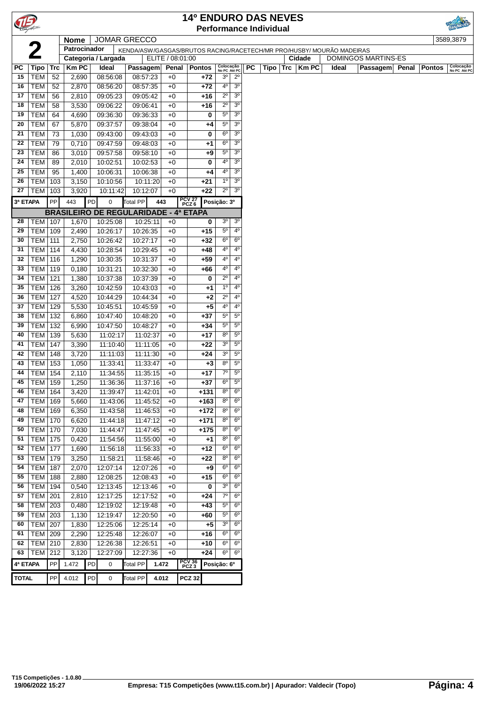| TIE.         |                             |            |                |    |                                              |                      |                  |              | <b>14º ENDURO DAS NEVES</b> |             |                               |                                  |           |                               |                                                                       |       |                            |       |               |                           |
|--------------|-----------------------------|------------|----------------|----|----------------------------------------------|----------------------|------------------|--------------|-----------------------------|-------------|-------------------------------|----------------------------------|-----------|-------------------------------|-----------------------------------------------------------------------|-------|----------------------------|-------|---------------|---------------------------|
|              |                             |            |                |    |                                              |                      |                  |              |                             |             |                               |                                  |           | <b>Performance Individual</b> |                                                                       |       |                            |       |               |                           |
|              |                             |            | <b>Nome</b>    |    | <b>JOMAR GRECCO</b>                          |                      |                  |              |                             |             |                               |                                  |           |                               |                                                                       |       |                            |       |               | 3589,3879                 |
|              |                             |            | Patrocinador   |    |                                              |                      |                  |              |                             |             |                               |                                  |           |                               | KENDA/ASW/GASGAS/BRUTOS RACING/RACETECH/MR PRO/HUSBY/ MOURÃO MADEIRAS |       |                            |       |               |                           |
|              |                             |            |                |    | Categoria / Largada                          |                      | ELITE / 08:01:00 |              |                             |             |                               |                                  |           |                               | Cidade                                                                |       | <b>DOMINGOS MARTINS-ES</b> |       |               |                           |
| PC           | Tipo                        | <b>Trc</b> | <b>Km PC</b>   |    | Ideal                                        | Passagem             |                  | Penal        | Pontos                      |             | Colocação<br>No PC Até PC     |                                  | <b>PC</b> | Tipo Trc                      | <b>KmPC</b>                                                           | Ideal | Passagem                   | Penal | <b>Pontos</b> | Colocação<br>No PC Até PC |
| 15           | <b>TEM</b>                  | 52         | 2,690          |    | 08:56:08                                     | 08:57:23             |                  | $+0$         |                             | +72         | 3 <sup>o</sup><br>4°          | $2^{\circ}$<br>3 <sup>o</sup>    |           |                               |                                                                       |       |                            |       |               |                           |
| 16           | <b>TEM</b>                  | 52         | 2,870          |    | 08:56:20                                     | 08:57:35             |                  | $+0$         |                             | $+72$       |                               |                                  |           |                               |                                                                       |       |                            |       |               |                           |
| 17           | <b>TEM</b>                  | 56         | 2,810          |    | 09:05:23                                     | 09:05:42             |                  | $+0$         |                             | $+16$       | $2^{\circ}$                   | 3 <sup>o</sup>                   |           |                               |                                                                       |       |                            |       |               |                           |
| 18           | <b>TEM</b>                  | 58         | 3,530          |    | 09:06:22                                     | 09:06:41             |                  | $+0$         |                             | +16         | $2^{\circ}$                   | 3 <sup>o</sup>                   |           |                               |                                                                       |       |                            |       |               |                           |
| 19           | <b>TEM</b>                  | 64         | 4,690          |    | 09:36:30                                     | 09:36:33             |                  | $+0$         |                             | 0           | $5^{\circ}$                   | 3 <sup>o</sup>                   |           |                               |                                                                       |       |                            |       |               |                           |
| 20           | <b>TEM</b>                  | 67         | 5,870          |    | 09:37:57                                     | 09:38:04             |                  | $+0$         |                             | $+4$        | $5^{\circ}$                   | 3 <sup>o</sup>                   |           |                               |                                                                       |       |                            |       |               |                           |
| 21           | <b>TEM</b>                  | 73         | 1,030          |    | 09:43:00                                     | 09:43:03             |                  | $+0$         |                             | 0           | $6^{\circ}$                   | 3 <sup>o</sup>                   |           |                               |                                                                       |       |                            |       |               |                           |
| 22           | <b>TEM</b>                  | 79         | 0,710          |    | 09:47:59                                     | 09:48:03             |                  | $+0$         |                             | +1          | $6^{\circ}$                   | 3 <sup>o</sup>                   |           |                               |                                                                       |       |                            |       |               |                           |
| 23           | <b>TEM</b>                  | 86         | 3,010          |    | 09:57:58                                     | 09:58:10             |                  | $+0$         |                             | +9          | $5^{\circ}$<br>4 <sup>0</sup> | 3 <sup>o</sup><br>3 <sup>o</sup> |           |                               |                                                                       |       |                            |       |               |                           |
| 24           | <b>TEM</b>                  | 89         | 2,010          |    | 10:02:51                                     | 10:02:53             |                  | $+0$         |                             | 0           |                               |                                  |           |                               |                                                                       |       |                            |       |               |                           |
| 25           | <b>TEM</b>                  | 95         | 1,400          |    | 10:06:31                                     | 10:06:38             |                  | $+0$         |                             | $+4$        | 4°<br>1 <sup>0</sup>          | 3 <sup>o</sup>                   |           |                               |                                                                       |       |                            |       |               |                           |
| 26           | <b>TEM</b>                  | 103        | 3,150          |    | 10:10:56                                     | 10:11:20             |                  | $+0$         |                             | $+21$       | $2^{\circ}$                   | 3 <sup>o</sup>                   |           |                               |                                                                       |       |                            |       |               |                           |
| 27           | TEM   103                   |            | 3,920          |    | 10:11:42                                     | 10:12:07             |                  | $+0$         |                             | $+22$       |                               | 3 <sup>0</sup>                   |           |                               |                                                                       |       |                            |       |               |                           |
| 3ª ETAPA     |                             | PP         | 443            | PD | 0                                            | Total PP             | 443              |              | PCV 27<br>PCZ 6             | Posição: 3º |                               |                                  |           |                               |                                                                       |       |                            |       |               |                           |
|              |                             |            |                |    | <b>BRASILEIRO DE REGULARIDADE - 4ª ETAPA</b> |                      |                  |              |                             |             |                               |                                  |           |                               |                                                                       |       |                            |       |               |                           |
| 28           | <b>TEM   107</b>            |            | 1,670          |    | 10:25:08                                     | 10:25:11             |                  | $+0$         |                             | 0           | 3 <sup>o</sup>                | 3 <sup>o</sup>                   |           |                               |                                                                       |       |                            |       |               |                           |
| 29           | TEM                         | 109        | 2,490          |    | 10:26:17                                     | 10:26:35             |                  | $+0$         |                             | $+15$       | $5^{\circ}$                   | $4^{\circ}$                      |           |                               |                                                                       |       |                            |       |               |                           |
| 30           | TEM                         | 111        | 2,750          |    | 10:26:42                                     | 10:27:17             |                  | $+0$         |                             | $+32$       | $6^{\circ}$                   | $6^{\circ}$                      |           |                               |                                                                       |       |                            |       |               |                           |
| 31           | TEM                         | 114        | 4,430          |    | 10:28:54                                     | 10:29:45             |                  | $+0$         |                             | $+48$       | $4^{\circ}$                   | $4^{\circ}$                      |           |                               |                                                                       |       |                            |       |               |                           |
| 32           | <b>TEM</b>                  | 116        | 1,290          |    | 10:30:35                                     | 10:31:37             |                  | $+0$         |                             | $+59$       | 4º                            | 4°                               |           |                               |                                                                       |       |                            |       |               |                           |
| 33           | TEM                         | 119        | 0,180          |    | 10:31:21                                     | 10:32:30             |                  | $+0$         |                             | +66         | 4°                            | 4°                               |           |                               |                                                                       |       |                            |       |               |                           |
| 34           | <b>TEM</b>                  | 121        | 1,380          |    | 10:37:38                                     | 10:37:39             |                  | $+0$         |                             | 0           | $2^{\circ}$                   | $4^{\circ}$                      |           |                               |                                                                       |       |                            |       |               |                           |
| 35           | TEM                         | 126        | 3,260          |    | 10:42:59                                     | 10:43:03             |                  | $+0$         |                             | $+1$        | 1 <sup>0</sup>                | $4^{\circ}$                      |           |                               |                                                                       |       |                            |       |               |                           |
| 36           | <b>TEM</b>                  | 127        | 4,520          |    | 10:44:29                                     | 10:44:34             |                  | $+0$         |                             | $+2$        | $2^{\circ}$                   | $4^{\circ}$                      |           |                               |                                                                       |       |                            |       |               |                           |
| 37           | TEM                         | 129        | 5,530          |    | 10:45:51                                     | 10:45:59             |                  | $+0$         |                             | $+5$        | 4°                            | $4^{\circ}$                      |           |                               |                                                                       |       |                            |       |               |                           |
| 38           | <b>TEM</b>                  | 132        | 6,860          |    | 10:47:40                                     | 10:48:20             |                  | $+0$         |                             | $+37$       | $5^{\circ}$                   | $5^{\circ}$                      |           |                               |                                                                       |       |                            |       |               |                           |
| 39           | <b>TEM</b>                  | 132        | 6,990          |    | 10:47:50                                     | 10:48:27             |                  | $+0$         |                             | $+34$       | $5^{\circ}$                   | $5^{\circ}$                      |           |                               |                                                                       |       |                            |       |               |                           |
| 40           | <b>TEM</b>                  | 139        | 5,630          |    | 11:02:17                                     | 11:02:37             |                  | $+0$         |                             | $+17$       | $8^{\circ}$                   | $5^{\circ}$                      |           |                               |                                                                       |       |                            |       |               |                           |
| 41           | TEM                         | 147        | 3,390          |    | 11:10:40                                     | 11:11:05             |                  | $+0$         |                             | $+22$       | 3 <sup>o</sup>                | $5^{\circ}$                      |           |                               |                                                                       |       |                            |       |               |                           |
| 42           | <b>TEM</b>                  | 148        | 3,720          |    | 11:11:03                                     | 11:11:30             |                  | $+0$         |                             | $+24$       | 3 <sup>o</sup>                | $5^{\circ}$                      |           |                               |                                                                       |       |                            |       |               |                           |
| 43           | <b>TEM</b>                  | 153        | 1,050          |    | 11:33:41                                     | 11:33:47             |                  | $+0$         |                             | $+3$        | $8^{\circ}$                   | $5^{\circ}$                      |           |                               |                                                                       |       |                            |       |               |                           |
| 44           | TEM                         | 154        | 2,110          |    | 11:34:55                                     | 11:35:15             |                  | $+0$         |                             | $+17$       | $7^\circ$                     | $\overline{5^0}$                 |           |                               |                                                                       |       |                            |       |               |                           |
| 45           | <b>TEM 159</b>              |            | 1,250          |    | 11:36:36                                     | 11:37:16             |                  | $+0$         |                             | $+37$       | $6^{\circ}$                   | $5^{\circ}$                      |           |                               |                                                                       |       |                            |       |               |                           |
| 46           | TEM   164                   |            | 3,420          |    | 11:39:47                                     | 11:42:01             |                  | $+0$         | $+131$                      |             | $8^{\circ}$                   | $6^{\circ}$                      |           |                               |                                                                       |       |                            |       |               |                           |
| 47           | TEM                         | 169        | 5,660          |    | 11:43:06                                     | 11:45:52             |                  | $+0$         | $+163$                      |             | $8^{\circ}$                   | $6^{\circ}$                      |           |                               |                                                                       |       |                            |       |               |                           |
| 48           | TEM                         | 169        | 6,350          |    | 11:43:58                                     | 11:46:53             |                  | $+0$         | $+172$                      |             | $8^{\circ}$                   | $6^{\circ}$                      |           |                               |                                                                       |       |                            |       |               |                           |
| 49           | <b>TEM 170</b>              |            | 6,620          |    | 11:44:18                                     | 11:47:12             |                  | $+0$         | $+171$                      |             | $8^{\circ}$                   | $6^{\circ}$                      |           |                               |                                                                       |       |                            |       |               |                           |
| 50           | <b>TEM</b>                  | 170        | 7,030          |    | 11:44:47                                     | 11:47:45             |                  | $+0$         | $+175$                      |             | $8^{\circ}$                   | 6 <sup>o</sup>                   |           |                               |                                                                       |       |                            |       |               |                           |
| 51           | <b>TEM 175</b>              |            | 0,420          |    | 11:54:56                                     | 11:55:00             |                  | $+0$         |                             | $+1$        | $8^{\circ}$                   | $6^{\circ}$                      |           |                               |                                                                       |       |                            |       |               |                           |
| 52           | TEM                         | 177        | 1,690          |    | 11:56:18                                     | 11:56:33             |                  | $+0$         |                             | +12         | $6^{\circ}$                   | $6^{\circ}$                      |           |                               |                                                                       |       |                            |       |               |                           |
| 53           | <b>TEM</b>                  | 179        | 3,250          |    | 11:58:21                                     | 11:58:46             |                  | $+0$         |                             | $+22$       | 8 <sup>o</sup><br>$6^{\circ}$ | $6^{\circ}$                      |           |                               |                                                                       |       |                            |       |               |                           |
| 54           | TEM                         | 187        | 2,070          |    | 12:07:14                                     | 12:07:26             |                  | $+0$         |                             | $+9$        |                               | $6^{\circ}$                      |           |                               |                                                                       |       |                            |       |               |                           |
| 55           | TEM                         | 188        | 2,880          |    | 12:08:25                                     | 12:08:43             |                  | $+0$         |                             | $+15$       | $6^{\circ}$                   | $6^{\circ}$                      |           |                               |                                                                       |       |                            |       |               |                           |
| 56           | <b>TEM 194</b>              |            | 0,540          |    | 12:13:45                                     | 12:13:46             |                  | $+0$         |                             | 0           | 3 <sup>o</sup>                | $6^{\circ}$                      |           |                               |                                                                       |       |                            |       |               |                           |
| 57           | TEM                         | 201        | 2,810          |    | 12:17:25                                     | 12:17:52             |                  | $+0$         |                             | $+24$       | 7°                            | $6^{\circ}$                      |           |                               |                                                                       |       |                            |       |               |                           |
| 58           | <b>TEM 203</b>              |            | 0,480          |    | 12:19:02                                     | 12:19:48             |                  | $+0$         |                             | +43         | $5^{\circ}$                   | $6^{\circ}$                      |           |                               |                                                                       |       |                            |       |               |                           |
| 59           | TEM                         | 203        | 1,130          |    | 12:19:47                                     | 12:20:50             |                  | $+0$         |                             | +60         | $5^{\circ}$<br>3 <sup>o</sup> | 6 <sup>o</sup><br>$6^{\circ}$    |           |                               |                                                                       |       |                            |       |               |                           |
| 60           | $\overline{\text{TEM}}$ 207 |            | 1,830          |    | 12:25:06                                     | 12:25:14             |                  | $+0$         |                             | +5          | $6^{\circ}$                   | $6^{\circ}$                      |           |                               |                                                                       |       |                            |       |               |                           |
| 61           | <b>TEM</b>                  | 209        | 2,290          |    | 12:25:48                                     | 12:26:07             |                  | $+0$         |                             | +16         | $6^{\circ}$                   | 6 <sup>o</sup>                   |           |                               |                                                                       |       |                            |       |               |                           |
| 62<br>63     | TEM<br><b>TEM 212</b>       | 210        | 2,830<br>3,120 |    | 12:26:38<br>12:27:09                         | 12:26:51<br>12:27:36 |                  | $+0$<br>$+0$ |                             | +10<br>+24  | $6^{\circ}$                   | $6^{\circ}$                      |           |                               |                                                                       |       |                            |       |               |                           |
|              |                             |            |                |    |                                              |                      |                  |              |                             |             |                               |                                  |           |                               |                                                                       |       |                            |       |               |                           |
| 4ª ETAPA     |                             | PP         | 1.472          | PD | 0                                            | Total PP             | 1.472            |              | PCV 36<br>PCZ 3             | Posição: 6º |                               |                                  |           |                               |                                                                       |       |                            |       |               |                           |
| <b>TOTAL</b> |                             | ${\sf PP}$ | 4.012          | PD | 0                                            | <b>Total PP</b>      | 4.012            |              | <b>PCZ 32</b>               |             |                               |                                  |           |                               |                                                                       |       |                            |       |               |                           |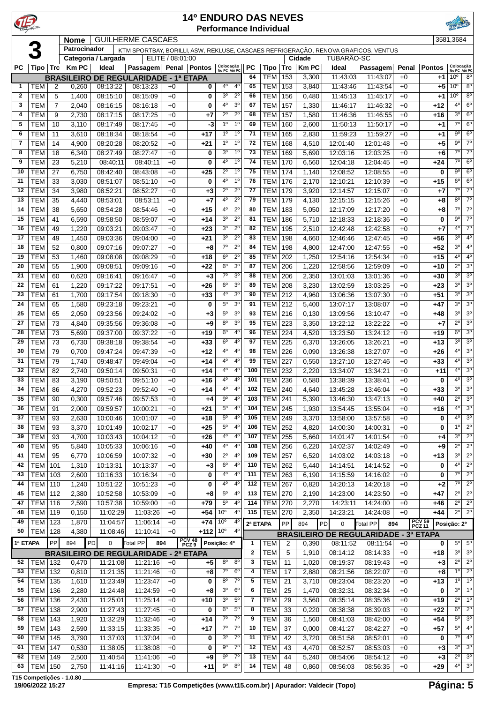| C            |                          |                | <b>14º ENDURO DAS NEVES</b><br><b>Performance Individual</b><br><b>GUILHERME CASCAES</b> |                      |                                                                                    |                  |                   |                            |                                  |                   |                          |                   |                       |                      |                                              |               |                          |                                              |                                    |
|--------------|--------------------------|----------------|------------------------------------------------------------------------------------------|----------------------|------------------------------------------------------------------------------------|------------------|-------------------|----------------------------|----------------------------------|-------------------|--------------------------|-------------------|-----------------------|----------------------|----------------------------------------------|---------------|--------------------------|----------------------------------------------|------------------------------------|
|              |                          |                | <b>Nome</b>                                                                              |                      |                                                                                    |                  |                   |                            |                                  |                   |                          |                   |                       |                      |                                              |               |                          | 3581,3684                                    |                                    |
|              | $\overline{3}$           |                | Patrocinador                                                                             |                      | KTM SPORTBAY, BORILLI, ASW, REKLUSE, CASCAES REFRIGERAÇÃO, RENOVA GRAFICOS, VENTUS |                  |                   |                            |                                  |                   |                          |                   |                       |                      |                                              |               |                          |                                              |                                    |
|              |                          |                |                                                                                          | Categoria / Largada  |                                                                                    | ELITE / 08:01:00 |                   |                            |                                  |                   |                          |                   | Cidade                | TUBARÃO-SC           |                                              |               |                          |                                              |                                    |
| <b>PC</b>    | Tipo Trc                 |                | Km PC                                                                                    | Ideal                | Passagem Penal Pontos                                                              |                  |                   | Colocação<br>No PC Até PC  |                                  | <b>PC</b><br>64   | Tipo<br><b>TEM</b>       | <b>Trc</b><br>153 | <b>Km PC</b><br>3,300 | Ideal<br>11:43:03    | Passagem<br>11:43:07                         | Penal<br>$+0$ | <b>Pontos</b><br>+1      | Colocação<br>No PC Até PC<br>10 <sup>o</sup> | $8^{\circ}$                        |
| 1            | <b>TEM</b>               | 2              | 0,260                                                                                    | 08:13:22             | <b>BRASILEIRO DE REGULARIDADE - 1ª ETAPA</b><br>08:13:23                           | $+0$             | 0                 | 40                         | 4 <sup>0</sup>                   | 65                | <b>TEM</b>               | 153               | 3,840                 | 11:43:46             | 11:43:54                                     | $+0$          | $+5$                     | 10 <sup>o</sup>                              | 8 <sup>o</sup>                     |
| $\mathbf{2}$ | <b>TEM</b>               | 5              | 1,400                                                                                    | 08:15:10             | 08:15:09                                                                           | $+0$             | 0                 | 3 <sup>o</sup>             | $2^{\circ}$                      | 66                | <b>TEM</b>               | 156               | 0,480                 | 11:45:13             | 11:45:17                                     | $+0$          | $+1$                     | 10 <sup>o</sup>                              | $8^{\circ}$                        |
| 3            | <b>TEM</b>               | $\overline{7}$ | 2,040                                                                                    | 08:16:15             | 08:16:18                                                                           | $+0$             | 0                 | 40                         | 3 <sup>o</sup>                   | 67                | <b>TEM</b>               | 157               | 1,330                 | 11:46:17             | 11:46:32                                     | $+0$          | +12                      | 40                                           | $6^{\circ}$                        |
| 4            | <b>TEM</b>               | 9              | 2,730                                                                                    | 08:17:15             | 08:17:25                                                                           | $+0$             | +7                | $2^{\circ}$                | $2^{\circ}$                      | 68                | <b>TEM</b>               | 157               | 1,580                 | 11:46:36             | 11:46:55                                     | $+0$          | +16                      | 3 <sup>0</sup>                               | 6 <sup>o</sup>                     |
| 5            | <b>TEM</b>               | 10             | 3,110                                                                                    | 08:17:49             | 08:17:45                                                                           | $+0$             | -3                | 1 <sup>0</sup>             | 1 <sup>0</sup>                   | 69                | <b>TEM</b>               | 160               | 2,600                 | 11:50:13             | 11:50:17                                     | $+0$          | +1                       | $7^{\circ}$                                  | 6 <sup>o</sup>                     |
| 6            | <b>TEM</b>               | 11             | 3,610                                                                                    | 08:18:34             | 08:18:54                                                                           | $+0$             | $+17$             | 1 <sup>0</sup>             | 1 <sup>0</sup>                   | 71                | <b>TEM</b>               | 165               | 2,830                 | 11:59:23             | 11:59:27                                     | $+0$          | $+1$                     | $9^{\circ}$                                  | $6^{\circ}$                        |
| 7            | <b>TEM</b>               | 14             | 4,900                                                                                    | 08:20:28             | 08:20:52                                                                           | $+0$             | $+21$             | $1^{\circ}$                | 1 <sup>0</sup>                   | 72                | <b>TEM</b>               | 168               | 4,510                 | 12:01:40             | 12:01:48                                     | $+0$          | $+5$                     | 90                                           | $7^{\circ}$                        |
| 8            | <b>TEM</b>               | 18             | 6,340                                                                                    | 08:27:49             | 08:27:47                                                                           | $+0$             | 0                 | 3 <sup>0</sup>             | 1 <sup>0</sup>                   | 73                | <b>TEM</b>               | 169               | 5,690                 | 12:03:16             | 12:03:25                                     | $+0$          | $+6$                     | $7^\circ$                                    | $7^\circ$                          |
| 9            | <b>TEM</b>               | 23             | 5,210                                                                                    | 08:40:11             | 08:40:11                                                                           | $+0$             | 0                 | 4°                         | 1 <sup>o</sup>                   | 74                | <b>TEM</b>               | 170               | 6,560                 | 12:04:18             | 12:04:45                                     | $+0$          | $+24$                    | $7^\circ$                                    | 6 <sup>o</sup>                     |
| 10           | <b>TEM</b>               | 27             | 6,750                                                                                    | 08:42:40             | 08:43:08                                                                           | $+0$             | $+25$             | $2^{\circ}$                | 1 <sup>0</sup>                   | 75                | <b>TEM</b>               | 174               | 1,140                 | 12:08:52             | 12:08:55                                     | $+0$          | 0                        | 90                                           | $6^{\circ}$                        |
| 11<br>12     | <b>TEM</b><br><b>TEM</b> | 33<br>34       | 3,030<br>3,980                                                                           | 08:51:07<br>08:52:21 | 08:51:10<br>08:52:27                                                               | $+0$<br>$+0$     | 0                 | 40<br>$2^{\circ}$          | 1 <sup>0</sup><br>$2^{\circ}$    | 76<br>77          | <b>TEM</b><br><b>TEM</b> | 176<br>179        | 2,170<br>3,920        | 12:10:21<br>12:14:57 | 12:10:39<br>12:15:07                         | $+0$<br>$+0$  | $+15$<br>$+7$            | $6^{\circ}$<br>$7^\circ$                     | 6 <sup>o</sup><br>$7^\circ$        |
| 13           | <b>TEM</b>               | 35             | 4,440                                                                                    | 08:53:01             | 08:53:11                                                                           | $+0$             | $+3$<br>+7        | 4°                         | $2^{\circ}$                      | 79                | <b>TEM</b>               | 179               | 4,130                 | 12:15:15             | 12:15:26                                     | $+0$          | +8                       | $8^{\circ}$                                  | $7^\circ$                          |
| 14           | <b>TEM</b>               | 38             | 5,650                                                                                    | 08:54:28             | 08:54:46                                                                           | $+0$             | $+15$             | 4°                         | $2^{\circ}$                      | 80                | <b>TEM</b>               | 183               | 5,050                 | 12:17:09             | 12:17:20                                     | $+0$          | +8                       | $7^{\circ}$                                  | $7^\circ$                          |
| 15           | <b>TEM</b>               | 41             | 6,590                                                                                    | 08:58:50             | 08:59:07                                                                           | $+0$             | $+14$             | 3 <sup>0</sup>             | $2^{\circ}$                      | 81                | <b>TEM</b>               | 186               | 5,710                 | 12:18:33             | 12:18:36                                     | $+0$          | 0                        | $9^{\circ}$                                  | $7^\circ$                          |
| 16           | <b>TEM</b>               | 49             | 1,220                                                                                    | 09:03:21             | 09:03:47                                                                           | $+0$             | $+23$             | 3 <sup>0</sup>             | $2^{\circ}$                      | 82                | <b>TEM</b>               | 195               | 2,510                 | 12:42:48             | 12:42:58                                     | $+0$          | $+7$                     | $4^{\circ}$                                  | $7^{\circ}$                        |
| 17           | <b>TEM</b>               | 49             | 1,450                                                                                    | 09:03:36             | 09:04:00                                                                           | $+0$             | $+21$             | 3 <sup>o</sup>             | $2^{\circ}$                      | 83                | <b>TEM</b>               | 198               | 4,660                 | 12:46:46             | 12:47:45                                     | $+0$          | +56                      | 3 <sup>0</sup>                               | 4°                                 |
| 18           | <b>TEM</b>               | 52             | 0,800                                                                                    | 09:07:16             | 09:07:27                                                                           | $+0$             | $+8$              | $7^{\circ}$                | $2^{\circ}$                      | 84                | <b>TEM</b>               | 198               | 4,800                 | 12:47:00             | 12:47:55                                     | $+0$          | $+52$                    | 3 <sup>0</sup>                               | 4 <sup>0</sup>                     |
| 19           | <b>TEM</b>               | 53             | 1,460                                                                                    | 09:08:08             | 09:08:29                                                                           | $+0$             | $+18$             | 6 <sup>o</sup>             | $2^{\circ}$                      | 85                | <b>TEM</b>               | 202               | 1,250                 | 12:54:16             | 12:54:34                                     | $+0$          | $+15$                    | 4 <sup>0</sup>                               | $4^{\circ}$                        |
| 20           | <b>TEM</b>               | 55             | 1,900                                                                                    | 09:08:51             | 09:09:16                                                                           | $+0$             | $+22$             | 6 <sup>o</sup>             | 3 <sup>o</sup>                   | 87                | TEM                      | 206               | 1,220                 | 12:58:56             | 12:59:09                                     | $+0$          | +10                      | $2^{\circ}$                                  | 3 <sup>0</sup>                     |
| 21           | <b>TEM</b>               | 60             | 0,620                                                                                    | 09:16:41             | 09:16:47                                                                           | $+0$             | $+3$              | $7^\circ$                  | 3 <sup>o</sup>                   | 88                | <b>TEM</b>               | 206               | 2,350                 | 13:01:03             | 13:01:36                                     | $+0$          | $+30$                    | 3 <sup>o</sup>                               | 3 <sup>o</sup>                     |
| 22           | <b>TEM</b>               | 61             | 1,220                                                                                    | 09:17:22             | 09:17:51                                                                           | $+0$             | $+26$             | $6^{\circ}$                | 3 <sup>o</sup>                   | 89                | <b>TEM</b>               | 208               | 3,230                 | 13:02:59             | 13:03:25                                     | $+0$          | +23                      | 3 <sup>0</sup>                               | 3 <sup>o</sup>                     |
| 23<br>24     | <b>TEM</b><br><b>TEM</b> | 61<br>65       | 1,700                                                                                    | 09:17:54             | 09:18:30                                                                           | $+0$             | $+33$             | 4°<br>$5^{\circ}$          | 3 <sup>o</sup><br>3 <sup>o</sup> | 90<br>91          | <b>TEM</b><br><b>TEM</b> | 212<br>212        | 4,960                 | 13:06:36             | 13:07:30                                     | $+0$<br>$+0$  | +51<br>$+47$             | 3 <sup>0</sup><br>3 <sup>0</sup>             | 3 <sup>o</sup><br>3 <sup>0</sup>   |
| 25           | <b>TEM</b>               | 65             | 1,580<br>2,050                                                                           | 09:23:18<br>09:23:56 | 09:23:21<br>09:24:02                                                               | $+0$<br>$+0$     | 0<br>+3           | $5^{\circ}$                | 3 <sup>o</sup>                   | 93                | <b>TEM</b>               | 216               | 5,400<br>0,130        | 13:07:17<br>13:09:56 | 13:08:07<br>13:10:47                         | $+0$          | +48                      | 3 <sup>0</sup>                               | 3 <sup>0</sup>                     |
| 27           | <b>TEM</b>               | 73             | 4,840                                                                                    | 09:35:56             | 09:36:08                                                                           | $+0$             | +9                | $8^{\circ}$                | 3 <sup>o</sup>                   | 95                | <b>TEM</b>               | 223               | 3,350                 | 13:22:12             | 13:22:22                                     | $+0$          | $+7$                     | $\overline{2^0}$                             | 3 <sup>0</sup>                     |
| 28           | <b>TEM</b>               | 73             | 5,690                                                                                    | 09:37:00             | 09:37:22                                                                           | $+0$             | $+19$             | $6^{\circ}$                | $4^{\circ}$                      | 96                | <b>TEM</b>               | 224               | 4,520                 | 13:23:50             | 13:24:12                                     | $+0$          | $+19$                    | $6^{\circ}$                                  | 3 <sup>0</sup>                     |
| 29           | <b>TEM</b>               | 73             | 6,730                                                                                    | 09:38:18             | 09:38:54                                                                           | $+0$             | $+33$             | $6^{\circ}$                | $4^{\circ}$                      | 97                | <b>TEM</b>               | 225               | 6,370                 | 13:26:05             | 13:26:21                                     | $+0$          | +13                      | 3 <sup>0</sup>                               | 3 <sup>0</sup>                     |
| 30           | <b>TEM</b>               | 79             | 0,700                                                                                    | 09:47:24             | 09:47:39                                                                           | $+0$             | $+12$             | 4°                         | $4^{\circ}$                      | 98                | TEM                      | 226               | 0,090                 | 13:26:38             | 13:27:07                                     | $+0$          | $+26$                    | 4 <sup>0</sup>                               | 3 <sup>0</sup>                     |
| 31           | <b>TEM</b>               | 79             | 1,740                                                                                    | 09:48:47             | 09:49:04                                                                           | $+0$             | $+14$             | 40                         | $4^{\circ}$                      | 99                | <b>TEM</b>               | 227               | 0,550                 | 13:27:10             | 13:27:46                                     | $+0$          | +33                      | $4^{\circ}$                                  | 3 <sup>o</sup>                     |
| 32           | <b>TEM</b>               | 82             | 2,740                                                                                    | 09:50:14             | 09:50:31                                                                           | $+0$             | +14               | 4°                         | $4^{\circ}$                      | 100               | <b>TEM</b>               | 232               | 2,220                 | 13:34:07             | 13:34:21                                     | $+0$          | $+11$                    | 4 <sup>0</sup>                               | 3 <sup>o</sup>                     |
| 33           | <b>TEM</b>               | 83             | 3,190                                                                                    | 09:50:51             | 09:51:10                                                                           | $+0$             | $+16$             | 40                         | $4^{\circ}$                      | 101               | <b>TEM 236</b>           |                   | 0,580                 | 13:38:39             | 13:38:41                                     | $+0$          | 0                        | $4^{\circ}$                                  | 3 <sup>o</sup>                     |
| 34           | TEM                      | 86             | 4,270                                                                                    | 09:52:23             | 09:52:40                                                                           | $+0$             | $+14$             | $4^{\circ}$                | 4°                               |                   | 102 TEM 240              |                   |                       | 4,640 13:45:28       | 13:46:04                                     | $+0$          | $+33$                    |                                              | $3^0$ $3^0$                        |
| 35           | TEM                      | 90             | 0,300                                                                                    | 09:57:46             | 09:57:53                                                                           | $+0$             | $+4$              | 90                         | $4^{\circ}$                      | 103               | <b>TEM 241</b>           |                   | 5,390                 | 13:46:30             | 13:47:13                                     | $+0$          | $+40$                    | $2^{\circ}$                                  | 3 <sup>o</sup>                     |
| 36           | <b>TEM</b>               | 91             | 2,000                                                                                    | 09:59:57             | 10:00:21                                                                           | $+0$             | $+21$             | $5^{\circ}$                | $4^{\circ}$                      | 104               | TEM                      | 245               | 1,930                 | 13:54:45             | 13:55:04                                     | $+0$          | +16                      | $4^{\circ}$                                  | 3 <sup>o</sup>                     |
| 37<br>38     | <b>TEM</b><br><b>TEM</b> | 93<br>93       | 2,630                                                                                    | 10:00:46<br>10:01:49 | 10:01:07<br>10:02:17                                                               | $+0$             | $+18$<br>$+25$    | $5^{\circ}$<br>$5^{\circ}$ | $4^{\circ}$<br>$4^{\circ}$       | 105<br>106        | TEM<br><b>TEM</b>        | 249<br>252        | 3,370<br>4,820        | 13:58:00<br>14:00:30 | 13:57:58<br>14:00:31                         | $+0$          | 0<br>0                   | 4º<br>10                                     | $3^{\circ}$<br>$2^{\circ}$         |
| 39           | <b>TEM</b>               | 93             | 3,370<br>4,700                                                                           | 10:03:43             | 10:04:12                                                                           | $+0$<br>$+0$     | +26               | 4°                         | 4 <sup>0</sup>                   | 107               | <b>TEM</b>               | 255               | 5,660                 | 14:01:47             | 14:01:54                                     | $+0$<br>$+0$  | +4                       | 3 <sup>o</sup>                               | $2^{\circ}$                        |
| 40           | <b>TEM</b>               | 95             | 5,840                                                                                    | 10:05:33             | 10:06:16                                                                           | $+0$             | $+40$             | 4º                         | $4^{\circ}$                      | 108               | <b>TEM</b>               | 256               | 6,220                 | 14:02:37             | 14:02:49                                     | $+0$          | $+9$                     | $2^{\circ}$                                  | $2^{\circ}$                        |
| 41           | <b>TEM</b>               | 95             | 6,770                                                                                    | 10:06:59             | 10:07:32                                                                           | $+0$             | $+30$             | $2^{\circ}$                | $4^{\circ}$                      | 109               | <b>TEM</b>               | 257               | 6,520                 | 14:03:02             | 14:03:18                                     | $+0$          | +13                      | 3 <sup>o</sup>                               | $2^{\circ}$                        |
| 42           | <b>TEM</b>               | 101            | 1,310                                                                                    | 10:13:31             | 10:13:37                                                                           | $+0$             | $+3$              | $6^{\circ}$                | $4^{\circ}$                      | 110               | <b>TEM 262</b>           |                   | 5,440                 | 14:14:51             | 14:14:52                                     | $+0$          | 0                        | $4^{\circ}$                                  | $2^{\circ}$                        |
| 43           | <b>TEM</b>               | 103            | 2,600                                                                                    | 10:16:33             | 10:16:34                                                                           | $+0$             | 0                 | 4°                         | $4^{\circ}$                      | 111               | TEM                      | 263               | 6,190                 | 14:15:59             | 14:16:02                                     | $+0$          | 0                        | $7^\circ$                                    | $2^{\circ}$                        |
| 44           | TEM                      | 110            | 1,240                                                                                    | 10:51:22             | 10:51:23                                                                           | $+0$             | 0                 | 4°                         | $4^{\circ}$                      | 112               | <b>TEM 267</b>           |                   | 0,820                 | 14:20:13             | 14:20:18                                     | $+0$          | $+2$                     | $7^\circ$                                    | $2^{\circ}$                        |
| 45           | <b>TEM 112</b>           |                | 2,380                                                                                    | 10:52:58             | 10:53:09                                                                           | $+0$             | $+8$              | $5^{\circ}$                | $4^{\circ}$                      | 113               | <b>TEM 270</b>           |                   | 2,190                 | 14:23:00             | 14:23:50                                     | $+0$          | +47                      | $2^{\circ}$                                  | $2^{\circ}$                        |
| 47           | <b>TEM 116</b>           |                | 2,590                                                                                    | 10:57:38             | 10:59:00                                                                           | $+0$             | $+79$             | $5^{\circ}$                | $4^{\circ}$                      | 114               | <b>TEM 270</b>           |                   | 2,270                 | 14:23:11             | 14:24:00                                     | $+0$          | +46                      | $2^{\circ}$                                  | $2^{\circ}$                        |
| 48           | <b>TEM</b>               | 119            | 0,150                                                                                    | 11:02:29             | 11:03:26                                                                           | $+0$             | $+54$             | 10 <sup>o</sup>            | $4^{\circ}$                      | 115               | <b>TEM 270</b>           |                   | 2,350                 | 14:23:21             | 14:24:08                                     | $+0$          | +44                      | $2^{\circ}$                                  | $2^{\circ}$                        |
| 49           | <b>TEM</b>               | 123            | 1,870                                                                                    | 11:04:57             | 11:06:14                                                                           | $+0$             | $+74$             | 10 <sup>o</sup>            | $4^{\circ}$                      | 2ª ETAPA          |                          | ${\sf PP}$        | 894                   | PD<br>$\mathbf 0$    | Total PP<br>894                              |               | <b>PCV 59<br/>PCZ 11</b> | Posição: 2º                                  |                                    |
| 50           | TEM                      | 128            | 4,380                                                                                    | 11:08:46             | 11:10:41                                                                           | $+0$             | +112 $10^{\circ}$ |                            | $4^{\circ}$                      |                   |                          |                   |                       |                      | <b>BRASILEIRO DE REGULARIDADE - 3ª ETAPA</b> |               |                          |                                              |                                    |
| 1ª ETAPA     |                          | PP             | 894                                                                                      | PD <br>0             | Total PP<br>894                                                                    |                  | PCV 48<br>PCZ 9   | Posição: 4º                |                                  | 1                 | <b>TEM</b>               | $\overline{c}$    | 0,390                 | 08:11:52             | 08:11:54                                     | $+0$          | 0                        | $5^{\circ}$                                  | $5^{\circ}$                        |
| 52           | <b>TEM 132</b>           |                |                                                                                          |                      | <b>BRASILEIRO DE REGULARIDADE - 2ª ETAPA</b>                                       |                  |                   | 8 <sup>o</sup>             | $8^{\circ}$                      | $\mathbf{2}$<br>3 | <b>TEM</b>               | 5                 | 1,910                 | 08:14:12             | 08:14:33                                     | $+0$          | $+18$                    | $3^{\circ}$<br>$2^{\circ}$                   | 3 <sup>o</sup><br>$\overline{2^0}$ |
| 53           | <b>TEM</b>               | 132            | 0,470<br>0,810                                                                           | 11:21:08<br>11:21:35 | 11:21:16<br>11:21:46                                                               | $+0$<br>$+0$     | +5<br>$+8$        | $7^\circ$                  | $6^{\circ}$                      | 4                 | TEM<br><b>TEM</b>        | 11<br>17          | 1,020<br>2,880        | 08:19:37<br>08:21:56 | 08:19:43<br>08:22:07                         | $+0$<br>$+0$  | $+3$<br>$+8$             | $1^{\circ}$                                  | $2^{\circ}$                        |
| 54           | <b>TEM</b>               | 135            | 1,610                                                                                    | 11:23:49             | 11:23:47                                                                           | $+0$             | 0                 | $8^{\circ}$                | $7^\circ$                        | 5                 | <b>TEM</b>               | 21                | 3,710                 | 08:23:04             | 08:23:20                                     | $+0$          | +13                      | $1^{\circ}$                                  | 1 <sup>0</sup>                     |
| 55           | <b>TEM</b>               | 136            | 2,280                                                                                    | 11:24:48             | 11:24:59                                                                           | $+0$             | +8                | 3 <sup>o</sup>             | $6^{\circ}$                      | 6                 | <b>TEM</b>               | 25                | 1,470                 | 08:32:31             | 08:32:34                                     | $+0$          | 0                        | 3 <sup>0</sup>                               | 1 <sup>0</sup>                     |
| 56           | <b>TEM</b>               | 136            | 2,430                                                                                    | 11:25:01             | 11:25:14                                                                           | $+0$             | $+10$             | 3 <sup>o</sup>             | $5^{\circ}$                      | 7                 | <b>TEM</b>               | 29                | 3,560                 | 08:35:14             | 08:35:36                                     | $+0$          | +19                      | $2^{\circ}$                                  | 1 <sup>0</sup>                     |
| 57           | <b>TEM</b>               | 138            | 2,900                                                                                    | 11:27:43             | 11:27:45                                                                           | $+0$             | 0                 | $6^{\circ}$                | 5 <sup>0</sup>                   | 8                 | <b>TEM</b>               | 33                | 0,220                 | 08:38:38             | 08:39:03                                     | $+0$          | +22                      | $6^{\circ}$                                  | $\overline{2^0}$                   |
| 58           | TEM                      | 143            | 1,920                                                                                    | 11:32:29             | 11:32:46                                                                           | $+0$             | $+14$             | $7^\circ$                  | $7^\circ$                        | 9                 | <b>TEM</b>               | 36                | 1,560                 | 08:41:03             | 08:42:00                                     | $+0$          | $+54$                    | $5^{\circ}$                                  | 3 <sup>o</sup>                     |
| 59           | <b>TEM</b>               | 143            | 2,590                                                                                    | 11:33:15             | 11:33:35                                                                           | $+0$             | $+17$             | $7^{\circ}$                | $7^\circ$                        | 10                | <b>TEM</b>               | 37                | 0,000                 | 08:41:27             | 08:42:27                                     | $+0$          | $+57$                    | $5^{\circ}$                                  | $4^{\circ}$                        |
| 60           | <b>TEM</b>               | 145            | 3,790                                                                                    | 11:37:03             | 11:37:04                                                                           | $+0$             | 0                 | 3 <sup>o</sup>             | 7 <sup>0</sup>                   | 11                | <b>TEM</b>               | 42                | 3,720                 | 08:51:58             | 08:52:01                                     | $+0$          | 0                        | $7^{\circ}$                                  | $4^{\circ}$                        |
| 61           | TEM                      | 147            | 0,530                                                                                    | 11:38:05             | 11:38:08                                                                           | $+0$             | 0                 | $9^{\circ}$                | $\overline{7^0}$                 | 12                | <b>TEM</b>               | 43                | 4,470                 | 08:52:57             | 08:53:03                                     | $+0$          | $+3$                     | $3^{\circ}$                                  | 3 <sup>o</sup>                     |
| 62           | TEM                      | 149            | 2,500                                                                                    | 11:40:54             | 11:41:06                                                                           | $+0$             | +9                | 90                         | $7^\circ$                        | 13                | TEM                      | 44                | 5,240                 | 08:54:06             | 08:54:12                                     | $+0$          | $+3$                     | $2^{\circ}$                                  | 3 <sup>o</sup>                     |
| 63           | TEM                      | 150            | 2,750                                                                                    | 11:41:16             | 11:41:30                                                                           | $+0$             | $+11$             | 90                         | $8^{\circ}$                      | 14                | <b>TEM</b>               | 48                | 0,860                 | 08:56:03             | 08:56:35                                     | $+0$          | $+29$                    | $4^{\circ}$                                  | 3 <sup>o</sup>                     |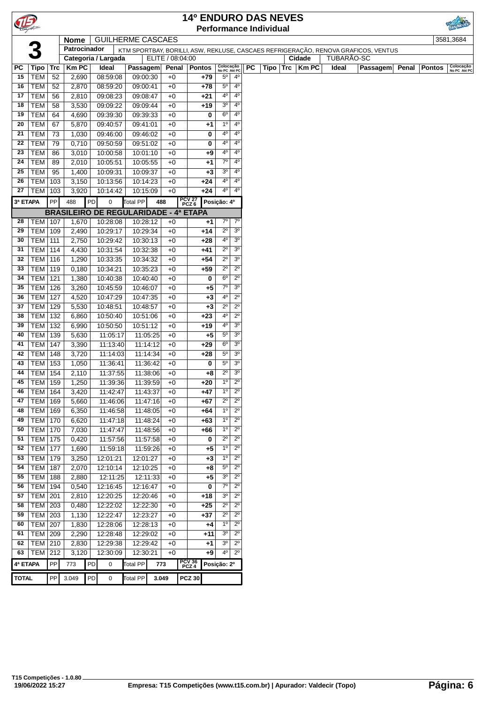|              |                          |             |                |    |                                              |                      |                                                                                    |                 | <b>14º ENDURO DAS NEVES</b>   |                               |                                  |           |      |     |        |            |          |       |               |                           |
|--------------|--------------------------|-------------|----------------|----|----------------------------------------------|----------------------|------------------------------------------------------------------------------------|-----------------|-------------------------------|-------------------------------|----------------------------------|-----------|------|-----|--------|------------|----------|-------|---------------|---------------------------|
|              |                          |             |                |    |                                              |                      |                                                                                    |                 | <b>Performance Individual</b> |                               |                                  |           |      |     |        |            |          |       |               |                           |
|              |                          |             | <b>Nome</b>    |    | <b>GUILHERME CASCAES</b>                     |                      |                                                                                    |                 |                               |                               |                                  |           |      |     |        |            |          |       |               | 3581,3684                 |
|              |                          |             | Patrocinador   |    |                                              |                      | KTM SPORTBAY, BORILLI, ASW, REKLUSE, CASCAES REFRIGERAÇÃO, RENOVA GRAFICOS, VENTUS |                 |                               |                               |                                  |           |      |     |        |            |          |       |               |                           |
|              |                          |             |                |    | Categoria / Largada                          |                      | ELITE / 08:04:00                                                                   |                 |                               |                               |                                  |           |      |     | Cidade | TUBARAO-SC |          |       |               |                           |
| РC           | Tipo                     | $\sf{Trc}$  | <b>Km PC</b>   |    | Ideal                                        | Passagem             | Penal                                                                              |                 | <b>Pontos</b>                 | Colocação<br>No PC Até PC     |                                  | <b>PC</b> | Tipo | Trc | KmPC   | Ideal      | Passagem | Penal | <b>Pontos</b> | Colocação<br>No PC Até PC |
| 15           | <b>TEM</b>               | 52          | 2,690          |    | 08:59:08                                     | 09:00:30             | $+0$                                                                               |                 | +79                           | $5^{\circ}$                   | $4^{\circ}$                      |           |      |     |        |            |          |       |               |                           |
| 16           | <b>TEM</b>               | 52          | 2,870          |    | 08:59:20                                     | 09:00:41             | $+0$                                                                               |                 | $+78$                         | $5^{\circ}$                   | $4^{\circ}$                      |           |      |     |        |            |          |       |               |                           |
| 17           | <b>TEM</b>               | 56          | 2,810          |    | 09:08:23                                     | 09:08:47             | $+0$                                                                               |                 | +21                           | $4^{\circ}$                   | $4^{\circ}$                      |           |      |     |        |            |          |       |               |                           |
| 18           | <b>TEM</b>               | 58          | 3,530          |    | 09:09:22                                     | 09:09:44             | $+0$                                                                               |                 | $+19$                         | 3 <sup>o</sup>                | $4^{\circ}$                      |           |      |     |        |            |          |       |               |                           |
| 19           | <b>TEM</b>               | 64          | 4,690          |    | 09:39:30                                     | 09:39:33             | $+0$                                                                               |                 | 0                             | $6^{\circ}$                   | $4^{\circ}$                      |           |      |     |        |            |          |       |               |                           |
| 20           | <b>TEM</b>               | 67          | 5,870          |    | 09:40:57                                     | 09:41:01             | $+0$                                                                               |                 | +1                            | $1^{\circ}$                   | 4 <sup>0</sup>                   |           |      |     |        |            |          |       |               |                           |
| 21           | <b>TEM</b>               | 73          | 1,030          |    | 09:46:00                                     | 09:46:02             | $+0$                                                                               |                 | 0                             | 4°                            | $4^{\circ}$                      |           |      |     |        |            |          |       |               |                           |
| 22           | <b>TEM</b>               | 79          | 0,710          |    | 09:50:59                                     | 09:51:02             | $+0$                                                                               |                 | 0                             | $4^{\circ}$                   | $4^{\circ}$                      |           |      |     |        |            |          |       |               |                           |
| 23           | <b>TEM</b>               | 86          | 3,010          |    | 10:00:58                                     | 10:01:10             | $+0$                                                                               |                 | +9                            | $4^{\circ}$<br>$7^\circ$      | $4^{\circ}$<br>4 <sup>0</sup>    |           |      |     |        |            |          |       |               |                           |
| 24<br>25     | <b>TEM</b>               | 89          | 2,010          |    | 10:05:51                                     | 10:05:55             | $+0$                                                                               |                 | +1                            | 3 <sup>o</sup>                | $4^{\circ}$                      |           |      |     |        |            |          |       |               |                           |
| 26           | <b>TEM</b><br>TEM   103  | 95          | 1,400<br>3,150 |    | 10:09:31<br>10:13:56                         | 10:09:37<br>10:14:23 | $+0$<br>$+0$                                                                       |                 | +3<br>+24                     | 4°                            | $4^{\circ}$                      |           |      |     |        |            |          |       |               |                           |
| 27           | <b>TEM</b>               | 103         | 3,920          |    | 10:14:42                                     | 10:15:09             | $+0$                                                                               |                 | $+24$                         | $4^{\circ}$                   | $4^{\circ}$                      |           |      |     |        |            |          |       |               |                           |
|              |                          |             |                |    |                                              |                      |                                                                                    |                 |                               |                               |                                  |           |      |     |        |            |          |       |               |                           |
| 3ª ETAPA     |                          | PP          | 488            | PD | 0                                            | Total PP             | 488                                                                                | PCV 27<br>PCZ 6 |                               | Posição: 4º                   |                                  |           |      |     |        |            |          |       |               |                           |
|              |                          |             |                |    | <b>BRASILEIRO DE REGULARIDADE - 4ª ETAPA</b> |                      |                                                                                    |                 |                               |                               |                                  |           |      |     |        |            |          |       |               |                           |
| 28           | <b>TEM   107</b>         |             | 1,670          |    | 10:28:08                                     | 10:28:12             | $+0$                                                                               |                 | $+1$                          | $7^\circ$                     | $7^\circ$                        |           |      |     |        |            |          |       |               |                           |
| 29           | TEM   109                |             | 2,490          |    | 10:29:17                                     | 10:29:34             | $+0$                                                                               |                 | +14                           | $2^{\circ}$                   | 3 <sup>o</sup>                   |           |      |     |        |            |          |       |               |                           |
| 30<br>31     | <b>TEM 111</b>           |             | 2,750          |    | 10:29:42                                     | 10:30:13             | $+0$                                                                               |                 | +28                           | $4^{\circ}$<br>$2^{\circ}$    | 3 <sup>o</sup><br>3 <sup>o</sup> |           |      |     |        |            |          |       |               |                           |
| 32           | <b>TEM</b><br><b>TEM</b> | 114         | 4,430          |    | 10:31:54                                     | 10:32:38             | $+0$                                                                               |                 | +41                           | $2^{\circ}$                   | 3 <sup>o</sup>                   |           |      |     |        |            |          |       |               |                           |
| 33           | <b>TEM</b>               | 116<br>119  | 1,290<br>0,180 |    | 10:33:35<br>10:34:21                         | 10:34:32<br>10:35:23 | $+0$<br>$+0$                                                                       |                 | $+54$<br>$+59$                | $2^{\circ}$                   | $2^{\circ}$                      |           |      |     |        |            |          |       |               |                           |
| 34           | <b>TEM</b>               | 121         | 1,380          |    | 10:40:38                                     | 10:40:40             | $+0$                                                                               |                 | 0                             | $6^{\circ}$                   | $2^{\circ}$                      |           |      |     |        |            |          |       |               |                           |
| 35           | <b>TEM</b>               | 126         | 3,260          |    | 10:45:59                                     | 10:46:07             | $+0$                                                                               |                 | +5                            | 7 <sup>o</sup>                | 3 <sup>o</sup>                   |           |      |     |        |            |          |       |               |                           |
| 36           | <b>TEM</b>               | 127         | 4,520          |    | 10:47:29                                     | 10:47:35             | $+0$                                                                               |                 | $+3$                          | $4^{\circ}$                   | $\overline{2^0}$                 |           |      |     |        |            |          |       |               |                           |
| 37           | <b>TEM 129</b>           |             | 5,530          |    | 10:48:51                                     | 10:48:57             | $+0$                                                                               |                 | $+3$                          | $2^{\circ}$                   | $2^{\circ}$                      |           |      |     |        |            |          |       |               |                           |
| 38           | <b>TEM</b>               | 132         | 6,860          |    | 10:50:40                                     | 10:51:06             | $+0$                                                                               |                 | $+23$                         | $4^{\rm o}$                   | $2^{\circ}$                      |           |      |     |        |            |          |       |               |                           |
| 39           | <b>TEM</b>               | 132         | 6,990          |    | 10:50:50                                     | 10:51:12             | $+0$                                                                               |                 | +19                           | 4°                            | 3 <sup>o</sup>                   |           |      |     |        |            |          |       |               |                           |
| 40           | TEM   139                |             | 5,630          |    | 11:05:17                                     | 11:05:25             | $+0$                                                                               |                 | +5                            | $5^{\circ}$                   | 3 <sup>o</sup>                   |           |      |     |        |            |          |       |               |                           |
| 41           | TEM                      | 147         | 3,390          |    | 11:13:40                                     | 11:14:12             | $+0$                                                                               |                 | $+29$                         | $6^{\circ}$                   | 3 <sup>o</sup>                   |           |      |     |        |            |          |       |               |                           |
| 42           | <b>TEM</b>               | 148         | 3,720          |    | 11:14:03                                     | 11:14:34             | $+0$                                                                               |                 | +28                           | $5^{\circ}$                   | 3 <sup>o</sup>                   |           |      |     |        |            |          |       |               |                           |
| 43           | <b>TEM</b>               | 153         | 1,050          |    | 11:36:41                                     | 11:36:42             | $+0$                                                                               |                 | 0                             | $5^{\rm o}$                   | 3 <sup>o</sup>                   |           |      |     |        |            |          |       |               |                           |
| 44           | <b>TEM</b>               | 154         | 2,110          |    | 11:37:55                                     | 11:38:06             | $+0$                                                                               |                 | +8                            | $\overline{2^{\circ}}$        | 3 <sup>o</sup>                   |           |      |     |        |            |          |       |               |                           |
| 45           | <b>TEM 159</b>           |             | 1,250          |    | 11:39:36                                     | 11:39:59             | $+0$                                                                               |                 | +20                           | $1^{\circ}$                   | $2^{\circ}$                      |           |      |     |        |            |          |       |               |                           |
| 46           | <b>TEM 164</b>           |             | 3,420          |    | 11:42:47                                     | 11:43:37             | $+0$                                                                               |                 | +47                           | $1^{\circ}$                   | $2^{\circ}$                      |           |      |     |        |            |          |       |               |                           |
| 47           | TEM   169                |             | 5,660          |    | 11:46:06                                     | 11:47:16             | $+0$                                                                               |                 | +67                           | $2^{\circ}$                   | $2^{\circ}$                      |           |      |     |        |            |          |       |               |                           |
| 48           | <b>TEM</b> 169           |             | 6,350          |    | 11:46:58                                     | 11:48:05             | $+0$                                                                               |                 | +64                           | $\overline{6}$                | $2^{\circ}$                      |           |      |     |        |            |          |       |               |                           |
| 49           | <b>TEM 170</b>           |             | 6,620          |    | 11:47:18                                     | 11:48:24             | $+0$                                                                               |                 | $+63$                         | $1^{\circ}$                   | $2^{\circ}$                      |           |      |     |        |            |          |       |               |                           |
| 50           | <b>TEM</b>               | 170         | 7,030          |    | 11:47:47                                     | 11:48:56             | $+0$                                                                               |                 | +66                           | $1^{\circ}$                   | $2^{\circ}$                      |           |      |     |        |            |          |       |               |                           |
| 51           | <b>TEM</b>               | 175         | 0,420          |    | 11:57:56                                     | 11:57:58             | $+0$                                                                               |                 | 0                             | $2^{\circ}$                   | $2^{\circ}$                      |           |      |     |        |            |          |       |               |                           |
| 52           | <b>TEM</b>               | 177         | 1,690          |    | 11:59:18                                     | 11:59:26             | $+0$                                                                               |                 | +5                            | $1^{\circ}$                   | $2^{\circ}$                      |           |      |     |        |            |          |       |               |                           |
| 53           | <b>TEM</b>               | 179         | 3,250          |    | 12:01:21                                     | 12:01:27             | $+0$                                                                               |                 | +3                            | $1^{\circ}$                   | $2^{\circ}$                      |           |      |     |        |            |          |       |               |                           |
| 54           | <b>TEM</b>               | 187         | 2,070          |    | 12:10:14                                     | 12:10:25             | $+0$                                                                               |                 | +8                            | $5^{\circ}$<br>3 <sup>o</sup> | $2^{\circ}$<br>$2^{\circ}$       |           |      |     |        |            |          |       |               |                           |
| 55<br>56     | <b>TEM</b><br><b>TEM</b> | 188<br> 194 | 2,880<br>0,540 |    | 12:11:25<br>12:16:45                         | 12:11:33<br>12:16:47 | $+0$<br>$+0$                                                                       |                 | $+5$<br>0                     | $7^\circ$                     | $2^{\circ}$                      |           |      |     |        |            |          |       |               |                           |
| 57           | $TEM$ 201                |             | 2,810          |    | 12:20:25                                     | 12:20:46             | $+0$                                                                               |                 | $+18$                         | 3 <sup>o</sup>                | $2^{\circ}$                      |           |      |     |        |            |          |       |               |                           |
| 58           | TEM 203                  |             | 0,480          |    | 12:22:02                                     | 12:22:30             | $+0$                                                                               |                 | $+25$                         | $2^{\circ}$                   | $2^{\circ}$                      |           |      |     |        |            |          |       |               |                           |
| 59           | TEM 203                  |             | 1,130          |    | 12:22:47                                     | 12:23:27             | $+0$                                                                               |                 | +37                           | $2^{\circ}$                   | $2^{\circ}$                      |           |      |     |        |            |          |       |               |                           |
| 60           | <b>TEM</b>               | 207         | 1,830          |    | 12:28:06                                     | 12:28:13             | $+0$                                                                               |                 | +4                            | $1^{\circ}$                   | $2^{\circ}$                      |           |      |     |        |            |          |       |               |                           |
| 61           | <b>TEM</b>               | 209         | 2,290          |    | 12:28:48                                     | 12:29:02             | $+0$                                                                               |                 | +11                           | 3 <sup>o</sup>                | $2^{\circ}$                      |           |      |     |        |            |          |       |               |                           |
| 62           | TEM 210                  |             | 2,830          |    | 12:29:38                                     | 12:29:42             | $+0$                                                                               |                 | +1                            | 3 <sup>o</sup>                | $2^{\circ}$                      |           |      |     |        |            |          |       |               |                           |
| 63           | <b>TEM 212</b>           |             | 3,120          |    | 12:30:09                                     | 12:30:21             | $+0$                                                                               |                 | +9                            | 4°                            | $2^{\circ}$                      |           |      |     |        |            |          |       |               |                           |
| 4ª ETAPA     |                          | PP          | 773            | PD | 0                                            | Total PP             | 773                                                                                | PCV 36<br>PCZ 4 |                               | Posição: 2º                   |                                  |           |      |     |        |            |          |       |               |                           |
|              |                          |             |                |    |                                              |                      |                                                                                    |                 |                               |                               |                                  |           |      |     |        |            |          |       |               |                           |
| <b>TOTAL</b> |                          | PP          | 3.049          | PD | 0                                            | <b>Total PP</b>      | 3.049                                                                              | <b>PCZ 30</b>   |                               |                               |                                  |           |      |     |        |            |          |       |               |                           |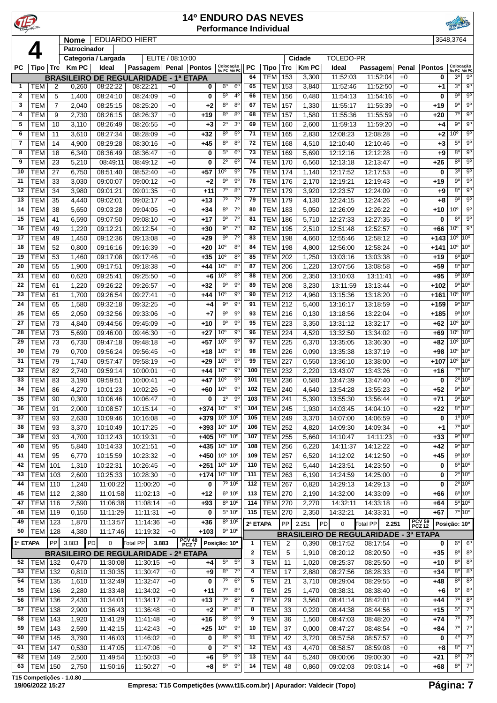|                            |                          |                     |                   |                      |                                              |                  | <b>14º ENDURO DAS NEVES</b> |                                    |                                    |              | <b>Performance Individual</b> |            |                |                             |                                                                   |              |                                   |                                                                       |
|----------------------------|--------------------------|---------------------|-------------------|----------------------|----------------------------------------------|------------------|-----------------------------|------------------------------------|------------------------------------|--------------|-------------------------------|------------|----------------|-----------------------------|-------------------------------------------------------------------|--------------|-----------------------------------|-----------------------------------------------------------------------|
|                            |                          |                     | <b>Nome</b>       |                      | <b>EDUARDO HIERT</b>                         |                  |                             |                                    |                                    |              |                               |            |                |                             |                                                                   |              |                                   | 3548,3764                                                             |
|                            |                          |                     | Patrocinador      | Categoria / Largada  |                                              | ELITE / 08:10:00 |                             |                                    |                                    |              |                               |            | Cidade         | <b>TOLEDO-PR</b>            |                                                                   |              |                                   |                                                                       |
| <b>PC</b>                  | Tipo                     | Trc                 | <b>Km PC</b>      | Ideal                | Passagem                                     | Penal            | Pontos                      | Colocação<br>No PC Até PC          |                                    | <b>PC</b>    | Tipo                          | Trc        | <b>KmPC</b>    | Ideal                       | Passagem                                                          | Penal        | <b>Pontos</b>                     | Colocação<br>No PC Até PC                                             |
|                            |                          |                     | <b>BRASILEIRO</b> |                      | DE REGULARIDADE - 1ª ETAPA                   |                  |                             |                                    |                                    | 64           | TEM                           | 153        | 3,300          | 11:52:03                    | 11:52:04                                                          | $+0$         | 0                                 | 30<br>$9^{\circ}$                                                     |
| $\mathbf 1$<br>$\mathbf 2$ | TEM                      | 2                   | 0,260             | 08:22:22             | 08:22:21                                     | $+0$             | 0                           | $6^{\circ}$<br>$5^{\rm o}$         | $6^{\circ}$<br>4 <sup>0</sup>      | 65<br>66     | <b>TEM</b>                    | 153        | 3,840          | 11:52:46                    | 11:52:50                                                          | $+0$         | +1                                | 3 <sup>0</sup><br>$9^{\circ}$<br>90<br>$9^{\circ}$                    |
| 3                          | <b>TEM</b><br>TEM        | 5<br>$\overline{7}$ | 1,400<br>2,040    | 08:24:10<br>08:25:15 | 08:24:09<br>08:25:20                         | $+0$<br>$+0$     | 0<br>+2                     | $8^{\circ}$                        | 8 <sup>0</sup>                     | 67           | <b>TEM</b><br>TEM             | 156<br>157 | 0,480<br>1,330 | 11:54:13<br>11:55:17        | 11:54:16<br>11:55:39                                              | $+0$<br>$+0$ | 0<br>+19                          | $9^{\circ}$<br>$9^{\circ}$                                            |
| $\overline{\mathbf{4}}$    | <b>TEM</b>               | 9                   | 2,730             | 08:26:15             | 08:26:37                                     | $+0$             | +19                         | $8^{\circ}$                        | 8 <sup>o</sup>                     | 68           | <b>TEM</b>                    | 157        | 1,580          | 11:55:36                    | 11:55:59                                                          | $+0$         | +20                               | 7°<br>$9^{\circ}$                                                     |
| 5                          | <b>TEM</b>               | 10                  | 3,110             | 08:26:49             | 08:26:55                                     | $+0$             | $+3$                        | $2^{\circ}$                        | 3 <sup>o</sup>                     | 69           | <b>TEM</b>                    | 160        | 2,600          | 11:59:13                    | 11:59:20                                                          | $+0$         | +4                                | $9^{\circ}$<br>9 <sup>o</sup>                                         |
| 6                          | <b>TEM</b>               | 11                  | 3,610             | 08:27:34             | 08:28:09                                     | $+0$             | $+32$                       | $8^{\circ}$                        | $5^{\circ}$                        | 71           | <b>TEM</b>                    | 165        | 2,830          | 12:08:23                    | 12:08:28                                                          | $+0$         | +2                                | $9^{\circ}$<br>10 <sup>o</sup>                                        |
| 7<br>8                     | <b>TEM</b><br><b>TEM</b> | 14<br>18            | 4,900<br>6,340    | 08:29:28<br>08:36:49 | 08:30:16<br>08:36:47                         | $+0$<br>$+0$     | $+45$<br>0                  | $8^{\circ}$<br>$5^{\rm o}$         | $8^{\circ}$<br>6 <sup>o</sup>      | 72<br>73     | TEM<br><b>TEM</b>             | 168<br>169 | 4,510<br>5,690 | 12:10:40<br>12:12:16        | 12:10:46<br>12:12:28                                              | $+0$<br>$+0$ | +3<br>+9                          | $5^{\circ}$<br>$9^{\circ}$<br>$9^{\circ}$<br>$8^{\circ}$              |
| 9                          | <b>TEM</b>               | 23                  | 5,210             | 08:49:11             | 08:49:12                                     | $+0$             | 0                           | $2^{\circ}$                        | 6 <sup>o</sup>                     | 74           | TEM                           | 170        | 6,560          | 12:13:18                    | 12:13:47                                                          | $+0$         | $+26$                             | 8 <sup>o</sup><br>$9^{\circ}$                                         |
| 10                         | <b>TEM</b>               | 27                  | 6,750             | 08:51:40             | 08:52:40                                     | $+0$             | +57                         | 10°                                | $9^{\circ}$                        | 75           | <b>TEM</b>                    | 174        | 1,140          | 12:17:52                    | 12:17:53                                                          | $+0$         | 0                                 | $9^{\circ}$<br>$3^{\circ}$                                            |
| 11                         | <b>TEM</b>               | 33                  | 3,030             | 09:00:07             | 09:00:12                                     | $+0$             | $+2$                        | $9^{\rm o}$                        | $9^{\circ}$                        | 76           | <b>TEM</b>                    | 176        | 2,170          | 12:19:21                    | 12:19:43                                                          | $+0$         | +19                               | $9^{\circ}$<br>$9^{\circ}$                                            |
| 12                         | <b>TEM</b>               | 34                  | 3,980             | 09:01:21             | 09:01:35                                     | $+0$             | $+11$                       | $7^{\circ}$                        | 8 <sup>0</sup>                     | 77           | <b>TEM</b>                    | 179        | 3,920          | 12:23:57                    | 12:24:09                                                          | $+0$         | +9                                | 8 <sup>o</sup><br>$9^{\circ}$                                         |
| 13                         | <b>TEM</b>               | 35                  | 4,440             | 09:02:01             | 09:02:17                                     | $+0$             | $+13$                       | $7^\circ$<br>8 <sup>0</sup>        | 7 <sup>0</sup>                     | 79           | <b>TEM</b>                    | 179        | 4,130          | 12:24:15                    | 12:24:26                                                          | $+0$         | +8                                | $9^{\circ}$<br>$9^{\circ}$<br>$9^{\circ}$                             |
| 14<br>15                   | <b>TEM</b><br><b>TEM</b> | 38<br>41            | 5,650<br>6,590    | 09:03:28<br>09:07:50 | 09:04:05<br>09:08:10                         | $+0$<br>$+0$     | $+34$<br>$+17$              | $9^{\circ}$                        | $7^{\circ}$<br>$7^\circ$           | 80<br>81     | <b>TEM</b><br>TEM             | 183<br>186 | 5,050<br>5,710 | 12:26:09<br>12:27:33        | 12:26:22<br>12:27:35                                              | $+0$<br>$+0$ | +10<br>0                          | 10 <sup>o</sup><br>6 <sup>0</sup><br>$9^{\circ}$                      |
| 16                         | <b>TEM</b>               | 49                  | 1,220             | 09:12:21             | 09:12:54                                     | $+0$             | $+30$                       | $9^{\circ}$                        | 7 <sup>0</sup>                     | 82           | TEM                           | 195        | 2,510          | 12:51:48                    | 12:52:57                                                          | $+0$         | +66                               | $9^{\circ}$<br>10 <sup>o</sup>                                        |
| 17                         | TEM                      | 49                  | 1,450             | 09:12:36             | 09:13:08                                     | $+0$             | $+29$                       | $9^{\circ}$                        | $7^\circ$                          | 83           | <b>TEM</b>                    | 198        | 4,660          | 12:55:46                    | 12:58:12                                                          | $+0$         | $+143$                            | 10 <sup>o</sup><br>10 <sup>o</sup>                                    |
| 18                         | <b>TEM</b>               | 52                  | 0,800             | 09:16:16             | 09:16:39                                     | $+0$             | +20                         | 10 <sup>o</sup>                    | $8^{\circ}$                        | 84           | TEM                           | 198        | 4,800          | 12:56:00                    | 12:58:24                                                          | $+0$         | $+141$                            | 10 <sup>o</sup><br>$10^{\circ}$                                       |
| 19                         | <b>TEM</b>               | 53                  | 1,460             | 09:17:08             | 09:17:46                                     | $+0$             | $+35$                       | 10 <sup>o</sup>                    | $8^{\circ}$                        | 85           | <b>TEM</b>                    | 202        | 1,250          | 13:03:16                    | 13:03:38                                                          | $+0$         | $+19$                             | $6^{\circ}$ 10 $^{\circ}$                                             |
| 20<br>21                   | <b>TEM</b><br><b>TEM</b> | 55<br>60            | 1,900<br>0,620    | 09:17:51<br>09:25:41 | 09:18:38<br>09:25:50                         | $+0$<br>$+0$     | +44<br>$+6$                 | 10 <sup>o</sup><br>10 <sup>o</sup> | $8^{\circ}$<br>$8^{\circ}$         | 87<br>88     | TEM<br>TEM                    | 206<br>206 | 1,220<br>2,350 | 13:07:56<br>13:10:03        | 13:08:58<br>13:11:41                                              | $+0$<br>$+0$ | +59<br>+95                        | 8º 10º<br>9°10°                                                       |
| 22                         | <b>TEM</b>               | 61                  | 1,220             | 09:26:22             | 09:26:57                                     | $+0$             | $+32$                       | $9^{\circ}$                        | 9 <sup>o</sup>                     | 89           | <b>TEM</b>                    | 208        | 3,230          | 13:11:59                    | 13:13:44                                                          | $+0$         | $+102$                            | 9°10°                                                                 |
| 23                         | <b>TEM</b>               | 61                  | 1,700             | 09:26:54             | 09:27:41                                     | $+0$             | +44                         | 10 <sup>o</sup>                    | $9^{\circ}$                        | 90           | <b>TEM</b>                    | 212        | 4,960          | 13:15:36                    | 13:18:20                                                          | $+0$         | $+161$                            | $10^{\circ}$ $10^{\circ}$                                             |
| 24                         | <b>TEM</b>               | 65                  | 1,580             | 09:32:18             | 09:32:25                                     | $+0$             | $+4$                        | $9^{\circ}$                        | $9^{\circ}$                        | 91           | <b>TEM</b>                    | 212        | 5,400          | 13:16:17                    | 13:18:59                                                          | $+0$         | $+159$                            | $9^{\circ}10^{\circ}$                                                 |
| 25                         | <b>TEM</b>               | 65                  | 2,050             | 09:32:56             | 09:33:06                                     | $+0$             | +7                          | $9^{\circ}$                        | $9^{\circ}$                        | 93           | TEM                           | 216        | 0,130          | 13:18:56                    | 13:22:04                                                          | $+0$         | $+185$                            | 9°10°                                                                 |
| 27                         | <b>TEM</b>               | 73                  | 4,840             | 09:44:56             | 09:45:09                                     | $+0$             | $+10$                       | $9^{\circ}$<br>10 <sup>o</sup>     | $9^{\circ}$<br>$9^{\circ}$         | 95<br>96     | TEM                           | 223        | 3,350          | 13:31:12                    | 13:32:17                                                          | $+0$         | $+62$                             | 10 <sup>o</sup><br>$10^{\circ}$<br>10 <sup>o</sup><br>10 <sup>o</sup> |
| 28<br>29                   | <b>TEM</b><br><b>TEM</b> | 73<br>73            | 5,690<br>6,730    | 09:46:00<br>09:47:18 | 09:46:30<br>09:48:18                         | $+0$<br>$+0$     | $+27$<br>$+57$              | 10 <sup>o</sup>                    | $9^{\circ}$                        | 97           | TEM<br>TEM                    | 224<br>225 | 4,520<br>6,370 | 13:32:50<br>13:35:05        | 13:34:02<br>13:36:30                                              | $+0$<br>$+0$ | +69<br>+82                        | 10 <sup>o</sup><br>$10^{\circ}$                                       |
| 30                         | <b>TEM</b>               | 79                  | 0,700             | 09:56:24             | 09:56:45                                     | $+0$             | +18                         | 10 <sup>o</sup>                    | $9^{\circ}$                        | 98           | <b>TEM</b>                    | 226        | 0,090          | 13:35:38                    | 13:37:19                                                          | $+0$         | +98                               | 10 <sup>o</sup><br>10 <sup>o</sup>                                    |
| 31                         | <b>TEM</b>               | 79                  | 1,740             | 09:57:47             | 09:58:19                                     | $+0$             | +29                         | 10 <sup>o</sup>                    | $9^{\circ}$                        | 99           | TEM                           | 227        | 0,550          | 13:36:10                    | 13:38:00                                                          | $+0$         | $+107$                            | 10 <sup>o</sup><br>10 <sup>o</sup>                                    |
| 32                         | <b>TEM</b>               | 82                  | 2,740             | 09:59:14             | 10:00:01                                     | $+0$             | +44                         | 10 <sup>o</sup>                    | $9^{\circ}$                        | 100          | <b>TEM</b>                    | 232        | 2,220          | 13:43:07                    | 13:43:26                                                          | $+0$         | +16                               | 7º 10º                                                                |
| 33                         | <b>TEM</b>               | 83                  | 3,190             | 09:59:51             | 10:00:41                                     | $+0$             | +47                         | 10 <sup>o</sup>                    | $9^{\circ}$                        | 101          | TEM                           | 236        | 0,580          | 13:47:39                    | 13:47:40                                                          | $+0$         | 0                                 | $2^{\circ}$ 10°<br>9°10°                                              |
| 34<br>35                   | <b>TEM</b><br><b>TEM</b> | 86<br>90            | 4,270<br>0,300    | 10:01:23<br>10:06:46 | 10:02:26<br>10:06:47                         | $+0$<br>$+0$     | +60<br>0                    | 10 <sup>o</sup><br>1 <sup>0</sup>  | 90<br>$9^{\circ}$                  | 102<br>103   | <b>TEM 240</b><br><b>TEM</b>  | 241        | 4,640<br>5,390 | 13:54:28<br>13:55:30        | 13:55:23<br>13:56:44                                              | $+0$<br>$+0$ | $+52$<br>$+71$                    | 9°10°                                                                 |
| 36                         | <b>TEM</b>               | 91                  | 2,000             | 10:08:57             | 10:15:14                                     | $+0$             | $+374$                      | 10 <sup>o</sup>                    | $9^{\circ}$                        | 104          | <b>TEM</b>                    | 245        | 1,930          | 14:03:45                    | 14:04:10                                                          | $+0$         | $+22$                             | $8^{\circ}$ 10°                                                       |
| 37                         | <b>TEM</b>               | 93                  | 2,630             | 10:09:46             | 10:16:08                                     | $+0$             | $+379$                      | 10 <sup>o</sup>                    | $10^{\circ}$                       | 105          | <b>TEM</b>                    | 249        | 3,370          | 14:07:00                    | 14:06:59                                                          | $+0$         | 0                                 | $1^{\circ} 10^{\circ}$                                                |
| 38                         | <b>TEM</b>               | 93                  | 3,370             | 10:10:49             | 10:17:25                                     | $+0$             | $+393$                      | 10 <sup>o</sup>                    | 10 <sup>o</sup>                    | 106          | <b>TEM</b>                    | 252        | 4,820          | 14:09:30                    | 14:09:34                                                          | $+0$         | +1                                | $7°$ 10°                                                              |
| 39                         | <b>TEM</b>               | 93                  | 4,700             | 10:12:43             | 10:19:31                                     | $+0$             | $+405$                      | 10 <sup>o</sup>                    | $10^{\circ}$                       | 107          | <b>TEM</b>                    | 255        | 5,660          | 14:10:47                    | 14:11:23                                                          | $+0$         | $+33$                             | 9°10°                                                                 |
| 40<br>41                   | <b>TEM</b><br><b>TEM</b> | 95<br>95            | 5,840<br>6,770    | 10:14:33<br>10:15:59 | 10:21:51<br>10:23:32                         | $+0$<br>$+0$     | $+435$<br>$+450$            | 10 <sup>o</sup><br>10 <sup>o</sup> | 10 <sup>o</sup><br>10 <sup>o</sup> | 108<br>109   | TEM<br>TEM                    | 256<br>257 | 6,220<br>6,520 | 14:11:37<br>14:12:02        | 14:12:22<br>14:12:50                                              | $+0$<br>$+0$ | $+42$<br>$+45$                    | $9^{\circ}$ 10°<br>9°10°                                              |
| 42                         | TEM                      | 101                 | 1,310             | 10:22:31             | 10:26:45                                     | $+0$             | $+251$                      | 10 <sup>°</sup> 10 <sup>°</sup>    |                                    | 110          | TEM                           | 262        | 5,440          | 14:23:51                    | 14:23:50                                                          | $+0$         | 0                                 | $6^{\circ} 10^{\circ}$                                                |
| 43                         | TEM                      | 103                 | 2,600             | 10:25:33             | 10:28:30                                     | $+0$             | $+174$                      | 10 <sup>°</sup> 10 <sup>°</sup>    |                                    | 111          | <b>TEM</b>                    | 263        | 6,190          | 14:24:59                    | 14:25:00                                                          | $+0$         | 0                                 | $2^{\circ}$ 10 $^{\circ}$                                             |
| 44                         | TEM                      | 110                 | 1,240             | 11:00:22             | 11:00:20                                     | $+0$             | 0                           |                                    | $7°$ 10 $°$                        | 112          | TEM                           | 267        | 0,820          | 14:29:13                    | 14:29:13                                                          | $+0$         | 0                                 | $2^{\circ}10^{\circ}$                                                 |
| 45                         | TEM                      | 112                 | 2,380             | 11:01:58             | 11:02:13                                     | $+0$             | $+12$                       |                                    | 6 <sup>o</sup> 10 <sup>o</sup>     | 113          | <b>TEM</b>                    | 270        | 2,190          | 14:32:00                    | 14:33:09                                                          | $+0$         | +66                               | $6^{\circ}$ 10°                                                       |
| 47<br>48                   | TEM<br>TEM               | 116                 | 2,590             | 11:06:38             | 11:08:14                                     | $+0$             | $+93$                       |                                    | 8º 10°<br>5º 10°                   | 114<br>115   | TEM                           | 270        | 2,270          | 14:32:11                    | 14:33:18                                                          | $+0$         | +64                               | $5^{\circ}10^{\circ}$<br>7° 10°                                       |
| 49                         | <b>TEM</b>               | 119<br>123          | 0,150<br>1,870    | 11:11:29<br>11:13:57 | 11:11:31<br>11:14:36                         | $+0$<br>$+0$     | 0<br>$+36$                  |                                    | 8º 10°                             | 2ª ETAPA     | <b>TEM 270</b>                | PP         | 2,350<br>2.251 | 14:32:21<br>$\pmb{0}$<br>PD | 14:33:31                                                          | $+0$         | $+67$<br><b>PCV 59<br/>PCZ 12</b> |                                                                       |
| 50                         | TEM                      | 128                 | 4,380             | 11:17:46             | 11:19:32                                     | $+0$             | $+103$                      |                                    | 9º 10°                             |              |                               |            |                |                             | Total PP<br>2.251<br><b>BRASILEIRO DE REGULARIDADE - 3ª ETAPA</b> |              |                                   | Posição: 10°                                                          |
| 1ª ETAPA                   |                          | PP                  | 3.883             | PD<br>0              | 3.883<br>Total PP                            |                  | PCV 48<br>PCZ 7             | Posição: 10°                       |                                    | $\mathbf{1}$ | TEM                           | 2          | 0,390          | 08:17:52                    | 08:17:54                                                          | $+0$         | 0                                 | $6^{\circ}$<br>$6^{\circ}$                                            |
|                            |                          |                     |                   |                      | <b>BRASILEIRO DE REGULARIDADE - 2ª ETAPA</b> |                  |                             |                                    |                                    | $\mathbf 2$  | <b>TEM</b>                    | 5          | 1,910          | 08:20:12                    | 08:20:50                                                          | $+0$         | $+35$                             | $8^{\circ}$<br>$8^{\circ}$                                            |
| 52                         | TEM                      | 132                 | 0,470             | 11:30:08             | 11:30:15                                     | $+0$             | +4                          | $5^{\circ}$                        | $5^{\circ}$                        | 3            | <b>TEM</b>                    | 11         | 1,020          | 08:25:37                    | 08:25:50                                                          | $+0$         | +10                               | $8^{\circ}$<br>$8^{\circ}$                                            |
| 53                         | <b>TEM</b>               | 132                 | 0,810             | 11:30:35             | 11:30:47                                     | $+0$             | +9                          | 8 <sup>o</sup>                     | $7^\circ$                          | 4            | <b>TEM</b>                    | 17         | 2,880          | 08:27:56                    | 08:28:33                                                          | $+0$         | +34                               | $8^{\circ}$<br>$8^{\circ}$                                            |
| 54<br>55                   | TEM<br>TEM               | 135<br>136          | 1,610<br>2,280    | 11:32:49<br>11:33:48 | 11:32:47<br>11:34:02                         | $+0$<br>$+0$     | 0<br>$+11$                  | 7 <sup>o</sup><br>7 <sup>o</sup>   | $6^{\circ}$<br>8 <sup>o</sup>      | 5<br>6       | <b>TEM</b><br><b>TEM</b>      | 21<br>25   | 3,710<br>1,470 | 08:29:04<br>08:38:31        | 08:29:55<br>08:38:40                                              | $+0$<br>$+0$ | +48<br>$+6$                       | $8^{\circ}$<br>$8^{\circ}$<br>$6^{\circ}$<br>$8^{\circ}$              |
| 56                         | TEM                      | 136                 | 2,430             | 11:34:01             | 11:34:17                                     | $+0$             | $+13$                       | 7 <sup>o</sup>                     | $8^{\circ}$                        | 7            | <b>TEM</b>                    | 29         | 3,560          | 08:41:14                    | 08:42:01                                                          | $+0$         | +44                               | 7° <br>$8^{\circ}$                                                    |
| 57                         | TEM                      | 138                 | 2,900             | 11:36:43             | 11:36:48                                     | $+0$             | $+2$                        | $9^{\circ}$                        | $8^{\circ}$                        | 8            | <b>TEM</b>                    | 33         | 0,220          | 08:44:38                    | 08:44:56                                                          | $+0$         | $+15$                             | $5^{\circ}$<br>$7^\circ$                                              |
| 58                         | TEM                      | 143                 | 1,920             | 11:41:29             | 11:41:48                                     | $+0$             | $+16$                       | $8^{\circ}$                        | 90                                 | 9            | <b>TEM</b>                    | 36         | 1,560          | 08:47:03                    | 08:48:20                                                          | $+0$         | $+74$                             | $7^\circ$<br>$7^\circ$                                                |
| 59                         | TEM                      | 143                 | 2,590             | 11:42:15             | 11:42:43                                     | $+0$             | $+25$                       | 10 <sup>o</sup>                    | 90                                 | 10           | <b>TEM</b>                    | 37         | 0,000          | 08:47:27                    | 08:48:54                                                          | $+0$         | +84                               | $7^{\circ}$<br>$7^\circ$                                              |
| 60                         | TEM                      | 145                 | 3,790             | 11:46:03             | 11:46:02                                     | $+0$             | 0                           | $8^{\circ}$                        | $9^{\circ}$                        | 11           | <b>TEM</b>                    | 42         | 3,720          | 08:57:58                    | 08:57:57                                                          | $+0$         | 0                                 | $4^{\circ}$<br>$7^\circ$<br>$\overline{7^{\circ}}$<br>$8^{\circ}$     |
| 61<br>62                   | <b>TEM</b><br>TEM        | 147<br>149          | 0,530<br>2,500    | 11:47:05<br>11:49:54 | 11:47:06<br>11:50:03                         | $+0$<br>$+0$     | 0<br>+6                     | $2^{\circ}$<br>$5^{\circ}$         | 90<br>90                           | 12<br>13     | <b>TEM</b><br><b>TEM</b>      | 43<br>44   | 4,470<br>5,240 | 08:58:57<br>09:00:06        | 08:59:08<br>09:00:30                                              | $+0$<br>$+0$ | +8<br>+21                         | $7^\circ$<br>$8^{\circ}$                                              |
| 63                         | TEM                      | 150                 | 2,750             | 11:50:16             | 11:50:27                                     | $+0$             | $+8$                        | 8 <sup>o</sup>                     | $9^{\rm o}$                        | 14           | <b>TEM</b>                    | 48         | 0,860          | 09:02:03                    | 09:03:14                                                          | $+0$         | +68                               | $8^\circ$ 7 <sup>0</sup>                                              |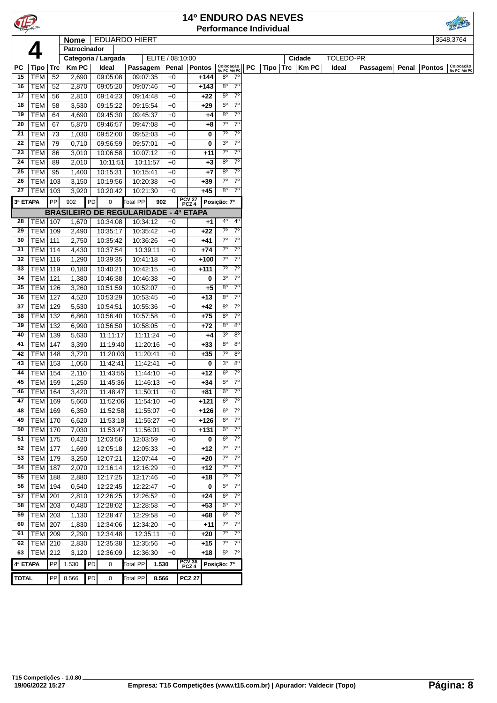|              |                          |            |              |    |                                              |                      |                  |                 |                | <b>14º ENDURO DAS NEVES</b>   |                                       |    |      |            |        |                  |          |       |               |                           |
|--------------|--------------------------|------------|--------------|----|----------------------------------------------|----------------------|------------------|-----------------|----------------|-------------------------------|---------------------------------------|----|------|------------|--------|------------------|----------|-------|---------------|---------------------------|
|              |                          |            |              |    |                                              |                      |                  |                 |                | <b>Performance Individual</b> |                                       |    |      |            |        |                  |          |       |               |                           |
|              |                          |            | Nome         |    | <b>EDUARDO HIERT</b>                         |                      |                  |                 |                |                               |                                       |    |      |            |        |                  |          |       |               | 3548,3764                 |
|              |                          |            | Patrocinador |    |                                              |                      |                  |                 |                |                               |                                       |    |      |            |        |                  |          |       |               |                           |
|              |                          |            |              |    | Categoria / Largada                          |                      | ELITE / 08:10:00 |                 |                |                               |                                       |    |      |            | Cidade | <b>TOLEDO-PR</b> |          |       |               |                           |
| PC           | Tipo                     | Trc        | <b>Km PC</b> |    | <b>Ideal</b>                                 | Passagem             | Penal            |                 | <b>Pontos</b>  | Colocação<br>No PC Até PC     |                                       | PC | Tipo | <b>Trc</b> | KmPC   | Ideal            | Passagem | Penal | <b>Pontos</b> | Colocação<br>No PC Até PC |
| 15           | <b>TEM</b>               | 52         | 2,690        |    | 09:05:08                                     | 09:07:35             | $+0$             |                 | +144           | $8^{\circ}$                   | 7 <sup>0</sup>                        |    |      |            |        |                  |          |       |               |                           |
| 16           | <b>TEM</b>               | 52         | 2,870        |    | 09:05:20                                     | 09:07:46             | $+0$             |                 | $+143$         | $8^{\circ}$                   | $7^{\circ}$                           |    |      |            |        |                  |          |       |               |                           |
| 17           | <b>TEM</b>               | 56         | 2,810        |    | 09:14:23                                     | 09:14:48             | $+0$             |                 | $+22$          | $5^{\circ}$                   | $7^{\circ}$                           |    |      |            |        |                  |          |       |               |                           |
| 18           | <b>TEM</b>               | 58         | 3,530        |    | 09:15:22                                     | 09:15:54             | $+0$             |                 | $+29$          | $5^{\circ}$                   | $7^{\circ}$                           |    |      |            |        |                  |          |       |               |                           |
| 19           | <b>TEM</b>               | 64         | 4,690        |    | 09:45:30                                     | 09:45:37             | $+0$             |                 | +4             | 8 <sup>o</sup>                | $7^{\circ}$                           |    |      |            |        |                  |          |       |               |                           |
| 20           | <b>TEM</b>               | 67         | 5,870        |    | 09:46:57                                     | 09:47:08             | $+0$             |                 | +8             | $7^\circ$                     | $7^\circ$                             |    |      |            |        |                  |          |       |               |                           |
| 21           | <b>TEM</b>               | 73         | 1,030        |    | 09:52:00                                     | 09:52:03             | $+0$             |                 | 0              | $7^\circ$                     | $7^{\circ}$                           |    |      |            |        |                  |          |       |               |                           |
| 22           | <b>TEM</b>               | 79         | 0,710        |    | 09:56:59                                     | 09:57:01             | $+0$             |                 | 0              | 3 <sup>o</sup>                | $7^{\circ}$                           |    |      |            |        |                  |          |       |               |                           |
| 23           | <b>TEM</b>               | 86         | 3,010        |    | 10:06:58                                     | 10:07:12             | $+0$             |                 | +11            | $7^\circ$                     | $7^{\circ}$                           |    |      |            |        |                  |          |       |               |                           |
| 24           | <b>TEM</b>               | 89         | 2,010        |    | 10:11:51                                     | 10:11:57             | $+0$             |                 | $+3$           | 8 <sup>o</sup>                | 7 <sup>o</sup>                        |    |      |            |        |                  |          |       |               |                           |
| 25           | <b>TEM</b>               | 95         | 1,400        |    | 10:15:31                                     | 10:15:41             | $+0$             |                 | $+7$           | $8^{\circ}$                   | $7^{\circ}$                           |    |      |            |        |                  |          |       |               |                           |
| 26           | TEM                      | 103        | 3,150        |    | 10:19:56                                     | 10:20:38             | $+0$             |                 | $+39$          | $7^\circ$                     | $7^\circ$                             |    |      |            |        |                  |          |       |               |                           |
| 27           | <b>TEM</b>               | 103        | 3,920        |    | 10:20:42                                     | 10:21:30             | $+0$             |                 | $+45$          | $8^{\circ}$                   | $7^{\circ}$                           |    |      |            |        |                  |          |       |               |                           |
| 3ª ETAPA     |                          | PP         | 902          | PD | $\mathbf 0$                                  | <b>Total PP</b>      | 902              | PCV 27<br>PCZ 4 |                | Posição: 7º                   |                                       |    |      |            |        |                  |          |       |               |                           |
|              |                          |            |              |    | <b>BRASILEIRO DE REGULARIDADE - 4ª ETAPA</b> |                      |                  |                 |                |                               |                                       |    |      |            |        |                  |          |       |               |                           |
| 28           | <b>TEM 107</b>           |            | 1,670        |    | 10:34:08                                     | 10:34:12             | $+0$             |                 | +1             | 4°                            | 4°                                    |    |      |            |        |                  |          |       |               |                           |
| 29           | <b>TEM</b>               | 109        | 2,490        |    | 10:35:17                                     | 10:35:42             | $+0$             |                 | $+22$          | $7^\circ$                     | $7^\circ$                             |    |      |            |        |                  |          |       |               |                           |
| 30           | <b>TEM</b>               | 111        | 2,750        |    | 10:35:42                                     | 10:36:26             | $+0$             |                 | $+41$          | $7^\circ$                     | $7^{\circ}$                           |    |      |            |        |                  |          |       |               |                           |
| 31           | <b>TEM</b>               | 114        | 4,430        |    | 10:37:54                                     | 10:39:11             | $+0$             |                 | $+74$          | $7^\circ$                     | $7^{\circ}$                           |    |      |            |        |                  |          |       |               |                           |
| 32           | <b>TEM</b>               | 116        | 1,290        |    | 10:39:35                                     | 10:41:18             | $+0$             |                 | $+100$         | $7^\circ$                     | $7^{\circ}$                           |    |      |            |        |                  |          |       |               |                           |
| 33           | <b>TEM</b>               | 119        | 0,180        |    | 10:40:21                                     | 10:42:15             | $+0$             |                 | $+111$         | $7^{\circ}$                   | $7^\circ$                             |    |      |            |        |                  |          |       |               |                           |
| 34           | <b>TEM</b>               | 121        | 1,380        |    | 10:46:38                                     | 10:46:38             | $+0$             |                 | 0              | 3 <sup>o</sup>                | $7^{\circ}$                           |    |      |            |        |                  |          |       |               |                           |
| 35           | <b>TEM</b>               | 126        | 3,260        |    | 10:51:59                                     | 10:52:07             | $+0$             |                 | $+5$           | $8^{\circ}$                   | $7^\circ$                             |    |      |            |        |                  |          |       |               |                           |
| 36           | <b>TEM</b>               | 127        | 4,520        |    | 10:53:29                                     | 10:53:45             | $+0$             |                 | $+13$          | $8^{\circ}$                   | $7^\circ$                             |    |      |            |        |                  |          |       |               |                           |
| 37           | <b>TEM</b>               | 129        | 5,530        |    | 10:54:51                                     | 10:55:36             | $+0$             |                 | $+42$          | $8^{\circ}$                   | $7^\circ$                             |    |      |            |        |                  |          |       |               |                           |
| 38           | TEM                      | 132        | 6,860        |    | 10:56:40                                     | 10:57:58             | $+0$             |                 | $+75$          | $8^{\circ}$                   | $7^\circ$                             |    |      |            |        |                  |          |       |               |                           |
| 39           | <b>TEM</b>               | 132        | 6,990        |    | 10:56:50                                     | 10:58:05             | $+0$             |                 | $+72$          | $8^{\circ}$                   | $8^{\circ}$                           |    |      |            |        |                  |          |       |               |                           |
| 40           | <b>TEM</b>               | 139        | 5,630        |    | 11:11:17                                     | 11:11:24             | $+0$             |                 | $+4$           | 3 <sup>o</sup>                | $\overline{8^{\circ}}$                |    |      |            |        |                  |          |       |               |                           |
| 41           | <b>TEM</b>               | 147        | 3,390        |    | 11:19:40                                     | 11:20:16             | $+0$             |                 | $+33$          | $8^{\circ}$                   | $8^{\circ}$                           |    |      |            |        |                  |          |       |               |                           |
| 42           | TEM                      | 148        | 3,720        |    | 11:20:03                                     | 11:20:41             | $+0$             |                 | $+35$          | $7^\circ$                     | $8^{\circ}$                           |    |      |            |        |                  |          |       |               |                           |
| 43           | <b>TEM</b>               | 153        | 1,050        |    | 11:42:41                                     | 11:42:41             | $+0$             |                 | 0              | 3 <sup>o</sup>                | $8^{\circ}$                           |    |      |            |        |                  |          |       |               |                           |
| 44           | <b>TEM</b>               | 154        | 2,110        |    | 11:43:55                                     | 11:44:10             | $+0$             |                 | $+12$          | $6^{\circ}$                   | $7^{\circ}$                           |    |      |            |        |                  |          |       |               |                           |
| 45           | <b>TEM 159</b>           |            | 1,250        |    | 11:45:36                                     | 11:46:13             | $+0$             |                 | $+34$          | $5^{\circ}$                   | $7^\circ$                             |    |      |            |        |                  |          |       |               |                           |
| 46           | <b>TEM   164</b>         |            | 3,420        |    | 11:48:47                                     | 11:50:11             | $+0$             |                 | +81            | $6^{\circ}$                   | $7^\circ$                             |    |      |            |        |                  |          |       |               |                           |
| 47           | <b>TEM</b>               | 169        | 5,660        |    | 11:52:06                                     | 11:54:10             | $+0$             |                 | $+121$         | $6^{\circ}$                   | $7^\circ$                             |    |      |            |        |                  |          |       |               |                           |
| 48           | <b>TEM</b>               | 169        | 6,350        |    | 11:52:58                                     | 11:55:07             | $+0$             |                 | $+126$         | $6^{\circ}$                   | $7^\circ$                             |    |      |            |        |                  |          |       |               |                           |
| 49           | <b>TEM</b>               | 170        | 6,620        |    | 11:53:18                                     | 11:55:27             | $+0$             |                 | $+126$         | $6^{\circ}$                   | $7^\circ$                             |    |      |            |        |                  |          |       |               |                           |
| 50           | <b>TEM</b>               | 170        | 7,030        |    | 11:53:47                                     | 11:56:01             | $+0$             |                 | $+131$         | $6^{\circ}$                   | $7^\circ$                             |    |      |            |        |                  |          |       |               |                           |
| 51           | <b>TEM</b>               | 175        | 0,420        |    | 12:03:56                                     | 12:03:59             | $+0$             |                 | 0              | $6^{\circ}$                   | $7^\circ$                             |    |      |            |        |                  |          |       |               |                           |
| 52           | <b>TEM</b>               | 177        | 1,690        |    | 12:05:18                                     | 12:05:33             | $+0$             |                 | +12            | $7^\circ$                     | $7^\circ$                             |    |      |            |        |                  |          |       |               |                           |
| 53           | <b>TEM</b>               | 179        | 3,250        |    | 12:07:21                                     | 12:07:44             | $+0$             |                 | +20            | $7^\circ$                     | $7^{\circ}$<br>$\overline{7^{\circ}}$ |    |      |            |        |                  |          |       |               |                           |
| 54           | <b>TEM</b>               | 187        | 2,070        |    | 12:16:14                                     | 12:16:29             | $+0$             |                 | $+12$          | $7^\circ$                     |                                       |    |      |            |        |                  |          |       |               |                           |
| 55           | <b>TEM</b>               | 188        | 2,880        |    | 12:17:25                                     | 12:17:46             | $+0$             |                 | $+18$          | $7^\circ$                     | $7^{\circ}$                           |    |      |            |        |                  |          |       |               |                           |
| 56           | <b>TEM</b>               | 194        | 0,540        |    | 12:22:45                                     | 12:22:47             | $+0$             |                 | 0              | $5^{\circ}$                   | $7^\circ$                             |    |      |            |        |                  |          |       |               |                           |
| 57           | <b>TEM</b>               | 201        | 2,810        |    | 12:26:25                                     | 12:26:52             | $+0$             |                 | +24            | $6^{\circ}$                   | $7^\circ$                             |    |      |            |        |                  |          |       |               |                           |
| 58           | <b>TEM</b>               | 203        | 0,480        |    | 12:28:02                                     | 12:28:58             | $+0$             |                 | $+53$          | $6^{\circ}$                   | $7^\circ$                             |    |      |            |        |                  |          |       |               |                           |
| 59           | <b>TEM</b>               | 203        | 1,130        |    | 12:28:47                                     | 12:29:58             | $+0$             |                 | +68            | 6 <sup>o</sup>                | $7^\circ$                             |    |      |            |        |                  |          |       |               |                           |
| 60           | <b>TEM</b>               | 207        | 1,830        |    | 12:34:06                                     | 12:34:20             | $+0$             |                 | +11            | $7^\circ$<br>$7^\circ$        | $7^{\circ}$<br>$7^\circ$              |    |      |            |        |                  |          |       |               |                           |
| 61           | <b>TEM</b>               | 209        | 2,290        |    | 12:34:48                                     | 12:35:11             | $+0$             |                 | +20            | $7^\circ$                     | $7^{\circ}$                           |    |      |            |        |                  |          |       |               |                           |
| 62           | <b>TEM</b><br><b>TEM</b> | 210<br>212 | 2,830        |    | 12:35:38<br>12:36:09                         | 12:35:56<br>12:36:30 | $+0$<br>$+0$     |                 | $+15$<br>$+18$ | $5^{\circ}$                   | $7^\circ$                             |    |      |            |        |                  |          |       |               |                           |
| 63           |                          |            | 3,120        |    |                                              |                      |                  |                 |                |                               |                                       |    |      |            |        |                  |          |       |               |                           |
| 4ª ETAPA     |                          | PP         | 1.530        | PD | 0                                            | Total PP             | 1.530            | PCV 36<br>PCZ 4 |                | Posição: 7º                   |                                       |    |      |            |        |                  |          |       |               |                           |
| <b>TOTAL</b> |                          | ${\sf PP}$ | 8.566        | PD | 0                                            | <b>Total PP</b>      | 8.566            | <b>PCZ 27</b>   |                |                               |                                       |    |      |            |        |                  |          |       |               |                           |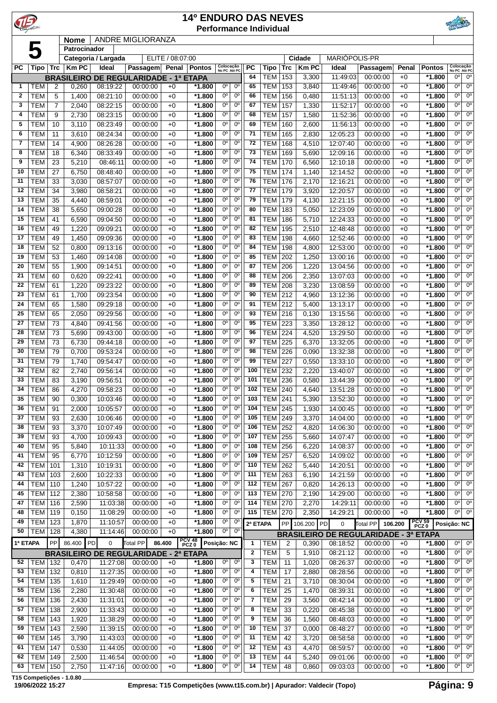|                   |                          |                     |                   |                      |                                              |                  | <b>14º ENDURO DAS NEVES</b> | <b>Performance Individual</b>                               |              |                          |            |                |                      |                                              |              |                      |                                                             |
|-------------------|--------------------------|---------------------|-------------------|----------------------|----------------------------------------------|------------------|-----------------------------|-------------------------------------------------------------|--------------|--------------------------|------------|----------------|----------------------|----------------------------------------------|--------------|----------------------|-------------------------------------------------------------|
|                   |                          |                     | <b>Nome</b>       |                      | <b>ANDRE MIGLIORANZA</b>                     |                  |                             |                                                             |              |                          |            |                |                      |                                              |              |                      |                                                             |
|                   | 5                        |                     | Patrocinador      | Categoria / Largada  |                                              | ELITE / 08:07:00 |                             |                                                             |              |                          |            | Cidade         | MARIÓPOLIS-PR        |                                              |              |                      |                                                             |
| <b>PC</b>         | Tipo                     | <b>Trc</b>          | <b>Km PC</b>      | <b>Ideal</b>         | <b>Passagem</b>                              | Penal            | <b>Pontos</b>               | Colocação<br>No PC Até PC                                   | <b>PC</b>    | Tipo                     | <b>Trc</b> | <b>KmPC</b>    | Ideal                | Passagem                                     | Penal        | <b>Pontos</b>        | Colocação<br>No PC Até PC                                   |
|                   |                          |                     | <b>BRASILEIRO</b> |                      | DE REGULARIDADE - 1ª ETAPA                   |                  |                             |                                                             | 64           | TEM                      | 153        | 3,300          | 11:49:03             | 00:00:00                                     | $+0$         | $*1.800$             | 0°<br>$0^{\circ}$                                           |
| 1                 | TEM                      | 2                   | 0,260             | 08:19:22             | 00:00:00                                     | $+0$             | *1.800                      | 0°<br>$0^{\circ}$                                           | 65           | <b>TEM</b>               | 153        | 3,840          | 11:49:46             | 00:00:00                                     | $+0$         | $*1.800$             | 0 <sup>o</sup><br>$0^{\circ}$                               |
| $\mathbf{2}$<br>3 | <b>TEM</b><br><b>TEM</b> | 5<br>$\overline{7}$ | 1,400<br>2,040    | 08:21:10<br>08:22:15 | 00:00:00<br>00:00:00                         | $+0$<br>$+0$     | $*1.800$<br>*1.800          | $0^{\circ}$<br>$0^{\circ}$<br>0°<br>$0^{\circ}$             | 66<br>67     | <b>TEM</b><br><b>TEM</b> | 156<br>157 | 0,480<br>1,330 | 11:51:13<br>11:52:17 | 00:00:00<br>00:00:00                         | $+0$<br>$+0$ | $*1.800$<br>$*1.800$ | 0°<br>$0^{\circ}$<br>0 <sup>o</sup><br>$0^{\circ}$          |
| 4                 | <b>TEM</b>               | 9                   | 2,730             | 08:23:15             | 00:00:00                                     | $+0$             | *1.800                      | $0^{\circ}$<br>$0^{\circ}$                                  | 68           | <b>TEM</b>               | 157        | 1,580          | 11:52:36             | 00:00:00                                     | $+0$         | *1.800               | 0°<br>$0^{\circ}$                                           |
| 5                 | <b>TEM</b>               | 10                  | 3,110             | 08:23:49             | 00:00:00                                     | $+0$             | $*1.800$                    | 0°<br>$0^{\circ}$                                           | 69           | <b>TEM</b>               | 160        | 2,600          | 11:56:13             | 00:00:00                                     | $+0$         | $*1.800$             | 0 <sup>o</sup><br>$0^{\circ}$                               |
| 6                 | <b>TEM</b>               | 11                  | 3,610             | 08:24:34             | 00:00:00                                     | $+0$             | *1.800                      | 0°<br>$0^{\circ}$                                           | 71           | <b>TEM</b>               | 165        | 2,830          | 12:05:23             | 00:00:00                                     | $+0$         | $*1.800$             | 0°<br>$0^{\circ}$                                           |
| $\overline{7}$    | <b>TEM</b>               | 14                  | 4,900             | 08:26:28             | 00:00:00                                     | $+0$             | *1.800                      | $0^{\circ}$<br>$0^{\circ}$                                  | 72           | <b>TEM</b>               | 168        | 4,510          | 12:07:40             | 00:00:00                                     | $+0$         | *1.800               | 0°<br>$0^{\circ}$                                           |
| 8                 | <b>TEM</b>               | 18                  | 6,340             | 08:33:49             | 00:00:00                                     | $+0$             | *1.800                      | $0^{\circ}$<br>$0^{\circ}$<br>$0^{\circ}$<br>$0^{\circ}$    | 73           | <b>TEM</b>               | 169        | 5,690          | 12:09:16             | 00:00:00                                     | $+0$         | $*1.800$             | $0^{\circ}$<br>$0^{\circ}$<br>0 <sup>o</sup><br>$0^{\circ}$ |
| 9<br>10           | <b>TEM</b><br><b>TEM</b> | 23<br>27            | 5,210<br>6,750    | 08:46:11<br>08:48:40 | 00:00:00<br>00:00:00                         | $+0$<br>$+0$     | $*1.800$<br>*1.800          | 0°<br>$0^{\circ}$                                           | 74<br>75     | <b>TEM</b><br><b>TEM</b> | 170<br>174 | 6,560<br>1,140 | 12:10:18<br>12:14:52 | 00:00:00<br>00:00:00                         | $+0$<br>$+0$ | $*1.800$<br>$*1.800$ | 0°<br>$0^{\circ}$                                           |
| 11                | <b>TEM</b>               | 33                  | 3,030             | 08:57:07             | 00:00:00                                     | $+0$             | *1.800                      | $0^{\circ}$<br>$0^{\circ}$                                  | 76           | <b>TEM</b>               | 176        | 2,170          | 12:16:21             | 00:00:00                                     | $+0$         | *1.800               | 0°<br>$0^{\circ}$                                           |
| 12                | <b>TEM</b>               | 34                  | 3,980             | 08:58:21             | 00:00:00                                     | $+0$             | *1.800                      | $0^{\circ}$<br>0°                                           | 77           | <b>TEM</b>               | 179        | 3,920          | 12:20:57             | 00:00:00                                     | $+0$         | $*1.800$             | 0°<br>$0^{\circ}$                                           |
| 13                | <b>TEM</b>               | 35                  | 4,440             | 08:59:01             | 00:00:00                                     | $+0$             | $*1.800$                    | $0^{\circ}$<br>$0^{\circ}$                                  | 79           | <b>TEM</b>               | 179        | 4,130          | 12:21:15             | 00:00:00                                     | $+0$         | $*1.800$             | 0 <sup>o</sup><br>$0^{\circ}$                               |
| 14                | <b>TEM</b>               | 38                  | 5,650             | 09:00:28             | 00:00:00                                     | $+0$             | *1.800                      | 0°<br>$0^{\circ}$                                           | 80           | <b>TEM</b>               | 183        | 5,050          | 12:23:09             | 00:00:00                                     | $+0$         | $*1.800$             | 0°<br>$0^{\circ}$                                           |
| 15                | <b>TEM</b>               | 41                  | 6,590             | 09:04:50             | 00:00:00                                     | $+0$             | *1.800                      | 0°<br>$0^{\circ}$<br>$0^{\circ}$<br>$0^{\circ}$             | 81<br>82     | <b>TEM</b>               | 186        | 5,710          | 12:24:33             | 00:00:00                                     | $+0$         | $*1.800$             | 0°<br>$0^{\circ}$<br>0°<br>$0^{\circ}$                      |
| 16<br>17          | <b>TEM</b><br><b>TEM</b> | 49<br>49            | 1,220<br>1,450    | 09:09:21<br>09:09:36 | 00:00:00<br>00:00:00                         | $+0$<br>$+0$     | $*1.800$<br>$*1.800$        | $0^{\circ}$<br>$0^{\circ}$                                  | 83           | <b>TEM</b><br><b>TEM</b> | 195<br>198 | 2,510<br>4,660 | 12:48:48<br>12:52:46 | 00:00:00<br>00:00:00                         | $+0$<br>$+0$ | $*1.800$<br>$*1.800$ | $0^{\circ}$<br>$0^{\circ}$                                  |
| 18                | <b>TEM</b>               | 52                  | 0,800             | 09:13:16             | 00:00:00                                     | $+0$             | $*1.800$                    | 0°<br>$0^{\circ}$                                           | 84           | <b>TEM</b>               | 198        | 4,800          | 12:53:00             | 00:00:00                                     | $+0$         | *1.800               | $0^{\circ}$<br>$0^{\circ}$                                  |
| 19                | <b>TEM</b>               | 53                  | 1,460             | 09:14:08             | 00:00:00                                     | $+0$             | *1.800                      | 0°<br>$0^{\circ}$                                           | 85           | <b>TEM</b>               | 202        | 1,250          | 13:00:16             | 00:00:00                                     | $+0$         | $*1.800$             | 0°<br>$0^{\circ}$                                           |
| 20                | <b>TEM</b>               | 55                  | 1,900             | 09:14:51             | 00:00:00                                     | $+0$             | *1.800                      | $0^{\circ}$<br>$0^{\circ}$                                  | 87           | <b>TEM</b>               | 206        | 1,220          | 13:04:56             | 00:00:00                                     | $+0$         | $*1.800$             | 0°<br>$0^{\circ}$                                           |
| 21                | <b>TEM</b>               | 60                  | 0,620             | 09:22:41             | 00:00:00                                     | $+0$             | $*1.800$                    | 0°<br>$0^{\circ}$                                           | 88           | <b>TEM</b>               | 206        | 2,350          | 13:07:03             | 00:00:00                                     | $+0$         | $*1.800$             | 0 <sup>o</sup><br>$0^{\circ}$                               |
| 22                | <b>TEM</b>               | 61                  | 1,220             | 09:23:22             | 00:00:00                                     | $+0$             | $*1.800$                    | $0^{\circ}$<br>$0^{\circ}$                                  | 89           | <b>TEM</b>               | 208        | 3,230          | 13:08:59             | 00:00:00                                     | $+0$         | $*1.800$             | $0^{\circ}$<br>$0^{\circ}$                                  |
| 23<br>24          | <b>TEM</b><br><b>TEM</b> | 61<br>65            | 1,700<br>1,580    | 09:23:54<br>09:29:18 | 00:00:00<br>00:00:00                         | $+0$<br>$+0$     | $*1.800$<br>*1.800          | $0^{\circ}$<br>$0^{\circ}$<br>0°<br>$0^{\circ}$             | 90<br>91     | <b>TEM</b><br><b>TEM</b> | 212<br>212 | 4,960<br>5,400 | 13:12:36<br>13:13:17 | 00:00:00<br>00:00:00                         | $+0$<br>$+0$ | *1.800<br>$*1.800$   | 0°<br>$0^{\circ}$<br>0°<br>$0^{\circ}$                      |
| 25                | <b>TEM</b>               | 65                  | 2,050             | 09:29:56             | 00:00:00                                     | $+0$             | $*1.800$                    | $0^{\circ}$<br>$0^{\circ}$                                  | 93           | <b>TEM</b>               | 216        | 0,130          | 13:15:56             | 00:00:00                                     | $+0$         | $*1.800$             | 0 <sup>o</sup><br>$0^{\circ}$                               |
| 27                | <b>TEM</b>               | 73                  | 4,840             | 09:41:56             | 00:00:00                                     | $+0$             | *1.800                      | $0^{\circ}$<br>$0^{\circ}$                                  | 95           | <b>TEM</b>               | 223        | 3,350          | 13:28:12             | 00:00:00                                     | $+0$         | $*1.800$             | $0^{\circ}$<br>$0^{\circ}$                                  |
| 28                | <b>TEM</b>               | 73                  | 5,690             | 09:43:00             | 00:00:00                                     | $+0$             | *1.800                      | $0^{\circ}$<br>$0^{\circ}$                                  | 96           | <b>TEM</b>               | 224        | 4,520          | 13:29:50             | 00:00:00                                     | $+0$         | *1.800               | 0°<br>$0^{\circ}$                                           |
| 29                | <b>TEM</b>               | 73                  | 6,730             | 09:44:18             | 00:00:00                                     | $+0$             | *1.800                      | 0°<br>$0^{\circ}$                                           | 97           | <b>TEM</b>               | 225        | 6,370          | 13:32:05             | 00:00:00                                     | $+0$         | $*1.800$             | 0°<br>$0^{\circ}$                                           |
| 30                | <b>TEM</b>               | 79                  | 0,700             | 09:53:24             | 00:00:00                                     | $+0$             | *1.800                      | $0^{\circ}$<br>$0^{\circ}$                                  | 98           | <b>TEM</b>               | 226        | 0,090          | 13:32:38             | 00:00:00                                     | $+0$         | $*1.800$             | 0 <sup>o</sup><br>$0^{\circ}$                               |
| 31<br>32          | <b>TEM</b><br><b>TEM</b> | 79<br>82            | 1,740<br>2,740    | 09:54:47<br>09:56:14 | 00:00:00<br>00:00:00                         | $+0$<br>$+0$     | *1.800<br>$*1.800$          | $0^{\circ}$<br>0°<br>$0^{\circ}$<br>$0^{\circ}$             | 99<br>100    | <b>TEM</b><br><b>TEM</b> | 227<br>232 | 0,550<br>2,220 | 13:33:10<br>13:40:07 | 00:00:00<br>00:00:00                         | $+0$<br>$+0$ | $*1.800$<br>$*1.800$ | 0°<br>$0^{\circ}$<br>0°<br>$0^{\circ}$                      |
| 33                | <b>TEM</b>               | 83                  | 3,190             | 09:56:51             | 00:00:00                                     | $+0$             | *1.800                      | $0^{\circ}$<br>$0^{\circ}$                                  | 101          | <b>TEM</b>               | 236        | 0,580          | 13:44:39             | 00:00:00                                     | $+0$         | *1.800               | 0°<br>$0^{\circ}$                                           |
| 34                | <b>TEM</b>               | 86                  | 4,270             | 09:58:23             | 00:00:00                                     | $+0$             | *1.800                      | 0°<br>0°                                                    | 102          | <b>TEM 240</b>           |            | 4,640          | 13:51:28             | 00:00:00                                     | $+0$         | *1.800               | $0^{\circ}$<br>0°                                           |
| 35                | <b>TEM</b>               | 90                  | 0,300             | 10:03:46             | 00:00:00                                     | $+0$             | *1.800                      | $0^{\circ}$<br>$0^{\circ}$                                  | 103          | <b>TEM</b>               | 241        | 5,390          | 13:52:30             | 00:00:00                                     | $+0$         | *1.800               | 0°<br>$0^{\circ}$                                           |
| 36                | <b>TEM</b>               | 91                  | 2,000             | 10:05:57             | 00:00:00                                     | $+0$             | *1.800                      | 0 <sup>o</sup><br>$0^{\circ}$                               | 104          | <b>TEM</b>               | 245        | 1,930          | 14:00:45             | 00:00:00                                     | $+0$         | *1.800               | $0^{\circ}$<br>$0^{\circ}$                                  |
| 37                | <b>TEM</b>               | 93                  | 2,630             | 10:06:46             | 00:00:00                                     | $+0$             | *1.800                      | $0^{\circ}$<br>0 <sup>o</sup>                               | 105          | <b>TEM</b>               | 249        | 3,370          | 14:04:00             | 00:00:00                                     | $+0$         | $*1.800$             | $0^{\circ}$<br>$0^{\circ}$                                  |
| 38<br>39          | <b>TEM</b><br><b>TEM</b> | 93<br>93            | 3,370<br>4,700    | 10:07:49<br>10:09:43 | 00:00:00<br>00:00:00                         | $+0$<br>$+0$     | $*1.800$<br>*1.800          | 0°<br>$0^{\circ}$<br>0°<br>$0^{\circ}$                      | 106<br>107   | <b>TEM</b><br><b>TEM</b> | 252<br>255 | 4,820          | 14:06:30<br>14:07:47 | 00:00:00<br>00:00:00                         | $+0$<br>$+0$ | $*1.800$<br>*1.800   | 0°<br>$0^{\circ}$<br>0 <sup>o</sup><br>$0^{\circ}$          |
| 40                | <b>TEM</b>               | 95                  | 5,840             | 10:11:33             | 00:00:00                                     | $+0$             | *1.800                      | 0°<br>$0^{\circ}$                                           | 108          | <b>TEM</b>               | 256        | 5,660<br>6,220 | 14:08:37             | 00:00:00                                     | $+0$         | *1.800               | 0°<br>$0^{\circ}$                                           |
| 41                | <b>TEM</b>               | 95                  | 6,770             | 10:12:59             | 00:00:00                                     | $+0$             | *1.800                      | 0 <sup>o</sup><br>0 <sup>o</sup>                            | 109          | <b>TEM</b>               | 257        | 6,520          | 14:09:02             | 00:00:00                                     | $+0$         | $*1.800$             | 0°<br>$0^{\circ}$                                           |
| 42                | <b>TEM</b>               | 101                 | 1,310             | 10:19:31             | 00:00:00                                     | $+0$             | $*1.800$                    | 0 <sup>o</sup><br>$0^{\circ}$                               | 110          | <b>TEM</b>               | 262        | 5,440          | 14:20:51             | 00:00:00                                     | $+0$         | $*1.800$             | 0°<br>$0^{\circ}$                                           |
| 43                | TEM                      | 103                 | 2,600             | 10:22:33             | 00:00:00                                     | $+0$             | *1.800                      | 0°<br>$0^{\circ}$                                           | 111          | <b>TEM</b>               | 263        | 6,190          | 14:21:59             | 00:00:00                                     | $+0$         | *1.800               | 0°<br>$0^{\circ}$                                           |
| 44                | TEM                      | 110                 | 1,240             | 10:57:22             | 00:00:00                                     | $+0$             | *1.800                      | $0^{\circ}$<br>0 <sup>o</sup>                               | 112          | <b>TEM</b>               | 267        | 0,820          | 14:26:13             | 00:00:00                                     | $+0$         | *1.800               | 0°<br>$0^{\circ}$                                           |
| 45<br>47          | <b>TEM</b><br>TEM        | 112<br>116          | 2,380<br>2,590    | 10:58:58<br>11:03:38 | 00:00:00<br>00:00:00                         | $+0$             | *1.800<br>*1.800            | 0 <sup>o</sup><br>0°<br>0 <sup>o</sup><br>0 <sup>o</sup>    | 113<br>114   | <b>TEM</b><br><b>TEM</b> | 270<br>270 | 2,190<br>2,270 | 14:29:00<br>14:29:11 | 00:00:00<br>00:00:00                         | $+0$         | *1.800<br>$*1.800$   | $0^{\circ}$<br>$0^{\circ}$<br>0°<br>$0^{\circ}$             |
| 48                | <b>TEM</b>               | 119                 | 0,150             | 11:08:29             | 00:00:00                                     | $+0$<br>$+0$     | *1.800                      | 0°<br>$0^{\circ}$                                           | 115          | <b>TEM</b>               | 270        | 2,350          | 14:29:21             | 00:00:00                                     | $+0$<br>$+0$ | *1.800               | 0°  <br>$0^{\circ}$                                         |
| 49                | <b>TEM</b>               | 123                 | 1,870             | 11:10:57             | 00:00:00                                     | $+0$             | *1.800                      | 0°<br>$0^{\circ}$                                           | 2ª ETAPA     |                          |            | PP 106.200 PD  | $\mathbf 0$          | Total PP                                     | 106.200      | PCV 59 Posição: NC   |                                                             |
| 50                | TEM                      | 128                 | 4,380             | 11:14:46             | 00:00:00                                     | $+0$             | *1.800                      | 0°<br>$0^{\circ}$                                           |              |                          |            |                |                      | <b>BRASILEIRO DE REGULARIDADE - 3ª ETAPA</b> |              |                      |                                                             |
| 1ª ETAPA          |                          | PP                  | 86.400            | PD<br>0              | Total PP                                     | 86.400           | PCV 48<br>PCZ 0             | Posição: NC                                                 | 1            | <b>TEM</b>               | 2          | 0,390          | 08:18:52             | 00:00:00                                     | $+0$         | $*1.800$             | 0 <sup>o</sup><br>$0^{\circ}$                               |
|                   |                          |                     |                   |                      | <b>BRASILEIRO DE REGULARIDADE - 2ª ETAPA</b> |                  |                             |                                                             | $\mathbf{2}$ | <b>TEM</b>               | 5          | 1,910          | 08:21:12             | 00:00:00                                     | $+0$         | *1.800               | 0°<br>$0^{\circ}$                                           |
| 52                | TEM                      | 132                 | 0,470             | 11:27:08             | 00:00:00                                     | $+0$             | $*1.800$                    | 0 <sup>o</sup><br>$0^{\circ}$                               | 3            | <b>TEM</b>               | 11         | 1,020          | 08:26:37             | 00:00:00                                     | $+0$         | *1.800               | 0°<br>$0^{\circ}$                                           |
| 53                | <b>TEM</b>               | 132                 | 0,810             | 11:27:35             | 00:00:00                                     | $+0$             | *1.800                      | $\overline{0^{\circ}}$<br>$0^{\circ}$                       | 4            | <b>TEM</b>               | 17         | 2,880          | 08:28:56             | 00:00:00                                     | $+0$         | *1.800               | 0°<br>$0^{\circ}$                                           |
| 54<br>55          | TEM<br>TEM               | 135<br>136          | 1,610<br>2,280    | 11:29:49<br>11:30:48 | 00:00:00<br>00:00:00                         | $+0$<br>$+0$     | $*1.800$<br>$*1.800$        | 0 <sup>o</sup><br>$0^{\circ}$<br>$0^{\circ}$<br>$0^{\circ}$ | 5<br>6       | <b>TEM</b><br><b>TEM</b> | 21<br>25   | 3,710<br>1,470 | 08:30:04<br>08:39:31 | 00:00:00<br>00:00:00                         | $+0$<br>$+0$ | *1.800<br>*1.800     | 0°<br>$0^{\circ}$<br>0 <sup>o</sup><br>$0^{\circ}$          |
| 56                | TEM                      | 136                 | 2,430             | 11:31:01             | 00:00:00                                     | $+0$             | *1.800                      | 0°<br>$0^{\circ}$                                           | 7            | <b>TEM</b>               | 29         | 3,560          | 08:42:14             | 00:00:00                                     | $+0$         | *1.800               | 0°<br>$0^{\circ}$                                           |
| 57                | TEM                      | 138                 | 2,900             | 11:33:43             | 00:00:00                                     | $+0$             | *1.800                      | 0 <sup>o</sup><br>$0^{\circ}$                               | 8            | <b>TEM</b>               | 33         | 0,220          | 08:45:38             | 00:00:00                                     | $+0$         | *1.800               | 0 <sup>o</sup><br>0°                                        |
| 58                | TEM                      | 143                 | 1,920             | 11:38:29             | 00:00:00                                     | $+0$             | *1.800                      | $0^{\circ}$<br>0 <sup>o</sup>                               | 9            | <b>TEM</b>               | 36         | 1,560          | 08:48:03             | 00:00:00                                     | $+0$         | *1.800               | 0°<br>$0^{\circ}$                                           |
| 59                | <b>TEM</b>               | 143                 | 2,590             | 11:39:15             | 00:00:00                                     | $+0$             | *1.800                      | $0^{\circ}$<br>$0^{\circ}$                                  | 10           | <b>TEM</b>               | 37         | 0,000          | 08:48:27             | 00:00:00                                     | $+0$         | *1.800               | $0^{\circ}$<br>$0^{\circ}$                                  |
| 60                | <b>TEM</b>               | 145                 | 3,790             | 11:43:03             | 00:00:00                                     | $+0$             | *1.800                      | 0°<br>$0^{\circ}$                                           | 11           | <b>TEM</b>               | 42         | 3,720          | 08:58:58             | 00:00:00                                     | $+0$         | $*1.800$             | 0°<br>$0^{\circ}$                                           |
| 61                | <b>TEM</b>               | 147                 | 0,530             | 11:44:05             | 00:00:00                                     | $+0$             | *1.800                      | 0°<br>$0^{\circ}$<br>0°                                     | 12           | <b>TEM</b>               | 43         | 4,470          | 08:59:57             | 00:00:00                                     | $+0$         | *1.800               | 0 <sup>o</sup><br>0°<br>$0^{\circ}$<br>0°                   |
| 62<br>63          | <b>TEM</b><br>TEM        | 149<br>150          | 2,500<br>2,750    | 11:46:54<br>11:47:16 | 00:00:00<br>00:00:00                         | $+0$<br>$+0$     | *1.800<br>*1.800            | $0^{\circ}$<br>0 <sup>o</sup><br>$0^{\circ}$                | 13<br>14     | <b>TEM</b><br><b>TEM</b> | 44<br>48   | 5,240<br>0,860 | 09:01:06<br>09:03:03 | 00:00:00<br>00:00:00                         | $+0$<br>$+0$ | *1.800<br>$*1.800$   | 0 <sup>o</sup><br>0 <sup>o</sup>                            |
|                   |                          |                     |                   |                      |                                              |                  |                             |                                                             |              |                          |            |                |                      |                                              |              |                      |                                                             |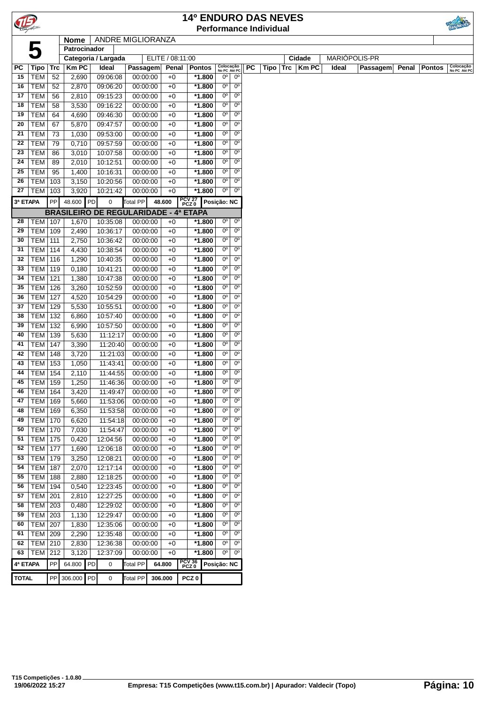| TIB.         |                  |            |               |    |                                              |                 |                  |       | <b>14º ENDURO DAS NEVES</b> |                           |                        |           |                               |     |             |               |          |       |               |                           |
|--------------|------------------|------------|---------------|----|----------------------------------------------|-----------------|------------------|-------|-----------------------------|---------------------------|------------------------|-----------|-------------------------------|-----|-------------|---------------|----------|-------|---------------|---------------------------|
|              |                  |            |               |    |                                              |                 |                  |       |                             |                           |                        |           | <b>Performance Individual</b> |     |             |               |          |       |               |                           |
|              |                  |            | <b>Nome</b>   |    | ANDRE MIGLIORANZA                            |                 |                  |       |                             |                           |                        |           |                               |     |             |               |          |       |               |                           |
|              |                  |            | Patrocinador  |    |                                              |                 |                  |       |                             |                           |                        |           |                               |     |             |               |          |       |               |                           |
|              |                  |            |               |    | Categoria / Largada                          |                 | ELITE / 08:11:00 |       |                             |                           |                        |           |                               |     | Cidade      | MARIÓPOLIS-PR |          |       |               |                           |
| <b>PC</b>    | Tipo             | <b>Trc</b> | <b>Km PC</b>  |    | Ideal                                        | Passagem        |                  | Penal | <b>Pontos</b>               | Colocação<br>No PC Até PC |                        | <b>PC</b> | Tipo                          | Trc | <b>KmPC</b> | Ideal         | Passagem | Penal | <b>Pontos</b> | Colocação<br>No PC Até PC |
| 15           | TEM              | 52         | 2,690         |    | 09:06:08                                     | 00:00:00        | $+0$             |       | *1.800                      | 0°                        | 0°                     |           |                               |     |             |               |          |       |               |                           |
| 16           | <b>TEM</b>       | 52         | 2,870         |    | 09:06:20                                     | 00:00:00        | $+0$             |       | $*1.800$                    | 0°                        | $0^{\circ}$            |           |                               |     |             |               |          |       |               |                           |
| 17           | <b>TEM</b>       | 56         | 2,810         |    | 09:15:23                                     | 00:00:00        | $+0$             |       | *1.800                      | 0°                        | $0^{\circ}$            |           |                               |     |             |               |          |       |               |                           |
| 18           | <b>TEM</b>       | 58         | 3,530         |    | 09:16:22                                     | 00:00:00        | $+0$             |       | $*1.800$                    | $0^{\circ}$               | 0 <sup>o</sup>         |           |                               |     |             |               |          |       |               |                           |
| 19           | <b>TEM</b>       | 64         | 4,690         |    | 09:46:30                                     | 00:00:00        | $+0$             |       | *1.800                      | 0°                        | $0^{\circ}$            |           |                               |     |             |               |          |       |               |                           |
| 20           | <b>TEM</b>       | 67         | 5,870         |    | 09:47:57                                     | 00:00:00        | $+0$             |       | *1.800                      | 0°                        | $0^{\circ}$            |           |                               |     |             |               |          |       |               |                           |
| 21           | <b>TEM</b>       | 73         | 1,030         |    | 09:53:00                                     | 00:00:00        | $+0$             |       | $*1.800$                    | 0°                        | $0^{\circ}$            |           |                               |     |             |               |          |       |               |                           |
| 22           | <b>TEM</b>       | 79         | 0,710         |    | 09:57:59                                     | 00:00:00        | $+0$             |       | $*1.800$                    | $0^{\circ}$               | $0^{\circ}$            |           |                               |     |             |               |          |       |               |                           |
| 23           | <b>TEM</b>       | 86         | 3,010         |    | 10:07:58                                     | 00:00:00        | $+0$             |       | *1.800                      | 0°                        | $0^{\circ}$            |           |                               |     |             |               |          |       |               |                           |
| 24           | <b>TEM</b>       | 89         | 2,010         |    | 10:12:51                                     | 00:00:00        | $+0$             |       | $*1.800$                    | 0°                        | $0^{\circ}$            |           |                               |     |             |               |          |       |               |                           |
| 25           | <b>TEM</b>       | 95         | 1,400         |    | 10:16:31                                     | 00:00:00        | $+0$             |       | $*1.800$                    | 0°                        | $0^{\circ}$            |           |                               |     |             |               |          |       |               |                           |
| 26           | <b>TEM</b>       | 103        | 3,150         |    | 10:20:56                                     | 00:00:00        | $+0$             |       | *1.800                      | $0^{\circ}$               | $0^{\circ}$            |           |                               |     |             |               |          |       |               |                           |
| 27           | TEM              | 103        | 3,920         |    | 10:21:42                                     | 00:00:00        | $+0$             |       | *1.800                      | $0^{\circ}$               | $0^{\circ}$            |           |                               |     |             |               |          |       |               |                           |
| 3ª ETAPA     |                  | <b>PP</b>  | 48.600 PD     |    | 0                                            | <b>Total PP</b> | 48.600           |       | PCV 27<br>PCZ 0             | Posição: NC               |                        |           |                               |     |             |               |          |       |               |                           |
|              |                  |            |               |    | <b>BRASILEIRO DE REGULARIDADE - 4ª ETAPA</b> |                 |                  |       |                             |                           |                        |           |                               |     |             |               |          |       |               |                           |
| 28           | <b>TEM   107</b> |            | 1,670         |    | 10:35:08                                     | 00:00:00        | $+0$             |       | *1.800                      | $0^{\circ}$               | $0^{\circ}$            |           |                               |     |             |               |          |       |               |                           |
| 29           | TEM              | 109        | 2,490         |    | 10:36:17                                     | 00:00:00        | $+0$             |       | $*1.800$                    | $0^{\circ}$               | $0^{\circ}$            |           |                               |     |             |               |          |       |               |                           |
| 30           | TEM              | 111        | 2,750         |    | 10:36:42                                     | 00:00:00        | $+0$             |       | *1.800                      | 0°                        | $0^{\circ}$            |           |                               |     |             |               |          |       |               |                           |
| 31           | <b>TEM</b>       | 114        | 4,430         |    | 10:38:54                                     | 00:00:00        | $+0$             |       | *1.800                      | 0°                        | $0^{\circ}$            |           |                               |     |             |               |          |       |               |                           |
| 32           | <b>TEM</b>       | 116        | 1,290         |    | 10:40:35                                     | 00:00:00        | $+0$             |       | $*1.800$                    | $0^{\circ}$               | $0^{\circ}$            |           |                               |     |             |               |          |       |               |                           |
| 33           | <b>TEM</b>       | 119        | 0,180         |    | 10:41:21                                     | 00:00:00        | $+0$             |       | $*1.800$                    | $0^{\circ}$               | $\overline{0^{\circ}}$ |           |                               |     |             |               |          |       |               |                           |
| 34           | <b>TEM</b>       | 121        | 1,380         |    | 10:47:38                                     | 00:00:00        | $+0$             |       | $*1.800$                    | $0^{\circ}$               | $0^{\circ}$            |           |                               |     |             |               |          |       |               |                           |
| 35           | TEM              | 126        | 3,260         |    | 10:52:59                                     | 00:00:00        | $+0$             |       | *1.800                      | 0°                        | $0^{\rm o}$            |           |                               |     |             |               |          |       |               |                           |
| 36           | TEM              | 127        | 4,520         |    | 10:54:29                                     | 00:00:00        | $+0$             |       | $*1.800$                    | 0°                        | $0^{\circ}$            |           |                               |     |             |               |          |       |               |                           |
| 37           | <b>TEM</b>       | 129        | 5,530         |    | 10:55:51                                     | 00:00:00        | $+0$             |       | $*1.800$                    | $0^{\circ}$               | $0^{\circ}$            |           |                               |     |             |               |          |       |               |                           |
| 38           | <b>TEM</b>       | 132        | 6,860         |    | 10:57:40                                     | 00:00:00        | $+0$             |       | $*1.800$                    | $0^{\circ}$               | 0 <sup>o</sup>         |           |                               |     |             |               |          |       |               |                           |
| 39           | TEM              | 132        | 6,990         |    | 10:57:50                                     | 00:00:00        | $+0$             |       | *1.800                      | 0°                        | $0^{\circ}$            |           |                               |     |             |               |          |       |               |                           |
| 40           | <b>TEM</b>       | 139        | 5,630         |    | 11:12:17                                     | 00:00:00        | $+0$             |       | *1.800                      | 0°                        | $0^{\circ}$            |           |                               |     |             |               |          |       |               |                           |
| 41           | TEM              | 147        | 3,390         |    | 11:20:40                                     | 00:00:00        | $+0$             |       | *1.800                      | 0°                        | $0^{\circ}$            |           |                               |     |             |               |          |       |               |                           |
| 42           | <b>TEM</b>       | 148        | 3,720         |    | 11:21:03                                     | 00:00:00        | $+0$             |       | $*1.800$                    | $0^{\circ}$               | $0^{\circ}$            |           |                               |     |             |               |          |       |               |                           |
| 43           | <b>TEM</b>       | 153        | 1,050         |    | 11:43:41                                     | 00:00:00        | $+0$             |       | $*1.800$                    | $0^{\circ}$               | $0^{\circ}$            |           |                               |     |             |               |          |       |               |                           |
| 44           | TEM              | 154        | 2,110         |    | 11:44:55                                     | 00:00:00        | $+0$             |       | *1.800                      | 0°                        | $0^{\circ}$            |           |                               |     |             |               |          |       |               |                           |
| 45           | TEM              | 159        | 1,250         |    | 11:46:36                                     | 00:00:00        | $+0$             |       | $*1.800$                    | 0°                        | $0^{\circ}$            |           |                               |     |             |               |          |       |               |                           |
| 46           | <b>TEM   164</b> |            | 3,420         |    | 11:49:47                                     | 00:00:00        | $+0$             |       | *1.800                      | 0°                        | $0^{\circ}$            |           |                               |     |             |               |          |       |               |                           |
| 47           | TEM              | 169        | 5,660         |    | 11:53:06                                     | 00:00:00        | $+0$             |       | $*1.800$                    | $0^{\circ}$               | 0 <sup>o</sup>         |           |                               |     |             |               |          |       |               |                           |
| 48           | <b>TEM</b>       | 169        | 6,350         |    | 11:53:58                                     | 00:00:00        | $+0$             |       | *1.800                      | 0°                        | $0^{\circ}$            |           |                               |     |             |               |          |       |               |                           |
| 49           | <b>TEM</b>       | 170        | 6,620         |    | 11:54:18                                     | 00:00:00        | $+0$             |       | *1.800                      | 0°                        | $0^{\circ}$            |           |                               |     |             |               |          |       |               |                           |
| 50           | <b>TEM</b>       | 170        | 7,030         |    | 11:54:47                                     | 00:00:00        | $+0$             |       | *1.800                      | 0°                        | $0^{\circ}$            |           |                               |     |             |               |          |       |               |                           |
| 51           | <b>TEM</b>       | 175        | 0,420         |    | 12:04:56                                     | 00:00:00        | $+0$             |       | $*1.800$                    | 0°                        | $0^{\circ}$            |           |                               |     |             |               |          |       |               |                           |
| 52           | <b>TEM</b>       | 177        | 1,690         |    | 12:06:18                                     | 00:00:00        | $+0$             |       | $*1.800$                    | 0°                        | 0 <sup>o</sup>         |           |                               |     |             |               |          |       |               |                           |
| 53           | TEM              | 179        | 3,250         |    | 12:08:21                                     | 00:00:00        | $+0$             |       | $*1.800$                    | 0°                        | 0 <sup>o</sup>         |           |                               |     |             |               |          |       |               |                           |
| 54           | <b>TEM</b>       | 187        | 2,070         |    | 12:17:14                                     | 00:00:00        | $+0$             |       | *1.800                      | 0°                        | $0^{\circ}$            |           |                               |     |             |               |          |       |               |                           |
| 55           | TEM              | 188        | 2,880         |    | 12:18:25                                     | 00:00:00        | $+0$             |       | *1.800                      | 0°                        | $0^{\circ}$            |           |                               |     |             |               |          |       |               |                           |
| 56           | TEM              | 194        | 0,540         |    | 12:23:45                                     | 00:00:00        | $+0$             |       | *1.800                      | 0°                        | $0^{\circ}$            |           |                               |     |             |               |          |       |               |                           |
| 57           | <b>TEM</b>       | 201        | 2,810         |    | 12:27:25                                     | 00:00:00        | $+0$             |       | *1.800                      | 0°                        | 0 <sup>o</sup>         |           |                               |     |             |               |          |       |               |                           |
| 58           | TEM              | 203        | 0,480         |    | 12:29:02                                     | 00:00:00        | $+0$             |       | *1.800                      | 0°                        | $0^{\circ}$            |           |                               |     |             |               |          |       |               |                           |
| 59           | <b>TEM</b>       | 203        | 1,130         |    | 12:29:47                                     | 00:00:00        | $+0$             |       | *1.800                      | 0°                        | $0^{\circ}$            |           |                               |     |             |               |          |       |               |                           |
| 60           | <b>TEM</b>       | 207        | 1,830         |    | 12:35:06                                     | 00:00:00        | $+0$             |       | $*1.800$                    | 0°                        | $0^{\circ}$            |           |                               |     |             |               |          |       |               |                           |
| 61           | TEM              | 209        | 2,290         |    | 12:35:48                                     | 00:00:00        | $+0$             |       | $*1.800$                    | $0^{\circ}$               | $0^{\circ}$            |           |                               |     |             |               |          |       |               |                           |
| 62           | TEM              | 210        | 2,830         |    | 12:36:38                                     | 00:00:00        | $+0$             |       | $\frac{1}{1.800}$           | 0°                        | $0^{\circ}$            |           |                               |     |             |               |          |       |               |                           |
| 63           | TEM              | 212        | 3,120         |    | 12:37:09                                     | 00:00:00        | $+0$             |       | $*1.800$                    | 0°                        | $0^{\circ}$            |           |                               |     |             |               |          |       |               |                           |
| 4ª ETAPA     |                  | PP         | 64.800        | PD | 0                                            | <b>Total PP</b> | 64.800           |       | PCV 36<br>PCZ 0             | Posição: NC               |                        |           |                               |     |             |               |          |       |               |                           |
| <b>TOTAL</b> |                  |            | PP 306.000 PD |    | 0                                            | Total PP        | 306.000          |       | PCZ <sub>0</sub>            |                           |                        |           |                               |     |             |               |          |       |               |                           |
|              |                  |            |               |    |                                              |                 |                  |       |                             |                           |                        |           |                               |     |             |               |          |       |               |                           |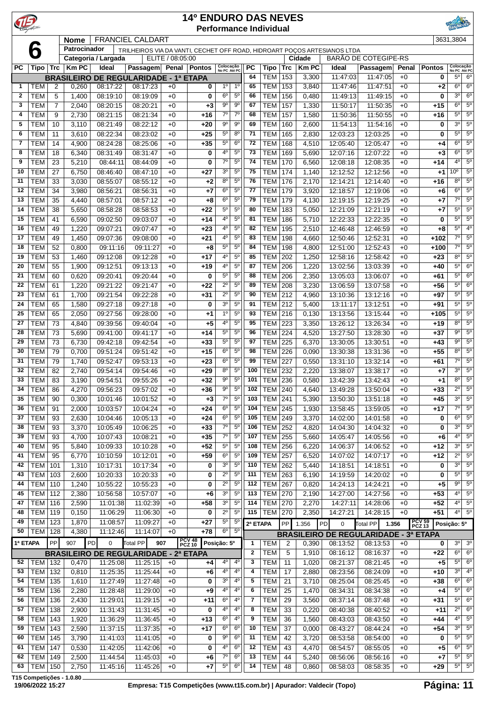| $\mathbf{P}$ |                          |                |                |                              |                                                                          |                  | <b>14º ENDURO DAS NEVES</b><br><b>Performance Individual</b> |                            |                               |              |                              |                   |                       |                      |                                              |               |                    | RINEVED                                     |                               |
|--------------|--------------------------|----------------|----------------|------------------------------|--------------------------------------------------------------------------|------------------|--------------------------------------------------------------|----------------------------|-------------------------------|--------------|------------------------------|-------------------|-----------------------|----------------------|----------------------------------------------|---------------|--------------------|---------------------------------------------|-------------------------------|
|              |                          |                | <b>Nome</b>    |                              | <b>FRANCIEL CALDART</b>                                                  |                  |                                                              |                            |                               |              |                              |                   |                       |                      |                                              |               |                    | 3631,3804                                   |                               |
|              | 6                        |                | Patrocinador   |                              | TRILHEIROS VIA DA VANTI, CECHET OFF ROAD, HIDROART POÇOS ARTESIANOS LTDA |                  |                                                              |                            |                               |              |                              |                   |                       |                      |                                              |               |                    |                                             |                               |
| <b>PC</b>    |                          |                |                | Categoria / Largada<br>Ideal |                                                                          | ELITE / 08:05:00 |                                                              |                            |                               | <b>PC</b>    |                              |                   | Cidade<br><b>KmPC</b> |                      | <b>BARÃO DE COTEGIPE-RS</b>                  |               |                    |                                             |                               |
|              | Tipo                     | <b>Trc</b>     | <b>Km PC</b>   |                              | Passagem Penal Pontos<br><b>BRASILEIRO DE REGULARIDADE - 1ª ETAPA</b>    |                  |                                                              | Colocação<br>No PC Até PC  |                               | 64           | Tipo<br><b>TEM</b>           | <b>Trc</b><br>153 | 3,300                 | Ideal<br>11:47:03    | Passagem<br>11:47:05                         | Penal<br>$+0$ | <b>Pontos</b><br>0 | Colocação<br>No PC Até PC<br>5 <sup>0</sup> | 6 <sup>o</sup>                |
| 1            | TEM                      | 2              | 0,260          | 08:17:22                     | 08:17:23                                                                 | $+0$             | 0                                                            | $1^{\circ}$                | 1 <sup>0</sup>                | 65           | <b>TEM</b>                   | 153               | 3,840                 | 11:47:46             | 11:47:51                                     | $+0$          | $+2$               | 6 <sup>o</sup>                              | 6 <sup>o</sup>                |
| $\mathbf{2}$ | <b>TEM</b>               | 5              | 1,400          | 08:19:10                     | 08:19:09                                                                 | $+0$             | 0                                                            | $6^{\circ}$                | $5^{\circ}$                   | 66           | <b>TEM</b>                   | 156               | 0,480                 | 11:49:13             | 11:49:15                                     | $+0$          | 0                  | 30                                          | $6^{\circ}$                   |
| 3            | <b>TEM</b>               | $\overline{7}$ | 2,040          | 08:20:15                     | 08:20:21                                                                 | $+0$             | $+3$                                                         | $9^{\circ}$                | $9^{\circ}$                   | 67           | <b>TEM</b>                   | 157               | 1,330                 | 11:50:17             | 11:50:35                                     | $+0$          | $+15$              | $6^{\circ}$                                 | $5^{\circ}$                   |
| 4            | <b>TEM</b>               | 9              | 2,730          | 08:21:15                     | 08:21:34                                                                 | $+0$             | $+16$                                                        | $7^\circ$                  | $7^\circ$                     | 68           | <b>TEM</b>                   | 157               | 1,580                 | 11:50:36             | 11:50:55                                     | $+0$          | +16                | $5^{\circ}$                                 | $5^{\circ}$                   |
| 5            | <b>TEM</b>               | 10             | 3,110          | 08:21:49                     | 08:22:12                                                                 | $+0$             | $+20$                                                        | $9^{\circ}$                | 9 <sup>o</sup>                | 69           | <b>TEM</b>                   | 160               | 2,600                 | 11:54:13             | 11:54:16                                     | $+0$          | 0                  | 3 <sup>0</sup>                              | 5 <sup>0</sup>                |
| 6            | <b>TEM</b>               | 11             | 3,610          | 08:22:34                     | 08:23:02                                                                 | $+0$             | $+25$                                                        | $5^{\circ}$                | $8^{\circ}$                   | 71           | <b>TEM</b>                   | 165               | 2,830                 | 12:03:23             | 12:03:25                                     | $+0$          | 0                  | 5 <sup>o</sup>                              | $5^{\circ}$                   |
| 7            | <b>TEM</b>               | 14             | 4,900          | 08:24:28                     | 08:25:06                                                                 | $+0$             | $+35$                                                        | $5^{\circ}$                | 6 <sup>o</sup>                | 72           | <b>TEM</b>                   | 168               | 4,510                 | 12:05:40             | 12:05:47                                     | $+0$          | +4                 | 6 <sup>o</sup>                              | $5^{\circ}$                   |
| 8<br>9       | <b>TEM</b><br><b>TEM</b> | 18<br>23       | 6,340<br>5,210 | 08:31:49<br>08:44:11         | 08:31:47<br>08:44:09                                                     | $+0$<br>$+0$     | 0<br>0                                                       | 4°<br>$7^\circ$            | $5^{\circ}$<br>5 <sup>0</sup> | 73<br>74     | <b>TEM</b><br><b>TEM</b>     | 169<br>170        | 5,690<br>6,560        | 12:07:16<br>12:08:18 | 12:07:22<br>12:08:35                         | $+0$<br>$+0$  | $+3$<br>+14        | 6 <sup>o</sup><br>4 <sup>0</sup>            | $5^{\circ}$<br>$5^{\circ}$    |
| 10           | <b>TEM</b>               | 27             | 6,750          | 08:46:40                     | 08:47:10                                                                 | $+0$             | $+27$                                                        | 3 <sup>o</sup>             | $5^{\circ}$                   | 75           | <b>TEM</b>                   | 174               | 1,140                 | 12:12:52             | 12:12:56                                     | $+0$          | $+1$               | $10^{\circ}$                                | $5^{\circ}$                   |
| 11           | <b>TEM</b>               | 33             | 3,030          | 08:55:07                     | 08:55:12                                                                 | $+0$             | $+2$                                                         | $8^{\circ}$                | $5^{\circ}$                   | 76           | <b>TEM</b>                   | 176               | 2,170                 | 12:14:21             | 12:14:40                                     | $+0$          | +16                | 80                                          | $5^{\circ}$                   |
| 12           | <b>TEM</b>               | 34             | 3,980          | 08:56:21                     | 08:56:31                                                                 | $+0$             | $+7$                                                         | $6^{\circ}$                | $5^{\circ}$                   | 77           | <b>TEM</b>                   | 179               | 3,920                 | 12:18:57             | 12:19:06                                     | $+0$          | +6                 | $6^{\circ}$                                 | $5^{\circ}$                   |
| 13           | <b>TEM</b>               | 35             | 4,440          | 08:57:01                     | 08:57:12                                                                 | $+0$             | +8                                                           | $6^{\circ}$                | 5 <sup>0</sup>                | 79           | <b>TEM</b>                   | 179               | 4,130                 | 12:19:15             | 12:19:25                                     | $+0$          | +7                 | $7^\circ$                                   | $5^{\circ}$                   |
| 14           | <b>TEM</b>               | 38             | 5,650          | 08:58:28                     | 08:58:53                                                                 | $+0$             | $+22$                                                        | $5^{\circ}$                | $5^{\circ}$                   | 80           | <b>TEM</b>                   | 183               | 5,050                 | 12:21:09             | 12:21:19                                     | $+0$          | +7                 | $5^{\circ}$                                 | $5^{\circ}$                   |
| 15           | <b>TEM</b>               | 41             | 6,590          | 09:02:50                     | 09:03:07                                                                 | $+0$             | $+14$                                                        | 40                         | $5^{\circ}$                   | 81           | <b>TEM</b>                   | 186               | 5,710                 | 12:22:33             | 12:22:35                                     | $+0$          | 0                  | $5^{\circ}$                                 | $5^{\circ}$                   |
| 16           | <b>TEM</b>               | 49             | 1,220          | 09:07:21                     | 09:07:47                                                                 | $+0$             | $+23$                                                        | 4°                         | $5^{\circ}$                   | 82           | <b>TEM</b>                   | 195               | 2,510                 | 12:46:48             | 12:46:59                                     | $+0$          | +8                 | $5^{\circ}$                                 | $4^{\circ}$                   |
| 17           | <b>TEM</b>               | 49             | 1,450          | 09:07:36                     | 09:08:00                                                                 | $+0$             | $+21$                                                        | 4°                         | 5 <sup>0</sup>                | 83           | <b>TEM</b>                   | 198               | 4,660                 | 12:50:46             | 12:52:31                                     | $+0$          | $+102$             | $7^\circ$                                   | $5^{\circ}$                   |
| 18           | <b>TEM</b>               | 52             | 0,800          | 09:11:16                     | 09:11:27                                                                 | $+0$             | $+8$                                                         | $5^{\circ}$                | 5 <sup>0</sup>                | 84           | <b>TEM</b>                   | 198               | 4,800                 | 12:51:00             | 12:52:43                                     | $+0$          | $+100$             | $7^\circ$                                   | $5^{\circ}$                   |
| 19           | <b>TEM</b>               | 53             | 1,460          | 09:12:08                     | 09:12:28                                                                 | $+0$             | $+17$                                                        | 4°<br>4º                   | $5^{\circ}$<br>$5^{\circ}$    | 85<br>87     | <b>TEM</b>                   | 202               | 1,250                 | 12:58:16             | 12:58:42                                     | $+0$          | $+23$              | 8 <sup>o</sup><br>$5^{\circ}$               | $5^{\circ}$<br>$6^{\circ}$    |
| 20<br>21     | <b>TEM</b><br><b>TEM</b> | 55<br>60       | 1,900<br>0,620 | 09:12:51<br>09:20:41         | 09:13:13<br>09:20:44                                                     | $+0$<br>$+0$     | $+19$<br>0                                                   | $5^{\circ}$                | 5 <sup>0</sup>                | 88           | <b>TEM</b><br><b>TEM</b>     | 206<br>206        | 1,220<br>2,350        | 13:02:56<br>13:05:03 | 13:03:39<br>13:06:07                         | $+0$<br>$+0$  | $+40$<br>+61       | $5^{\circ}$                                 | 6 <sup>o</sup>                |
| 22           | <b>TEM</b>               | 61             | 1,220          | 09:21:22                     | 09:21:47                                                                 | $+0$             | $+22$                                                        | $2^{\circ}$                | 5 <sup>0</sup>                | 89           | <b>TEM</b>                   | 208               | 3,230                 | 13:06:59             | 13:07:58                                     | $+0$          | +56                | $5^{\circ}$                                 | $6^{\circ}$                   |
| 23           | <b>TEM</b>               | 61             | 1,700          | 09:21:54                     | 09:22:28                                                                 | $+0$             | $+31$                                                        | $2^{\circ}$                | $5^{\circ}$                   | 90           | <b>TEM</b>                   | 212               | 4,960                 | 13:10:36             | 13:12:16                                     | $+0$          | +97                | $5^{\circ}$                                 | $5^{\circ}$                   |
| 24           | <b>TEM</b>               | 65             | 1,580          | 09:27:18                     | 09:27:18                                                                 | $+0$             | $\bf{0}$                                                     | 3 <sup>o</sup>             | $5^{\circ}$                   | 91           | <b>TEM</b>                   | 212               | 5,400                 | 13:11:17             | 13:12:51                                     | $+0$          | +91                | $5^{\circ}$                                 | $5^{\circ}$                   |
| 25           | <b>TEM</b>               | 65             | 2,050          | 09:27:56                     | 09:28:00                                                                 | $+0$             | $+1$                                                         | $1^{\circ}$                | $5^{\circ}$                   | 93           | <b>TEM</b>                   | 216               | 0,130                 | 13:13:56             | 13:15:44                                     | $+0$          | $+105$             | $5^{\circ}$                                 | $5^{\circ}$                   |
| 27           | <b>TEM</b>               | 73             | 4,840          | 09:39:56                     | 09:40:04                                                                 | $+0$             | $+5$                                                         | 4°                         | $5^{\circ}$                   | 95           | <b>TEM</b>                   | 223               | 3,350                 | 13:26:12             | 13:26:34                                     | $+0$          | $+19$              | $8^{\circ}$                                 | $5^{\circ}$                   |
| 28           | <b>TEM</b>               | 73             | 5,690          | 09:41:00                     | 09:41:17                                                                 | $+0$             | $+14$                                                        | 5°                         | $5^{\circ}$                   | 96           | <b>TEM</b>                   | 224               | 4,520                 | 13:27:50             | 13:28:30                                     | $+0$          | $+37$              | 90                                          | $5^{\circ}$                   |
| 29           | <b>TEM</b>               | 73             | 6,730          | 09:42:18                     | 09:42:54                                                                 | $+0$             | $+33$                                                        | $5^{\circ}$                | $5^{\circ}$                   | 97           | <b>TEM</b>                   | 225               | 6,370                 | 13:30:05             | 13:30:51                                     | $+0$          | $+43$              | 9 <sup>o</sup>                              | $5^{\circ}$                   |
| 30           | <b>TEM</b>               | 79             | 0,700          | 09:51:24                     | 09:51:42                                                                 | $+0$             | $+15$                                                        | $6^{\circ}$                | $5^{\circ}$                   | 98           | <b>TEM</b>                   | 226               | 0,090                 | 13:30:38             | 13:31:36                                     | $+0$          | $+55$              | 8 <sup>o</sup>                              | $5^{\circ}$                   |
| 31           | <b>TEM</b>               | 79             | 1,740          | 09:52:47                     | 09:53:13                                                                 | $+0$             | $+23$                                                        | $6^{\circ}$                | $5^{\circ}$                   | 99           | <b>TEM</b>                   | 227               | 0,550                 | 13:31:10             | 13:32:14                                     | $+0$          | +61                | $7^\circ$                                   | $5^{\circ}$                   |
| 32           | <b>TEM</b>               | 82<br>83       | 2,740          | 09:54:14<br>09:54:51         | 09:54:46<br>09:55:26                                                     | $+0$             | $+29$<br>$+32$                                               | 80<br>90                   | $5^{\circ}$<br>$5^{\circ}$    | 100<br>101   | <b>TEM</b><br><b>TEM 236</b> | 232               | 2,220                 | 13:38:07             | 13:38:17<br>13:42:43                         | $+0$          | +7                 | 3 <sup>0</sup><br>$8^{\circ}$               | $5^{\circ}$<br>$5^{\circ}$    |
| 33           | <b>TEM</b><br>$34$ TEM   | 86             | 3,190<br>4,270 | 09:56:23                     | 09:57:02                                                                 | $+0$<br>$+0$     | $+36$                                                        | $9^{\circ}$                | $5^{\circ}$                   |              | 102 TEM 240                  |                   | 0,580<br>4,640        | 13:42:39<br>13:49:28 | 13:50:04                                     | $+0$<br>$+0$  | +1<br>$+33$        |                                             | $2^{\circ}$ 5°                |
| 35           | <b>TEM</b>               | 90             | 0,300          | 10:01:46                     | 10:01:52                                                                 | $+0$             | $+3$                                                         | 70                         | $5^{\circ}$                   | 103          | <b>TEM</b>                   | 241               | 5,390                 | 13:50:30             | 13:51:18                                     | $+0$          | $+45$              | 30                                          | $5^{\circ}$                   |
| 36           | <b>TEM</b>               | 91             | 2,000          | 10:03:57                     | 10:04:24                                                                 | $+0$             | $+24$                                                        | 6°                         | $5^{\circ}$                   | 104          | <b>TEM</b>                   | 245               | 1,930                 | 13:58:45             | 13:59:05                                     | $+0$          | +17                | $7^\circ$                                   | $5^{\circ}$                   |
| 37           | <b>TEM</b>               | 93             | 2,630          | 10:04:46                     | 10:05:13                                                                 | $+0$             | $+24$                                                        | $6^{\circ}$                | $5^{\circ}$                   | 105          | <b>TEM</b>                   | 249               | 3,370                 | 14:02:00             | 14:01:58                                     | $+0$          | 0                  | $6^{\circ}$                                 | $5^{\circ}$                   |
| 38           | <b>TEM</b>               | 93             | 3,370          | 10:05:49                     | 10:06:25                                                                 | $+0$             | $+33$                                                        | $7^\circ$                  | $5^{\circ}$                   | 106          | <b>TEM</b>                   | 252               | 4,820                 | 14:04:30             | 14:04:32                                     | $+0$          | 0                  | $3^{\circ}$                                 | $5^{\circ}$                   |
| 39           | <b>TEM</b>               | 93             | 4,700          | 10:07:43                     | 10:08:21                                                                 | $+0$             | $+35$                                                        | 70                         | $5^{\circ}$                   | 107          | <b>TEM</b>                   | 255               | 5,660                 | 14:05:47             | 14:05:56                                     | $+0$          | $+6$               | $4^{\circ}$                                 | $5^{\circ}$                   |
| 40           | <b>TEM</b>               | 95             | 5,840          | 10:09:33                     | 10:10:28                                                                 | $+0$             | $+52$                                                        | $5^{\rm o}$                | $5^{\circ}$                   | 108          | <b>TEM</b>                   | 256               | 6,220                 | 14:06:37             | 14:06:52                                     | $+0$          | $+12$              | 3 <sup>o</sup>                              | $5^{\circ}$                   |
| 41           | <b>TEM</b>               | 95             | 6,770          | 10:10:59                     | 10:12:01                                                                 | $+0$             | $+59$                                                        | $6^{\circ}$                | $5^{\circ}$                   | 109          | <b>TEM</b>                   | 257               | 6,520                 | 14:07:02             | 14:07:17                                     | $+0$          | $+12$              | $2^{\circ}$                                 | $5^{\circ}$                   |
| 42           | <b>TEM</b>               | 101            | 1,310          | 10:17:31                     | 10:17:34                                                                 | $+0$             | 0                                                            | $3o$                       | $5^{\circ}$                   | 110          | <b>TEM</b>                   | 262               | 5,440                 | 14:18:51             | 14:18:51                                     | $+0$          | 0                  | $3^{\circ}$<br>$5^{\circ}$                  | $5^{\circ}$                   |
| 43<br>44     | <b>TEM</b><br><b>TEM</b> | 103<br>110     | 2,600<br>1,240 | 10:20:33<br>10:55:22         | 10:20:33<br>10:55:23                                                     | $+0$<br>$+0$     | 0<br>0                                                       | $2^{\circ}$<br>$2^{\circ}$ | $5^{\circ}$<br>$5^{\circ}$    | 111<br>112   | <b>TEM</b><br><b>TEM</b>     | 263<br>267        | 6,190<br>0,820        | 14:19:59<br>14:24:13 | 14:20:02<br>14:24:21                         | $+0$<br>$+0$  | 0<br>$+5$          | $9^{\circ}$                                 | $5^\circ$<br>$5^{\circ}$      |
| 45           | <b>TEM</b>               | 112            | 2,380          | 10:56:58                     | 10:57:07                                                                 | $+0$             | $+6$                                                         | 30                         | $5^{\circ}$                   | 113          | <b>TEM</b> 270               |                   | 2,190                 | 14:27:00             | 14:27:56                                     | $+0$          | $+53$              | $4^{\circ}$                                 | $5^{\circ}$                   |
| 47           | <b>TEM</b>               | 116            | 2,590          | 11:01:38                     | 11:02:39                                                                 | $+0$             | $+58$                                                        | 3 <sup>o</sup>             | $5^{\circ}$                   | 114          | <b>TEM</b>                   | 270               | 2,270                 | 14:27:11             | 14:28:06                                     | $+0$          | $+52$              | 4 <sup>0</sup>                              | $5^{\circ}$                   |
| 48           | <b>TEM</b>               | 119            | 0,150          | 11:06:29                     | 11:06:30                                                                 | $+0$             | 0                                                            | $2^{\circ}$                | $5^{\circ}$                   | 115          | <b>TEM 270</b>               |                   | 2,350                 | 14:27:21             | 14:28:15                                     | $+0$          | $+51$              | $4^{\circ}$                                 | $5^{\circ}$                   |
| 49           | <b>TEM</b>               | 123            | 1,870          | 11:08:57                     | 11:09:27                                                                 | $+0$             | $+27$                                                        | $5^{\circ}$                | $5^{\circ}$                   | 2ª ETAPA     |                              | PP                | 1.356                 | $\mathbf 0$<br>PD    | Total PP<br>1.356                            |               | PCV 59<br>PCZ 13   | Posição: 5º                                 |                               |
| 50           | TEM                      | 128            | 4,380          | 11:12:46                     | 11:14:07                                                                 | $+0$             | $+78$                                                        | $6^{\circ}$                | $5^{\circ}$                   |              |                              |                   |                       |                      | <b>BRASILEIRO DE REGULARIDADE - 3ª ETAPA</b> |               |                    |                                             |                               |
| 1ª ETAPA     |                          | PP             | 907            | PD<br>0                      | Total PP<br>907                                                          |                  | <b>PCV 48<br/>PCZ 10</b>                                     | Posição: 5º                |                               | 1            | TEM                          | $\overline{c}$    | 0,390                 | 08:13:52             | 08:13:53                                     | $+0$          | 0                  | 3 <sup>o</sup>                              | 3 <sup>o</sup>                |
|              |                          |                |                |                              | <b>BRASILEIRO DE REGULARIDADE - 2ª ETAPA</b>                             |                  |                                                              |                            |                               | $\mathbf{2}$ | <b>TEM</b>                   | 5                 | 1,910                 | 08:16:12             | 08:16:37                                     | $+0$          | $+22$              | $6^{\circ}$                                 | $6^{\circ}$                   |
| 52           | <b>TEM 132</b>           |                | 0,470          | 11:25:08                     | 11:25:15                                                                 | $+0$             | +4                                                           | 4 <sup>0</sup>             | 4 <sup>0</sup>                | 3            | <b>TEM</b>                   | 11                | 1,020                 | 08:21:37             | 08:21:45                                     | $+0$          | $+5$               | $5^{\circ}$                                 | $6^{\circ}$                   |
| 53           | <b>TEM</b>               | 132            | 0,810          | 11:25:35                     | 11:25:44                                                                 | $+0$             | $+6$                                                         | 4º                         | $4^{\circ}$                   | 4            | <b>TEM</b>                   | 17                | 2,880                 | 08:23:56             | 08:24:09                                     | $+0$          | $+10$              | $3^{\circ}$                                 | $4^{\circ}$                   |
| 54           | <b>TEM</b>               | 135            | 1,610          | 11:27:49                     | 11:27:48                                                                 | $+0$             | 0                                                            | 30                         | $4^{\circ}$                   | 5            | <b>TEM</b>                   | 21                | 3,710                 | 08:25:04             | 08:25:45                                     | $+0$          | $+38$              | $6^{\circ}$                                 | $6^{\circ}$                   |
| 55           | <b>TEM</b>               | 136            | 2,280          | 11:28:48                     | 11:29:00                                                                 | $+0$             | +9                                                           | 4º                         | $4^{\circ}$                   | 6            | <b>TEM</b>                   | 25                | 1,470                 | 08:34:31             | 08:34:38                                     | $+0$          | +4                 | $5^{\circ}$                                 | $6^{\circ}$                   |
| 56           | <b>TEM</b>               | 136            | 2,430          | 11:29:01                     | 11:29:15                                                                 | $+0$             | $+11$                                                        | $6^{\circ}$<br>40          | $4^{\circ}$<br>$4^{\circ}$    | 7<br>8       | <b>TEM</b>                   | 29                | 3,560                 | 08:37:14             | 08:37:48                                     | $+0$          | +31                | $5^{\circ}$<br>$2^{\circ}$                  | 6 <sup>o</sup><br>$6^{\circ}$ |
| 57<br>58     | <b>TEM</b><br><b>TEM</b> | 138<br>143     | 2,900<br>1,920 | 11:31:43<br>11:36:29         | 11:31:45<br>11:36:45                                                     | $+0$<br>$+0$     | 0<br>$+13$                                                   | $6^{\circ}$                | $4^{\circ}$                   | 9            | <b>TEM</b><br><b>TEM</b>     | 33<br>36          | 0,220<br>1,560        | 08:40:38<br>08:43:03 | 08:40:52<br>08:43:50                         | $+0$<br>$+0$  | $+11$<br>+44       | $4^{\circ}$                                 | $5^{\circ}$                   |
| 59           | <b>TEM</b>               | 143            | 2,590          | 11:37:15                     | 11:37:35                                                                 | $+0$             | $+17$                                                        | $6^{\circ}$                | 6 <sup>o</sup>                | 10           | <b>TEM</b>                   | 37                | 0,000                 | 08:43:27             | 08:44:24                                     | $+0$          | $+54$              | 3 <sup>0</sup>                              | $5^{\circ}$                   |
| 60           | <b>TEM</b>               | 145            | 3,790          | 11:41:03                     | 11:41:05                                                                 | $+0$             | 0                                                            | $9^{\circ}$                | 6 <sup>o</sup>                | 11           | <b>TEM</b>                   | 42                | 3,720                 | 08:53:58             | 08:54:00                                     | $+0$          | 0                  | $5^{\circ}$                                 | $5^{\circ}$                   |
| 61           | <b>TEM</b>               | 147            | 0,530          | 11:42:05                     | 11:42:06                                                                 | $+0$             | 0                                                            | 40                         | 6 <sup>o</sup>                | 12           | <b>TEM</b>                   | 43                | 4,470                 | 08:54:57             | 08:55:05                                     | $+0$          | $+5$               | $6^{\circ}$                                 | $5^\circ$                     |
| 62           | <b>TEM</b>               | 149            | 2,500          | 11:44:54                     | 11:45:03                                                                 | $+0$             | $+6$                                                         | 70                         | 6 <sup>o</sup>                | 13           | <b>TEM</b>                   | 44                | 5,240                 | 08:56:06             | 08:56:16                                     | $+0$          | $+7$               | $5^{\circ}$                                 | $5^{\circ}$                   |
| 63           | <b>TEM</b>               | 150            | 2,750          | 11:45:16                     | 11:45:26                                                                 | $+0$             | $+7$                                                         | $5^{\rm o}$                | 6 <sup>o</sup>                | 14           | <b>TEM</b>                   | 48                | 0,860                 | 08:58:03             | 08:58:35                                     | $+0$          | $+29$              | $5^{\circ}$                                 | $5^{\circ}$                   |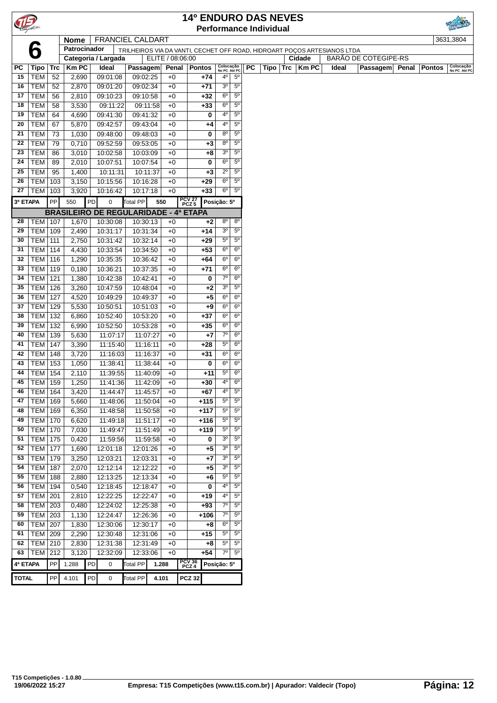|              |                          |            |                |    |                                              |                      |       |                  | <b>14º ENDURO DAS NEVES</b> |                               |                               |    |                               |                                                                          |       |                      |                |        |                           |
|--------------|--------------------------|------------|----------------|----|----------------------------------------------|----------------------|-------|------------------|-----------------------------|-------------------------------|-------------------------------|----|-------------------------------|--------------------------------------------------------------------------|-------|----------------------|----------------|--------|---------------------------|
|              |                          |            |                |    |                                              |                      |       |                  |                             |                               |                               |    | <b>Performance Individual</b> |                                                                          |       |                      |                |        |                           |
|              |                          |            | <b>Nome</b>    |    | <b>FRANCIEL CALDART</b>                      |                      |       |                  |                             |                               |                               |    |                               |                                                                          |       |                      |                |        | 3631,3804                 |
|              | 6                        |            | Patrocinador   |    |                                              |                      |       |                  |                             |                               |                               |    |                               | TRILHEIROS VIA DA VANTI, CECHET OFF ROAD, HIDROART POÇOS ARTESIANOS LTDA |       |                      |                |        |                           |
|              |                          |            |                |    | Categoria / Largada                          |                      |       | ELITE / 08:06:00 |                             |                               |                               |    |                               | Cidade                                                                   |       | BARÃO DE COTEGIPE-RS |                |        |                           |
| PС           | Tipo                     | Trc        | <b>Km PC</b>   |    | Ideal                                        | Passagem             |       | Penal            | <b>Pontos</b>               | Colocação<br>No PC Até PC     |                               | PC | Tipo                          | Trc $\overline{\mathsf{K}}$ m PC                                         | Ideal |                      | Passagem Penal | Pontos | Colocação<br>No PC Até PC |
| 15           | <b>TEM</b>               | 52         | 2,690          |    | 09:01:08                                     | 09:02:25             |       | $+0$             | +74                         | $4^{\circ}$                   | 5 <sup>0</sup>                |    |                               |                                                                          |       |                      |                |        |                           |
| 16           | <b>TEM</b>               | 52         | 2,870          |    | 09:01:20                                     | 09:02:34             |       | $+0$             | $+71$                       | 3 <sup>o</sup>                | $5^{\circ}$                   |    |                               |                                                                          |       |                      |                |        |                           |
| 17           | <b>TEM</b>               | 56         | 2,810          |    | 09:10:23                                     | 09:10:58             |       | $+0$             | $+32$                       | 6 <sup>o</sup>                | $5^{\circ}$                   |    |                               |                                                                          |       |                      |                |        |                           |
| 18           | <b>TEM</b>               | 58         | 3,530          |    | 09:11:22                                     | 09:11:58             |       | $+0$             | $+33$                       | 6 <sup>o</sup>                | $5^{\circ}$                   |    |                               |                                                                          |       |                      |                |        |                           |
| 19           | <b>TEM</b>               | 64         | 4,690          |    | 09:41:30                                     | 09:41:32             |       | $+0$             | 0                           | 4 <sup>0</sup>                | $5^{\circ}$                   |    |                               |                                                                          |       |                      |                |        |                           |
| 20           | <b>TEM</b>               | 67         | 5,870          |    | 09:42:57                                     | 09:43:04             |       | $+0$             | +4                          | 4 <sup>0</sup>                | $5^{\circ}$                   |    |                               |                                                                          |       |                      |                |        |                           |
| 21           | <b>TEM</b>               | 73         | 1,030          |    | 09:48:00                                     | 09:48:03             |       | $+0$             | 0                           | $8^{\circ}$                   | $5^{\circ}$                   |    |                               |                                                                          |       |                      |                |        |                           |
| 22           | <b>TEM</b>               | 79         | 0,710          |    | 09:52:59                                     | 09:53:05             |       | $+0$<br>$+0$     | $+3$                        | $8^{\circ}$<br>3 <sup>o</sup> | $5^{\rm o}$<br>$5^{\circ}$    |    |                               |                                                                          |       |                      |                |        |                           |
| 23<br>24     | <b>TEM</b><br><b>TEM</b> | 86<br>89   | 3,010<br>2,010 |    | 10:02:58<br>10:07:51                         | 10:03:09<br>10:07:54 |       | $+0$             | +8<br>0                     | 6 <sup>o</sup>                | 5 <sup>o</sup>                |    |                               |                                                                          |       |                      |                |        |                           |
| 25           | <b>TEM</b>               | 95         | 1,400          |    | 10:11:31                                     | 10:11:37             |       | $+0$             | $+3$                        | $2^{\circ}$                   | $5^{\rm o}$                   |    |                               |                                                                          |       |                      |                |        |                           |
| 26           | <b>TEM</b>               | 103        | 3,150          |    | 10:15:56                                     | 10:16:28             |       | $+0$             | $+29$                       | $6^{\circ}$                   | $5^{\circ}$                   |    |                               |                                                                          |       |                      |                |        |                           |
| 27           | TEM                      | 103        | 3,920          |    | 10:16:42                                     | 10:17:18             |       | $+0$             | $+33$                       | 6 <sup>o</sup>                | $5^{\rm o}$                   |    |                               |                                                                          |       |                      |                |        |                           |
|              |                          |            |                |    |                                              |                      |       |                  |                             |                               |                               |    |                               |                                                                          |       |                      |                |        |                           |
| 3ª ETAPA     |                          | PP         | 550            | PD | 0                                            | <b>Total PP</b>      | 550   |                  | PCV 27<br>PCZ 5             | Posição: 5º                   |                               |    |                               |                                                                          |       |                      |                |        |                           |
|              |                          |            |                |    | <b>BRASILEIRO DE REGULARIDADE - 4ª ETAPA</b> |                      |       |                  |                             |                               |                               |    |                               |                                                                          |       |                      |                |        |                           |
| 28           | <b>TEM 107</b>           |            | 1,670          |    | 10:30:08                                     | 10:30:13             |       | $+0$             | $+2$                        | $8^{\circ}$<br>3 <sup>o</sup> | 8 <sup>o</sup><br>$5^{\circ}$ |    |                               |                                                                          |       |                      |                |        |                           |
| 29           | <b>TEM</b>               | 109        | 2,490          |    | 10:31:17                                     | 10:31:34             |       | $+0$             | +14                         |                               |                               |    |                               |                                                                          |       |                      |                |        |                           |
| 30           | TEM                      | 111        | 2,750          |    | 10:31:42                                     | 10:32:14             |       | $+0$             | $+29$                       | $5^{\circ}$<br>$6^{\circ}$    | $5^{\circ}$<br>6 <sup>o</sup> |    |                               |                                                                          |       |                      |                |        |                           |
| 31<br>32     | TEM                      | 114        | 4,430          |    | 10:33:54                                     | 10:34:50             |       | $+0$             | $+53$<br>$+64$              | 6 <sup>o</sup>                | 6 <sup>o</sup>                |    |                               |                                                                          |       |                      |                |        |                           |
| 33           | <b>TEM</b><br><b>TEM</b> | 116<br>119 | 1,290<br>0,180 |    | 10:35:35<br>10:36:21                         | 10:36:42<br>10:37:35 |       | $+0$<br>$+0$     | +71                         | 6 <sup>o</sup>                | $6^{\circ}$                   |    |                               |                                                                          |       |                      |                |        |                           |
| 34           | <b>TEM</b>               | 121        |                |    | 10:42:38                                     | 10:42:41             |       | $+0$             | 0                           | $7^\circ$                     | $6^{\circ}$                   |    |                               |                                                                          |       |                      |                |        |                           |
| 35           | <b>TEM</b>               | 126        | 1,380<br>3,260 |    | 10:47:59                                     | 10:48:04             |       | $+0$             | $+2$                        | 3 <sup>o</sup>                | $5^{\circ}$                   |    |                               |                                                                          |       |                      |                |        |                           |
| 36           | <b>TEM</b>               | 127        | 4,520          |    | 10:49:29                                     | 10:49:37             |       | $+0$             | $+5$                        | $6^{\circ}$                   | $6^{\circ}$                   |    |                               |                                                                          |       |                      |                |        |                           |
| 37           | <b>TEM</b>               | 129        | 5,530          |    | 10:50:51                                     | 10:51:03             |       | $+0$             | +9                          | $6^{\circ}$                   | $6^{\circ}$                   |    |                               |                                                                          |       |                      |                |        |                           |
| 38           | TEM                      | 132        | 6,860          |    | 10:52:40                                     | 10:53:20             |       | $+0$             | +37                         | $6^{\circ}$                   | $6^{\circ}$                   |    |                               |                                                                          |       |                      |                |        |                           |
| 39           | <b>TEM</b>               | 132        | 6,990          |    | 10:52:50                                     | 10:53:28             |       | $+0$             | $+35$                       | $6^{\circ}$                   | $6^{\circ}$                   |    |                               |                                                                          |       |                      |                |        |                           |
| 40           | <b>TEM</b>               | 139        | 5,630          |    | 11:07:17                                     | 11:07:27             |       | $+0$             | $+7$                        | $\overline{7^0}$              | $6^{\circ}$                   |    |                               |                                                                          |       |                      |                |        |                           |
| 41           | TEM                      | 147        | 3,390          |    | 11:15:40                                     | 11:16:11             |       | $+0$             | +28                         | $5^{\circ}$                   | $6^{\circ}$                   |    |                               |                                                                          |       |                      |                |        |                           |
| 42           | TEM                      | 148        | 3,720          |    | 11:16:03                                     | 11:16:37             |       | $+0$             | +31                         | $6^{\circ}$                   | 6 <sup>o</sup>                |    |                               |                                                                          |       |                      |                |        |                           |
| 43           | <b>TEM</b>               | 153        | 1,050          |    | 11:38:41                                     | 11:38:44             |       | $+0$             | 0                           | 6 <sup>o</sup>                | $6^{\circ}$                   |    |                               |                                                                          |       |                      |                |        |                           |
| 44           | <b>TEM</b>               | 154        | 2,110          |    | 11:39:55                                     | 11:40:09             |       | $+0$             | +11                         | $5^{\circ}$                   | $6^{\circ}$                   |    |                               |                                                                          |       |                      |                |        |                           |
| 45           | <b>TEM 159</b>           |            | 1,250          |    | 11:41:36                                     | 11:42:09             |       | $+0$             | $+30$                       | 4 <sup>o</sup>                | $6^{\circ}$                   |    |                               |                                                                          |       |                      |                |        |                           |
| 46           | <b>TEM   164</b>         |            | 3,420          |    | 11:44:47                                     | 11:45:57             |       | $+0$             | +67                         | $4^{\circ}$                   | $5^{\circ}$                   |    |                               |                                                                          |       |                      |                |        |                           |
| 47           | <b>TEM</b>               | 169        | 5,660          |    | 11:48:06                                     | 11:50:04             |       | $+0$             | $+115$                      | $5^{\circ}$                   | $5^{\circ}$                   |    |                               |                                                                          |       |                      |                |        |                           |
| 48           | <b>TEM</b>               | 169        | 6,350          |    | 11:48:58                                     | 11:50:58             |       | $+0$             | $+117$                      | $5^{\circ}$                   | $5^{\rm o}$                   |    |                               |                                                                          |       |                      |                |        |                           |
| 49           | <b>TEM</b>               | 170        | 6,620          |    | 11:49:18                                     | 11:51:17             |       | $+0$             | $+116$                      | 5 <sup>o</sup>                | $5^{\circ}$                   |    |                               |                                                                          |       |                      |                |        |                           |
| 50           | <b>TEM</b>               | 170        | 7,030          |    | 11:49:47                                     | 11:51:49             |       | $+0$             | $+119$                      | $5^{\circ}$                   | $5^{\circ}$                   |    |                               |                                                                          |       |                      |                |        |                           |
| 51           | <b>TEM</b>               | 175        | 0,420          |    | 11:59:56                                     | 11:59:58             |       | $+0$             | 0                           | 3 <sup>o</sup>                | $5^{\circ}$                   |    |                               |                                                                          |       |                      |                |        |                           |
| 52           | <b>TEM</b>               | 177        | 1,690          |    | 12:01:18                                     | 12:01:26             |       | $+0$             | +5                          | 3 <sup>o</sup>                | $5^{\circ}$                   |    |                               |                                                                          |       |                      |                |        |                           |
| 53           | <b>TEM</b>               | 179        | 3,250          |    | 12:03:21                                     | 12:03:31             |       | $+0$             | +7                          | 3 <sup>o</sup>                | $5^{\circ}$                   |    |                               |                                                                          |       |                      |                |        |                           |
| 54           | <b>TEM</b>               | 187        | 2,070          |    | 12:12:14                                     | 12:12:22             |       | $+0$             | +5                          | 3 <sup>o</sup>                | 5 <sup>o</sup>                |    |                               |                                                                          |       |                      |                |        |                           |
| 55           | TEM                      | 188        | 2,880          |    | 12:13:25                                     | 12:13:34             |       | $+0$             | +6                          | $5^{\circ}$                   | $5^{\circ}$                   |    |                               |                                                                          |       |                      |                |        |                           |
| 56           | <b>TEM</b>               | 194        | 0,540          |    | 12:18:45                                     | 12:18:47             |       | $+0$             | 0                           | 4°                            | $5^{\circ}$                   |    |                               |                                                                          |       |                      |                |        |                           |
| 57           | <b>TEM</b>               | 201        | 2,810          |    | 12:22:25                                     | 12:22:47             |       | $+0$             | $+19$                       | $4^{\circ}$                   | $5^{\circ}$                   |    |                               |                                                                          |       |                      |                |        |                           |
| 58           | <b>TEM</b>               | 203        | 0,480          |    | 12:24:02                                     | 12:25:38             |       | $+0$             | $+93$                       | $7^\circ$                     | $5^{\rm o}$                   |    |                               |                                                                          |       |                      |                |        |                           |
| 59           | TEM   203                |            | 1,130          |    | 12:24:47                                     | 12:26:36             |       | $+0$             | +106                        | $7^\circ$                     | $5^{\circ}$                   |    |                               |                                                                          |       |                      |                |        |                           |
| 60           | <b>TEM</b>               | 207        | 1,830          |    | 12:30:06                                     | 12:30:17             |       | $+0$             | +8                          | $6^{\circ}$                   | $5^{\circ}$                   |    |                               |                                                                          |       |                      |                |        |                           |
| 61           | <b>TEM</b>               | 209        | 2,290          |    | 12:30:48                                     | 12:31:06             |       | $+0$             | $+15$                       | $5^{\circ}$                   | $5^{\circ}$                   |    |                               |                                                                          |       |                      |                |        |                           |
| 62           | <b>TEM</b>               | 210        | 2,830          |    | 12:31:38                                     | 12:31:49             |       | $+0$             | +8                          | $5^{\circ}$                   | $5^{\circ}$                   |    |                               |                                                                          |       |                      |                |        |                           |
| 63           | <b>TEM</b>               | 212        | 3,120          |    | 12:32:09                                     | 12:33:06             |       | $+0$             | +54                         | $7^\circ$                     | 5 <sup>o</sup>                |    |                               |                                                                          |       |                      |                |        |                           |
| 4ª ETAPA     |                          | PP         | 1.288          | PD | 0                                            | Total PP             | 1.288 |                  | PCV 36<br>PCZ 4             | Posição: 5º                   |                               |    |                               |                                                                          |       |                      |                |        |                           |
| <b>TOTAL</b> |                          | ${\sf PP}$ | 4.101          | PD | 0                                            | <b>Total PP</b>      | 4.101 |                  | <b>PCZ 32</b>               |                               |                               |    |                               |                                                                          |       |                      |                |        |                           |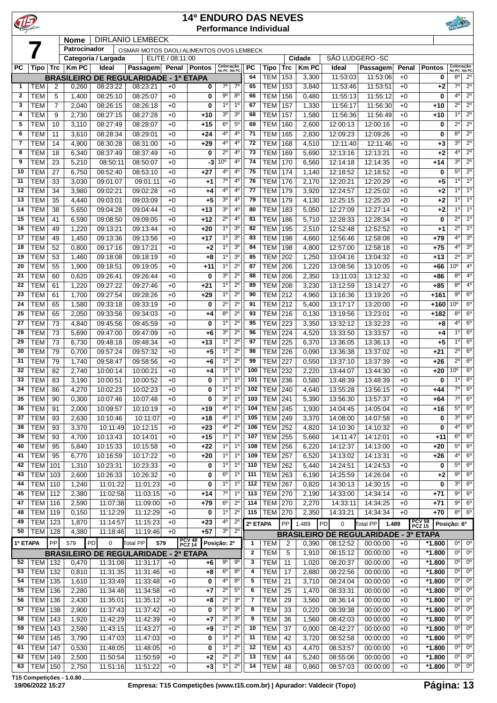|              |                                  |            |                   |                              |                                                                 |                  | <b>14º ENDURO DAS NEVES</b> |                                  |                                  |                     | <b>Performance Individual</b>    |                   |                        |                           |                                              |               |                          |                               |                                    |
|--------------|----------------------------------|------------|-------------------|------------------------------|-----------------------------------------------------------------|------------------|-----------------------------|----------------------------------|----------------------------------|---------------------|----------------------------------|-------------------|------------------------|---------------------------|----------------------------------------------|---------------|--------------------------|-------------------------------|------------------------------------|
|              |                                  |            | Nome              |                              | <b>DIRLANIO LEMBECK</b>                                         |                  |                             |                                  |                                  |                     |                                  |                   |                        |                           |                                              |               |                          |                               |                                    |
|              |                                  |            | Patrocinador      |                              | OSMAR MOTOS DAOLI ALIMENTOS OVOS LEMBECK                        |                  |                             |                                  |                                  |                     |                                  |                   |                        |                           |                                              |               |                          |                               |                                    |
| <b>PC</b>    |                                  |            | <b>KmPC</b>       | Categoria / Largada<br>Ideal |                                                                 | ELITE / 08:11:00 |                             |                                  |                                  | PC                  |                                  |                   | Cidade<br><b>Km PC</b> | SÃO LUDGERO - SC<br>Ideal |                                              |               | <b>Pontos</b>            | Colocação                     |                                    |
|              | Tipo                             | Trc        | <b>BRASILEIRO</b> |                              | <b>Passagem</b><br>DE REGULARIDADE - 1ª ETAPA                   |                  | Penal   Pontos              | Colocação<br>No PC Até PC        |                                  | 64                  | Tipo<br><b>TEM</b>               | <b>Trc</b><br>153 | 3,300                  | 11:53:03                  | Passagem<br>11:53:06                         | Penal<br>$+0$ | 0                        | 80                            | No PC Até PC<br>$2^{\circ}$        |
| $\mathbf{1}$ | TEM                              | 2          | 0,260             | 08:23:22                     | 08:23:21                                                        | $+0$             | 0                           | $7^{\circ}$                      | $7^\circ$                        | 65                  | <b>TEM</b>                       | 153               | 3,840                  | 11:53:46                  | 11:53:51                                     | $+0$          | $+2$                     | $7^\circ$                     | $2^{\circ}$                        |
| $\mathbf{2}$ | <b>TEM</b>                       | 5          | 1,400             | 08:25:10                     | 08:25:07                                                        | $+0$             | 0                           | $9^{\circ}$                      | $8^{\circ}$                      | 66                  | <b>TEM</b>                       | 156               | 0,480                  | 11:55:13                  | 11:55:12                                     | $+0$          | 0                        | $4^{\circ}$                   | $\overline{2^0}$                   |
| 3            | <b>TEM</b>                       | 7          | 2,040             | 08:26:15                     | 08:26:18                                                        | $+0$             | 0                           | 1 <sup>0</sup>                   | 1 <sup>0</sup>                   | 67                  | <b>TEM</b>                       | 157               | 1,330                  | 11:56:17                  | 11:56:30                                     | $+0$          | $+10$                    | $2^{\circ}$                   | $2^{\circ}$                        |
| 4<br>5       | <b>TEM</b><br><b>TEM</b>         | 9<br>10    | 2,730<br>3,110    | 08:27:15<br>08:27:49         | 08:27:28<br>08:28:07                                            | $+0$<br>$+0$     | +10<br>+15                  | 3 <sup>o</sup><br>6 <sup>o</sup> | 3 <sup>0</sup><br>5 <sup>0</sup> | 68<br>69            | <b>TEM</b><br><b>TEM</b>         | 157<br>160        | 1,580<br>2,600         | 11:56:36<br>12:00:13      | 11:56:49<br>12:00:16                         | $+0$<br>$+0$  | $+10$<br>0               | 1 <sup>0</sup><br>$2^{\circ}$ | 2 <sup>0</sup><br>$2^{\circ}$      |
| 6            | <b>TEM</b>                       | 11         | 3,610             | 08:28:34                     | 08:29:01                                                        | $+0$             | $+24$                       | 4 <sup>0</sup>                   | $4^{\circ}$                      | 71                  | <b>TEM</b>                       | 165               | 2,830                  | 12:09:23                  | 12:09:26                                     | $+0$          | 0                        | $8^{\circ}$                   | $2^{\circ}$                        |
| 7            | <b>TEM</b>                       | 14         | 4,900             | 08:30:28                     | 08:31:00                                                        | $+0$             | $+29$                       | 4 <sup>0</sup>                   | 4 <sup>0</sup>                   | 72                  | <b>TEM</b>                       | 168               | 4,510                  | 12:11:40                  | 12:11:46                                     | $+0$          | $+3$                     | 30                            | $2^{\circ}$                        |
| 8            | <b>TEM</b>                       | 18         | 6,340             | 08:37:49                     | 08:37:49                                                        | $+0$             | 0                           | $2^{\circ}$                      | $4^{\circ}$                      | 73                  | TEM                              | 169               | 5,690                  | 12:13:16                  | 12:13:21                                     | $+0$          | $+2$                     | 40                            | $2^{\circ}$                        |
| 9            | <b>TEM</b>                       | 23         | 5,210             | 08:50:11                     | 08:50:07                                                        | $+0$             | $-3$                        | 10 <sup>o</sup>                  | 4 <sup>0</sup>                   | 74                  | <b>TEM</b>                       | 170               | 6,560                  | 12:14:18                  | 12:14:35                                     | $+0$          | $+14$                    | 3 <sup>0</sup>                | $2^{\circ}$                        |
| 10<br>11     | <b>TEM</b><br><b>TEM</b>         | 27<br>33   | 6,750<br>3,030    | 08:52:40<br>09:01:07         | 08:53:10<br>09:01:11                                            | $+0$<br>$+0$     | $+27$<br>$+1$               | 4 <sup>0</sup><br>$7^{\circ}$    | 4 <sup>0</sup><br>$4^{\circ}$    | 75<br>76            | <b>TEM</b><br><b>TEM</b>         | 174<br>176        | 1,140<br>2,170         | 12:18:52<br>12:20:21      | 12:18:52<br>12:20:29                         | $+0$<br>$+0$  | $\bf{0}$<br>$+5$         | $5^{\circ}$<br>$1^{\circ}$    | $\overline{2^0}$<br>1 <sup>0</sup> |
| 12           | <b>TEM</b>                       | 34         | 3,980             | 09:02:21                     | 09:02:28                                                        | $+0$             | +4                          | 4°                               | 4 <sup>0</sup>                   | 77                  | <b>TEM</b>                       | 179               | 3,920                  | 12:24:57                  | 12:25:02                                     | $+0$          | $+2$                     | 1 <sup>0</sup>                | 1 <sup>0</sup>                     |
| 13           | <b>TEM</b>                       | 35         | 4,440             | 09:03:01                     | 09:03:09                                                        | $+0$             | $+5$                        | 3 <sup>o</sup>                   | $4^{\circ}$                      | 79                  | <b>TEM</b>                       | 179               | 4,130                  | 12:25:15                  | 12:25:20                                     | $+0$          | $+2$                     | 10                            | 1 <sup>0</sup>                     |
| 14           | <b>TEM</b>                       | 38         | 5,650             | 09:04:28                     | 09:04:44                                                        | $+0$             | +13                         | 3 <sup>0</sup>                   | 4 <sup>0</sup>                   | 80                  | <b>TEM</b>                       | 183               | 5,050                  | 12:27:09                  | 12:27:14                                     | $+0$          | $+2$                     | 1 <sup>0</sup>                | 1 <sup>0</sup>                     |
| 15           | <b>TEM</b>                       | 41         | 6,590             | 09:08:50                     | 09:09:05                                                        | $+0$             | $+12$                       | $2^{\circ}$                      | $4^{\circ}$                      | 81                  | <b>TEM</b>                       | 186               | 5,710                  | 12:28:33                  | 12:28:34                                     | $+0$          | 0                        | $2^{\circ}$                   | 1 <sup>0</sup>                     |
| 16<br>17     | <b>TEM</b><br><b>TEM</b>         | 49<br>49   | 1,220<br>1,450    | 09:13:21<br>09:13:36         | 09:13:44<br>09:13:56                                            | $+0$<br>$+0$     | $+20$<br>+17                | 1 <sup>0</sup><br>1 <sup>0</sup> | 3 <sup>o</sup><br>3 <sup>o</sup> | 82<br>83            | <b>TEM</b><br>TEM                | 195<br>198        | 2,510<br>4,660         | 12:52:48<br>12:56:46      | 12:52:52<br>12:58:08                         | $+0$<br>$+0$  | $+1$<br>$+79$            | $2^{\circ}$<br>4 <sup>0</sup> | 1 <sup>0</sup><br>3 <sup>o</sup>   |
| 18           | <b>TEM</b>                       | 52         | 0,800             | 09:17:16                     | 09:17:21                                                        | $+0$             | $+2$                        | 1 <sup>0</sup>                   | 3 <sup>o</sup>                   | 84                  | <b>TEM</b>                       | 198               | 4,800                  | 12:57:00                  | 12:58:18                                     | $+0$          | $+75$                    | 4 <sup>0</sup>                | 3 <sup>0</sup>                     |
| 19           | <b>TEM</b>                       | 53         | 1,460             | 09:18:08                     | 09:18:19                                                        | $+0$             | $+8$                        | 1 <sup>0</sup>                   | 3 <sup>0</sup>                   | 85                  | <b>TEM</b>                       | 202               | 1,250                  | 13:04:16                  | 13:04:32                                     | $+0$          | $+13$                    | $2^{\circ}$                   | 3 <sup>0</sup>                     |
| 20           | <b>TEM</b>                       | 55         | 1,900             | 09:18:51                     | 09:19:05                                                        | $+0$             | +11                         | 1 <sup>0</sup>                   | $2^{\circ}$                      | 87                  | <b>TEM</b>                       | 206               | 1,220                  | 13:08:56                  | 13:10:05                                     | $+0$          | $+66$                    | $10^{\circ}$                  | 4 <sup>0</sup>                     |
| 21           | <b>TEM</b>                       | 60         | 0,620             | 09:26:41                     | 09:26:44                                                        | $+0$             | 0                           | 3 <sup>o</sup>                   | $2^{\circ}$                      | 88                  | <b>TEM</b>                       | 206               | 2,350                  | 13:11:03                  | 13:12:32                                     | $+0$          | $+86$                    | $8^{\circ}$                   | 4 <sup>0</sup>                     |
| 22           | <b>TEM</b>                       | 61         | 1,220             | 09:27:22                     | 09:27:46                                                        | $+0$             | +21                         | 1 <sup>0</sup><br>1 <sup>0</sup> | $2^{\circ}$<br>$2^{\circ}$       | 89                  | TEM                              | 208               | 3,230                  | 13:12:59                  | 13:14:27                                     | $+0$          | $+85$                    | 8 <sup>o</sup><br>$9^{\circ}$ | 4 <sup>0</sup><br>6 <sup>o</sup>   |
| 23<br>24     | <b>TEM</b><br><b>TEM</b>         | 61<br>65   | 1,700<br>1,580    | 09:27:54<br>09:33:18         | 09:28:26<br>09:33:19                                            | $+0$<br>$+0$     | $+29$<br>0                  | $2^{\circ}$                      | $2^{\circ}$                      | 90<br>91            | <b>TEM</b><br><b>TEM</b>         | 212<br>212        | 4,960<br>5,400         | 13:16:36<br>13:17:17      | 13:19:20<br>13:20:00                         | $+0$<br>$+0$  | $+161$<br>$+160$         | $10^{\circ}$                  | 6 <sup>o</sup>                     |
| 25           | <b>TEM</b>                       | 65         | 2,050             | 09:33:56                     | 09:34:03                                                        | $+0$             | +4                          | $8^{\circ}$                      | $2^{\circ}$                      | 93                  | <b>TEM</b>                       | 216               | 0,130                  | 13:19:56                  | 13:23:01                                     | $+0$          | +182                     | 8 <sup>0</sup>                | 6 <sup>o</sup>                     |
| 27           | <b>TEM</b>                       | 73         | 4,840             | 09:45:56                     | 09:45:59                                                        | $+0$             | $\bf{0}$                    | 1 <sup>0</sup>                   | $2^{\circ}$                      | 95                  | TEM                              | 223               | 3,350                  | 13:32:12                  | 13:32:23                                     | $+0$          | $+8$                     | $4^{\circ}$                   | $6^{\circ}$                        |
| 28           | <b>TEM</b>                       | 73         | 5,690             | 09:47:00                     | 09:47:09                                                        | $+0$             | $+6$                        | 3 <sup>o</sup>                   | $2^{\circ}$                      | 96                  | TEM                              | 224               | 4,520                  | 13:33:50                  | 13:33:57                                     | $+0$          | $+4$                     | 1 <sup>0</sup>                | $6^{\circ}$                        |
| 29           | <b>TEM</b>                       | 73         | 6,730             | 09:48:18                     | 09:48:34                                                        | $+0$             | $+13$                       | 1 <sup>0</sup>                   | $2^{\circ}$                      | 97                  | <b>TEM</b>                       | 225               | 6,370                  | 13:36:05                  | 13:36:13                                     | $+0$          | $+5$                     | $1^{\circ}$                   | $6^{\circ}$                        |
| 30<br>31     | <b>TEM</b><br><b>TEM</b>         | 79<br>79   | 0,700<br>1,740    | 09:57:24<br>09:58:47         | 09:57:32<br>09:58:56                                            | $+0$<br>$+0$     | $+5$<br>$+6$                | 1 <sup>0</sup><br>$1^{\circ}$    | $2^{\circ}$<br>$2^{\circ}$       | 98<br>99            | <b>TEM</b><br><b>TEM</b>         | 226<br>227        | 0,090<br>0,550         | 13:36:38<br>13:37:10      | 13:37:02<br>13:37:39                         | $+0$<br>$+0$  | $+21$<br>$+26$           | $2^{\circ}$<br>$2^{\circ}$    | 6 <sup>o</sup><br>6 <sup>o</sup>   |
| 32           | <b>TEM</b>                       | 82         | 2,740             | 10:00:14                     | 10:00:21                                                        | $+0$             | $+4$                        | 1 <sup>0</sup>                   | 1 <sup>0</sup>                   | 100                 | <b>TEM</b>                       | 232               | 2,220                  | 13:44:07                  | 13:44:30                                     | $+0$          | $+20$                    | 0°                            | 6 <sup>o</sup>                     |
| 33           | <b>TEM</b>                       | 83         | 3,190             | 10:00:51                     | 10:00:52                                                        | $+0$             | 0                           | $1^{\circ}$                      | 1 <sup>0</sup>                   | 101                 | <b>TEM 236</b>                   |                   | 0,580                  | 13:48:39                  | 13:48:39                                     | $+0$          | 0                        | $1^{\circ}$                   | 6 <sup>o</sup>                     |
| 34           | <b>TEM</b>                       | 86         | 4,270             | 10:02:23                     | 10:02:23                                                        | $+0$             | 0                           | 1 <sup>o</sup>                   | 1 <sup>0</sup>                   | 102                 | <b>TEM 240</b>                   |                   | 4,640                  | 13:55:28                  | 13:56:15                                     | $+0$          | $+44$                    | $7^\circ$                     | 6 <sup>o</sup>                     |
| 35           | <b>TEM</b>                       | 90         | 0,300             | 10:07:46                     | 10:07:48                                                        | $+0$             | 0                           | 3 <sup>o</sup>                   | 1 <sup>0</sup>                   | 103                 | TEM 241                          |                   | 5,390                  | 13:56:30                  | 13:57:37                                     | $+0$          | $+64$                    | $7^{\circ}$                   | $6^{\circ}$                        |
| 36<br>37     | <b>TEM</b><br><b>TEM</b>         | 91<br>93   | 2,000<br>2,630    | 10:09:57<br>10:10:46         | 10:10:19<br>10:11:07                                            | $+0$<br>$+0$     | $+19$<br>$+18$              | 4 <sup>0</sup><br>4 <sup>0</sup> | $1^{\circ}$<br>$1^{\circ}$       | 104<br>105          | $TEM$ 245<br>TEM 249             |                   | 1,930<br>3,370         | 14:04:45<br>14:08:00      | 14:05:04<br>14:07:58                         | $+0$<br>$+0$  | $+16$<br>0               | $5^{\circ}$<br>3 <sup>0</sup> | $6^{\circ}$<br>$6^{\circ}$         |
| 38           | <b>TEM</b>                       | 93         | 3,370             | 10:11:49                     | 10:12:15                                                        | $+0$             | $+23$                       | 4 <sup>0</sup>                   | $2^{\circ}$                      | 106                 | <b>TEM 252</b>                   |                   | 4,820                  | 14:10:30                  | 14:10:32                                     | $+0$          | 0                        | $4^{\circ}$                   | 6 <sup>o</sup>                     |
| 39           | <b>TEM</b>                       | 93         | 4,700             | 10:13:43                     | 10:14:01                                                        | $+0$             | $+15$                       | 1 <sup>o</sup>                   | 1 <sup>0</sup>                   | 107                 | <b>TEM</b>                       | 255               | 5,660                  | 14:11:47                  | 14:12:01                                     | $+0$          | $+11$                    | $6^{\circ}$                   | 6 <sup>o</sup>                     |
| 40           | <b>TEM</b>                       | 95         | 5,840             | 10:15:33                     | 10:15:58                                                        | $+0$             | $+22$                       | 1 <sup>o</sup>                   | 1 <sup>0</sup>                   | 108                 | <b>TEM</b>                       | 256               | 6,220                  | 14:12:37                  | 14:13:00                                     | $+0$          | $+20$                    | $5^{\circ}$                   | 6 <sup>o</sup>                     |
| 41           | <b>TEM</b>                       | 95         | 6,770             | 10:16:59                     | 10:17:22                                                        | $+0$             | $+20$                       | 1 <sup>o</sup>                   | 1 <sup>0</sup>                   | 109                 | TEM                              | 257               | 6,520                  | 14:13:02                  | 14:13:31                                     | $+0$          | $+26$                    | $4^{\circ}$                   | 6 <sup>o</sup>                     |
| 42           | TEM                              | 101        | 1,310             | 10:23:31                     | 10:23:33                                                        | $+0$             | 0                           | 1 <sup>0</sup>                   | 1 <sup>0</sup><br>1 <sup>0</sup> | 110                 | <b>TEM</b>                       | 262               | 5,440                  | 14:24:51                  | 14:24:53                                     | $+0$          | 0                        | $5^{\circ}$<br>$9^{\circ}$    | 6 <sup>o</sup><br>6 <sup>o</sup>   |
| 43<br>44     | <b>TEM 103</b><br><b>TEM 110</b> |            | 2,600<br>1,240    | 10:26:33<br>11:01:22         | 10:26:32<br>11:01:23                                            | $+0$<br>$+0$     | 0<br>0                      | 6 <sup>o</sup><br>$1^{\circ}$    | 1 <sup>0</sup>                   | 111<br>112          | <b>TEM 263</b><br><b>TEM 267</b> |                   | 6,190<br>0,820         | 14:25:59<br>14:30:13      | 14:26:04<br>14:30:15                         | $+0$<br>$+0$  | $+2$<br>0                | $3^{\circ}$                   | 6 <sup>o</sup>                     |
| 45           | <b>TEM 112</b>                   |            | 2,380             | 11:02:58                     | 11:03:15                                                        | $+0$             | $+14$                       | $7^\circ$                        | $1^{\circ}$                      | 113                 | <b>TEM 270</b>                   |                   | 2,190                  | 14:33:00                  | 14:34:14                                     | $+0$          | $+71$                    | $9^{\circ}$                   | $6^{\circ}$                        |
| 47           | $TEM$ 116                        |            | 2,590             | 11:07:38                     | 11:09:00                                                        | $+0$             | $+79$                       | 6 <sup>o</sup>                   | $2^{\circ}$                      | 114                 | <b>TEM 270</b>                   |                   | 2,270                  | 14:33:11                  | 14:34:25                                     | $+0$          | $+71$                    | $9^{\circ}$                   | $6^{\circ}$                        |
| 48           | <b>TEM</b> 119                   |            | 0,150             | 11:12:29                     | 11:12:29                                                        | $+0$             | 0                           | 1 <sup>o</sup>                   | $2^{\circ}$                      | 115                 | <b>TEM 270</b>                   |                   | 2,350                  | 14:33:21                  | 14:34:34                                     | $+0$          | $+70$                    | $8^{\circ}$                   | 6 <sup>o</sup>                     |
| 49           | <b>TEM 123</b>                   |            | 1,870             | 11:14:57                     | 11:15:23                                                        | $+0$             | $+23$                       | $4^{\circ}$                      | $2^{\circ}$                      | 2ª ETAPA            |                                  | PP                | 1.489                  | PD<br>0                   | Total PP<br>1.489                            |               | <b>PCV 59<br/>PCZ 15</b> | Posição: 6º                   |                                    |
| 50           | <b>TEM 128</b>                   |            | 4,380             | 11:18:46                     | 11:19:46                                                        | $+0$             | $+57$                       | 3 <sup>0</sup>                   | $2^{\circ}$                      |                     |                                  |                   |                        |                           | <b>BRASILEIRO DE REGULARIDADE - 3ª ETAPA</b> |               |                          |                               |                                    |
| 1ª ETAPA     |                                  | ${\sf PP}$ | 579               | PD<br>0                      | Total PP<br>579<br><b>BRASILEIRO DE REGULARIDADE - 2ª ETAPA</b> |                  | <b>PCV 48<br/>PCZ 14</b>    | Posição: 2º                      |                                  | 1<br>$\mathbf{2}$   | TEM<br><b>TEM</b>                | 2<br>5            | 0,390<br>1,910         | 08:12:52<br>08:15:12      | 00:00:00<br>00:00:00                         | $+0$<br>$+0$  | *1.800<br>*1.800         | $0^{\circ}$<br>0°             | $0^{\circ}$<br>$0^{\circ}$         |
| 52           | <b>TEM 132</b>                   |            | 0,470             | 11:31:08                     | 11:31:17                                                        | $+0$             | +6                          | 9 <sup>o</sup>                   | 9 <sup>o</sup>                   | 3                   | TEM                              | 11                | 1,020                  | 08:20:37                  | 00:00:00                                     | $+0$          | *1.800                   | 0 <sup>o</sup>                | 0 <sup>o</sup>                     |
| 53           | TEM   132                        |            | 0,810             | 11:31:35                     | 11:31:46                                                        | $+0$             | $+8$                        | 6 <sup>o</sup>                   | $8^{\circ}$                      | 4                   | <b>TEM</b>                       | 17                | 2,880                  | 08:22:56                  | 00:00:00                                     | $+0$          | *1.800                   | 0 <sup>o</sup>                | $0^{\circ}$                        |
| 54           | TEM   135                        |            | 1,610             | 11:33:49                     | 11:33:48                                                        | $+0$             | 0                           | $4^{\circ}$                      | $8^{\circ}$                      | 5                   | TEM                              | 21                | 3,710                  | 08:24:04                  | 00:00:00                                     | $+0$          | *1.800                   | 0 <sup>o</sup>                | $0^{\circ}$                        |
| 55           | TEM   136                        |            | 2,280             | 11:34:48                     | 11:34:58                                                        | $+0$             | $+7$                        | $2^{\circ}$                      | $5^{\circ}$                      | 6                   | <b>TEM</b>                       | 25                | 1,470                  | 08:33:31                  | 00:00:00                                     | $+0$          | *1.800                   | $0^{\circ}$                   | $0^{\circ}$                        |
| 56<br>57     | <b>TEM 136</b><br><b>TEM 138</b> |            | 2,430<br>2,900    | 11:35:01<br>11:37:43         | 11:35:12<br>11:37:42                                            | $+0$<br>$+0$     | +8<br>0                     | $2^{\circ}$<br>5 <sup>0</sup>    | 3 <sup>o</sup><br>3 <sup>o</sup> | $\overline{7}$<br>8 | TEM<br>TEM                       | 29<br>33          | 3,560<br>0,220         | 08:36:14<br>08:39:38      | 00:00:00<br>00:00:00                         | $+0$<br>$+0$  | $*1.800$<br>*1.800       | 0 <sup>o</sup><br>$0^{\circ}$ | $0^{\circ}$<br>$0^{\circ}$         |
| 58           | TEM   143                        |            | 1,920             | 11:42:29                     | 11:42:39                                                        | $+0$             | $+7$                        | $2^{\circ}$                      | 3 <sup>o</sup>                   | 9                   | <b>TEM</b>                       | 36                | 1,560                  | 08:42:03                  | 00:00:00                                     | $+0$          | *1.800                   | $0^{\circ}$                   | $0^{\circ}$                        |
| 59           | TEM   143                        |            | 2,590             | 11:43:15                     | 11:43:27                                                        | $+0$             | $+9$                        | 1 <sup>o</sup>                   | $2^{\circ}$                      | 10                  | <b>TEM</b>                       | 37                | 0,000                  | 08:42:27                  | 00:00:00                                     | $+0$          | *1.800                   | $0^{\circ}$                   | $0^{\circ}$                        |
| 60           | $TEM$ 145                        |            | 3,790             | 11:47:03                     | 11:47:03                                                        | $+0$             | 0                           | 1 <sup>o</sup>                   | $2^{\circ}$                      | 11                  | <b>TEM</b>                       | 42                | 3,720                  | 08:52:58                  | 00:00:00                                     | $+0$          | *1.800                   | 0°                            | $0^{\circ}$                        |
| 61           | $TEM$ 147                        |            | 0,530             | 11:48:05                     | 11:48:05                                                        | $+0$             | 0                           | $\overline{1^0}$                 | $2^{\circ}$                      | 12                  | <b>TEM</b>                       | 43                | 4,470                  | 08:53:57                  | 00:00:00                                     | $+0$          | *1.800                   | 0 <sup>0</sup>                | 0 <sup>o</sup>                     |
| 62           | TEM   149                        |            | 2,500             | 11:50:54                     | 11:50:59                                                        | $+0$             | $+2$                        | $2^{\circ}$<br>1 <sup>0</sup>    | $2^{\circ}$<br>$2^{\circ}$       | 13<br>14            | TEM                              | 44                | 5,240                  | 08:55:06                  | 00:00:00                                     | $+0$          | *1.800                   | 0°  <br>0°                    | $0^{\circ}$<br>0 <sup>o</sup>      |
| 63           | <b>TEM 150</b>                   |            | 2,750             | 11:51:16                     | 11:51:22                                                        | $+0$             | $+3$                        |                                  |                                  |                     | TEM                              | 48                | 0,860                  | 08:57:03                  | 00:00:00                                     | $+0$          | *1.800                   |                               |                                    |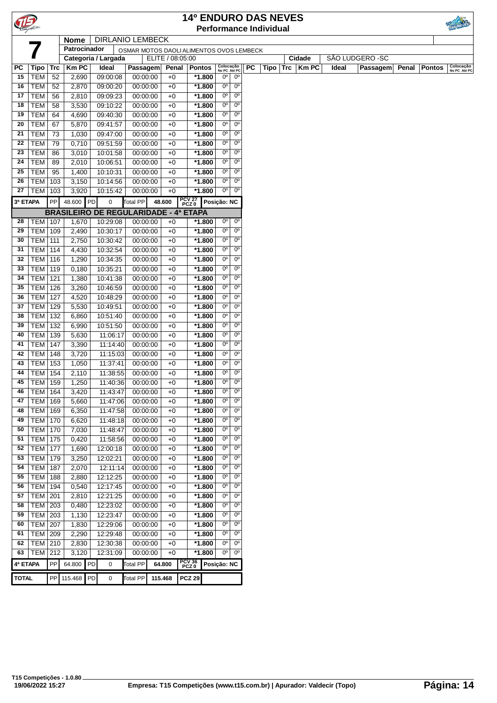| TIE.         |                          |            |                |    |                                              |                      |                                          |                 |                  |                            |                            |           | <b>14º ENDURO DAS NEVES</b>   |                  |                  |          |       |               |                           |
|--------------|--------------------------|------------|----------------|----|----------------------------------------------|----------------------|------------------------------------------|-----------------|------------------|----------------------------|----------------------------|-----------|-------------------------------|------------------|------------------|----------|-------|---------------|---------------------------|
|              |                          |            |                |    |                                              |                      |                                          |                 |                  |                            |                            |           | <b>Performance Individual</b> |                  |                  |          |       |               |                           |
|              |                          |            | <b>Nome</b>    |    | <b>DIRLANIO LEMBECK</b>                      |                      |                                          |                 |                  |                            |                            |           |                               |                  |                  |          |       |               |                           |
|              |                          |            | Patrocinador   |    |                                              |                      | OSMAR MOTOS DAOLI ALIMENTOS OVOS LEMBECK |                 |                  |                            |                            |           |                               |                  |                  |          |       |               |                           |
|              |                          |            |                |    | Categoria / Largada                          |                      | ELITE / 08:05:00                         |                 |                  |                            |                            |           |                               | Cidade           | SÃO LUDGERO - SC |          |       |               |                           |
| РC           | <b>Tipo</b>              | <b>Trc</b> | <b>Km PC</b>   |    | Ideal                                        | Passagem             |                                          |                 | Penal Pontos     | Colocação<br>No PC Até PC  |                            | <b>PC</b> | <b>Tipo</b>                   | $Trc \mid$ Km PC | Ideal            | Passagem | Penal | <b>Pontos</b> | Colocação<br>No PC Até PC |
| 15           | <b>TEM</b>               | 52         | 2,690          |    | 09:00:08                                     | 00:00:00             | $+0$                                     |                 | *1.800           | $0^{\circ}$                | $0^{\circ}$                |           |                               |                  |                  |          |       |               |                           |
| 16           | <b>TEM</b>               | 52         | 2,870          |    | 09:00:20                                     | 00:00:00             | $+0$                                     |                 | $*1.800$         | $0^{\circ}$                | $0^{\circ}$                |           |                               |                  |                  |          |       |               |                           |
| 17           | <b>TEM</b>               | 56         | 2,810          |    | 09:09:23                                     | 00:00:00             | $+0$                                     |                 | $*1.800$         | $0^{\circ}$                | $0^{\circ}$                |           |                               |                  |                  |          |       |               |                           |
| 18           | <b>TEM</b>               | 58         | 3,530          |    | 09:10:22                                     | 00:00:00             | $+0$                                     |                 | *1.800           | 0°                         | $0^{\circ}$                |           |                               |                  |                  |          |       |               |                           |
| 19           | <b>TEM</b>               | 64         | 4,690          |    | 09:40:30                                     | 00:00:00             | $+0$                                     |                 | *1.800           | 0°                         | $0^{\circ}$                |           |                               |                  |                  |          |       |               |                           |
| 20           | <b>TEM</b>               | 67         | 5,870          |    | 09:41:57                                     | 00:00:00             | $+0$                                     |                 | $*1.800$         | 0°                         | $0^{\circ}$                |           |                               |                  |                  |          |       |               |                           |
| 21           | <b>TEM</b>               | 73         | 1,030          |    | 09:47:00                                     | 00:00:00             | $+0$                                     |                 | $*1.800$         | $0^{\rm o}$                | $0^{\circ}$                |           |                               |                  |                  |          |       |               |                           |
| 22           | <b>TEM</b>               | 79         | 0,710          |    | 09:51:59                                     | 00:00:00             | $+0$                                     |                 | *1.800           | $0^{\circ}$                | $0^{\circ}$                |           |                               |                  |                  |          |       |               |                           |
| 23           | <b>TEM</b>               | 86         | 3,010          |    | 10:01:58                                     | 00:00:00             | $+0$                                     |                 | *1.800           | $0^{\circ}$                | $0^{\circ}$                |           |                               |                  |                  |          |       |               |                           |
| 24           | <b>TEM</b>               | 89         | 2,010          |    | 10:06:51                                     | 00:00:00             | $+0$                                     |                 | *1.800           | $0^{\circ}$                | $0^{\circ}$                |           |                               |                  |                  |          |       |               |                           |
| 25           | <b>TEM</b>               | 95         | 1,400          |    | 10:10:31                                     | 00:00:00             | $+0$                                     |                 | $*1.800$         | 0°                         | $0^{\circ}$                |           |                               |                  |                  |          |       |               |                           |
| 26           | <b>TEM</b>               | 103        | 3,150          |    | 10:14:56                                     | 00:00:00             | $+0$                                     |                 | $*1.800$         | 0°                         | $0^{\circ}$                |           |                               |                  |                  |          |       |               |                           |
| 27           | <b>TEM</b>               | 103        | 3,920          |    | 10:15:42                                     | 00:00:00             | $+0$                                     |                 | *1.800           | $0^{\circ}$                | $0^{\circ}$                |           |                               |                  |                  |          |       |               |                           |
| 3ª ETAPA     |                          | PP         | 48.600         | PD | $\mathbf 0$                                  | <b>Total PP</b>      | 48.600                                   | PCV 27<br>PCZ 0 |                  | Posição: NC                |                            |           |                               |                  |                  |          |       |               |                           |
|              |                          |            |                |    | <b>BRASILEIRO DE REGULARIDADE - 4ª ETAPA</b> |                      |                                          |                 |                  |                            |                            |           |                               |                  |                  |          |       |               |                           |
| 28           | <b>TEM   107</b>         |            | 1,670          |    | 10:29:08                                     | 00:00:00             | $+0$                                     |                 | $*1.800$         | $0^{\circ}$                | $0^{\circ}$                |           |                               |                  |                  |          |       |               |                           |
| 29           | <b>TEM</b>               | 109        | 2,490          |    | 10:30:17                                     | 00:00:00             | $+0$                                     |                 | $*1.800$         | 0°                         | $0^{\circ}$                |           |                               |                  |                  |          |       |               |                           |
| 30           | <b>TEM</b>               | 111        | 2,750          |    | 10:30:42                                     | 00:00:00             | $+0$                                     |                 | *1.800           | $0^{\circ}$                | $0^{\circ}$                |           |                               |                  |                  |          |       |               |                           |
| 31           | <b>TEM</b>               | 114        | 4,430          |    | 10:32:54                                     | 00:00:00             | $+0$                                     |                 | *1.800           | 0°                         | $0^{\circ}$                |           |                               |                  |                  |          |       |               |                           |
| 32           | <b>TEM</b>               | 116        | 1,290          |    | 10:34:35                                     | 00:00:00             | +0                                       |                 | $*1.800$         | $0^{\circ}$                | $0^{\circ}$                |           |                               |                  |                  |          |       |               |                           |
| 33           | <b>TEM</b>               | 119        | 0,180          |    | 10:35:21                                     | 00:00:00             | $+0$                                     |                 | $*1.800$         | 0 <sup>o</sup>             | 0 <sup>o</sup>             |           |                               |                  |                  |          |       |               |                           |
| 34           | <b>TEM</b>               | 121        | 1,380          |    | 10:41:38                                     | 00:00:00             | $+0$                                     |                 | $*1.800$         | $0^{\circ}$                | $0^{\circ}$                |           |                               |                  |                  |          |       |               |                           |
| 35           | TEM                      | 126        | 3,260          |    | 10:46:59                                     | 00:00:00             | $+0$                                     |                 | $*1.800$         | $0^{\circ}$                | $0^{\circ}$                |           |                               |                  |                  |          |       |               |                           |
| 36           | <b>TEM</b>               | 127        | 4,520          |    | 10:48:29                                     | 00:00:00             | $+0$                                     |                 | $*1.800$         | 0°                         | $0^{\circ}$                |           |                               |                  |                  |          |       |               |                           |
| 37           | <b>TEM</b>               | 129        | 5,530          |    | 10:49:51                                     | 00:00:00             | $+0$                                     |                 | *1.800           | 0 <sup>o</sup>             | $0^{\circ}$                |           |                               |                  |                  |          |       |               |                           |
| 38           | <b>TEM</b>               | 132        | 6,860          |    | 10:51:40                                     | 00:00:00             | $+0$                                     |                 | $*1.800$         | $0^{\rm o}$                | $0^{\circ}$                |           |                               |                  |                  |          |       |               |                           |
| 39           | <b>TEM</b>               | 132        | 6,990          |    | 10:51:50                                     | 00:00:00             | $+0$                                     |                 | *1.800           | 0°                         | $0^{\circ}$                |           |                               |                  |                  |          |       |               |                           |
| 40           | <b>TEM</b>               | 139        | 5,630          |    | 11:06:17                                     | 00:00:00             | $+0$                                     |                 | *1.800           | 0°                         | $0^{\circ}$                |           |                               |                  |                  |          |       |               |                           |
| 41           | <b>TEM</b>               | 147        | 3,390          |    | 11:14:40                                     | 00:00:00             | +0                                       |                 | $*1.800$         | $0^{\circ}$                | $0^{\circ}$                |           |                               |                  |                  |          |       |               |                           |
| 42           | <b>TEM</b>               | 148        | 3,720          |    | 11:15:03                                     | 00:00:00             | +0                                       |                 | $*1.800$         | $0^{\rm o}$                | $0^{\circ}$                |           |                               |                  |                  |          |       |               |                           |
| 43           | <b>TEM</b>               | 153        | 1,050          |    | 11:37:41                                     | 00:00:00             | $+0$                                     |                 | $*1.800$         | $0^{\circ}$                | $0^{\circ}$                |           |                               |                  |                  |          |       |               |                           |
| 44           | TEM                      | 154        | 2,110          |    | 11:38:55                                     | 00:00:00             | $+0$                                     |                 | *1.800           | $0^{\circ}$                | $0^{\circ}$                |           |                               |                  |                  |          |       |               |                           |
| 45           | <b>TEM 159</b>           |            | 1,250          |    | 11:40:36                                     | 00:00:00             | $+0$                                     |                 | $*1.800$         | $0^{\circ}$                | $0^{\circ}$                |           |                               |                  |                  |          |       |               |                           |
| 46           | <b>TEM   164</b>         |            | 3,420          |    | 11:43:47                                     | 00:00:00             | $+0$                                     |                 | *1.800           | 0°                         | $0^{\circ}$                |           |                               |                  |                  |          |       |               |                           |
| 47           | <b>TEM</b>               | 169        | 5,660          |    | 11:47:06                                     | 00:00:00             | $+0$                                     |                 | *1.800           | $0^{\circ}$                | $0^{\circ}$                |           |                               |                  |                  |          |       |               |                           |
| 48           | <b>TEM</b>               | 169        | 6,350          |    | 11:47:58                                     | 00:00:00             | $+0$                                     |                 | *1.800           | 0°                         | 0°                         |           |                               |                  |                  |          |       |               |                           |
| 49           | <b>TEM</b>               | 170        | 6,620          |    | 11:48:18                                     | 00:00:00             | +0                                       |                 | *1.800           | $0^{\circ}$                | $0^{\circ}$                |           |                               |                  |                  |          |       |               |                           |
| 50           | <b>TEM</b>               | 170        | 7,030          |    | 11:48:47                                     | 00:00:00             | +0                                       |                 | *1.800           | $0^{\circ}$                | 0°                         |           |                               |                  |                  |          |       |               |                           |
| 51           | <b>TEM</b>               | 175        | 0,420          |    | 11:58:56                                     | 00:00:00             | +0                                       |                 | *1.800           | $0^{\circ}$<br>$0^{\circ}$ | $0^{\rm o}$                |           |                               |                  |                  |          |       |               |                           |
| 52<br>53     | <b>TEM</b>               | 177        | 1,690          |    | 12:00:18<br>12:02:21                         | 00:00:00             | +0                                       |                 | *1.800           | $0^{\circ}$                | $0^{\circ}$<br>$0^{\circ}$ |           |                               |                  |                  |          |       |               |                           |
| 54           | <b>TEM</b>               | 179        | 3,250          |    |                                              | 00:00:00             | $+0$                                     |                 | *1.800           | $0^{\circ}$                | $0^{\circ}$                |           |                               |                  |                  |          |       |               |                           |
|              | <b>TEM</b>               | 187        | 2,070          |    | 12:11:14                                     | 00:00:00<br>00:00:00 | +0                                       |                 | *1.800           | $0^{\circ}$                | $0^{\circ}$                |           |                               |                  |                  |          |       |               |                           |
| 55<br>56     | <b>TEM</b><br><b>TEM</b> | 188        | 2,880<br>0,540 |    | 12:12:25                                     | 00:00:00             | $+0$                                     |                 | *1.800<br>*1.800 | $0^{\circ}$                | $0^{\circ}$                |           |                               |                  |                  |          |       |               |                           |
| 57           | <b>TEM</b>               | 194        |                |    | 12:17:45                                     |                      | $+0$                                     |                 | *1.800           | 0°                         | 0 <sup>o</sup>             |           |                               |                  |                  |          |       |               |                           |
| 58           | <b>TEM</b>               | 201        | 2,810          |    | 12:21:25<br>12:23:02                         | 00:00:00<br>00:00:00 | $+0$                                     |                 | *1.800           | 0°                         | 0°                         |           |                               |                  |                  |          |       |               |                           |
| 59           | <b>TEM</b>               | 203<br>203 | 0,480<br>1,130 |    | 12:23:47                                     | 00:00:00             | +0<br>+0                                 |                 | *1.800           | $0^{\circ}$                | $0^{\circ}$                |           |                               |                  |                  |          |       |               |                           |
| 60           | <b>TEM</b>               | 207        | 1,830          |    | 12:29:06                                     | 00:00:00             | +0                                       |                 | *1.800           | $0^{\circ}$                | $0^{\circ}$                |           |                               |                  |                  |          |       |               |                           |
| 61           | <b>TEM</b>               | 209        | 2,290          |    | 12:29:48                                     | 00:00:00             | +0                                       |                 | $*1.800$         | 0°                         | $0^{\circ}$                |           |                               |                  |                  |          |       |               |                           |
| 62           | <b>TEM 210</b>           |            | 2,830          |    | 12:30:38                                     | 00:00:00             | $+0$                                     |                 | *1.800           | 0°                         | $0^{\circ}$                |           |                               |                  |                  |          |       |               |                           |
| 63           | <b>TEM</b>               | 212        | 3,120          |    | 12:31:09                                     | 00:00:00             | $+0$                                     |                 | *1.800           | $0^{\circ}$                | $0^{\circ}$                |           |                               |                  |                  |          |       |               |                           |
| 4ª ETAPA     |                          | PP         | 64.800         | PD | 0                                            | Total PP             | 64.800                                   | PCV 36<br>PCZ 0 |                  | Posição: NC                |                            |           |                               |                  |                  |          |       |               |                           |
|              |                          |            |                |    |                                              |                      |                                          |                 |                  |                            |                            |           |                               |                  |                  |          |       |               |                           |
| <b>TOTAL</b> |                          |            | PP 115.468     | PD | 0                                            | <b>Total PP</b>      | 115.468                                  | <b>PCZ 29</b>   |                  |                            |                            |           |                               |                  |                  |          |       |               |                           |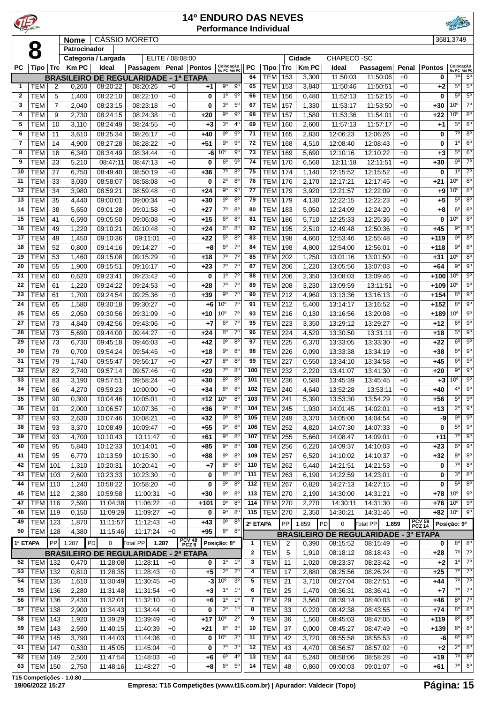|                   |                          |            |                |                      |                                                                   |                  | <b>14º ENDURO DAS NEVES</b> |                               |                                    |                   | <b>Performance Individual</b> |                     |                |                      |                                              |              |                         |                                    |                               |
|-------------------|--------------------------|------------|----------------|----------------------|-------------------------------------------------------------------|------------------|-----------------------------|-------------------------------|------------------------------------|-------------------|-------------------------------|---------------------|----------------|----------------------|----------------------------------------------|--------------|-------------------------|------------------------------------|-------------------------------|
|                   |                          |            | <b>Nome</b>    |                      | <b>CÁSSIO MORETO</b>                                              |                  |                             |                               |                                    |                   |                               |                     |                |                      |                                              |              |                         | 3681,3749                          |                               |
|                   | 8                        |            | Patrocinador   | Categoria / Largada  |                                                                   | ELITE / 08:08:00 |                             |                               |                                    |                   |                               |                     | Cidade         | CHAPECÓ-SC           |                                              |              |                         |                                    |                               |
| <b>PC</b>         | Tipo                     | <b>Trc</b> | <b>Km PC</b>   | Ideal                | Passagem                                                          | Penal            | Pontos                      | Colocação<br>No PC Até PC     |                                    | <b>PC</b>         | Tipo                          | <b>Trc</b>          | <b>Km PC</b>   | Ideal                | Passagem                                     | Penal        | <b>Pontos</b>           | Colocação<br>No PC Até PC          |                               |
|                   |                          |            |                |                      | <b>BRASILEIRO DE REGULARIDADE - 1ª ETAPA</b>                      |                  |                             |                               |                                    | 64                | <b>TEM</b>                    | 153                 | 3,300          | 11:50:03             | 11:50:06                                     | $+0$         | 0                       | 7°                                 | $5^{\circ}$<br>$5^{\circ}$    |
| 1<br>$\mathbf{2}$ | TEM<br><b>TEM</b>        | 2<br>5     | 0,260<br>1,400 | 08:20:22<br>08:22:10 | 08:20:26<br>08:22:10                                              | $+0$<br>$+0$     | +1<br>0                     | 90<br>1 <sup>0</sup>          | 90<br>$9^{\circ}$                  | 65<br>66          | <b>TEM</b><br><b>TEM</b>      | 153<br>156          | 3,840<br>0,480 | 11:50:46<br>11:52:13 | 11:50:51<br>11:52:15                         | $+0$<br>$+0$ | +2<br>0                 | $5^{\circ}$<br>$5^{\circ}$         | $5^{\circ}$                   |
| 3                 | <b>TEM</b>               | 7          | 2,040          | 08:23:15             | 08:23:18                                                          | $+0$             | 0                           | 3 <sup>o</sup>                | $5^{\circ}$                        | 67                | <b>TEM</b>                    | 157                 | 1,330          | 11:53:17             | 11:53:50                                     | $+0$         | +30                     | 10 <sup>o</sup>                    | $7^\circ$                     |
| 4                 | <b>TEM</b>               | 9          | 2,730          | 08:24:15             | 08:24:38                                                          | $+0$             | +20                         | $9^{\circ}$                   | $9^{\circ}$                        | 68                | <b>TEM</b>                    | 157                 | 1,580          | 11:53:36             | 11:54:01                                     | $+0$         | $+22$                   | 10 <sup>o</sup>                    | $8^{\circ}$                   |
| 5                 | <b>TEM</b>               | 10         | 3,110          | 08:24:49             | 08:24:55                                                          | $+0$             | $+3$                        | 3 <sup>o</sup>                | $4^{\circ}$                        | 69                | <b>TEM</b>                    | 160                 | 2,600          | 11:57:13             | 11:57:17                                     | $+0$         | +1                      | $5^{\circ}$                        | $8^{\circ}$                   |
| 6<br>7            | <b>TEM</b><br><b>TEM</b> | 11<br>14   | 3,610<br>4,900 | 08:25:34<br>08:27:28 | 08:26:17<br>08:28:22                                              | $+0$<br>$+0$     | $+40$<br>$+51$              | $9^{\circ}$<br>$9^{\circ}$    | $9^{\circ}$<br>$9^{\circ}$         | 71<br>72          | <b>TEM</b><br><b>TEM</b>      | 165<br>168          | 2,830<br>4,510 | 12:06:23<br>12:08:40 | 12:06:26<br>12:08:43                         | $+0$<br>$+0$ | 0<br>0                  | $7^\circ$<br>10                    | $8^{\circ}$<br>6 <sup>o</sup> |
| 8                 | <b>TEM</b>               | 18         | 6,340          | 08:34:49             | 08:34:44                                                          | $+0$             | -6                          | 10 <sup>o</sup>               | $9^{\circ}$                        | 73                | <b>TEM</b>                    | 169                 | 5,690          | 12:10:16             | 12:10:22                                     | $+0$         | +3                      | $5^{\circ}$                        | $6^{\circ}$                   |
| 9                 | <b>TEM</b>               | 23         | 5,210          | 08:47:11             | 08:47:13                                                          | $+0$             | 0                           | 6 <sup>o</sup>                | 9 <sup>o</sup>                     | 74                | <b>TEM</b>                    | 170                 | 6,560          | 12:11:18             | 12:11:51                                     | $+0$         | $+30$                   | $9^{\circ}$                        | $7^\circ$                     |
| 10                | <b>TEM</b>               | 27         | 6,750          | 08:49:40             | 08:50:19                                                          | $+0$             | $+36$                       | $7^\circ$                     | 8 <sup>0</sup>                     | 75                | <b>TEM</b>                    | 174                 | 1,140          | 12:15:52             | 12:15:52                                     | $+0$         | 0                       | $1^{\circ}$                        | $7^\circ$                     |
| 11<br>12          | <b>TEM</b><br><b>TEM</b> | 33<br>34   | 3,030<br>3,980 | 08:58:07<br>08:59:21 | 08:58:08<br>08:59:48                                              | $+0$<br>$+0$     | 0<br>$+24$                  | $2^{\circ}$<br>$9^{\circ}$    | 8 <sup>0</sup><br>$9^{\circ}$      | 76<br>77          | <b>TEM</b><br><b>TEM</b>      | 176<br>179          | 2,170<br>3,920 | 12:17:21<br>12:21:57 | 12:17:45<br>12:22:09                         | $+0$<br>$+0$ | +21<br>$+9$             | 10 <sup>o</sup><br>10 <sup>o</sup> | $8^{\circ}$<br>$8^{\circ}$    |
| 13                | <b>TEM</b>               | 35         | 4,440          | 09:00:01             | 09:00:34                                                          | $+0$             | $+30$                       | $9^{\circ}$                   | 8 <sup>0</sup>                     | 79                | <b>TEM</b>                    | 179                 | 4,130          | 12:22:15             | 12:22:23                                     | $+0$         | $+5$                    | 5 <sup>0</sup>                     | $8^{\circ}$                   |
| 14                | <b>TEM</b>               | 38         | 5,650          | 09:01:28             | 09:01:58                                                          | $+0$             | $+27$                       | $7^\circ$                     | $8^{\circ}$                        | 80                | <b>TEM</b>                    | 183                 | 5,050          | 12:24:09             | 12:24:20                                     | $+0$         | $+8$                    | 6 <sup>0</sup>                     | $8^{\circ}$                   |
| 15                | <b>TEM</b>               | 41         | 6,590          | 09:05:50             | 09:06:08                                                          | $+0$             | $+15$                       | $6^{\circ}$                   | $8^{\circ}$                        | 81                | <b>TEM</b>                    | 186                 | 5,710          | 12:25:33             | 12:25:36                                     | $+0$         | 0                       | 10 <sup>o</sup>                    | $8^{\circ}$                   |
| 16<br>17          | <b>TEM</b><br><b>TEM</b> | 49<br>49   | 1,220<br>1,450 | 09:10:21<br>09:10:36 | 09:10:48<br>09:11:01                                              | $+0$<br>$+0$     | $+24$<br>$+22$              | $6^{\circ}$<br>$5^{\circ}$    | 8 <sup>0</sup><br>8 <sup>o</sup>   | 82<br>83          | <b>TEM</b><br><b>TEM</b>      | 195<br>198          | 2,510<br>4,660 | 12:49:48<br>12:53:46 | 12:50:36<br>12:55:48                         | $+0$<br>$+0$ | $+45$<br>+119           | $9^{\circ}$<br>9 <sup>o</sup>      | $8^{\circ}$<br>$8^{\circ}$    |
| 18                | TEM                      | 52         | 0,800          | 09:14:16             | 09:14:27                                                          | $+0$             | +8                          | $6^{\circ}$                   | $7^\circ$                          | 84                | <b>TEM</b>                    | 198                 | 4,800          | 12:54:00             | 12:56:01                                     | $+0$         | +118                    | $9^{\circ}$                        | $8^{\circ}$                   |
| 19                | <b>TEM</b>               | 53         | 1,460          | 09:15:08             | 09:15:29                                                          | $+0$             | +18                         | $7^\circ$                     | $7^\circ$                          | 85                | <b>TEM</b>                    | 202                 | 1,250          | 13:01:16             | 13:01:50                                     | $+0$         | $+31$                   | 10 <sup>o</sup>                    | $8^{\circ}$                   |
| 20                | <b>TEM</b>               | 55         | 1,900          | 09:15:51             | 09:16:17                                                          | $+0$             | $+23$                       | $7^{\circ}$                   | $7^{\circ}$                        | 87                | <b>TEM</b>                    | 206                 | 1,220          | 13:05:56             | 13:07:03                                     | $+0$         | $+64$                   | $9^{\circ}$                        | $9^{\circ}$                   |
| 21                | <b>TEM</b>               | 60         | 0,620          | 09:23:41             | 09:23:42                                                          | $+0$             | 0                           | 1 <sup>0</sup><br>$7^\circ$   | 7 <sup>0</sup><br>$\overline{7^0}$ | 88<br>89          | <b>TEM</b>                    | 206                 | 2,350          | 13:08:03             | 13:09:46                                     | $+0$         | +100                    | 10 <sup>o</sup><br>10 <sup>o</sup> | $9^{\circ}$<br>9 <sup>o</sup> |
| 22<br>23          | <b>TEM</b><br><b>TEM</b> | 61<br>61   | 1,220<br>1,700 | 09:24:22<br>09:24:54 | 09:24:53<br>09:25:36                                              | $+0$<br>$+0$     | $+28$<br>$+39$              | $9^{\circ}$                   | 7 <sup>0</sup>                     | 90                | <b>TEM</b><br><b>TEM</b>      | 208<br>212          | 3,230<br>4,960 | 13:09:59<br>13:13:36 | 13:11:51<br>13:16:13                         | $+0$<br>$+0$ | +109<br>+154            | $8^{\circ}$                        | $9^{\circ}$                   |
| 24                | <b>TEM</b>               | 65         | 1,580          | 09:30:18             | 09:30:27                                                          | $+0$             | $+6$                        | 10 <sup>o</sup>               | 7 <sup>0</sup>                     | 91                | <b>TEM</b>                    | 212                 | 5,400          | 13:14:17             | 13:16:52                                     | $+0$         | $+152$                  | 8 <sup>0</sup>                     | $9^{\circ}$                   |
| 25                | <b>TEM</b>               | 65         | 2,050          | 09:30:56             | 09:31:09                                                          | $+0$             | $+10$                       | 10 <sup>o</sup>               | 7 <sup>0</sup>                     | 93                | <b>TEM</b>                    | 216                 | 0,130          | 13:16:56             | 13:20:08                                     | $+0$         | +189                    | 10 <sup>o</sup>                    | $9^{\circ}$                   |
| 27                | <b>TEM</b>               | 73         | 4,840          | 09:42:56             | 09:43:06                                                          | $+0$             | $+7$                        | 6 <sup>o</sup>                | $7^\circ$                          | 95                | <b>TEM</b>                    | 223                 | 3,350          | 13:29:12             | 13:29:27                                     | $+0$         | $+12$                   | $6^{\circ}$                        | $9^{\circ}$                   |
| 28<br>29          | <b>TEM</b><br><b>TEM</b> | 73<br>73   | 5,690<br>6,730 | 09:44:00<br>09:45:18 | 09:44:27<br>09:46:03                                              | $+0$<br>$+0$     | $+24$<br>$+42$              | $8^{\circ}$<br>$9^{\circ}$    | $7^{\circ}$<br>$8^{\circ}$         | 96<br>97          | <b>TEM</b><br><b>TEM</b>      | 224<br>225          | 4,520<br>6,370 | 13:30:50<br>13:33:05 | 13:31:11<br>13:33:30                         | $+0$<br>$+0$ | +18<br>+22              | $5^{\circ}$<br>$6^{\circ}$         | $9^{\circ}$<br>$9^{\circ}$    |
| 30                | <b>TEM</b>               | 79         | 0,700          | 09:54:24             | 09:54:45                                                          | $+0$             | +18                         | $9^{\circ}$                   | $8^{\circ}$                        | 98                | <b>TEM</b>                    | 226                 | 0,090          | 13:33:38             | 13:34:19                                     | $+0$         | +38                     | 6 <sup>o</sup>                     | $9^{\circ}$                   |
| 31                | <b>TEM</b>               | 79         | 1,740          | 09:55:47             | 09:56:17                                                          | $+0$             | $+27$                       | $8^{\circ}$                   | $8^{\circ}$                        | 99                | <b>TEM</b>                    | 227                 | 0,550          | 13:34:10             | 13:34:58                                     | $+0$         | +45                     | 6 <sup>o</sup>                     | $9^{\circ}$                   |
| 32                | <b>TEM</b>               | 82         | 2,740          | 09:57:14             | 09:57:46                                                          | $+0$             | $+29$                       | $7^{\circ}$                   | $8^{\circ}$                        | 100               | <b>TEM</b>                    | 232                 | 2,220          | 13:41:07             | 13:41:30                                     | $+0$         | +20                     | $9^{\circ}$                        | 90                            |
| 33<br>34          | <b>TEM</b><br><b>TEM</b> | 83<br>86   | 3,190<br>4,270 | 09:57:51<br>09:59:23 | 09:58:24<br>10:00:00                                              | $+0$<br>$+0$     | $+30$<br>$+34$              | 8 <sup>0</sup><br>$8^{\circ}$ | 8 <sup>0</sup><br>$8^{\circ}$      | 101<br>102        | <b>TEM</b><br><b>TEM 240</b>  | 236                 | 0,580<br>4,640 | 13:45:39<br>13:52:28 | 13:45:45<br>13:53:11                         | $+0$<br>$+0$ | $+3$<br>+40             | 10 <sup>o</sup><br>4°              | $9^{\circ}$<br>$9^{\circ}$    |
| 35                | <b>TEM</b>               | 90         | 0,300          | 10:04:46             | 10:05:01                                                          | $+0$             | $+12$                       | 10 <sup>o</sup>               | $8^{\circ}$                        | 103               | <b>TEM</b>                    | 241                 | 5,390          | 13:53:30             | 13:54:29                                     | $+0$         | $+56$                   | $5^{\circ}$                        | $9^{\circ}$                   |
| 36                | <b>TEM</b>               | 91         | 2,000          | 10:06:57             | 10:07:36                                                          | $+0$             | $+36$                       | $9^{\circ}$                   | 8 <sup>o</sup>                     | 104               | <b>TEM</b>                    | 245                 | 1,930          | 14:01:45             | 14:02:01                                     | $+0$         | $+13$                   | $2^{\circ}$                        | $9^{\circ}$                   |
| 37                | <b>TEM</b>               | 93         | 2,630          | 10:07:46             | 10:08:21                                                          | $+0$             | $+32$                       | $9^{\circ}$                   | $8^{\circ}$                        | 105               | <b>TEM</b>                    | 249                 | 3,370          | 14:05:00             | 14:04:54                                     | $+0$         | -9                      | $9^{\circ}$                        | $9^{\circ}$                   |
| 38                | <b>TEM</b>               | 93         | 3,370          | 10:08:49             | 10:09:47                                                          | $+0$             | $+55$                       | $9^{\circ}$<br>90             | $8^{\circ}$<br>$8^{\circ}$         | 106<br>107        | <b>TEM</b>                    | 252                 | 4,820          | 14:07:30             | 14:07:33                                     | $+0$         | 0                       | $5^{\circ}$<br>$7^\circ$           | $9^{\circ}$<br>$9^{\circ}$    |
| 39<br>40          | <b>TEM</b><br><b>TEM</b> | 93<br>95   | 4,700<br>5,840 | 10:10:43<br>10:12:33 | 10:11:47<br>10:14:01                                              | $+0$<br>$+0$     | $+61$<br>$+85$              | $9^{\rm o}$                   | $8^{\circ}$                        | 108               | <b>TEM</b><br><b>TEM</b>      | 255<br>256          | 5,660<br>6,220 | 14:08:47<br>14:09:37 | 14:09:01<br>14:10:03                         | $+0$<br>$+0$ | $+11$<br>$+23$          | $6^{\circ}$                        | $9^{\circ}$                   |
| 41                | <b>TEM</b>               | 95         | 6,770          | 10:13:59             | 10:15:30                                                          | $+0$             | $+88$                       | 9 <sup>o</sup>                | $8^{\circ}$                        | 109               | <b>TEM</b>                    | 257                 | 6,520          | 14:10:02             | 14:10:37                                     | $+0$         | $+32$                   | $8^{\circ}$                        | $8^{\circ}$                   |
| 42                | TEM                      | 101        | 1,310          | 10:20:31             | 10:20:41                                                          | $+0$             | $+7$                        | $8^{\circ}$                   | $8^{\circ}$                        | 110               | TEM                           | 262                 | 5,440          | 14:21:51             | 14:21:53                                     | $+0$         | 0                       | $7^\circ$                          | $8^{\circ}$                   |
| 43                | TEM                      | 103        | 2,600          | 10:23:33             | 10:23:30                                                          | $+0$             | 0                           | $8^{\circ}$                   | $8^{\circ}$                        | 111               | <b>TEM</b>                    | 263                 | 6,190          | 14:22:59             | 14:23:01                                     | $+0$         | 0                       | $3^{\circ}$                        | $8^{\circ}$                   |
| 44<br>45          | TEM<br>TEM               | 110<br>112 | 1,240<br>2,380 | 10:58:22<br>10:59:58 | 10:58:20<br>11:00:31                                              | $+0$<br>$+0$     | 0<br>$+30$                  | 90<br>$9^{\circ}$             | $8^{\circ}$<br>$8^{\circ}$         | 112<br>113        | <b>TEM</b><br><b>TEM</b>      | 267<br>270          | 0,820<br>2,190 | 14:27:13<br>14:30:00 | 14:27:15<br>14:31:21                         | $+0$<br>$+0$ | 0<br>$+78$              | $5^{\circ}$<br>10 <sup>o</sup>     | $8^{\circ}$<br>$9^{\circ}$    |
| 47                | TEM                      | 116        | 2,590          | 11:04:38             | 11:06:22                                                          | $+0$             | $+101$                      | $9^{\circ}$                   | $8^{\circ}$                        | 114               | <b>TEM</b>                    | 270                 | 2,270          | 14:30:11             | 14:31:30                                     | $+0$         | $+76$                   | 10 <sup>o</sup>                    | $9^{\circ}$                   |
| 48                | TEM                      | 119        | 0,150          | 11:09:29             | 11:09:27                                                          | $+0$             | 0                           | $9^{\circ}$                   | $8^{\circ}$                        | 115               | TEM                           | 270                 | 2,350          | 14:30:21             | 14:31:46                                     | $+0$         | $+82$                   | 10 <sup>o</sup>                    | $9^{\circ}$                   |
| 49                | TEM                      | 123        | 1,870          | 11:11:57             | 11:12:43                                                          | $+0$             | $+43$                       | $9^{\circ}$                   | $8^{\circ}$                        | 2ª ETAPA          |                               | PP                  | 1.859          | $\pmb{0}$<br>PD      | Total PP<br>1.859                            |              | <b>PCV 59</b><br>PCZ 14 | Posição: 9º                        |                               |
| 50                | TEM                      | 128        | 4,380          | 11:15:46             | 11:17:24                                                          | $+0$             | +95                         | 8 <sup>o</sup>                | $8^{\circ}$                        |                   |                               |                     |                |                      | <b>BRASILEIRO DE REGULARIDADE - 3ª ETAPA</b> |              |                         |                                    |                               |
| 1ª ETAPA          |                          | <b>PP</b>  | 1.287          | PD<br>0              | Total PP<br>1.287<br><b>BRASILEIRO DE REGULARIDADE - 2ª ETAPA</b> |                  | PCV 48<br>PCZ 8             | Posição: 8º                   |                                    | 1<br>$\mathbf{2}$ | TEM<br><b>TEM</b>             | $\overline{2}$<br>5 | 0,390<br>1,910 | 08:15:52<br>08:18:12 | 08:15:49<br>08:18:43                         | $+0$<br>$+0$ | 0<br>$+28$              | $8^{\circ}$<br>$7^{\circ}$         | $8^\circ$<br>$7^\circ$        |
| 52                | <b>TEM 132</b>           |            | 0,470          | 11:28:08             | 11:28:11                                                          | $+0$             | 0                           | $1^{\circ}$                   | $1^{\circ}$                        | 3                 | <b>TEM</b>                    | 11                  | 1,020          | 08:23:37             | 08:23:42                                     | $+0$         | +2                      |                                    | $10^{9}$ $7^{0}$              |
| 53                | TEM                      | 132        | 0,810          | 11:28:35             | 11:28:43                                                          | $+0$             | $+5$                        | $2^{\circ}$                   | $2^{\circ}$                        | 4                 | <b>TEM</b>                    | 17                  | 2,880          | 08:25:56             | 08:26:24                                     | $+0$         | +25                     | 7º                                 | $7^\circ$                     |
| 54                | TEM                      | 135        | 1,610          | 11:30:49             | 11:30:45                                                          | $+0$             | -3                          | 10 <sup>o</sup>               | 3 <sup>o</sup>                     | 5                 | <b>TEM</b>                    | 21                  | 3,710          | 08:27:04             | 08:27:51                                     | $+0$         | +44                     | $7^\circ$                          | $7^\circ$                     |
| 55<br>56          | TEM<br>TEM               | 136<br>136 | 2,280<br>2,430 | 11:31:48<br>11:32:01 | 11:31:54<br>11:32:10                                              | $+0$<br>$+0$     | $+3$<br>$+6$                | 1 <sup>0</sup><br>$1^{\circ}$ | 1 <sup>0</sup><br>1 <sup>0</sup>   | 6<br>7            | <b>TEM</b><br><b>TEM</b>      | 25<br>29            | 1,470<br>3,560 | 08:36:31<br>08:39:14 | 08:36:41<br>08:40:03                         | $+0$<br>$+0$ | $+7$<br>$+46$           | $7^\circ$<br>$8^{\circ}$           | $7^\circ$<br>$7^\circ$        |
| 57                | TEM                      | 138        | 2,900          | 11:34:43             | 11:34:44                                                          | $+0$             | 0                           | $2^{\circ}$                   | 1 <sup>0</sup>                     | 8                 | <b>TEM</b>                    | 33                  | 0,220          | 08:42:38             | 08:43:55                                     | $+0$         | $+74$                   | $8^{\circ}$                        | $8^{\circ}$                   |
| 58                | <b>TEM</b>               | 143        | 1,920          | 11:39:29             | 11:39:49                                                          | $+0$             | $+17$                       | 10 <sup>o</sup>               | $2^{\circ}$                        | 9                 | <b>TEM</b>                    | 36                  | 1,560          | 08:45:03             | 08:47:05                                     | $+0$         | $+119$                  | $8^{\circ}$                        | $8^{\circ}$                   |
| 59                | <b>TEM</b>               | 143        | 2,590          | 11:40:15             | 11:40:39                                                          | $+0$             | $+21$                       | $8^{\circ}$                   | 3 <sup>o</sup>                     | 10                | <b>TEM</b>                    | 37                  | 0,000          | 08:45:27             | 08:47:49                                     | $+0$         | $+139$                  | $8^{\circ}$                        | $8^{\circ}$                   |
| 60                | TEM                      | 145        | 3,790          | 11:44:03             | 11:44:06                                                          | $+0$             | 0                           | 10 <sup>o</sup>               | 3 <sup>o</sup>                     | 11                | <b>TEM</b>                    | 42                  | 3,720          | 08:55:58             | 08:55:53                                     | $+0$         | -6                      | $8^{\circ}$                        | $8^{\circ}$<br>$8^{\circ}$    |
| 61<br>62          | TEM  <br>TEM             | 147<br>149 | 0,530<br>2,500 | 11:45:05<br>11:47:54 | 11:45:04<br>11:48:03                                              | $+0$<br>$+0$     | 0<br>+6                     | $7^\circ$<br>$6^{\circ}$      | 3 <sup>o</sup><br>$4^{\circ}$      | 12<br>13          | <b>TEM</b><br><b>TEM</b>      | 43<br>44            | 4,470<br>5,240 | 08:56:57<br>08:58:06 | 08:57:02<br>08:58:28                         | $+0$<br>$+0$ | $+2$<br>$+19$           | $2^{\circ}$<br>7º                  | $8^{\circ}$                   |
| 63                | TEM                      | 150        | 2,750          | 11:48:16             | 11:48:27                                                          | $+0$             | $+8$                        | $6^{\circ}$                   | $5^{\rm o}$                        | 14                | <b>TEM</b>                    | 48                  | 0,860          | 09:00:03             | 09:01:07                                     | $+0$         | +61                     |                                    | $7^\circ$ 8 <sup>°</sup>      |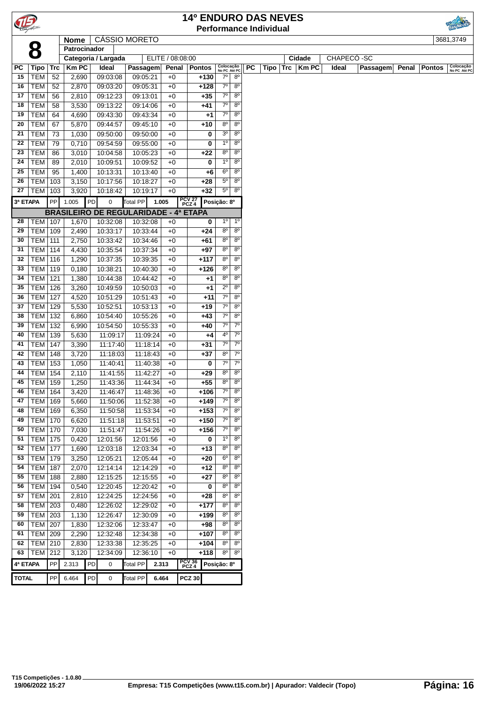|              |                   |            |                |    |                                              |                      |          |                  | <b>14º ENDURO DAS NEVES</b> |                   |                            |                |                               |     |        |              |            |                 |       |               |                           |
|--------------|-------------------|------------|----------------|----|----------------------------------------------|----------------------|----------|------------------|-----------------------------|-------------------|----------------------------|----------------|-------------------------------|-----|--------|--------------|------------|-----------------|-------|---------------|---------------------------|
|              |                   |            |                |    |                                              |                      |          |                  |                             |                   |                            |                | <b>Performance Individual</b> |     |        |              |            |                 |       |               |                           |
|              |                   |            | <b>Nome</b>    |    | <b>CÁSSIO MORETO</b>                         |                      |          |                  |                             |                   |                            |                |                               |     |        |              |            |                 |       |               | 3681,3749                 |
|              | 8                 |            | Patrocinador   |    |                                              |                      |          |                  |                             |                   |                            |                |                               |     |        |              |            |                 |       |               |                           |
|              |                   |            |                |    | Categoria / Largada                          |                      |          | ELITE / 08:08:00 |                             |                   |                            |                |                               |     | Cidade |              | CHAPECÓ-SC |                 |       |               |                           |
| РC           | Tipo              | Trc        | KmPC           |    | Ideal                                        | Passagem             |          | Penal            | <b>Pontos</b>               |                   | Colocação<br>No PC Até PC  | <b>PC</b>      | Tipo                          | Trc |        | <b>Km PC</b> | Ideal      | <b>Passagem</b> | Penal | <b>Pontos</b> | Colocação<br>No PC Até PC |
| 15           | <b>TEM</b>        | 52         | 2,690          |    | 09:03:08                                     | 09:05:21             |          | $+0$             | $+130$                      | $7^\circ$         | $8^{\circ}$                |                |                               |     |        |              |            |                 |       |               |                           |
| 16           | <b>TEM</b>        | 52         | 2,870          |    | 09:03:20                                     | 09:05:31             |          | $+0$             | +128                        | $7^\circ$         | $8^{\circ}$                |                |                               |     |        |              |            |                 |       |               |                           |
| 17           | <b>TEM</b>        | 56         | 2,810          |    | 09:12:23                                     | 09:13:01             |          | $+0$             | $+35$                       | $7^\circ$         | $8^{\circ}$                |                |                               |     |        |              |            |                 |       |               |                           |
| 18           | <b>TEM</b>        | 58         | 3,530          |    | 09:13:22                                     | 09:14:06             |          | $+0$             | +41                         | $7^\circ$         | $8^{\circ}$                |                |                               |     |        |              |            |                 |       |               |                           |
| 19           | <b>TEM</b>        | 64         | 4,690          |    | 09:43:30                                     | 09:43:34             |          | $+0$             | $^{+1}$                     | $7^\circ$         | $8^{\circ}$                |                |                               |     |        |              |            |                 |       |               |                           |
| 20           | <b>TEM</b>        | 67         | 5,870          |    | 09:44:57                                     | 09:45:10             |          | $+0$             | +10                         | 80                | $8^{\circ}$                |                |                               |     |        |              |            |                 |       |               |                           |
| 21           | <b>TEM</b>        | 73         | 1,030          |    | 09:50:00                                     | 09:50:00             |          | $+0$             | 0                           | 3 <sup>o</sup>    | $8^{\circ}$                |                |                               |     |        |              |            |                 |       |               |                           |
| 22           | <b>TEM</b>        | 79         | 0,710          |    | 09:54:59                                     | 09:55:00             |          | $+0$             | 0                           | $1^{\circ}$       | $8^{\circ}$                |                |                               |     |        |              |            |                 |       |               |                           |
| 23           | <b>TEM</b>        | 86         | 3,010          |    | 10:04:58                                     | 10:05:23             |          | $+0$             | +22                         | 8 <sup>o</sup>    | 8 <sup>o</sup>             |                |                               |     |        |              |            |                 |       |               |                           |
| 24           | <b>TEM</b>        | 89         | 2,010          |    | 10:09:51                                     | 10:09:52             |          | $+0$             | 0                           | $1^{\circ}$       | $8^{\circ}$                |                |                               |     |        |              |            |                 |       |               |                           |
| 25           | <b>TEM</b>        | 95         | 1,400          |    | 10:13:31                                     | 10:13:40             |          | $+0$             | $+6$                        | $6^{\circ}$       | $8^{\circ}$                |                |                               |     |        |              |            |                 |       |               |                           |
| 26           | <b>TEM</b>        | 103        | 3,150          |    | 10:17:56                                     | 10:18:27             |          | $+0$             | $+28$                       | $5^{\circ}$       | $8^{\circ}$                |                |                               |     |        |              |            |                 |       |               |                           |
| 27           | TEM               | 103        | 3,920          |    | 10:18:42                                     | 10:19:17             |          | $+0$             | $+32$                       | $5^\circ$         | $8^{\circ}$                |                |                               |     |        |              |            |                 |       |               |                           |
| 3ª ETAPA     |                   | PP         | 1.005          | PD | 0                                            | <b>Total PP</b>      | 1.005    |                  | PCV 27<br>PCZ 4             | Posição: 8º       |                            |                |                               |     |        |              |            |                 |       |               |                           |
|              |                   |            |                |    | <b>BRASILEIRO DE REGULARIDADE - 4ª ETAPA</b> |                      |          |                  |                             |                   |                            |                |                               |     |        |              |            |                 |       |               |                           |
| 28           | TEM   107         |            | 1,670          |    | 10:32:08                                     | 10:32:08             |          | $+0$             |                             | $1^{\circ}$<br>0  |                            | 1 <sup>0</sup> |                               |     |        |              |            |                 |       |               |                           |
| 29           | <b>TEM</b>        | 109        | 2,490          |    | 10:33:17                                     | 10:33:44             |          | $+0$             | $+24$                       | $8^{\circ}$       | $\overline{8^{\circ}}$     |                |                               |     |        |              |            |                 |       |               |                           |
| 30           | TEM               | 111        | 2,750          |    | 10:33:42                                     | 10:34:46             |          | $+0$             | +61                         | $8^{\circ}$       | $8^{\circ}$                |                |                               |     |        |              |            |                 |       |               |                           |
| 31           | TEM               | 114        | 4,430          |    | 10:35:54                                     | 10:37:34             |          | $+0$             | $+97$                       | $8^{\circ}$       | $8^{\circ}$                |                |                               |     |        |              |            |                 |       |               |                           |
| 32           | <b>TEM</b>        | 116        | 1,290          |    | 10:37:35                                     | 10:39:35             |          | $+0$             | $+117$                      | $8^{\circ}$       | $8^{\circ}$                |                |                               |     |        |              |            |                 |       |               |                           |
| 33           | <b>TEM</b>        | 119        | 0,180          |    | 10:38:21                                     | 10:40:30             |          | $+0$             | +126                        | $8^{\circ}$       | $8^{\circ}$                |                |                               |     |        |              |            |                 |       |               |                           |
| 34           | <b>TEM</b>        | 121        | 1,380          |    | 10:44:38                                     | 10:44:42             |          | $+0$             | +1                          | $8^{\circ}$       | $8^{\circ}$                |                |                               |     |        |              |            |                 |       |               |                           |
| 35           | TEM               | 126        | 3,260          |    | 10:49:59                                     | 10:50:03             |          | $+0$             | $+1$                        | $2^{\circ}$       | $8^{\circ}$                |                |                               |     |        |              |            |                 |       |               |                           |
| 36           | TEM               | 127        | 4,520          |    | 10:51:29                                     | 10:51:43             |          | $+0$             | $+11$                       | $7^\circ$         | $8^{\circ}$                |                |                               |     |        |              |            |                 |       |               |                           |
| 37           | TEM               | 129        | 5,530          |    | 10:52:51                                     | 10:53:13             |          | $+0$             | $+19$                       | $7^\circ$         | $8^{\circ}$                |                |                               |     |        |              |            |                 |       |               |                           |
| 38           | <b>TEM</b>        | 132        | 6,860          |    | 10:54:40                                     | 10:55:26             |          | $+0$             | $+43$                       | $7^\circ$         | $8^{\circ}$                |                |                               |     |        |              |            |                 |       |               |                           |
| 39           | <b>TEM</b>        | 132        | 6,990          |    | 10:54:50                                     | 10:55:33             |          | $+0$             | +40                         | $7^\circ$         | $7^{\circ}$                |                |                               |     |        |              |            |                 |       |               |                           |
| 40           | TEM               | 139        | 5,630          |    | 11:09:17                                     | 11:09:24             |          | $+0$             | +4                          | 4º                |                            | $7^\circ$      |                               |     |        |              |            |                 |       |               |                           |
| 41           | <b>TEM</b>        | 147        | 3,390          |    | 11:17:40                                     | 11:18:14             |          | $+0$             | $+31$                       | $7^\circ$         |                            | $7^\circ$      |                               |     |        |              |            |                 |       |               |                           |
| 42           | <b>TEM</b>        | 148        | 3,720          |    | 11:18:03                                     | 11:18:43             |          | $+0$             | $+37$                       | $8^{\circ}$       | $7^{\circ}$                |                |                               |     |        |              |            |                 |       |               |                           |
| 43           | TEM               | 153        | 1,050          |    | 11:40:41                                     | 11:40:38             |          | $+0$             | 0                           | $7^{\circ}$       | $7^\circ$                  |                |                               |     |        |              |            |                 |       |               |                           |
| 44           | TEM               | 154        | 2,110          |    | 11:41:55                                     | 11:42:27             |          | $+0$             | $+29$                       | $8^{\circ}$       | $8^{\circ}$                |                |                               |     |        |              |            |                 |       |               |                           |
| 45           | <b>TEM 159</b>    |            | 1,250          |    | 11:43:36                                     |                      | 11:44:34 | $+0$             | $+55$                       | $8^{\circ}$       |                            | $8^{\circ}$    |                               |     |        |              |            |                 |       |               |                           |
| 46           | <b>TEM 164</b>    |            | 3,420          |    | 11:46:47                                     |                      | 11:48:36 | $+0$             | $+106$                      | 7°                | $8^{\circ}$                |                |                               |     |        |              |            |                 |       |               |                           |
| 47           | <b>TEM</b>        | 169        | 5,660          |    | 11:50:06                                     | 11:52:38             |          | $+0$             | $+149$                      | $7^\circ$         | $8^{\circ}$                |                |                               |     |        |              |            |                 |       |               |                           |
| 48           | TEM               | 169        | 6,350          |    | 11:50:58                                     | 11:53:34             |          | $+0$             | $+153$                      | $7^\circ$         | $8^{\circ}$                |                |                               |     |        |              |            |                 |       |               |                           |
| 49           | TEM               | 170        | 6,620          |    | 11:51:18                                     | 11:53:51             |          | $+0$             | $+150$                      | $7^\circ$         | $8^{\circ}$                |                |                               |     |        |              |            |                 |       |               |                           |
| 50<br>51     | TEM<br><b>TEM</b> | 170<br>175 | 7,030<br>0,420 |    | 11:51:47                                     | 11:54:26             |          | $+0$             | $+156$                      | 7°<br>$1^{\circ}$ | $8^{\circ}$<br>$8^{\circ}$ |                |                               |     |        |              |            |                 |       |               |                           |
| 52           | TEM               | 177        | 1,690          |    | 12:01:56<br>12:03:18                         | 12:01:56<br>12:03:34 |          | $+0$<br>$+0$     | +13                         | 0<br>$8^{\circ}$  | $8^{\circ}$                |                |                               |     |        |              |            |                 |       |               |                           |
| 53           | TEM               | 179        | 3,250          |    | 12:05:21                                     | 12:05:44             |          | $+0$             | +20                         | $6^{\circ}$       | $8^{\circ}$                |                |                               |     |        |              |            |                 |       |               |                           |
| 54           | TEM               | 187        | 2,070          |    | 12:14:14                                     | 12:14:29             |          | $+0$             | $+12$                       | $8^{\circ}$       | $8^{\circ}$                |                |                               |     |        |              |            |                 |       |               |                           |
| 55           | TEM               | 188        | 2,880          |    | 12:15:25                                     | 12:15:55             |          | $+0$             | +27                         | 80                |                            | $8^{\circ}$    |                               |     |        |              |            |                 |       |               |                           |
| 56           | <b>TEM</b>        | 194        | 0,540          |    | 12:20:45                                     | 12:20:42             |          | $+0$             |                             | $8^{\circ}$<br>0  | $8^{\circ}$                |                |                               |     |        |              |            |                 |       |               |                           |
| 57           | <b>TEM 201</b>    |            | 2,810          |    | 12:24:25                                     | 12:24:56             |          | $+0$             | $+28$                       | $8^{\circ}$       | 8 <sup>o</sup>             |                |                               |     |        |              |            |                 |       |               |                           |
| 58           | <b>TEM 203</b>    |            | 0,480          |    | 12:26:02                                     | 12:29:02             |          | $+0$             | $+177$                      | $8^{\circ}$       | $8^{\circ}$                |                |                               |     |        |              |            |                 |       |               |                           |
| 59           | <b>TEM 203</b>    |            | 1,130          |    | 12:26:47                                     | 12:30:09             |          | $+0$             | $+199$                      | $8^{\circ}$       | $8^{\circ}$                |                |                               |     |        |              |            |                 |       |               |                           |
| 60           | <b>TEM</b>        | 207        | 1,830          |    | 12:32:06                                     | 12:33:47             |          | $+0$             | +98                         | 80                | $8^{\circ}$                |                |                               |     |        |              |            |                 |       |               |                           |
| 61           | TEM               | 209        | 2,290          |    | 12:32:48                                     | 12:34:38             |          | $+0$             | $+107$                      | $8^{\circ}$       |                            | $8^{\circ}$    |                               |     |        |              |            |                 |       |               |                           |
| 62           | $TEM$ 210         |            | 2,830          |    | 12:33:38                                     | 12:35:25             |          | $+0$             | +104                        | $8^{\circ}$       | $8^{\circ}$                |                |                               |     |        |              |            |                 |       |               |                           |
| 63           | <b>TEM 212</b>    |            | 3,120          |    | 12:34:09                                     | 12:36:10             |          | $+0$             | $+118$                      | $8^{\circ}$       | $8^{\circ}$                |                |                               |     |        |              |            |                 |       |               |                           |
| 4ª ETAPA     |                   | PP         | 2.313          | PD | 0                                            | <b>Total PP</b>      | 2.313    |                  | PCV 36<br>PCZ 4             | Posição: 8º       |                            |                |                               |     |        |              |            |                 |       |               |                           |
|              |                   |            |                |    |                                              |                      |          |                  |                             |                   |                            |                |                               |     |        |              |            |                 |       |               |                           |
| <b>TOTAL</b> |                   | PP         | 6.464          | PD | 0                                            | <b>Total PP</b>      | 6.464    |                  | <b>PCZ 30</b>               |                   |                            |                |                               |     |        |              |            |                 |       |               |                           |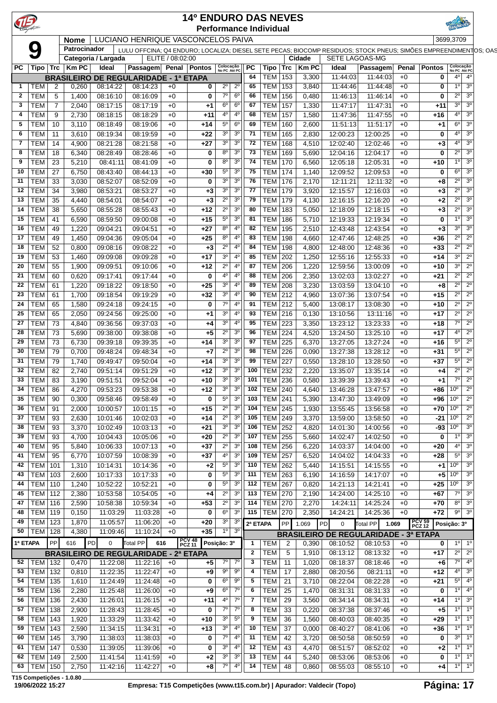|                                  |                     |                |                      |                                              |                  | <b>14º ENDURO DAS NEVES</b> |                                              |                     |                                  |                    |                       |                                                                                                                  |              |                                         |                                                             |  |
|----------------------------------|---------------------|----------------|----------------------|----------------------------------------------|------------------|-----------------------------|----------------------------------------------|---------------------|----------------------------------|--------------------|-----------------------|------------------------------------------------------------------------------------------------------------------|--------------|-----------------------------------------|-------------------------------------------------------------|--|
| $\mathbf{E}$                     |                     |                |                      |                                              |                  |                             |                                              |                     | <b>Performance Individual</b>    |                    |                       |                                                                                                                  |              |                                         |                                                             |  |
|                                  |                     | <b>Nome</b>    |                      | LUCIANO HENRIQUE VASCONCELOS PAIVA           |                  |                             |                                              |                     |                                  |                    |                       |                                                                                                                  |              | 3699,3709                               |                                                             |  |
| Q                                |                     | Patrocinador   |                      |                                              |                  |                             |                                              |                     |                                  |                    |                       | LULU OFFCINA; Q4 ENDURO; LOCALIZA; DIESEL SETE PECAS; BIOCOMP RESIDUOS; STOCK PNEUS; SIMÕES EMPREENDIMENTOS; OAS |              |                                         |                                                             |  |
|                                  |                     |                | Categoria / Largada  |                                              | ELITE / 08:02:00 |                             |                                              |                     |                                  | Cidade             | <b>SETE LAGOAS-MG</b> |                                                                                                                  |              |                                         |                                                             |  |
| $PC$   Tipo   Trc   Km PC        |                     |                | Ideal                | Passagem Penal Pontos Colocação              |                  |                             |                                              | PC                  |                                  | Tipo   Trc   Km PC | Ideal                 | Passagem                                                                                                         |              | Penal Pontos                            | Colocação<br>No PC Até PC                                   |  |
|                                  |                     |                |                      | <b>BRASILEIRO DE REGULARIDADE - 1ª ETAPA</b> |                  |                             |                                              | 64                  | TEM   153                        | 3,300              | 11:44:03              | 11:44:03                                                                                                         | $+0$         | $\mathbf 0$                             | $4^{\circ}$<br>$4^{\circ}$                                  |  |
| $1$   TEM                        | $\overline{2}$      | 0,260          | 08:14:22             | 08:14:23                                     | $+0$             | $\bf{0}$                    | $2^0$ $2^0$                                  | 65                  | <b>TEM 153</b>                   | 3,840              | 11:44:46              | 11:44:48                                                                                                         | $+0$         | $\bf{0}$                                | $3^{\circ}$<br>1° l                                         |  |
| $2$   TEM                        | 5                   | 1,400          | 08:16:10             | 08:16:09                                     | $+0$             | $\bf{0}$                    | $7^\circ$ 6°                                 | 66                  | <b>TEM 156</b>                   | 0,480              | 11:46:13              | 11:46:14                                                                                                         | $+0$         | $\bf{0}$                                | $2^{\circ}$<br>3 <sup>o</sup>                               |  |
| 3   TEM<br>4   TEM               | $\overline{7}$<br>9 | 2,040<br>2,730 | 08:17:15<br>08:18:15 | 08:17:19<br>08:18:29                         | $+0$<br>$+0$     | $+1$<br>$+11$               | $6^{\circ}$ 6°<br>$4^{\circ}$ 4 <sup>°</sup> | 67<br>68            | <b>TEM 157</b><br><b>TEM 157</b> | 1,330<br>1,580     | 11:47:17<br>11:47:36  | 11:47:31<br>11:47:55                                                                                             | $+0$<br>+0   | $+11$<br>$+16$                          | $3^{\circ}$<br>$3^{\circ}$<br>3 <sup>o</sup><br>$4^{\circ}$ |  |
| $5$   TEM                        | 10                  | 3,110          | 08:18:49             | 08:19:06                                     | $+0$             | $+14$                       | $5^{\circ}$ 6°                               | 69                  | <b>TEM 160</b>                   | 2,600              | 11:51:13              | 11:51:17                                                                                                         | $+0$         | $+1$                                    | 6 <sup>o</sup><br>3 <sup>o</sup>                            |  |
| 6   TEM                          | 11                  | 3,610          | 08:19:34             | 08:19:59                                     | $+0$             | +22                         | $3^0$ $3^0$                                  | 71                  | <b>TEM 165</b>                   | 2,830              | 12:00:23              | 12:00:25                                                                                                         | $+0$         | 0                                       | 3 <sup>o</sup><br>$4^{\circ}$                               |  |
| 7 TEM                            | -14                 | 4,900          | 08:21:28             | 08:21:58                                     | $+0$             | $+27$                       | $3^0$ 3 <sup>0</sup>                         | 72                  | TEM 168                          | 4,510              | 12:02:40              | 12:02:46                                                                                                         | $+0$         | $+3$                                    | 3 <sup>o</sup><br>$4^{\circ}$                               |  |
| 8   TEM                          | 18                  | 6,340          | 08:28:49             | 08:28:46                                     | $+0$             | $\bf{0}$                    | $8^{\circ}$ 3°                               | 73                  | <b>TEM 169</b>                   | 5,690              | 12:04:16              | 12:04:17                                                                                                         | $+0$         | $\mathbf 0$                             | $2^{\circ}$<br>3 <sup>o</sup>                               |  |
| $9$   TEM                        | $\vert$ 23          | 5,210          | 08:41:11             | 08:41:09                                     | $+0$             | $\bf{0}$                    | $8^{\circ}$ 3°                               | 74                  | <b>TEM   170</b>                 | 6,560              | 12:05:18              | 12:05:31                                                                                                         | $+0$         | $+10$                                   | $1^{\circ}$<br>3 <sup>o</sup>                               |  |
| 10   TEM $\mid$ 27               |                     | 6,750          | 08:43:40             | 08:44:13                                     | $+0$             | $+30$                       | $5^{\circ}$<br>3 <sup>o</sup>                | 75                  | <b>TEM   174</b>                 | 1,140              | 12:09:52              | 12:09:53                                                                                                         | $+0$         | 0                                       | $6^{\circ}$<br>3 <sup>o</sup>                               |  |
| 11   TEM                         | 33                  | 3,030          | 08:52:07             | 08:52:09                                     | $+0$             | $\bf{0}$                    | $3^{\circ}$<br>3 <sup>o</sup>                | 76                  | TEM   176                        | 2,170              | 12:11:21              | 12:11:32                                                                                                         | $+0$         | $+8$                                    | $2^{\circ}$<br>3 <sup>o</sup>                               |  |
| 12   TEM $ $                     | -34                 | 3,980          | 08:53:21             | 08:53:27                                     | $+0$             | $+3$                        | $3^0$ 3 <sup>0</sup>                         | 77                  | <b>TEM 179</b>                   | 3,920              | 12:15:57              | 12:16:03                                                                                                         | $+0$         | $+3$                                    | $2^{\circ}$<br>$3^{\circ}$                                  |  |
| 13   TEM                         | 35                  | 4,440          | 08:54:01             | 08:54:07                                     | $+0$             | $+3$                        | $2^0$ 3 <sup>0</sup>                         | 79                  | <b>TEM 179</b>                   | 4,130              | 12:16:15              | 12:16:20                                                                                                         | $+0$         | $+2$                                    | $2^{\circ}$<br>3 <sup>o</sup>                               |  |
| 14   TEM                         | 38                  | 5,650          | 08:55:28             | 08:55:43                                     | $+0$             | $+12$                       | $2^0$ 3 <sup>0</sup>                         | 80                  | <b>TEM 183</b>                   | 5,050              | 12:18:09              | 12:18:15                                                                                                         | $+0$         | $+3$                                    | $2^{\circ}$<br>3 <sup>o</sup>                               |  |
| 15   TEM                         | 41                  | 6,590          | 08:59:50             | 09:00:08                                     | $+0$             | $+15$                       | 3 <sup>o</sup><br>$5^{\circ}$                | -81                 | <b>TEM 186</b>                   | 5,710              | 12:19:33              | 12:19:34                                                                                                         | $+0$         | 0                                       | 3 <sup>o</sup><br>$1^{\circ}$                               |  |
| 16   TEM<br>17   TEM $ $         | 49<br>49            | 1,220<br>1,450 | 09:04:21<br>09:04:36 | 09:04:51<br>09:05:04                         | $+0$<br>$+0$     | $+27$<br>$+25$              | $8^0$ 4 <sup>0</sup><br>$8^0$ 4 <sup>0</sup> | 82<br>83            | TEM 195<br><b>TEM 198</b>        | 2,510<br>4,660     | 12:43:48<br>12:47:46  | 12:43:54<br>12:48:25                                                                                             | $+0$<br>$+0$ | $+3$<br>$+36$                           | $3^{\circ}$<br>3 <sup>o</sup><br>$2^{\circ}$<br>$2^{\circ}$ |  |
| 18   TEM   52                    |                     | 0,800          | 09:08:16             | 09:08:22                                     | $+0$             | $+3$                        | $2^0$ 4 <sup>0</sup>                         | 84                  | <b>TEM 198</b>                   | 4,800              | 12:48:00              | 12:48:36                                                                                                         | $+0$         | $+33$                                   | $2^{\circ}$<br>$2^{\circ}$                                  |  |
| 19   TEM $ $                     | 53                  | 1,460          | 09:09:08             | 09:09:28                                     | $+0$             | $+17$                       | $3^0$ 4 <sup>0</sup>                         | 85                  | <b>TEM   202</b>                 | 1,250              | 12:55:16              | 12:55:33                                                                                                         | $+0$         | $+14$                                   | $3^{\circ}$<br>$2^{\circ}$                                  |  |
| 20   TEM $ $                     | 55                  | 1,900          | 09:09:51             | 09:10:06                                     | $+0$             | $+12$                       | $2^0$ 4 <sup>0</sup>                         | 87                  | <b>TEM 206</b>                   | 1,220              | 12:59:56              | 13:00:09                                                                                                         | $+0$         | $+10$                                   | $3^{0}$ 1<br>$2^{\circ}$                                    |  |
| 21   TEM $ $                     | 60                  | 0,620          | 09:17:41             | 09:17:44                                     | $+0$             | $\bf{0}$                    | $4^{\circ}$ 4 <sup>°</sup>                   | 88                  | <b>TEM 206</b>                   | 2,350              | 13:02:03              | 13:02:27                                                                                                         | $+0$         | $+21$                                   | $2^{\circ}$<br>$2^{\circ}$                                  |  |
| $\overline{22}$ TEM 61           |                     | 1,220          | 09:18:22             | 09:18:50                                     | $+0$             | $+25$                       | $3^0$ 4 <sup>0</sup>                         | 89                  | <b>TEM 208</b>                   | 3,230              | 13:03:59              | 13:04:10                                                                                                         | $+0$         | $+8$                                    | $2^{\circ}$<br>$2^{\circ}$                                  |  |
| 23   TEM $\mid$ 61               |                     | 1,700          | 09:18:54             | 09:19:29                                     | $+0$             | $+32$                       | $3^0$ 4 <sup>0</sup>                         | 90                  | <b>TEM 212</b>                   | 4,960              | 13:07:36              | 13:07:54                                                                                                         | $+0$         | $+15$                                   | $2^{\circ}$<br>$2^{\circ}$                                  |  |
| 24<br>TEM                        | 65                  | 1,580          | 09:24:18             | 09:24:15                                     | $+0$             | $\mathbf{0}$                | $7^{\circ}$ 4°                               | 91                  | <b>TEM 212</b>                   | 5,400              | 13:08:17              | 13:08:30                                                                                                         | $+0$         | +10                                     | $2^{\circ}$<br>$2^{\circ}$                                  |  |
| 25<br><b>TEM</b>                 | 65                  | 2,050          | 09:24:56             | 09:25:00                                     | $+0$             | $+1$                        | $3^0$ 4 <sup>0</sup>                         | 93                  | <b>TEM 216</b>                   | 0,130              | 13:10:56              | 13:11:16                                                                                                         | $+0$         | $+17$                                   | $2^{\circ}$<br>$2^{\circ}$                                  |  |
| 27   TEM   73                    |                     | 4,840          | 09:36:56             | 09:37:03                                     | $+0$             | $+4$                        | $3^0$ 4 <sup>0</sup>                         | 95                  | <b>TEM 223</b>                   | 3,350              | 13:23:12              | 13:23:33                                                                                                         | $+0$         | $+18$                                   | $2^{\circ}$<br>$7^\circ$                                    |  |
| 28   TEM $ $<br>29   TEM   73    | 73                  | 5,690<br>6,730 | 09:38:00<br>09:39:18 | 09:38:08<br>09:39:35                         | $+0$<br>$+0$     | $+5$<br>$+14$               | $2^0$ 3 <sup>0</sup><br>$3^0$ 3 <sup>0</sup> | 96<br>97            | <b>TEM 224</b><br><b>TEM 225</b> | 4,520<br>6,370     | 13:24:50<br>13:27:05  | 13:25:10<br>13:27:24                                                                                             | $+0$<br>$+0$ | $+17$<br>+16                            | $2^{\circ}$<br>$4^{\circ}$<br>$5^{\circ}$<br>$2^{\circ}$    |  |
| 30   TEM $ $                     | 79                  | 0,700          | 09:48:24             | 09:48:34                                     | $+0$             | $+7$                        | $2^0$ 3 <sup>0</sup>                         | 98                  | <b>TEM 226</b>                   | 0,090              | 13:27:38              | 13:28:12                                                                                                         | $+0$         | $+31$                                   | $5^{\circ}$<br>$2^{\circ}$                                  |  |
| 31   TEM                         | - 79                | 1,740          | 09:49:47             | 09:50:04                                     | $+0$             | $+14$                       | $3^0$ $3^0$                                  | 99                  | <b>TEM</b> 227                   | 0,550              | 13:28:10              | 13:28:50                                                                                                         | $+0$         | $+37$                                   | $2^{\circ}$<br>$5^{\circ}$                                  |  |
| 32   TEM $ $                     | 82                  | 2,740          | 09:51:14             | 09:51:29                                     | $+0$             | $+12$                       | $3^0$ $3^0$                                  | 100                 | <b>TEM 232</b>                   | 2,220              | 13:35:07              | 13:35:14                                                                                                         | $+0$         | $+4$                                    | $2^{\circ}$<br>$2^{\circ}$                                  |  |
| 33   TEM   83                    |                     | 3,190          | 09:51:51             | 09:52:04                                     | $+0$             | $+10$                       | $3^0$ 3 <sup>0</sup>                         |                     | 101   TEM 236                    | 0,580              | 13:39:39              | 13:39:43                                                                                                         | $+0$         | $+1$                                    | $7^\circ$<br>$2^{\circ}$                                    |  |
| 34  <br>TEM                      | 86                  | 4,270          | 09:53:23             | 09:53:38                                     | $+0$             | +12                         | 3 <sup>o</sup><br>3 <sup>o</sup>             |                     | 102   TEM   240                  | 4,640              | 13:46:28              | 13:47:57                                                                                                         | $+0$         | $+86 10^{\circ}$                        | $2^{\circ}$                                                 |  |
| 35   TEM $ $                     | 90                  | 0,300          | 09:58:46             | 09:58:49                                     | $+0$             | $\bf{0}$                    | $5^{\circ}$ 3°                               | 103                 | <b>TEM 241</b>                   | 5,390              | 13:47:30              | 13:49:09                                                                                                         | $+0$         | $+96$ 10°                               | $2^{\circ}$                                                 |  |
| 36   TEM   91                    |                     | 2,000          | 10:00:57             | 10:01:15                                     | $+0$             | $+15$                       | $2^0$ 3 <sup>0</sup>                         |                     | 104 TEM 245                      | 1,930              | 13:55:45              | 13:56:58                                                                                                         | $+0$         | $+70$   10 <sup>o</sup>                 | $2^{\circ}$                                                 |  |
| 37   TEM   93                    |                     | 2,630          | 10:01:46             | 10:02:03                                     | $+0$             | +14                         | $2^0$ 3 <sup>0</sup>                         |                     | 105 TEM 249                      | 3,370              | 13:59:00              | 13:58:50                                                                                                         | $+0$         | $-21$ 10°                               | $2^{\circ}$                                                 |  |
| 38   TEM   93                    |                     | 3,370          | 10:02:49             | 10:03:13                                     | $+0$             | +21                         | $3^0$ 3 <sup>0</sup>                         |                     | 106   TEM   252                  | 4,820              | 14:01:30              | 14:00:56                                                                                                         | $+0$         | $-93 10^{\circ}$                        | 3 <sup>o</sup>                                              |  |
| 39   TEM   93                    |                     | 4,700          | 10:04:43             | 10:05:06                                     | $+0$             | $+20$                       | $2^0$ $3^0$                                  |                     | 107   TEM   255                  | 5,660              | 14:02:47              | 14:02:50                                                                                                         | $+0$         | $\mathbf 0$                             | $1^0$ 3 <sup>0</sup>                                        |  |
| 40   TEM   95<br>41   TEM   95   |                     | 5,840<br>6,770 | 10:06:33<br>10:07:59 | 10:07:13<br>10:08:39                         | $+0$<br>$+0$     | $+37$<br>$+37$              | $2^0$ 3 <sup>0</sup><br>$4^{\circ}$ 3°       |                     | 108 TEM 256<br>$109$ TEM 257     | 6,220<br>6,520     | 14:03:37<br>14:04:02  | 14:04:00<br>14:04:33                                                                                             | $+0$         | $+20$<br>$+28$                          | $4^{\circ}$ 3°<br>$5^{\circ}$ 3°                            |  |
| 42   TEM   101                   |                     | 1,310          | 10:14:31             | 10:14:36                                     | $+0$             | $+2$                        | $5^{\circ}$ 3°                               |                     | 110   TEM   262                  | 5,440              | 14:15:51              | 14:15:55                                                                                                         | $+0$<br>$+0$ | $+1$ 10 <sup>o</sup>                    | 3 <sup>o</sup>                                              |  |
| 43   TEM   103                   |                     | 2,600          | 10:17:33             | 10:17:33                                     | $+0$             | $\bf{0}$                    | $5^{\circ}$ 3°                               |                     | 111   TEM   263                  | 6,190              | 14:16:59              | 14:17:07                                                                                                         | $+0$         | $+5$ 10 <sup>°</sup>                    | $3^{\circ}$                                                 |  |
| 44   TEM   110                   |                     | 1,240          | 10:52:22             | 10:52:21                                     | $+0$             | 0                           | $5^{\circ}$ 3°                               |                     | 112   TEM $\sqrt{267}$           | 0,820              | 14:21:13              | 14:21:41                                                                                                         | $+0$         | $+25$ 10 <sup>o</sup>                   | $ 3^{\circ}$                                                |  |
| 45   TEM   112                   |                     | 2,380          | 10:53:58             | 10:54:05                                     | $+0$             | $+4$                        | $2^0$ 3 <sup>0</sup>                         |                     | 113   TEM $\sqrt{270}$           | 2,190              | 14:24:00              | 14:25:10                                                                                                         | $+0$         | $+67$                                   | $7^{\circ}$ 3°                                              |  |
| 47   TEM   116                   |                     | 2,590          | 10:58:38             | 10:59:34                                     | $+0$             | $+53$                       | $2^0$ 3 <sup>0</sup>                         |                     | 114   TEM $\sqrt{270}$           | 2,270              | 14:24:11              | 14:25:24                                                                                                         | $+0$         | $+70$                                   | $8^{\circ}$ 3°                                              |  |
| 48   TEM   119                   |                     | 0,150          | 11:03:29             | 11:03:28                                     | $+0$             | $\mathbf 0$                 | $6^{\circ}$ 3°                               |                     | 115   TEM   270                  | 2,350              | 14:24:21              | 14:25:36                                                                                                         | $+0$         | $+72$                                   | $9^0$ 3 <sup>0</sup>                                        |  |
| 49   TEM   123                   |                     | 1,870          | 11:05:57             | 11:06:20                                     | $+0$             | $+20$                       | $3^0$ 3 <sup>0</sup>                         | 2ª ETAPA            | PP                               | 1.069              | PD<br>$\mathbf 0$     | Total PP<br>1.069                                                                                                |              | <b>PCV 59<br/>PCZ 12</b><br>Posição: 3º |                                                             |  |
| $50$ TEM 128                     |                     | 4,380          | 11:09:46             | $11:10:24$ +0                                |                  | $+35$                       | $1^{\circ}$ 3°                               |                     |                                  |                    |                       | <b>BRASILEIRO DE REGULARIDADE - 3ª ETAPA</b>                                                                     |              |                                         |                                                             |  |
| 1ª ETAPA                         | PP                  | 616<br>PD      | $\mathbf 0$          | Total PP                                     | 616              | <b>PCV 48<br/>PCZ 11</b>    | Posição: 3º                                  | $\mathbf{1}$        | <b>TEM</b><br>$\overline{2}$     | 0,390              | 08:10:52              | 08:10:53                                                                                                         | $+0$         | $\mathbf{0}$                            | $1^{\circ}$<br>$1^{\circ}$                                  |  |
|                                  |                     |                |                      | <b>BRASILEIRO DE REGULARIDADE - 2ª ETAPA</b> |                  |                             |                                              | $\mathbf{2}$        | <b>TEM</b><br>5                  | 1,910              | 08:13:12              | 08:13:32                                                                                                         | $+0$         | $+17$                                   | $2^0$ 2 <sup>0</sup>                                        |  |
| $52$ TEM 132                     |                     | 0,470          | 11:22:08             | $11:22:16$ +0                                |                  | $+5$                        | $7^\circ$ 7 <sup>o</sup>                     | 3                   | <b>TEM</b> 11                    | 1,020              | 08:18:37              | 08:18:46                                                                                                         | $+0$         | $+6$                                    | 7 <sup>0</sup> 4 <sup>0</sup>                               |  |
| 53 TEM 132                       |                     | 0,810          | 11:22:35             | $11:22:47$ +0                                |                  | +9                          | $\overline{90}$ $\overline{90}$              | 4                   | $TEM$ 17                         | 2,880              | 08:20:56              | 08:21:11                                                                                                         | $+0$         | $+12$                                   | $4^{\circ}$ 3 <sup>0</sup>                                  |  |
| 54   TEM   135                   |                     | 1,610          | 11:24:49             | $11:24:48$ +0                                |                  | $\bf{0}$                    | $6^{\circ}$ 9°                               | 5                   | $TEM$ 21                         | 3,710              | 08:22:04              | 08:22:28                                                                                                         | $+0$         | $+21$                                   | $5^{\circ}$ 4°<br>$1^{\circ}$<br>$4^{\circ}$                |  |
| 55   TEM   136<br>56   TEM   136 |                     | 2,280<br>2,430 | 11:25:48<br>11:26:01 | 11:26:00<br>11:26:15                         | +0<br>$+0$       | +9<br>$+11$                 | $6^{\circ}$ 7°<br>$4^{\circ}$ 7°             | 6<br>$\overline{7}$ | $TEM$ 25<br>$TEM$ 29             | 1,470<br>3,560     | 08:31:31<br>08:34:14  | 08:31:33<br>08:34:31                                                                                             | $+0$<br>$+0$ | 0<br>+14                                | $3^{\circ}$<br>$1^{\circ}$                                  |  |
| 57   TEM   138                   |                     | 2,900          | 11:28:43             | 11:28:45                                     | $+0$             | $\bf{0}$                    | $7^{\circ}$ 7°                               | 8                   | <b>TEM</b><br>33                 | 0,220              | 08:37:38              | 08:37:46                                                                                                         | $+0$         | $+5$                                    | $1^{\circ}$<br>1° l                                         |  |
| 58   TEM   143                   |                     | 1,920          | 11:33:29             | 11:33:42                                     | $+0$             | $+10$                       | $3^0$ 5 <sup>0</sup>                         | 9                   | <b>TEM</b> 36                    | 1,560              | 08:40:03              | 08:40:35                                                                                                         | $+0$         | $+29$                                   | $1^{\circ}$<br>_1°                                          |  |
| 59   TEM   143                   |                     | 2,590          | 11:34:15             | 11:34:31                                     | $+0$             | $+13$                       | $3^0$ 4 <sup>0</sup>                         | 10                  | $TEM$ 37                         | 0,000              | 08:40:27              | 08:41:06                                                                                                         | $+0$         | +36                                     | _1°<br>1°                                                   |  |
| 60   TEM   145                   |                     | 3,790          | 11:38:03             | 11:38:03                                     | $+0$             | $\mathbf{0}$                | $7^{\circ}$ 4°                               | 11                  | $TEM$ 42                         | 3,720              | 08:50:58              | 08:50:59                                                                                                         | $+0$         | 0                                       | $3^{\circ}$<br>_1°                                          |  |
| 61   TEM   147                   |                     | 0,530          | 11:39:05             | 11:39:06                                     | $+0$             | $\bf{0}$                    | $3^0$ 4 <sup>0</sup>                         | 12                  | <b>TEM</b> 43                    | 4,470              | 08:51:57              | 08:52:02                                                                                                         | $+0$         | $+2$                                    | $1^{\circ}$<br>$1^{\circ}$                                  |  |
| 62 TEM 149                       |                     | 2,500          | 11:41:54             | $11:41:59$ +0                                |                  | +2                          | $3^0$ 3 <sup>0</sup>                         | 13                  | $TEM$ 44                         | 5,240              | 08:53:06              | 08:53:06                                                                                                         | $+0$         | $\mathbf 0$                             | $1^{\circ}$<br>$1^{\circ}$                                  |  |
| 63   TEM   150                   |                     | 2,750          | 11:42:16             | $11:42:27$ +0                                |                  | +8                          | $7^{\circ}$ 4°                               |                     | 14   TEM   48                    | 0,860              | 08:55:03              | 08:55:10                                                                                                         | $+0$         | $+4$                                    | $1^{\circ}$<br>$1^{\circ}$                                  |  |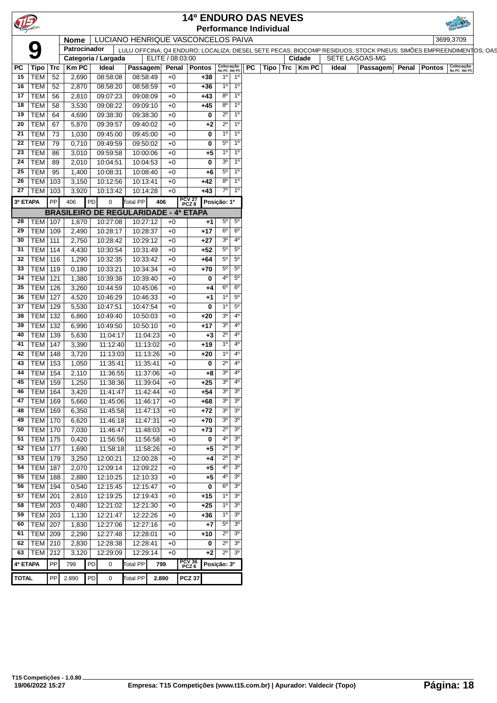| T<br><b>Performance Individual</b><br>LUCIANO HENRIQUE VASCONCELOS PAIVA<br><b>Nome</b><br>Q<br>Patrocinador<br>LULU OFFCINA; Q4 ENDURO; LOCALIZA; DIESEL SETE PECAS; BIOCOMP RESIDUOS; STOCK PNEUS; SIMÕES EMPREENDIMENTOS; OAS<br>Categoria / Largada<br>ELITE / 08:03:00<br>Colocação<br>No PC Até PC<br>PC<br> PC Tipo Trc Km PC<br>Ideal<br>Penal Pontos<br>Passagem<br>$1°$ 1°<br>15   TEM $\vert$ 52<br>2,690<br>08:58:08<br>08:58:49<br>$+0$<br>+38<br>$16$ TEM 52<br>08:58:59<br>$1^{\circ}$ 1 <sup>o</sup><br>2,870<br>08:58:20<br>$+0$<br>$+36$<br>$8^{\circ}$ 1 <sup>o</sup><br>09:08:09<br>17   TEM   56<br>2,810<br>09:07:23<br>$+0$<br>$+43$<br>$8^{\circ}$<br>$1^{\circ}$<br>18   TEM   58<br>3,530<br>09:08:22<br>09:09:10<br>$+45$<br>$+0$<br>$2^{\circ}$<br>$1^{\circ}$<br>$19$ TEM 64<br>4,690<br>09:38:30<br>09:38:30<br>0<br>$+0$<br>$2^{\circ}$<br>$20$ TEM 67<br>1 <sup>0</sup><br>5,870<br>09:39:57<br>09:40:02<br>$+0$<br>$+2$<br>21   TEM   $73$<br>09:45:00<br>1 <sup>0</sup><br>$1^{\circ}$<br>1,030<br>09:45:00<br>$+0$<br>0<br>$5^{\circ}$<br>$1^{\circ}$<br>22   TEM $\mid$ 79<br>09:49:59<br>09:50:02<br>0,710<br>$+0$<br>0<br>$23$ TEM 86<br>$1^{\circ}$<br>$1^{\circ}$<br>3,010<br>09:59:58<br>10:00:06<br>$+0$<br>$+5$<br>$3^0$ 1 <sup>o</sup><br>24   TEM   89<br>2,010<br>10:04:51<br>10:04:53<br>$+0$<br>0<br>$5^\circ$ 1 <sup>o</sup><br>25   TEM   $95$<br>1,400<br>10:08:31<br>10:08:40<br>$+6$<br>$+0$<br>$8^{\circ}$ 1 <sup>o</sup><br>26   TEM   103<br>3,150<br>10:12:56<br>10:13:41<br>$+42$<br>$+0$<br>$7^\circ$ 1 <sup>o</sup><br>3,920<br>$+43$<br>27   TEM   103<br>10:13:42<br>10:14:28<br>$+0$<br>PCV <sub>27</sub><br>PCZ <sub>8</sub><br>3ª ETAPA<br>PP<br>406<br>406<br>Posição: 1º<br>PD<br>$\mathbf 0$<br>Total PP<br><b>BRASILEIRO DE REGULARIDADE - 4ª ETAPA</b><br>10:27:08<br>10:27:12<br>$5^{\circ}$<br>$5^{\circ}$<br>28   TEM   107<br>1,670<br>$+0$<br>$+1$<br>$6^{\circ}$ $6^{\circ}$<br>$29$ TEM 109<br>10:28:17<br>10:28:37<br>2,490<br>$+0$<br>$+17$<br>30   TEM   111<br>$3^0$ 4 <sup>0</sup><br>2,750<br>10:29:12<br>$+27$<br>10:28:42<br>$+0$<br>$5^{\circ}$ 5°<br>31   TEM   114<br>4,430<br>10:30:54<br>10:31:49<br>$+0$<br>$+52$<br>$5^\circ$ $5^\circ$<br>32   TEM   116<br>10:32:35<br>10:33:42<br>1,290<br>$+64$<br>$+0$<br>$5^\circ$<br>$5^{\circ}$<br>33   TEM   119<br>10:34:34<br>0,180<br>10:33:21<br>$+0$<br>$+70$<br>$5^{\circ}$<br>34   TEM   121<br>1,380<br>10:39:40<br>$4^{\circ}$<br>10:39:38<br>$+0$<br>$\bf{0}$<br>$6^\circ$ $6^\circ$<br>35   TEM   126<br>3,260<br>10:44:59<br>10:45:06<br>$+0$<br>$+4$<br>$1^{\circ}$ 5°<br>36   TEM   127<br>4,520<br>10:46:29<br>10:46:33<br>$+1$<br>$+0$<br>$\overline{5^0}$<br>37   TEM   129<br>5,530<br>10:47:51<br>10:47:54<br>$1^{\circ}$<br>$+0$<br>0<br>$3^{\circ}$ 4 <sup>o</sup><br>38   TEM   132<br>10:50:03<br>6,860<br>10:49:40<br>$+0$<br>$+20$<br>$3^0$ 4 <sup>0</sup><br>39   TEM   132<br>6,990<br>10:49:50<br>10:50:10<br>$+17$<br>$+0$<br>$2^0$ 4 <sup>0</sup><br>40   TEM   139<br>11:04:17<br>11:04:23<br>$+3$<br>5,630<br>$+0$<br>$4^{\circ}$<br>41   TEM   147<br>11:13:02<br>$1^{\circ}$<br>3,390<br>11:12:40<br>$+19$<br>$+0$<br>42   TEM   148<br>$4^{\circ}$<br>3,720<br>11:13:03<br>11:13:26<br>$+0$<br>$1^{\circ}$<br>+20<br>$2^{\circ}$<br>$4^{\circ}$<br>43   TEM   153<br>1,050<br>11:35:41<br>11:35:41<br>$+0$<br>0<br>$3^0$ 4 <sup>0</sup><br>44   TEM   154<br>2,110<br>11:36:55<br>11:37:06<br>$+0$<br>$+8$<br>$3^{\circ}$ 4 <sup>°</sup><br>$+25$<br>45   TEM   159<br>1,250<br>11:38:36<br>11:39:04<br>$+0$<br>3 <sup>o</sup><br>3 <sup>o</sup><br>46   TEM   164<br>3,420<br>11:42:44<br>$+54$<br>11:41:47<br>$+0$<br>$3^{\circ}$ 3 <sup>0</sup><br>11:46:17<br>47   TEM   169<br>5,660<br>11:45:06<br>$+68$<br>$+0$<br>$3^0$ $3^0$<br>48   TEM   169<br>6,350<br>11:45:58<br>11:47:13<br>$+72$<br>$+0$<br>$30$ $30$<br>49   TEM   170<br>6,620<br>11:46:18<br>11:47:31<br>$+70$<br>$+0$<br>$2^{\circ}$<br>3 <sup>o</sup><br>50   TEM   170<br>7,030<br>11:48:03<br>$+73$<br>11:46:47<br>$+0$<br>3 <sup>o</sup><br>51   TEM   175<br>11:56:58<br>$4^{\circ}$<br>0,420<br>11:56:56<br>$+0$<br>0<br>52 TEM 177<br>$2^{\circ}$<br>3 <sup>o</sup><br>1,690<br>11:58:26<br>11:58:18<br>$+0$<br>$+5$<br>$\overline{3^0}$<br>$2^{\circ}$<br>53 TEM 179<br>3,250<br>12:00:28<br>12:00:21<br>$+0$<br>$+4$<br>$4^{\circ}$ 3 <sup>0</sup><br>54   TEM   187<br>2,070<br>12:09:22<br>$+5$<br>12:09:14<br>$+0$<br>$\sqrt{3^0}$<br>55   TEM   188<br>12:10:33<br>$4^{\circ}$<br>2,880<br>12:10:25<br>$+0$<br>$+5$<br>$6^{\circ}$ 3°<br>56   TEM   194<br>12:15:47<br>0,540<br>12:15:45<br>$+0$<br>0<br>$1^{\circ}$ 3 <sup>0</sup><br>57   TEM   201<br>12:19:43<br>$+15$<br>2,810<br>12:19:25<br>$+0$<br>$10 \overline{30}$<br>58   TEM   203<br>12:21:30<br>0,480<br>12:21:02<br>$+25$<br>$+0$<br>59   TEM   203<br>3 <sup>o</sup><br>12:22:26<br>1,130<br>12:21:47<br>$+36$<br>$1^{\circ}$<br>$+0$<br>3 <sup>o</sup><br>60   TEM   207<br>$5^{\circ}$<br>12:27:06<br>12:27:16<br>1,830<br>$+7$<br>$+0$<br>3 <sup>o</sup><br>$2^{\circ}$<br>61   TEM $\sqrt{209}$<br>12:28:01<br>2,290<br>12:27:48<br>$+0$<br>$+10$<br>62 TEM 210<br>$2^{\circ}$<br>3 <sup>o</sup><br>2,830<br>12:28:41<br>12:28:38<br>$+0$<br>0<br>$2^0$ $3^0$<br>63   TEM   212<br>$+2$<br>3,120<br>12:29:09<br>12:29:14<br>$+0$<br>PCV 36<br>PCZ 6<br>4ª ETAPA<br>PP<br>Total PP<br>PD<br>Posição: 3º<br>799<br>$\overline{0}$<br>799<br>PP 2.890<br>PD<br><b>TOTAL</b> |  |  |                |                 |       |               | <b>14º ENDURO DAS NEVES</b> |
|---------------------------------------------------------------------------------------------------------------------------------------------------------------------------------------------------------------------------------------------------------------------------------------------------------------------------------------------------------------------------------------------------------------------------------------------------------------------------------------------------------------------------------------------------------------------------------------------------------------------------------------------------------------------------------------------------------------------------------------------------------------------------------------------------------------------------------------------------------------------------------------------------------------------------------------------------------------------------------------------------------------------------------------------------------------------------------------------------------------------------------------------------------------------------------------------------------------------------------------------------------------------------------------------------------------------------------------------------------------------------------------------------------------------------------------------------------------------------------------------------------------------------------------------------------------------------------------------------------------------------------------------------------------------------------------------------------------------------------------------------------------------------------------------------------------------------------------------------------------------------------------------------------------------------------------------------------------------------------------------------------------------------------------------------------------------------------------------------------------------------------------------------------------------------------------------------------------------------------------------------------------------------------------------------------------------------------------------------------------------------------------------------------------------------------------------------------------------------------------------------------------------------------------------------------------------------------------------------------------------------------------------------------------------------------------------------------------------------------------------------------------------------------------------------------------------------------------------------------------------------------------------------------------------------------------------------------------------------------------------------------------------------------------------------------------------------------------------------------------------------------------------------------------------------------------------------------------------------------------------------------------------------------------------------------------------------------------------------------------------------------------------------------------------------------------------------------------------------------------------------------------------------------------------------------------------------------------------------------------------------------------------------------------------------------------------------------------------------------------------------------------------------------------------------------------------------------------------------------------------------------------------------------------------------------------------------------------------------------------------------------------------------------------------------------------------------------------------------------------------------------------------------------------------------------------------------------------------------------------------------------------------------------------------------------------------------------------------------------------------------------------------------------------------------------------------------------------------------------------------------------------------------------------------------------------------------------------------------------------------------------------------------------------------------------------------------------------------------------------------------------------------------------------------------------------------------------------------------------------------------------------------------------------------------------------------------------------------------------------------------------------------------------------------------------------------------------------------------------------------------------------------------------------------------------------------------------------------------------------------------------------------------------------------------------------------------------------------------------------------------------------------------------------------------------------------------------------------------------------------------------|--|--|----------------|-----------------|-------|---------------|-----------------------------|
|                                                                                                                                                                                                                                                                                                                                                                                                                                                                                                                                                                                                                                                                                                                                                                                                                                                                                                                                                                                                                                                                                                                                                                                                                                                                                                                                                                                                                                                                                                                                                                                                                                                                                                                                                                                                                                                                                                                                                                                                                                                                                                                                                                                                                                                                                                                                                                                                                                                                                                                                                                                                                                                                                                                                                                                                                                                                                                                                                                                                                                                                                                                                                                                                                                                                                                                                                                                                                                                                                                                                                                                                                                                                                                                                                                                                                                                                                                                                                                                                                                                                                                                                                                                                                                                                                                                                                                                                                                                                                                                                                                                                                                                                                                                                                                                                                                                                                                                                                                                                                                                                                                                                                                                                                                                                                                                                                                                                                                                                                                         |  |  |                |                 |       |               |                             |
|                                                                                                                                                                                                                                                                                                                                                                                                                                                                                                                                                                                                                                                                                                                                                                                                                                                                                                                                                                                                                                                                                                                                                                                                                                                                                                                                                                                                                                                                                                                                                                                                                                                                                                                                                                                                                                                                                                                                                                                                                                                                                                                                                                                                                                                                                                                                                                                                                                                                                                                                                                                                                                                                                                                                                                                                                                                                                                                                                                                                                                                                                                                                                                                                                                                                                                                                                                                                                                                                                                                                                                                                                                                                                                                                                                                                                                                                                                                                                                                                                                                                                                                                                                                                                                                                                                                                                                                                                                                                                                                                                                                                                                                                                                                                                                                                                                                                                                                                                                                                                                                                                                                                                                                                                                                                                                                                                                                                                                                                                                         |  |  |                |                 |       |               |                             |
|                                                                                                                                                                                                                                                                                                                                                                                                                                                                                                                                                                                                                                                                                                                                                                                                                                                                                                                                                                                                                                                                                                                                                                                                                                                                                                                                                                                                                                                                                                                                                                                                                                                                                                                                                                                                                                                                                                                                                                                                                                                                                                                                                                                                                                                                                                                                                                                                                                                                                                                                                                                                                                                                                                                                                                                                                                                                                                                                                                                                                                                                                                                                                                                                                                                                                                                                                                                                                                                                                                                                                                                                                                                                                                                                                                                                                                                                                                                                                                                                                                                                                                                                                                                                                                                                                                                                                                                                                                                                                                                                                                                                                                                                                                                                                                                                                                                                                                                                                                                                                                                                                                                                                                                                                                                                                                                                                                                                                                                                                                         |  |  |                |                 |       |               |                             |
|                                                                                                                                                                                                                                                                                                                                                                                                                                                                                                                                                                                                                                                                                                                                                                                                                                                                                                                                                                                                                                                                                                                                                                                                                                                                                                                                                                                                                                                                                                                                                                                                                                                                                                                                                                                                                                                                                                                                                                                                                                                                                                                                                                                                                                                                                                                                                                                                                                                                                                                                                                                                                                                                                                                                                                                                                                                                                                                                                                                                                                                                                                                                                                                                                                                                                                                                                                                                                                                                                                                                                                                                                                                                                                                                                                                                                                                                                                                                                                                                                                                                                                                                                                                                                                                                                                                                                                                                                                                                                                                                                                                                                                                                                                                                                                                                                                                                                                                                                                                                                                                                                                                                                                                                                                                                                                                                                                                                                                                                                                         |  |  |                |                 |       |               |                             |
|                                                                                                                                                                                                                                                                                                                                                                                                                                                                                                                                                                                                                                                                                                                                                                                                                                                                                                                                                                                                                                                                                                                                                                                                                                                                                                                                                                                                                                                                                                                                                                                                                                                                                                                                                                                                                                                                                                                                                                                                                                                                                                                                                                                                                                                                                                                                                                                                                                                                                                                                                                                                                                                                                                                                                                                                                                                                                                                                                                                                                                                                                                                                                                                                                                                                                                                                                                                                                                                                                                                                                                                                                                                                                                                                                                                                                                                                                                                                                                                                                                                                                                                                                                                                                                                                                                                                                                                                                                                                                                                                                                                                                                                                                                                                                                                                                                                                                                                                                                                                                                                                                                                                                                                                                                                                                                                                                                                                                                                                                                         |  |  |                |                 |       |               |                             |
|                                                                                                                                                                                                                                                                                                                                                                                                                                                                                                                                                                                                                                                                                                                                                                                                                                                                                                                                                                                                                                                                                                                                                                                                                                                                                                                                                                                                                                                                                                                                                                                                                                                                                                                                                                                                                                                                                                                                                                                                                                                                                                                                                                                                                                                                                                                                                                                                                                                                                                                                                                                                                                                                                                                                                                                                                                                                                                                                                                                                                                                                                                                                                                                                                                                                                                                                                                                                                                                                                                                                                                                                                                                                                                                                                                                                                                                                                                                                                                                                                                                                                                                                                                                                                                                                                                                                                                                                                                                                                                                                                                                                                                                                                                                                                                                                                                                                                                                                                                                                                                                                                                                                                                                                                                                                                                                                                                                                                                                                                                         |  |  |                |                 |       |               |                             |
|                                                                                                                                                                                                                                                                                                                                                                                                                                                                                                                                                                                                                                                                                                                                                                                                                                                                                                                                                                                                                                                                                                                                                                                                                                                                                                                                                                                                                                                                                                                                                                                                                                                                                                                                                                                                                                                                                                                                                                                                                                                                                                                                                                                                                                                                                                                                                                                                                                                                                                                                                                                                                                                                                                                                                                                                                                                                                                                                                                                                                                                                                                                                                                                                                                                                                                                                                                                                                                                                                                                                                                                                                                                                                                                                                                                                                                                                                                                                                                                                                                                                                                                                                                                                                                                                                                                                                                                                                                                                                                                                                                                                                                                                                                                                                                                                                                                                                                                                                                                                                                                                                                                                                                                                                                                                                                                                                                                                                                                                                                         |  |  |                |                 |       |               |                             |
|                                                                                                                                                                                                                                                                                                                                                                                                                                                                                                                                                                                                                                                                                                                                                                                                                                                                                                                                                                                                                                                                                                                                                                                                                                                                                                                                                                                                                                                                                                                                                                                                                                                                                                                                                                                                                                                                                                                                                                                                                                                                                                                                                                                                                                                                                                                                                                                                                                                                                                                                                                                                                                                                                                                                                                                                                                                                                                                                                                                                                                                                                                                                                                                                                                                                                                                                                                                                                                                                                                                                                                                                                                                                                                                                                                                                                                                                                                                                                                                                                                                                                                                                                                                                                                                                                                                                                                                                                                                                                                                                                                                                                                                                                                                                                                                                                                                                                                                                                                                                                                                                                                                                                                                                                                                                                                                                                                                                                                                                                                         |  |  |                |                 |       |               |                             |
|                                                                                                                                                                                                                                                                                                                                                                                                                                                                                                                                                                                                                                                                                                                                                                                                                                                                                                                                                                                                                                                                                                                                                                                                                                                                                                                                                                                                                                                                                                                                                                                                                                                                                                                                                                                                                                                                                                                                                                                                                                                                                                                                                                                                                                                                                                                                                                                                                                                                                                                                                                                                                                                                                                                                                                                                                                                                                                                                                                                                                                                                                                                                                                                                                                                                                                                                                                                                                                                                                                                                                                                                                                                                                                                                                                                                                                                                                                                                                                                                                                                                                                                                                                                                                                                                                                                                                                                                                                                                                                                                                                                                                                                                                                                                                                                                                                                                                                                                                                                                                                                                                                                                                                                                                                                                                                                                                                                                                                                                                                         |  |  |                |                 |       |               |                             |
|                                                                                                                                                                                                                                                                                                                                                                                                                                                                                                                                                                                                                                                                                                                                                                                                                                                                                                                                                                                                                                                                                                                                                                                                                                                                                                                                                                                                                                                                                                                                                                                                                                                                                                                                                                                                                                                                                                                                                                                                                                                                                                                                                                                                                                                                                                                                                                                                                                                                                                                                                                                                                                                                                                                                                                                                                                                                                                                                                                                                                                                                                                                                                                                                                                                                                                                                                                                                                                                                                                                                                                                                                                                                                                                                                                                                                                                                                                                                                                                                                                                                                                                                                                                                                                                                                                                                                                                                                                                                                                                                                                                                                                                                                                                                                                                                                                                                                                                                                                                                                                                                                                                                                                                                                                                                                                                                                                                                                                                                                                         |  |  |                |                 |       |               |                             |
|                                                                                                                                                                                                                                                                                                                                                                                                                                                                                                                                                                                                                                                                                                                                                                                                                                                                                                                                                                                                                                                                                                                                                                                                                                                                                                                                                                                                                                                                                                                                                                                                                                                                                                                                                                                                                                                                                                                                                                                                                                                                                                                                                                                                                                                                                                                                                                                                                                                                                                                                                                                                                                                                                                                                                                                                                                                                                                                                                                                                                                                                                                                                                                                                                                                                                                                                                                                                                                                                                                                                                                                                                                                                                                                                                                                                                                                                                                                                                                                                                                                                                                                                                                                                                                                                                                                                                                                                                                                                                                                                                                                                                                                                                                                                                                                                                                                                                                                                                                                                                                                                                                                                                                                                                                                                                                                                                                                                                                                                                                         |  |  |                |                 |       |               |                             |
|                                                                                                                                                                                                                                                                                                                                                                                                                                                                                                                                                                                                                                                                                                                                                                                                                                                                                                                                                                                                                                                                                                                                                                                                                                                                                                                                                                                                                                                                                                                                                                                                                                                                                                                                                                                                                                                                                                                                                                                                                                                                                                                                                                                                                                                                                                                                                                                                                                                                                                                                                                                                                                                                                                                                                                                                                                                                                                                                                                                                                                                                                                                                                                                                                                                                                                                                                                                                                                                                                                                                                                                                                                                                                                                                                                                                                                                                                                                                                                                                                                                                                                                                                                                                                                                                                                                                                                                                                                                                                                                                                                                                                                                                                                                                                                                                                                                                                                                                                                                                                                                                                                                                                                                                                                                                                                                                                                                                                                                                                                         |  |  |                |                 |       |               |                             |
|                                                                                                                                                                                                                                                                                                                                                                                                                                                                                                                                                                                                                                                                                                                                                                                                                                                                                                                                                                                                                                                                                                                                                                                                                                                                                                                                                                                                                                                                                                                                                                                                                                                                                                                                                                                                                                                                                                                                                                                                                                                                                                                                                                                                                                                                                                                                                                                                                                                                                                                                                                                                                                                                                                                                                                                                                                                                                                                                                                                                                                                                                                                                                                                                                                                                                                                                                                                                                                                                                                                                                                                                                                                                                                                                                                                                                                                                                                                                                                                                                                                                                                                                                                                                                                                                                                                                                                                                                                                                                                                                                                                                                                                                                                                                                                                                                                                                                                                                                                                                                                                                                                                                                                                                                                                                                                                                                                                                                                                                                                         |  |  |                |                 |       |               |                             |
|                                                                                                                                                                                                                                                                                                                                                                                                                                                                                                                                                                                                                                                                                                                                                                                                                                                                                                                                                                                                                                                                                                                                                                                                                                                                                                                                                                                                                                                                                                                                                                                                                                                                                                                                                                                                                                                                                                                                                                                                                                                                                                                                                                                                                                                                                                                                                                                                                                                                                                                                                                                                                                                                                                                                                                                                                                                                                                                                                                                                                                                                                                                                                                                                                                                                                                                                                                                                                                                                                                                                                                                                                                                                                                                                                                                                                                                                                                                                                                                                                                                                                                                                                                                                                                                                                                                                                                                                                                                                                                                                                                                                                                                                                                                                                                                                                                                                                                                                                                                                                                                                                                                                                                                                                                                                                                                                                                                                                                                                                                         |  |  |                |                 |       |               |                             |
|                                                                                                                                                                                                                                                                                                                                                                                                                                                                                                                                                                                                                                                                                                                                                                                                                                                                                                                                                                                                                                                                                                                                                                                                                                                                                                                                                                                                                                                                                                                                                                                                                                                                                                                                                                                                                                                                                                                                                                                                                                                                                                                                                                                                                                                                                                                                                                                                                                                                                                                                                                                                                                                                                                                                                                                                                                                                                                                                                                                                                                                                                                                                                                                                                                                                                                                                                                                                                                                                                                                                                                                                                                                                                                                                                                                                                                                                                                                                                                                                                                                                                                                                                                                                                                                                                                                                                                                                                                                                                                                                                                                                                                                                                                                                                                                                                                                                                                                                                                                                                                                                                                                                                                                                                                                                                                                                                                                                                                                                                                         |  |  |                |                 |       |               |                             |
|                                                                                                                                                                                                                                                                                                                                                                                                                                                                                                                                                                                                                                                                                                                                                                                                                                                                                                                                                                                                                                                                                                                                                                                                                                                                                                                                                                                                                                                                                                                                                                                                                                                                                                                                                                                                                                                                                                                                                                                                                                                                                                                                                                                                                                                                                                                                                                                                                                                                                                                                                                                                                                                                                                                                                                                                                                                                                                                                                                                                                                                                                                                                                                                                                                                                                                                                                                                                                                                                                                                                                                                                                                                                                                                                                                                                                                                                                                                                                                                                                                                                                                                                                                                                                                                                                                                                                                                                                                                                                                                                                                                                                                                                                                                                                                                                                                                                                                                                                                                                                                                                                                                                                                                                                                                                                                                                                                                                                                                                                                         |  |  |                |                 |       |               |                             |
|                                                                                                                                                                                                                                                                                                                                                                                                                                                                                                                                                                                                                                                                                                                                                                                                                                                                                                                                                                                                                                                                                                                                                                                                                                                                                                                                                                                                                                                                                                                                                                                                                                                                                                                                                                                                                                                                                                                                                                                                                                                                                                                                                                                                                                                                                                                                                                                                                                                                                                                                                                                                                                                                                                                                                                                                                                                                                                                                                                                                                                                                                                                                                                                                                                                                                                                                                                                                                                                                                                                                                                                                                                                                                                                                                                                                                                                                                                                                                                                                                                                                                                                                                                                                                                                                                                                                                                                                                                                                                                                                                                                                                                                                                                                                                                                                                                                                                                                                                                                                                                                                                                                                                                                                                                                                                                                                                                                                                                                                                                         |  |  |                |                 |       |               |                             |
|                                                                                                                                                                                                                                                                                                                                                                                                                                                                                                                                                                                                                                                                                                                                                                                                                                                                                                                                                                                                                                                                                                                                                                                                                                                                                                                                                                                                                                                                                                                                                                                                                                                                                                                                                                                                                                                                                                                                                                                                                                                                                                                                                                                                                                                                                                                                                                                                                                                                                                                                                                                                                                                                                                                                                                                                                                                                                                                                                                                                                                                                                                                                                                                                                                                                                                                                                                                                                                                                                                                                                                                                                                                                                                                                                                                                                                                                                                                                                                                                                                                                                                                                                                                                                                                                                                                                                                                                                                                                                                                                                                                                                                                                                                                                                                                                                                                                                                                                                                                                                                                                                                                                                                                                                                                                                                                                                                                                                                                                                                         |  |  |                |                 |       |               |                             |
|                                                                                                                                                                                                                                                                                                                                                                                                                                                                                                                                                                                                                                                                                                                                                                                                                                                                                                                                                                                                                                                                                                                                                                                                                                                                                                                                                                                                                                                                                                                                                                                                                                                                                                                                                                                                                                                                                                                                                                                                                                                                                                                                                                                                                                                                                                                                                                                                                                                                                                                                                                                                                                                                                                                                                                                                                                                                                                                                                                                                                                                                                                                                                                                                                                                                                                                                                                                                                                                                                                                                                                                                                                                                                                                                                                                                                                                                                                                                                                                                                                                                                                                                                                                                                                                                                                                                                                                                                                                                                                                                                                                                                                                                                                                                                                                                                                                                                                                                                                                                                                                                                                                                                                                                                                                                                                                                                                                                                                                                                                         |  |  |                |                 |       |               |                             |
|                                                                                                                                                                                                                                                                                                                                                                                                                                                                                                                                                                                                                                                                                                                                                                                                                                                                                                                                                                                                                                                                                                                                                                                                                                                                                                                                                                                                                                                                                                                                                                                                                                                                                                                                                                                                                                                                                                                                                                                                                                                                                                                                                                                                                                                                                                                                                                                                                                                                                                                                                                                                                                                                                                                                                                                                                                                                                                                                                                                                                                                                                                                                                                                                                                                                                                                                                                                                                                                                                                                                                                                                                                                                                                                                                                                                                                                                                                                                                                                                                                                                                                                                                                                                                                                                                                                                                                                                                                                                                                                                                                                                                                                                                                                                                                                                                                                                                                                                                                                                                                                                                                                                                                                                                                                                                                                                                                                                                                                                                                         |  |  |                |                 |       |               |                             |
|                                                                                                                                                                                                                                                                                                                                                                                                                                                                                                                                                                                                                                                                                                                                                                                                                                                                                                                                                                                                                                                                                                                                                                                                                                                                                                                                                                                                                                                                                                                                                                                                                                                                                                                                                                                                                                                                                                                                                                                                                                                                                                                                                                                                                                                                                                                                                                                                                                                                                                                                                                                                                                                                                                                                                                                                                                                                                                                                                                                                                                                                                                                                                                                                                                                                                                                                                                                                                                                                                                                                                                                                                                                                                                                                                                                                                                                                                                                                                                                                                                                                                                                                                                                                                                                                                                                                                                                                                                                                                                                                                                                                                                                                                                                                                                                                                                                                                                                                                                                                                                                                                                                                                                                                                                                                                                                                                                                                                                                                                                         |  |  |                |                 |       |               |                             |
|                                                                                                                                                                                                                                                                                                                                                                                                                                                                                                                                                                                                                                                                                                                                                                                                                                                                                                                                                                                                                                                                                                                                                                                                                                                                                                                                                                                                                                                                                                                                                                                                                                                                                                                                                                                                                                                                                                                                                                                                                                                                                                                                                                                                                                                                                                                                                                                                                                                                                                                                                                                                                                                                                                                                                                                                                                                                                                                                                                                                                                                                                                                                                                                                                                                                                                                                                                                                                                                                                                                                                                                                                                                                                                                                                                                                                                                                                                                                                                                                                                                                                                                                                                                                                                                                                                                                                                                                                                                                                                                                                                                                                                                                                                                                                                                                                                                                                                                                                                                                                                                                                                                                                                                                                                                                                                                                                                                                                                                                                                         |  |  |                |                 |       |               |                             |
|                                                                                                                                                                                                                                                                                                                                                                                                                                                                                                                                                                                                                                                                                                                                                                                                                                                                                                                                                                                                                                                                                                                                                                                                                                                                                                                                                                                                                                                                                                                                                                                                                                                                                                                                                                                                                                                                                                                                                                                                                                                                                                                                                                                                                                                                                                                                                                                                                                                                                                                                                                                                                                                                                                                                                                                                                                                                                                                                                                                                                                                                                                                                                                                                                                                                                                                                                                                                                                                                                                                                                                                                                                                                                                                                                                                                                                                                                                                                                                                                                                                                                                                                                                                                                                                                                                                                                                                                                                                                                                                                                                                                                                                                                                                                                                                                                                                                                                                                                                                                                                                                                                                                                                                                                                                                                                                                                                                                                                                                                                         |  |  |                |                 |       |               |                             |
|                                                                                                                                                                                                                                                                                                                                                                                                                                                                                                                                                                                                                                                                                                                                                                                                                                                                                                                                                                                                                                                                                                                                                                                                                                                                                                                                                                                                                                                                                                                                                                                                                                                                                                                                                                                                                                                                                                                                                                                                                                                                                                                                                                                                                                                                                                                                                                                                                                                                                                                                                                                                                                                                                                                                                                                                                                                                                                                                                                                                                                                                                                                                                                                                                                                                                                                                                                                                                                                                                                                                                                                                                                                                                                                                                                                                                                                                                                                                                                                                                                                                                                                                                                                                                                                                                                                                                                                                                                                                                                                                                                                                                                                                                                                                                                                                                                                                                                                                                                                                                                                                                                                                                                                                                                                                                                                                                                                                                                                                                                         |  |  |                |                 |       |               |                             |
|                                                                                                                                                                                                                                                                                                                                                                                                                                                                                                                                                                                                                                                                                                                                                                                                                                                                                                                                                                                                                                                                                                                                                                                                                                                                                                                                                                                                                                                                                                                                                                                                                                                                                                                                                                                                                                                                                                                                                                                                                                                                                                                                                                                                                                                                                                                                                                                                                                                                                                                                                                                                                                                                                                                                                                                                                                                                                                                                                                                                                                                                                                                                                                                                                                                                                                                                                                                                                                                                                                                                                                                                                                                                                                                                                                                                                                                                                                                                                                                                                                                                                                                                                                                                                                                                                                                                                                                                                                                                                                                                                                                                                                                                                                                                                                                                                                                                                                                                                                                                                                                                                                                                                                                                                                                                                                                                                                                                                                                                                                         |  |  |                |                 |       |               |                             |
|                                                                                                                                                                                                                                                                                                                                                                                                                                                                                                                                                                                                                                                                                                                                                                                                                                                                                                                                                                                                                                                                                                                                                                                                                                                                                                                                                                                                                                                                                                                                                                                                                                                                                                                                                                                                                                                                                                                                                                                                                                                                                                                                                                                                                                                                                                                                                                                                                                                                                                                                                                                                                                                                                                                                                                                                                                                                                                                                                                                                                                                                                                                                                                                                                                                                                                                                                                                                                                                                                                                                                                                                                                                                                                                                                                                                                                                                                                                                                                                                                                                                                                                                                                                                                                                                                                                                                                                                                                                                                                                                                                                                                                                                                                                                                                                                                                                                                                                                                                                                                                                                                                                                                                                                                                                                                                                                                                                                                                                                                                         |  |  |                |                 |       |               |                             |
|                                                                                                                                                                                                                                                                                                                                                                                                                                                                                                                                                                                                                                                                                                                                                                                                                                                                                                                                                                                                                                                                                                                                                                                                                                                                                                                                                                                                                                                                                                                                                                                                                                                                                                                                                                                                                                                                                                                                                                                                                                                                                                                                                                                                                                                                                                                                                                                                                                                                                                                                                                                                                                                                                                                                                                                                                                                                                                                                                                                                                                                                                                                                                                                                                                                                                                                                                                                                                                                                                                                                                                                                                                                                                                                                                                                                                                                                                                                                                                                                                                                                                                                                                                                                                                                                                                                                                                                                                                                                                                                                                                                                                                                                                                                                                                                                                                                                                                                                                                                                                                                                                                                                                                                                                                                                                                                                                                                                                                                                                                         |  |  |                |                 |       |               |                             |
|                                                                                                                                                                                                                                                                                                                                                                                                                                                                                                                                                                                                                                                                                                                                                                                                                                                                                                                                                                                                                                                                                                                                                                                                                                                                                                                                                                                                                                                                                                                                                                                                                                                                                                                                                                                                                                                                                                                                                                                                                                                                                                                                                                                                                                                                                                                                                                                                                                                                                                                                                                                                                                                                                                                                                                                                                                                                                                                                                                                                                                                                                                                                                                                                                                                                                                                                                                                                                                                                                                                                                                                                                                                                                                                                                                                                                                                                                                                                                                                                                                                                                                                                                                                                                                                                                                                                                                                                                                                                                                                                                                                                                                                                                                                                                                                                                                                                                                                                                                                                                                                                                                                                                                                                                                                                                                                                                                                                                                                                                                         |  |  |                |                 |       |               |                             |
|                                                                                                                                                                                                                                                                                                                                                                                                                                                                                                                                                                                                                                                                                                                                                                                                                                                                                                                                                                                                                                                                                                                                                                                                                                                                                                                                                                                                                                                                                                                                                                                                                                                                                                                                                                                                                                                                                                                                                                                                                                                                                                                                                                                                                                                                                                                                                                                                                                                                                                                                                                                                                                                                                                                                                                                                                                                                                                                                                                                                                                                                                                                                                                                                                                                                                                                                                                                                                                                                                                                                                                                                                                                                                                                                                                                                                                                                                                                                                                                                                                                                                                                                                                                                                                                                                                                                                                                                                                                                                                                                                                                                                                                                                                                                                                                                                                                                                                                                                                                                                                                                                                                                                                                                                                                                                                                                                                                                                                                                                                         |  |  |                |                 |       |               |                             |
|                                                                                                                                                                                                                                                                                                                                                                                                                                                                                                                                                                                                                                                                                                                                                                                                                                                                                                                                                                                                                                                                                                                                                                                                                                                                                                                                                                                                                                                                                                                                                                                                                                                                                                                                                                                                                                                                                                                                                                                                                                                                                                                                                                                                                                                                                                                                                                                                                                                                                                                                                                                                                                                                                                                                                                                                                                                                                                                                                                                                                                                                                                                                                                                                                                                                                                                                                                                                                                                                                                                                                                                                                                                                                                                                                                                                                                                                                                                                                                                                                                                                                                                                                                                                                                                                                                                                                                                                                                                                                                                                                                                                                                                                                                                                                                                                                                                                                                                                                                                                                                                                                                                                                                                                                                                                                                                                                                                                                                                                                                         |  |  |                |                 |       |               |                             |
|                                                                                                                                                                                                                                                                                                                                                                                                                                                                                                                                                                                                                                                                                                                                                                                                                                                                                                                                                                                                                                                                                                                                                                                                                                                                                                                                                                                                                                                                                                                                                                                                                                                                                                                                                                                                                                                                                                                                                                                                                                                                                                                                                                                                                                                                                                                                                                                                                                                                                                                                                                                                                                                                                                                                                                                                                                                                                                                                                                                                                                                                                                                                                                                                                                                                                                                                                                                                                                                                                                                                                                                                                                                                                                                                                                                                                                                                                                                                                                                                                                                                                                                                                                                                                                                                                                                                                                                                                                                                                                                                                                                                                                                                                                                                                                                                                                                                                                                                                                                                                                                                                                                                                                                                                                                                                                                                                                                                                                                                                                         |  |  |                |                 |       |               |                             |
|                                                                                                                                                                                                                                                                                                                                                                                                                                                                                                                                                                                                                                                                                                                                                                                                                                                                                                                                                                                                                                                                                                                                                                                                                                                                                                                                                                                                                                                                                                                                                                                                                                                                                                                                                                                                                                                                                                                                                                                                                                                                                                                                                                                                                                                                                                                                                                                                                                                                                                                                                                                                                                                                                                                                                                                                                                                                                                                                                                                                                                                                                                                                                                                                                                                                                                                                                                                                                                                                                                                                                                                                                                                                                                                                                                                                                                                                                                                                                                                                                                                                                                                                                                                                                                                                                                                                                                                                                                                                                                                                                                                                                                                                                                                                                                                                                                                                                                                                                                                                                                                                                                                                                                                                                                                                                                                                                                                                                                                                                                         |  |  |                |                 |       |               |                             |
|                                                                                                                                                                                                                                                                                                                                                                                                                                                                                                                                                                                                                                                                                                                                                                                                                                                                                                                                                                                                                                                                                                                                                                                                                                                                                                                                                                                                                                                                                                                                                                                                                                                                                                                                                                                                                                                                                                                                                                                                                                                                                                                                                                                                                                                                                                                                                                                                                                                                                                                                                                                                                                                                                                                                                                                                                                                                                                                                                                                                                                                                                                                                                                                                                                                                                                                                                                                                                                                                                                                                                                                                                                                                                                                                                                                                                                                                                                                                                                                                                                                                                                                                                                                                                                                                                                                                                                                                                                                                                                                                                                                                                                                                                                                                                                                                                                                                                                                                                                                                                                                                                                                                                                                                                                                                                                                                                                                                                                                                                                         |  |  |                |                 |       |               |                             |
|                                                                                                                                                                                                                                                                                                                                                                                                                                                                                                                                                                                                                                                                                                                                                                                                                                                                                                                                                                                                                                                                                                                                                                                                                                                                                                                                                                                                                                                                                                                                                                                                                                                                                                                                                                                                                                                                                                                                                                                                                                                                                                                                                                                                                                                                                                                                                                                                                                                                                                                                                                                                                                                                                                                                                                                                                                                                                                                                                                                                                                                                                                                                                                                                                                                                                                                                                                                                                                                                                                                                                                                                                                                                                                                                                                                                                                                                                                                                                                                                                                                                                                                                                                                                                                                                                                                                                                                                                                                                                                                                                                                                                                                                                                                                                                                                                                                                                                                                                                                                                                                                                                                                                                                                                                                                                                                                                                                                                                                                                                         |  |  |                |                 |       |               |                             |
|                                                                                                                                                                                                                                                                                                                                                                                                                                                                                                                                                                                                                                                                                                                                                                                                                                                                                                                                                                                                                                                                                                                                                                                                                                                                                                                                                                                                                                                                                                                                                                                                                                                                                                                                                                                                                                                                                                                                                                                                                                                                                                                                                                                                                                                                                                                                                                                                                                                                                                                                                                                                                                                                                                                                                                                                                                                                                                                                                                                                                                                                                                                                                                                                                                                                                                                                                                                                                                                                                                                                                                                                                                                                                                                                                                                                                                                                                                                                                                                                                                                                                                                                                                                                                                                                                                                                                                                                                                                                                                                                                                                                                                                                                                                                                                                                                                                                                                                                                                                                                                                                                                                                                                                                                                                                                                                                                                                                                                                                                                         |  |  |                |                 |       |               |                             |
|                                                                                                                                                                                                                                                                                                                                                                                                                                                                                                                                                                                                                                                                                                                                                                                                                                                                                                                                                                                                                                                                                                                                                                                                                                                                                                                                                                                                                                                                                                                                                                                                                                                                                                                                                                                                                                                                                                                                                                                                                                                                                                                                                                                                                                                                                                                                                                                                                                                                                                                                                                                                                                                                                                                                                                                                                                                                                                                                                                                                                                                                                                                                                                                                                                                                                                                                                                                                                                                                                                                                                                                                                                                                                                                                                                                                                                                                                                                                                                                                                                                                                                                                                                                                                                                                                                                                                                                                                                                                                                                                                                                                                                                                                                                                                                                                                                                                                                                                                                                                                                                                                                                                                                                                                                                                                                                                                                                                                                                                                                         |  |  |                |                 |       |               |                             |
|                                                                                                                                                                                                                                                                                                                                                                                                                                                                                                                                                                                                                                                                                                                                                                                                                                                                                                                                                                                                                                                                                                                                                                                                                                                                                                                                                                                                                                                                                                                                                                                                                                                                                                                                                                                                                                                                                                                                                                                                                                                                                                                                                                                                                                                                                                                                                                                                                                                                                                                                                                                                                                                                                                                                                                                                                                                                                                                                                                                                                                                                                                                                                                                                                                                                                                                                                                                                                                                                                                                                                                                                                                                                                                                                                                                                                                                                                                                                                                                                                                                                                                                                                                                                                                                                                                                                                                                                                                                                                                                                                                                                                                                                                                                                                                                                                                                                                                                                                                                                                                                                                                                                                                                                                                                                                                                                                                                                                                                                                                         |  |  |                |                 |       |               |                             |
|                                                                                                                                                                                                                                                                                                                                                                                                                                                                                                                                                                                                                                                                                                                                                                                                                                                                                                                                                                                                                                                                                                                                                                                                                                                                                                                                                                                                                                                                                                                                                                                                                                                                                                                                                                                                                                                                                                                                                                                                                                                                                                                                                                                                                                                                                                                                                                                                                                                                                                                                                                                                                                                                                                                                                                                                                                                                                                                                                                                                                                                                                                                                                                                                                                                                                                                                                                                                                                                                                                                                                                                                                                                                                                                                                                                                                                                                                                                                                                                                                                                                                                                                                                                                                                                                                                                                                                                                                                                                                                                                                                                                                                                                                                                                                                                                                                                                                                                                                                                                                                                                                                                                                                                                                                                                                                                                                                                                                                                                                                         |  |  |                |                 |       |               |                             |
|                                                                                                                                                                                                                                                                                                                                                                                                                                                                                                                                                                                                                                                                                                                                                                                                                                                                                                                                                                                                                                                                                                                                                                                                                                                                                                                                                                                                                                                                                                                                                                                                                                                                                                                                                                                                                                                                                                                                                                                                                                                                                                                                                                                                                                                                                                                                                                                                                                                                                                                                                                                                                                                                                                                                                                                                                                                                                                                                                                                                                                                                                                                                                                                                                                                                                                                                                                                                                                                                                                                                                                                                                                                                                                                                                                                                                                                                                                                                                                                                                                                                                                                                                                                                                                                                                                                                                                                                                                                                                                                                                                                                                                                                                                                                                                                                                                                                                                                                                                                                                                                                                                                                                                                                                                                                                                                                                                                                                                                                                                         |  |  |                |                 |       |               |                             |
|                                                                                                                                                                                                                                                                                                                                                                                                                                                                                                                                                                                                                                                                                                                                                                                                                                                                                                                                                                                                                                                                                                                                                                                                                                                                                                                                                                                                                                                                                                                                                                                                                                                                                                                                                                                                                                                                                                                                                                                                                                                                                                                                                                                                                                                                                                                                                                                                                                                                                                                                                                                                                                                                                                                                                                                                                                                                                                                                                                                                                                                                                                                                                                                                                                                                                                                                                                                                                                                                                                                                                                                                                                                                                                                                                                                                                                                                                                                                                                                                                                                                                                                                                                                                                                                                                                                                                                                                                                                                                                                                                                                                                                                                                                                                                                                                                                                                                                                                                                                                                                                                                                                                                                                                                                                                                                                                                                                                                                                                                                         |  |  |                |                 |       |               |                             |
|                                                                                                                                                                                                                                                                                                                                                                                                                                                                                                                                                                                                                                                                                                                                                                                                                                                                                                                                                                                                                                                                                                                                                                                                                                                                                                                                                                                                                                                                                                                                                                                                                                                                                                                                                                                                                                                                                                                                                                                                                                                                                                                                                                                                                                                                                                                                                                                                                                                                                                                                                                                                                                                                                                                                                                                                                                                                                                                                                                                                                                                                                                                                                                                                                                                                                                                                                                                                                                                                                                                                                                                                                                                                                                                                                                                                                                                                                                                                                                                                                                                                                                                                                                                                                                                                                                                                                                                                                                                                                                                                                                                                                                                                                                                                                                                                                                                                                                                                                                                                                                                                                                                                                                                                                                                                                                                                                                                                                                                                                                         |  |  |                |                 |       |               |                             |
|                                                                                                                                                                                                                                                                                                                                                                                                                                                                                                                                                                                                                                                                                                                                                                                                                                                                                                                                                                                                                                                                                                                                                                                                                                                                                                                                                                                                                                                                                                                                                                                                                                                                                                                                                                                                                                                                                                                                                                                                                                                                                                                                                                                                                                                                                                                                                                                                                                                                                                                                                                                                                                                                                                                                                                                                                                                                                                                                                                                                                                                                                                                                                                                                                                                                                                                                                                                                                                                                                                                                                                                                                                                                                                                                                                                                                                                                                                                                                                                                                                                                                                                                                                                                                                                                                                                                                                                                                                                                                                                                                                                                                                                                                                                                                                                                                                                                                                                                                                                                                                                                                                                                                                                                                                                                                                                                                                                                                                                                                                         |  |  |                |                 |       |               |                             |
|                                                                                                                                                                                                                                                                                                                                                                                                                                                                                                                                                                                                                                                                                                                                                                                                                                                                                                                                                                                                                                                                                                                                                                                                                                                                                                                                                                                                                                                                                                                                                                                                                                                                                                                                                                                                                                                                                                                                                                                                                                                                                                                                                                                                                                                                                                                                                                                                                                                                                                                                                                                                                                                                                                                                                                                                                                                                                                                                                                                                                                                                                                                                                                                                                                                                                                                                                                                                                                                                                                                                                                                                                                                                                                                                                                                                                                                                                                                                                                                                                                                                                                                                                                                                                                                                                                                                                                                                                                                                                                                                                                                                                                                                                                                                                                                                                                                                                                                                                                                                                                                                                                                                                                                                                                                                                                                                                                                                                                                                                                         |  |  |                |                 |       |               |                             |
|                                                                                                                                                                                                                                                                                                                                                                                                                                                                                                                                                                                                                                                                                                                                                                                                                                                                                                                                                                                                                                                                                                                                                                                                                                                                                                                                                                                                                                                                                                                                                                                                                                                                                                                                                                                                                                                                                                                                                                                                                                                                                                                                                                                                                                                                                                                                                                                                                                                                                                                                                                                                                                                                                                                                                                                                                                                                                                                                                                                                                                                                                                                                                                                                                                                                                                                                                                                                                                                                                                                                                                                                                                                                                                                                                                                                                                                                                                                                                                                                                                                                                                                                                                                                                                                                                                                                                                                                                                                                                                                                                                                                                                                                                                                                                                                                                                                                                                                                                                                                                                                                                                                                                                                                                                                                                                                                                                                                                                                                                                         |  |  |                |                 |       |               |                             |
|                                                                                                                                                                                                                                                                                                                                                                                                                                                                                                                                                                                                                                                                                                                                                                                                                                                                                                                                                                                                                                                                                                                                                                                                                                                                                                                                                                                                                                                                                                                                                                                                                                                                                                                                                                                                                                                                                                                                                                                                                                                                                                                                                                                                                                                                                                                                                                                                                                                                                                                                                                                                                                                                                                                                                                                                                                                                                                                                                                                                                                                                                                                                                                                                                                                                                                                                                                                                                                                                                                                                                                                                                                                                                                                                                                                                                                                                                                                                                                                                                                                                                                                                                                                                                                                                                                                                                                                                                                                                                                                                                                                                                                                                                                                                                                                                                                                                                                                                                                                                                                                                                                                                                                                                                                                                                                                                                                                                                                                                                                         |  |  |                |                 |       |               |                             |
|                                                                                                                                                                                                                                                                                                                                                                                                                                                                                                                                                                                                                                                                                                                                                                                                                                                                                                                                                                                                                                                                                                                                                                                                                                                                                                                                                                                                                                                                                                                                                                                                                                                                                                                                                                                                                                                                                                                                                                                                                                                                                                                                                                                                                                                                                                                                                                                                                                                                                                                                                                                                                                                                                                                                                                                                                                                                                                                                                                                                                                                                                                                                                                                                                                                                                                                                                                                                                                                                                                                                                                                                                                                                                                                                                                                                                                                                                                                                                                                                                                                                                                                                                                                                                                                                                                                                                                                                                                                                                                                                                                                                                                                                                                                                                                                                                                                                                                                                                                                                                                                                                                                                                                                                                                                                                                                                                                                                                                                                                                         |  |  |                |                 |       |               |                             |
|                                                                                                                                                                                                                                                                                                                                                                                                                                                                                                                                                                                                                                                                                                                                                                                                                                                                                                                                                                                                                                                                                                                                                                                                                                                                                                                                                                                                                                                                                                                                                                                                                                                                                                                                                                                                                                                                                                                                                                                                                                                                                                                                                                                                                                                                                                                                                                                                                                                                                                                                                                                                                                                                                                                                                                                                                                                                                                                                                                                                                                                                                                                                                                                                                                                                                                                                                                                                                                                                                                                                                                                                                                                                                                                                                                                                                                                                                                                                                                                                                                                                                                                                                                                                                                                                                                                                                                                                                                                                                                                                                                                                                                                                                                                                                                                                                                                                                                                                                                                                                                                                                                                                                                                                                                                                                                                                                                                                                                                                                                         |  |  |                |                 |       |               |                             |
|                                                                                                                                                                                                                                                                                                                                                                                                                                                                                                                                                                                                                                                                                                                                                                                                                                                                                                                                                                                                                                                                                                                                                                                                                                                                                                                                                                                                                                                                                                                                                                                                                                                                                                                                                                                                                                                                                                                                                                                                                                                                                                                                                                                                                                                                                                                                                                                                                                                                                                                                                                                                                                                                                                                                                                                                                                                                                                                                                                                                                                                                                                                                                                                                                                                                                                                                                                                                                                                                                                                                                                                                                                                                                                                                                                                                                                                                                                                                                                                                                                                                                                                                                                                                                                                                                                                                                                                                                                                                                                                                                                                                                                                                                                                                                                                                                                                                                                                                                                                                                                                                                                                                                                                                                                                                                                                                                                                                                                                                                                         |  |  |                |                 |       |               |                             |
|                                                                                                                                                                                                                                                                                                                                                                                                                                                                                                                                                                                                                                                                                                                                                                                                                                                                                                                                                                                                                                                                                                                                                                                                                                                                                                                                                                                                                                                                                                                                                                                                                                                                                                                                                                                                                                                                                                                                                                                                                                                                                                                                                                                                                                                                                                                                                                                                                                                                                                                                                                                                                                                                                                                                                                                                                                                                                                                                                                                                                                                                                                                                                                                                                                                                                                                                                                                                                                                                                                                                                                                                                                                                                                                                                                                                                                                                                                                                                                                                                                                                                                                                                                                                                                                                                                                                                                                                                                                                                                                                                                                                                                                                                                                                                                                                                                                                                                                                                                                                                                                                                                                                                                                                                                                                                                                                                                                                                                                                                                         |  |  |                |                 |       |               |                             |
|                                                                                                                                                                                                                                                                                                                                                                                                                                                                                                                                                                                                                                                                                                                                                                                                                                                                                                                                                                                                                                                                                                                                                                                                                                                                                                                                                                                                                                                                                                                                                                                                                                                                                                                                                                                                                                                                                                                                                                                                                                                                                                                                                                                                                                                                                                                                                                                                                                                                                                                                                                                                                                                                                                                                                                                                                                                                                                                                                                                                                                                                                                                                                                                                                                                                                                                                                                                                                                                                                                                                                                                                                                                                                                                                                                                                                                                                                                                                                                                                                                                                                                                                                                                                                                                                                                                                                                                                                                                                                                                                                                                                                                                                                                                                                                                                                                                                                                                                                                                                                                                                                                                                                                                                                                                                                                                                                                                                                                                                                                         |  |  |                |                 |       |               |                             |
|                                                                                                                                                                                                                                                                                                                                                                                                                                                                                                                                                                                                                                                                                                                                                                                                                                                                                                                                                                                                                                                                                                                                                                                                                                                                                                                                                                                                                                                                                                                                                                                                                                                                                                                                                                                                                                                                                                                                                                                                                                                                                                                                                                                                                                                                                                                                                                                                                                                                                                                                                                                                                                                                                                                                                                                                                                                                                                                                                                                                                                                                                                                                                                                                                                                                                                                                                                                                                                                                                                                                                                                                                                                                                                                                                                                                                                                                                                                                                                                                                                                                                                                                                                                                                                                                                                                                                                                                                                                                                                                                                                                                                                                                                                                                                                                                                                                                                                                                                                                                                                                                                                                                                                                                                                                                                                                                                                                                                                                                                                         |  |  |                |                 |       |               |                             |
|                                                                                                                                                                                                                                                                                                                                                                                                                                                                                                                                                                                                                                                                                                                                                                                                                                                                                                                                                                                                                                                                                                                                                                                                                                                                                                                                                                                                                                                                                                                                                                                                                                                                                                                                                                                                                                                                                                                                                                                                                                                                                                                                                                                                                                                                                                                                                                                                                                                                                                                                                                                                                                                                                                                                                                                                                                                                                                                                                                                                                                                                                                                                                                                                                                                                                                                                                                                                                                                                                                                                                                                                                                                                                                                                                                                                                                                                                                                                                                                                                                                                                                                                                                                                                                                                                                                                                                                                                                                                                                                                                                                                                                                                                                                                                                                                                                                                                                                                                                                                                                                                                                                                                                                                                                                                                                                                                                                                                                                                                                         |  |  |                |                 |       |               |                             |
|                                                                                                                                                                                                                                                                                                                                                                                                                                                                                                                                                                                                                                                                                                                                                                                                                                                                                                                                                                                                                                                                                                                                                                                                                                                                                                                                                                                                                                                                                                                                                                                                                                                                                                                                                                                                                                                                                                                                                                                                                                                                                                                                                                                                                                                                                                                                                                                                                                                                                                                                                                                                                                                                                                                                                                                                                                                                                                                                                                                                                                                                                                                                                                                                                                                                                                                                                                                                                                                                                                                                                                                                                                                                                                                                                                                                                                                                                                                                                                                                                                                                                                                                                                                                                                                                                                                                                                                                                                                                                                                                                                                                                                                                                                                                                                                                                                                                                                                                                                                                                                                                                                                                                                                                                                                                                                                                                                                                                                                                                                         |  |  | $\overline{0}$ | <b>Total PP</b> | 2.890 | <b>PCZ 37</b> |                             |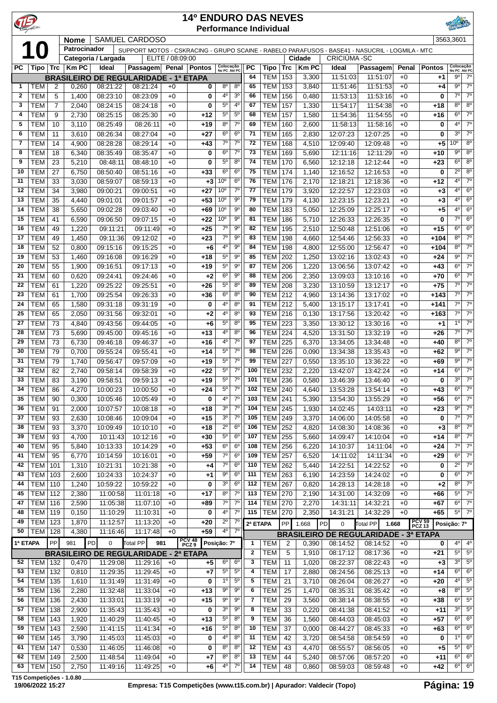| $\mathbf{P}$ |                          |                |                  |                      |                                                                                                 |                  | <b>14º ENDURO DAS NEVES</b> | <b>Performance Individual</b>                                             |              |                           |                   |                       |                      |                                              |               |                          | RINEVED                                  |                               |
|--------------|--------------------------|----------------|------------------|----------------------|-------------------------------------------------------------------------------------------------|------------------|-----------------------------|---------------------------------------------------------------------------|--------------|---------------------------|-------------------|-----------------------|----------------------|----------------------------------------------|---------------|--------------------------|------------------------------------------|-------------------------------|
|              | $\overline{10}$          |                | <b>Nome</b>      |                      | <b>SAMUEL CARDOSO</b>                                                                           |                  |                             |                                                                           |              |                           |                   |                       |                      |                                              |               |                          | 3563,3601                                |                               |
|              |                          |                | Patrocinador     |                      | SUPPORT MOTOS - CSKRACING - GRUPO SCAINE - RABELO PARAFUSOS - BASE41 - NASUCRIL - LOGMILA - MTC |                  |                             |                                                                           |              |                           |                   |                       |                      |                                              |               |                          |                                          |                               |
|              |                          |                |                  | Categoria / Largada  |                                                                                                 | ELITE / 08:09:00 |                             |                                                                           | <b>PC</b>    |                           |                   | Cidade<br><b>KmPC</b> | <b>CRICIÚMA-SC</b>   |                                              |               |                          |                                          |                               |
| PC           |                          |                | Tipo Trc   Km PC | Ideal                | <b>Passagem</b><br><b>BRASILEIRO DE REGULARIDADE - 1ª ETAPA</b>                                 |                  | Penal   Pontos              | Colocação<br>No PC Até PC                                                 | 64           | <b>Tipo</b><br><b>TEM</b> | <b>Trc</b><br>153 | 3,300                 | Ideal<br>11:51:03    | Passagem<br>11:51:07                         | Penal<br>$+0$ | <b>Pontos</b><br>+1      | Colocação<br>No PC Até PC<br>$9^{\circ}$ | $7^\circ$                     |
| 1            | <b>TEM</b>               | $\overline{2}$ | 0,260            | 08:21:22             | 08:21:24                                                                                        | $+0$             | 0                           | $8^{\circ}$<br>$8^{\circ}$                                                | 65           | <b>TEM</b>                | 153               | 3,840                 | 11:51:46             | 11:51:53                                     | $+0$          | +4                       | $9^{\circ}$                              | $7^\circ$                     |
| $\mathbf{2}$ | <b>TEM</b>               | 5              | 1,400            | 08:23:10             | 08:23:09                                                                                        | $+0$             | 0                           | $4^{\circ}$<br>3 <sup>0</sup>                                             | 66           | <b>TEM</b>                | 156               | 0,480                 | 11:53:13             | 11:53:16                                     | $+0$          | 0                        | $7^{\circ}$                              | $7^\circ$                     |
| 3            | <b>TEM</b>               | 7              | 2,040            | 08:24:15             | 08:24:18                                                                                        | $+0$             | 0                           | 4 <sup>0</sup><br>$5^{\circ}$                                             | 67           | <b>TEM</b>                | 157               | 1,330                 | 11:54:17             | 11:54:38                                     | $+0$          | $+18$                    | $8^{\circ}$                              | $8^{\circ}$                   |
| 4            | <b>TEM</b>               | 9              | 2,730            | 08:25:15             | 08:25:30                                                                                        | $+0$             | $+12$                       | 5 <sup>0</sup><br>$5^{\circ}$                                             | 68           | <b>TEM</b>                | 157               | 1,580                 | 11:54:36             | 11:54:55                                     | $+0$          | +16                      | $6^{\circ}$                              | $7^\circ$                     |
| 5            | <b>TEM</b>               | 10             | 3,110            | 08:25:49             | 08:26:11                                                                                        | $+0$             | $+19$                       | 8 <sup>o</sup><br>$7^\circ$                                               | 69           | <b>TEM</b>                | 160               | 2,600                 | 11:58:13             | 11:58:16                                     | $+0$          | 0                        | $4^{\circ}$                              | $7^\circ$                     |
| 6            | <b>TEM</b>               | 11             | 3,610            | 08:26:34             | 08:27:04                                                                                        | $+0$             | $+27$                       | 6 <sup>o</sup><br>$6^{\circ}$                                             | 71           | TEM                       | 165               | 2,830                 | 12:07:23             | 12:07:25                                     | $+0$          | 0                        | $3^{\circ}$                              | $7^\circ$                     |
| 7            | <b>TEM</b>               | 14             | 4,900            | 08:28:28             | 08:29:14                                                                                        | $+0$             | $+43$                       | $7^\circ$<br>$7^\circ$                                                    | 72           | <b>TEM</b>                | 168               | 4,510                 | 12:09:40             | 12:09:48                                     | $+0$          | $+5$                     | 10 <sup>o</sup>                          | $8^{\circ}$                   |
| 8            | <b>TEM</b>               | 18             | 6,340            | 08:35:49             | 08:35:47                                                                                        | $+0$             | 0                           | $6^{\circ}$<br>$7^\circ$                                                  | 73           | <b>TEM</b>                | 169               | 5,690                 | 12:11:16             | 12:11:29                                     | $+0$          | +10                      | $9^{\circ}$                              | $8^{\circ}$                   |
| 9            | <b>TEM</b>               | 23             | 5,210            | 08:48:11             | 08:48:10                                                                                        | $+0$             | 0                           | $5^{\circ}$<br>$8^{\circ}$                                                | 74           | <b>TEM</b>                | 170               | 6,560                 | 12:12:18             | 12:12:44                                     | $+0$          | $+23$                    | 6 <sup>o</sup>                           | $8^{\circ}$                   |
| 10           | <b>TEM</b>               | 27             | 6,750            | 08:50:40             | 08:51:16                                                                                        | $+0$             | $+33$                       | 6 <sup>o</sup><br>6 <sup>o</sup>                                          | 75           | TEM                       | 174               | 1,140                 | 12:16:52             | 12:16:53                                     | $+0$          | 0                        | $2^{\circ}$                              | $8^{\circ}$                   |
| 11           | <b>TEM</b>               | 33             | 3,030            | 08:59:07             | 08:59:13                                                                                        | $+0$             | $+3$                        | 10 <sup>o</sup><br>6 <sup>o</sup>                                         | 76           | TEM                       | 176               | 2,170                 | 12:18:21             | 12:18:36                                     | $+0$          | $+12$                    | $4^{\circ}$                              | $7^\circ$                     |
| 12           | <b>TEM</b>               | 34             | 3,980            | 09:00:21             | 09:00:51                                                                                        | $+0$             | $+27$                       | $7^\circ$<br>10 <sup>o</sup>                                              | 77           | TEM                       | 179               | 3,920                 | 12:22:57             | 12:23:03                                     | $+0$          | $+3$                     | $4^{\circ}$                              | $6^{\circ}$                   |
| 13           | <b>TEM</b>               | 35             | 4,440            | 09:01:01             | 09:01:57                                                                                        | $+0$             | $+53$                       | $9^{\circ}$<br>10 <sup>o</sup>                                            | 79           | <b>TEM</b>                | 179               | 4,130                 | 12:23:15             | 12:23:21                                     | $+0$          | +3                       | $4^{\circ}$                              | $6^{\circ}$                   |
| 14           | <b>TEM</b>               | 38             | 5,650            | 09:02:28             | 09:03:40                                                                                        | $+0$             | +69                         | 10 <sup>o</sup><br>$9^{\circ}$                                            | 80           | <b>TEM</b>                | 183               | 5,050                 | 12:25:09             | 12:25:17                                     | $+0$          | +5                       | $4^{\circ}$<br>$7^{\circ}$               | $6^{\circ}$                   |
| 15           | <b>TEM</b>               | 41             | 6,590            | 09:06:50             | 09:07:15                                                                                        | $+0$             | $+22$                       | $9^{\circ}$<br>10 <sup>o</sup><br>$7^\circ$<br>$9^{\circ}$                | 81<br>82     | <b>TEM</b>                | 186               | 5,710                 | 12:26:33             | 12:26:35                                     | $+0$          | 0                        | $6^{\circ}$                              | $6^{\circ}$<br>6 <sup>o</sup> |
| 16<br>17     | <b>TEM</b><br><b>TEM</b> | 49<br>49       | 1,220<br>1,450   | 09:11:21<br>09:11:36 | 09:11:49<br>09:12:02                                                                            | $+0$<br>$+0$     | $+25$<br>$+23$              | $7^\circ$<br>$9^{\circ}$                                                  | 83           | <b>TEM</b><br><b>TEM</b>  | 195<br>198        | 2,510<br>4,660        | 12:50:48<br>12:54:46 | 12:51:06<br>12:56:33                         | $+0$<br>$+0$  | $+15$<br>$+104$          | $8^{\circ}$                              | $7^\circ$                     |
| 18           | <b>TEM</b>               | 52             | 0,800            | 09:15:16             | 09:15:25                                                                                        | $+0$             | $+6$                        | 4°<br>$9^{\circ}$                                                         | 84           | <b>TEM</b>                | 198               | 4,800                 | 12:55:00             | 12:56:47                                     | $+0$          | $+104$                   | $8^{\circ}$                              | $7^\circ$                     |
| 19           | <b>TEM</b>               | 53             | 1,460            | 09:16:08             | 09:16:29                                                                                        | $+0$             | $+18$                       | $5^{\circ}$<br>90                                                         | 85           | TEM                       | 202               | 1,250                 | 13:02:16             | 13:02:43                                     | $+0$          | $+24$                    | $9^{\circ}$                              | $7^\circ$                     |
| 20           | <b>TEM</b>               | 55             | 1,900            | 09:16:51             | 09:17:13                                                                                        | $+0$             | $+19$                       | $5^{\rm o}$<br>$9^{\circ}$                                                | 87           | TEM                       | 206               | 1,220                 | 13:06:56             | 13:07:42                                     | $+0$          | $+43$                    | $6^{\circ}$                              | $7^\circ$                     |
| 21           | <b>TEM</b>               | 60             | 0,620            | 09:24:41             | 09:24:46                                                                                        | $+0$             | $+2$                        | 6 <sup>o</sup><br>9 <sup>o</sup>                                          | 88           | <b>TEM</b>                | 206               | 2,350                 | 13:09:03             | 13:10:16                                     | $+0$          | $+70$                    | 6 <sup>o</sup>                           | $7^\circ$                     |
| 22           | <b>TEM</b>               | 61             | 1,220            | 09:25:22             | 09:25:51                                                                                        | $+0$             | $+26$                       | $5^{\circ}$<br>$8^{\circ}$                                                | 89           | <b>TEM</b>                | 208               | 3,230                 | 13:10:59             | 13:12:17                                     | $+0$          | $+75$                    | $7^\circ$                                | $7^\circ$                     |
| 23           | <b>TEM</b>               | 61             | 1,700            | 09:25:54             | 09:26:33                                                                                        | $+0$             | +36                         | $6^{\circ}$<br>$8^{\circ}$                                                | 90           | <b>TEM</b>                | 212               | 4,960                 | 13:14:36             | 13:17:02                                     | $+0$          | $+143$                   | $7^{\circ}$                              | $7^\circ$                     |
| 24           | <b>TEM</b>               | 65             | 1,580            | 09:31:18             | 09:31:19                                                                                        | $+0$             | 0                           | 4°<br>$8^{\circ}$                                                         | 91           | TEM                       | 212               | 5,400                 | 13:15:17             | 13:17:41                                     | $+0$          | $+141$                   | $7^{\circ}$                              | $7^\circ$                     |
| 25           | <b>TEM</b>               | 65             | 2,050            | 09:31:56             | 09:32:01                                                                                        | $+0$             | $+2$                        | $4^{\circ}$<br>8 <sup>o</sup>                                             | 93           | TEM                       | 216               | 0,130                 | 13:17:56             | 13:20:42                                     | $+0$          | $+163$                   | $7^{\circ}$                              | $7^\circ$                     |
| 27           | <b>TEM</b>               | 73             | 4,840            | 09:43:56             | 09:44:05                                                                                        | $+0$             | $+6$                        | $5^{\circ}$<br>$8^{\circ}$                                                | 95           | <b>TEM</b>                | 223               | 3,350                 | 13:30:12             | 13:30:16                                     | $+0$          | $+1$                     | $1^{\circ}$                              | $7^\circ$                     |
| 28           | <b>TEM</b>               | 73             | 5,690            | 09:45:00             | 09:45:16                                                                                        | $+0$             | $+13$                       | 4°<br>$8^{\circ}$                                                         | 96           | <b>TEM</b>                | 224               | 4,520                 | 13:31:50             | 13:32:19                                     | $+0$          | $+26$                    | $7^{\circ}$                              | $7^\circ$                     |
| 29           | <b>TEM</b>               | 73             | 6,730            | 09:46:18             | 09:46:37                                                                                        | $+0$             | $+16$                       | $7^\circ$<br>4°                                                           | 97           | <b>TEM</b>                | 225               | 6,370                 | 13:34:05             | 13:34:48                                     | $+0$          | +40                      | $8^{\circ}$                              | $7^\circ$                     |
| 30           | <b>TEM</b>               | 79             | 0,700            | 09:55:24             | 09:55:41                                                                                        | $+0$             | $+14$                       | 7 <sup>0</sup><br>$5^{\circ}$                                             | 98           | <b>TEM</b>                | 226               | 0,090                 | 13:34:38             | 13:35:43                                     | $+0$          | $+62$                    | $9^{\circ}$                              | $7^\circ$                     |
| 31           | <b>TEM</b>               | 79             | 1,740            | 09:56:47             | 09:57:09                                                                                        | $+0$             | $+19$                       | $5^{\circ}$<br>$7^\circ$                                                  | 99           | <b>TEM</b>                | 227               | 0,550                 | 13:35:10             | 13:36:22                                     | $+0$          | +69                      | $9^{\circ}$                              | $7^\circ$                     |
| 32           | <b>TEM</b>               | 82             | 2,740            | 09:58:14             | 09:58:39                                                                                        | $+0$             | $+22$                       | $5^{\circ}$<br>$7^\circ$                                                  | 100          | <b>TEM</b>                | 232               | 2,220                 | 13:42:07             | 13:42:24                                     | $+0$          | +14                      | $6^{\circ}$                              | $7^\circ$                     |
| 33           | <b>TEM</b>               | 83             | 3,190            | 09:58:51             | 09:59:13                                                                                        | $+0$             | +19                         | $5^{\circ}$<br>$7^{\circ}$                                                | 101          | <b>TEM 236</b>            |                   | 0,580                 | 13:46:39             | 13:46:40                                     | $+0$          | 0                        | $3^{\circ}$                              | $7^\circ$                     |
| 34           | $ $ TEM                  | 86             | 4,270            | 10:00:23             | 10:00:50                                                                                        | $+0$             | +24                         | 7 <sup>0</sup><br>$5^{\rm o}$                                             | 102          | <b>TEM</b> 240            |                   | 4,640                 | 13:53:28             | 13:54:14                                     | $+0$          | $+43$                    |                                          | $6^\circ$ 7 <sup>o</sup>      |
| 35           | <b>TEM</b>               | 90             | 0,300            | 10:05:46             | 10:05:49                                                                                        | $+0$             | 0                           | $7^\circ$<br>$4^{\circ}$<br>$7^\circ$                                     | 103<br>104   | <b>TEM 241</b>            |                   | 5,390                 | 13:54:30             | 13:55:29                                     | $+0$          | +56                      | $6^{\circ}$<br>$9^{\circ}$               | $7^\circ$<br>$7^\circ$        |
| 36<br>37     | <b>TEM</b><br><b>TEM</b> | 91<br>93       | 2,000<br>2,630   | 10:07:57<br>10:08:46 | 10:08:18<br>10:09:04                                                                            | $+0$<br>$+0$     | $+18$<br>$+15$              | 3 <sup>o</sup><br>3 <sup>o</sup><br>$7^\circ$                             | 105          | $TEM$ 245<br>TEM          | 249               | 1,930<br>3,370        | 14:02:45<br>14:06:00 | 14:03:11<br>14:05:58                         | $+0$<br>$+0$  | $+23$<br>0               | $7^{\circ}$                              | $7^\circ$                     |
| 38           | <b>TEM</b>               | 93             | 3,370            | 10:09:49             | 10:10:10                                                                                        | $+0$             | $+18$                       | $2^{\circ}$<br>6 <sup>o</sup>                                             | 106          | TEM                       | 252               | 4,820                 | 14:08:30             | 14:08:36                                     | $+0$          | $+3$                     | $8^{\circ}$                              | $7^\circ$                     |
| 39           | <b>TEM</b>               | 93             | 4,700            | 10:11:43             | 10:12:16                                                                                        | $+0$             | $+30$                       | 6 <sup>o</sup><br>$5^{\circ}$                                             | 107          | <b>TEM</b>                | 255               | 5,660                 | 14:09:47             | 14:10:04                                     | $+0$          | $+14$                    | $8^{\circ}$                              | $7^\circ$                     |
| 40           | <b>TEM</b>               | 95             | 5,840            | 10:13:33             | 10:14:29                                                                                        | $+0$             | $+53$                       | $6^{\circ}$<br>6 <sup>o</sup>                                             | 108          | <b>TEM</b>                | 256               | 6,220                 | 14:10:37             | 14:11:04                                     | $+0$          | +24                      | $7^\circ$                                | $7^\circ$                     |
| 41           | <b>TEM</b>               | 95             | 6,770            | 10:14:59             | 10:16:01                                                                                        | $+0$             | $+59$                       | $7^{\circ}$<br>6 <sup>o</sup>                                             | 109          | <b>TEM</b>                | 257               | 6,520                 | 14:11:02             | 14:11:34                                     | $+0$          | $+29$                    | $6^{\circ}$                              | $7^\circ$                     |
| 42           | <b>TEM</b>               | 101            | 1,310            | 10:21:31             | 10:21:38                                                                                        | $+0$             | $+4$                        | $7^\circ$<br>6 <sup>o</sup>                                               | 110          | <b>TEM</b>                | 262               | 5,440                 | 14:22:51             | 14:22:52                                     | $+0$          | 0                        | $2^{\circ}$                              | $7^\circ$                     |
| 43           | <b>TEM</b>               | 103            | 2,600            | 10:24:33             | 10:24:37                                                                                        | $+0$             | $+1$                        | $9^{\circ}$<br>6 <sup>o</sup>                                             | 111          | TEM                       | 263               | 6,190                 | 14:23:59             | 14:24:02                                     | $+0$          | 0                        | $6^{\circ}$                              | $7^\circ$                     |
| 44           | <b>TEM</b>               | 110            | 1,240            | 10:59:22             | 10:59:22                                                                                        | $+0$             | 0                           | $6^{\circ}$<br>3 <sup>o</sup>                                             | 112          | <b>TEM</b>                | 267               | 0,820                 | 14:28:13             | 14:28:18                                     | $+0$          | $+2$                     | $8^{\circ}$                              | $7^\circ$                     |
| 45           | TEM                      | 112            | 2,380            | 11:00:58             | 11:01:18                                                                                        | $+0$             | $+17$                       | $8^{\circ}$<br>$7^\circ$                                                  | 113          | <b>TEM 270</b>            |                   | 2,190                 | 14:31:00             | 14:32:09                                     | $+0$          | +66                      | $5^{\circ}$                              | $7^\circ$                     |
| 47           | <b>TEM 116</b>           |                | 2,590            | 11:05:38             | 11:07:10                                                                                        | $+0$             | +89                         | $7^\circ$<br>$7^\circ$                                                    | 114          | <b>TEM 270</b>            |                   | 2,270                 | 14:31:11             | 14:32:21                                     | $+0$          | +67                      | $6^{\circ}$                              | $7^\circ$                     |
| 48           | TEM                      | 119            | 0,150            | 11:10:29             | 11:10:31                                                                                        | $+0$             | 0                           | 4°<br>$7^\circ$                                                           | 115          | <b>TEM 270</b>            |                   | 2,350                 | 14:31:21             | 14:32:29                                     | $+0$          | +65                      | $5^{\circ}$                              | $7^\circ$                     |
| 49           | <b>TEM</b>               | 123            | 1,870            | 11:12:57             | 11:13:20                                                                                        | $+0$             | $+20$                       | $7^\circ$<br>$2^{\circ}$                                                  | 2ª ETAPA     |                           | PP                | 1.668                 | PD<br>$\pmb{0}$      | Total PP<br>1.668                            |               | <b>PCV 59<br/>PCZ 13</b> | Posição: 7º                              |                               |
| 50           | <b>TEM 128</b>           |                | 4,380            | 11:16:46             | 11:17:48                                                                                        | $+0$             | $+59$                       | $4^{\circ}$<br>$7^\circ$                                                  |              |                           |                   |                       |                      | <b>BRASILEIRO DE REGULARIDADE - 3ª ETAPA</b> |               |                          |                                          |                               |
| 1ª ETAPA     |                          | PP             | 981              | PD<br>0              | Total PP<br>981                                                                                 |                  | PCV 48<br>PCZ 9             | Posição: 7º                                                               | 1            | <b>TEM</b>                | $\overline{2}$    | 0,390                 | 08:14:52             | 08:14:52                                     | $+0$          | 0                        | $4^{\circ}$                              | $4^{\circ}$                   |
|              |                          |                |                  |                      | <b>BRASILEIRO DE REGULARIDADE - 2ª ETAPA</b>                                                    |                  |                             |                                                                           | $\mathbf{2}$ | <b>TEM</b>                | 5                 | 1,910                 | 08:17:12             | 08:17:36                                     | $+0$          | +21                      | $5^{\circ}$                              | $5^{\circ}$                   |
| 52           | <b>TEM 132</b>           |                | 0,470            | 11:29:08             | 11:29:16                                                                                        | $+0$             | +5                          | 6 <sup>o</sup><br>$6^{\circ}$                                             | 3            | <b>TEM</b>                | 11                | 1,020                 | 08:22:37             | 08:22:43                                     | $+0$          | $+3$                     | $3^{\circ}$                              | $5^{\circ}$                   |
| 53           | <b>TEM</b>               | 132            | 0,810            | 11:29:35             | 11:29:45                                                                                        | $+0$             | $+7$                        | $5^{\circ}$<br>$5^{\circ}$                                                | 4            | <b>TEM</b>                | 17                | 2,880                 | 08:24:56             | 08:25:13                                     | $+0$          | $+14$                    | $6^{\circ}$                              | $6^{\circ}$                   |
| 54           | <b>TEM</b>               | 135            | 1,610            | 11:31:49             | 11:31:49                                                                                        | $+0$             | 0                           | 1 <sup>0</sup><br>$5^{\circ}$                                             | 5            | <b>TEM</b>                | 21                | 3,710                 | 08:26:04             | 08:26:27                                     | $+0$          | +20                      | $4^{\circ}$                              | $5^{\circ}$                   |
| 55           | <b>TEM</b>               | 136            | 2,280            | 11:32:48             | 11:33:04                                                                                        | $+0$             | $+13$                       | $9^{\circ}$<br>$9^{\circ}$                                                | 6            | <b>TEM</b>                | 25                | 1,470                 | 08:35:31             | 08:35:42                                     | $+0$          | +8                       | $8^{\circ}$                              | $5^{\circ}$                   |
| 56           | <b>TEM</b>               | 136            | 2,430            | 11:33:01             | 11:33:19                                                                                        | $+0$             | $+15$                       | 9 <sup>o</sup><br>$9^{\circ}$<br>3 <sup>o</sup><br>$\overline{9^{\circ}}$ | 7<br>8       | <b>TEM</b>                | 29                | 3,560                 | 08:38:14             | 08:38:55                                     | $+0$          | +38                      | $6^{\circ}$<br>$3^{\circ}$               | $5^{\circ}$<br>$5^\circ$      |
| 57<br>58     | <b>TEM</b><br><b>TEM</b> | 138            | 2,900            | 11:35:43             | 11:35:43                                                                                        | $+0$             | 0                           | 8 <sup>o</sup><br>$5^{\circ}$                                             | 9            | <b>TEM</b>                | 33                | 0,220                 | 08:41:38             | 08:41:52                                     | $+0$          | $+11$                    | $6^{\circ}$                              | $6^{\circ}$                   |
| 59           | <b>TEM</b>               | 143<br>143     | 1,920<br>2,590   | 11:40:29<br>11:41:15 | 11:40:45<br>11:41:34                                                                            | $+0$<br>$+0$     | $+13$<br>$+16$              | $5^{\circ}$<br>$8^{\circ}$                                                | 10           | <b>TEM</b><br><b>TEM</b>  | 36<br>37          | 1,560<br>0,000        | 08:44:03<br>08:44:27 | 08:45:03<br>08:45:33                         | $+0$<br>$+0$  | +57<br>+63               | $6^{\circ}$                              | $6^{\circ}$                   |
| 60           | <b>TEM</b>               | 145            | 3,790            | 11:45:03             | 11:45:03                                                                                        | $+0$             | 0                           | 4°<br>$8^{\circ}$                                                         | 11           | <b>TEM</b>                | 42                | 3,720                 | 08:54:58             | 08:54:59                                     | $+0$          | 0                        | 10                                       | $6^{\circ}$                   |
| 61           | <b>TEM</b>               | 147            | 0,530            | 11:46:05             | 11:46:08                                                                                        | $+0$             | 0                           | $8^{\circ}$<br>$8^{\circ}$                                                | 12           | <b>TEM</b>                | 43                | 4,470                 | 08:55:57             | 08:56:05                                     | $+0$          | $+5$                     | $5^{\circ}$                              | $6^{\circ}$                   |
| 62           | TEM                      | 149            | 2,500            | 11:48:54             | 11:49:04                                                                                        | $+0$             | +7                          | $8^{\circ}$<br>$8^{\circ}$                                                | 13           | <b>TEM</b>                | 44                | 5,240                 | 08:57:06             | 08:57:20                                     | $+0$          | +11                      | $6^{\circ}$                              | $6^{\circ}$                   |
| 63           | <b>TEM</b>               | 150            | 2,750            | 11:49:16             | 11:49:25                                                                                        | $+0$             | $+6$                        | $4^{\circ}$<br>$7^{\circ}$                                                | 14           | <b>TEM</b>                | 48                | 0,860                 | 08:59:03             | 08:59:48                                     | $+0$          | +42                      | $6^{\circ}$                              | 6 <sup>o</sup>                |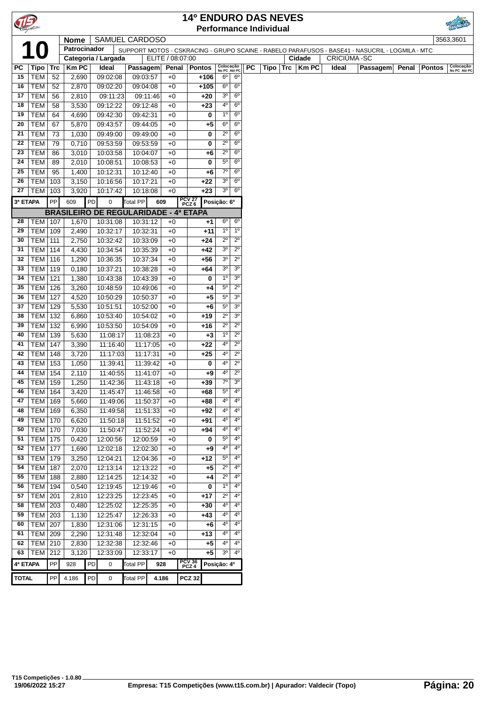|              |                             |             |                                                                 |    |                      |                      |                  |              | <b>14º ENDURO DAS NEVES</b> |                   |                           |           |                               |     |        |             |             |                                                                                                 |       |               |                           |
|--------------|-----------------------------|-------------|-----------------------------------------------------------------|----|----------------------|----------------------|------------------|--------------|-----------------------------|-------------------|---------------------------|-----------|-------------------------------|-----|--------|-------------|-------------|-------------------------------------------------------------------------------------------------|-------|---------------|---------------------------|
|              |                             |             |                                                                 |    |                      |                      |                  |              |                             |                   |                           |           | <b>Performance Individual</b> |     |        |             |             |                                                                                                 |       |               |                           |
|              |                             |             | <b>Nome</b>                                                     |    | SAMUEL CARDOSO       |                      |                  |              |                             |                   |                           |           |                               |     |        |             |             |                                                                                                 |       |               | 3563,3601                 |
|              |                             |             | Patrocinador                                                    |    |                      |                      |                  |              |                             |                   |                           |           |                               |     |        |             |             | SUPPORT MOTOS - CSKRACING - GRUPO SCAINE - RABELO PARAFUSOS - BASE41 - NASUCRIL - LOGMILA - MTC |       |               |                           |
|              |                             |             |                                                                 |    | Categoria / Largada  |                      | ELITE / 08:07:00 |              |                             |                   |                           |           |                               |     | Cidade |             | CRICIÚMA-SC |                                                                                                 |       |               |                           |
| PC           | <b>Tipo</b>                 | $ $ Trc     | <b>Km PC</b>                                                    |    | Ideal                | Passagem             |                  | Penal        | <b>Pontos</b>               |                   | Colocação<br>No PC Até PC | <b>PC</b> | Tipo                          | Trc |        | <b>KmPC</b> | Ideal       | Passagem                                                                                        | Penal | <b>Pontos</b> | Colocação<br>No PC Até PC |
| 15           | <b>TEM</b>                  | 52          | 2,690                                                           |    | 09:02:08             | 09:03:57             |                  | $+0$         | +106                        | $6^{\circ}$       | $6^{\circ}$               |           |                               |     |        |             |             |                                                                                                 |       |               |                           |
| 16           | <b>TEM</b>                  | 52          | 2,870                                                           |    | 09:02:20             | 09:04:08             |                  | $+0$         | $+105$                      | $6^{\circ}$       | $6^{\circ}$               |           |                               |     |        |             |             |                                                                                                 |       |               |                           |
| 17           | <b>TEM</b>                  | 56          | 2,810                                                           |    | 09:11:23             | 09:11:46             |                  | $+0$         | $+20$                       | 3 <sup>o</sup>    | $6^{\circ}$               |           |                               |     |        |             |             |                                                                                                 |       |               |                           |
| 18           | <b>TEM</b>                  | 58          | 3,530                                                           |    | 09:12:22             | 09:12:48             |                  | $+0$         | $+23$                       | 4 <sup>0</sup>    | 6 <sup>o</sup>            |           |                               |     |        |             |             |                                                                                                 |       |               |                           |
| 19           | <b>TEM</b>                  | 64          | 4,690                                                           |    | 09:42:30             | 09:42:31             |                  | $+0$         | 0                           | 1 <sup>0</sup>    | $6^{\circ}$               |           |                               |     |        |             |             |                                                                                                 |       |               |                           |
| 20           | <b>TEM</b>                  | 67          | 5,870                                                           |    | 09:43:57             | 09:44:05             |                  | $+0$         | +5                          | $6^{\circ}$       | $6^{\circ}$               |           |                               |     |        |             |             |                                                                                                 |       |               |                           |
| 21           | <b>TEM</b>                  | 73          | 1,030                                                           |    | 09:49:00             | 09:49:00             |                  | $+0$         | 0                           | $2^{\circ}$       | $6^{\circ}$               |           |                               |     |        |             |             |                                                                                                 |       |               |                           |
| 22           | <b>TEM</b>                  | 79          | 0,710                                                           |    | 09:53:59             | 09:53:59             |                  | $+0$         | 0                           | $2^{\circ}$       | 6 <sup>o</sup>            |           |                               |     |        |             |             |                                                                                                 |       |               |                           |
| 23           | <b>TEM</b>                  | 86          | 3,010                                                           |    | 10:03:58             | 10:04:07             |                  | $+0$         | +6                          | $2^{\circ}$       | $6^{\circ}$               |           |                               |     |        |             |             |                                                                                                 |       |               |                           |
| 24           | <b>TEM</b>                  | 89          | 2,010                                                           |    | 10:08:51             | 10:08:53             |                  | $+0$         | 0                           | $5^{\circ}$       | 6 <sup>o</sup>            |           |                               |     |        |             |             |                                                                                                 |       |               |                           |
| 25           | <b>TEM</b>                  | 95          | 1,400                                                           |    | 10:12:31             | 10:12:40             |                  | $+0$         | +6                          | $7^\circ$         | $6^{\circ}$               |           |                               |     |        |             |             |                                                                                                 |       |               |                           |
| 26           | TEM   103                   |             | 3,150                                                           |    | 10:16:56             | 10:17:21             |                  | $+0$         | +22                         | 3 <sup>o</sup>    | $6^{\circ}$               |           |                               |     |        |             |             |                                                                                                 |       |               |                           |
| 27           | <b>TEM</b>                  | 103         | 3,920                                                           |    | 10:17:42             | 10:18:08             |                  | $+0$         | $+23$                       | 3 <sup>o</sup>    | $6^{\circ}$               |           |                               |     |        |             |             |                                                                                                 |       |               |                           |
| 3ª ETAPA     |                             | PP          | 609                                                             | PD | 0<br>Total PP        | Posição: 6º          |                  |              |                             |                   |                           |           |                               |     |        |             |             |                                                                                                 |       |               |                           |
|              |                             |             | PCV 27<br>PCZ 6<br><b>BRASILEIRO DE REGULARIDADE - 4ª ETAPA</b> |    |                      |                      |                  |              |                             |                   |                           |           |                               |     |        |             |             |                                                                                                 |       |               |                           |
| 28           | <b>TEM   107</b>            |             | 1,670                                                           |    | 10:31:08             | 10:31:12             |                  | $+0$         | $+1$                        | $6^{\circ}$       | $6^{\circ}$               |           |                               |     |        |             |             |                                                                                                 |       |               |                           |
| 29           | TEM   109                   |             | 2,490                                                           |    | 10:32:17             | 10:32:31             |                  | $+0$         | +11                         | $1^{\circ}$       | 1 <sup>0</sup>            |           |                               |     |        |             |             |                                                                                                 |       |               |                           |
| 30           | <b>TEM 111</b>              |             | 2,750                                                           |    | 10:32:42             | 10:33:09             |                  | $+0$         | +24                         | $2^{\circ}$       | $2^{\circ}$               |           |                               |     |        |             |             |                                                                                                 |       |               |                           |
| 31           | <b>TEM</b>                  | 114         | 4,430                                                           |    | 10:34:54             | 10:35:39             |                  | $+0$         | +42                         | 3 <sup>o</sup>    | $2^{\circ}$               |           |                               |     |        |             |             |                                                                                                 |       |               |                           |
| 32           | <b>TEM</b>                  | 116         | 1,290                                                           |    | 10:36:35             | 10:37:34             |                  | $+0$         | $+56$                       | 3 <sup>o</sup>    | $2^{\circ}$               |           |                               |     |        |             |             |                                                                                                 |       |               |                           |
| 33           | <b>TEM</b>                  | 119         | 0,180                                                           |    | 10:37:21             | 10:38:28             |                  | $+0$         | +64                         | 3 <sup>o</sup>    | 3 <sup>o</sup>            |           |                               |     |        |             |             |                                                                                                 |       |               |                           |
| 34           | <b>TEM</b>                  | 121         | 1,380                                                           |    | 10:43:38             | 10:43:39             |                  | $+0$         | 0                           | 1 <sup>0</sup>    | 3 <sup>o</sup>            |           |                               |     |        |             |             |                                                                                                 |       |               |                           |
| 35           | <b>TEM</b>                  | 126         | 3,260                                                           |    | 10:48:59             | 10:49:06             |                  | +0           | +4                          | $5^{\circ}$       | $2^{\circ}$               |           |                               |     |        |             |             |                                                                                                 |       |               |                           |
| 36           | <b>TEM</b>                  | 127         | 4,520                                                           |    | 10:50:29             | 10:50:37             |                  | $+0$         | +5                          | $5^{\circ}$       | 3 <sup>o</sup>            |           |                               |     |        |             |             |                                                                                                 |       |               |                           |
| 37           | <b>TEM 129</b>              |             | 5,530                                                           |    | 10:51:51             | 10:52:00             |                  | $+0$         | +6                          | $5^\circ$         | 3 <sup>o</sup>            |           |                               |     |        |             |             |                                                                                                 |       |               |                           |
| 38           | <b>TEM</b>                  | 132         | 6,860                                                           |    | 10:53:40             | 10:54:02             |                  | $+0$         | +19                         | $2^{\circ}$       | 3 <sup>o</sup>            |           |                               |     |        |             |             |                                                                                                 |       |               |                           |
| 39           | <b>TEM</b>                  | 132         | 6,990                                                           |    | 10:53:50             | 10:54:09             |                  | $+0$         | +16                         | $2^{\circ}$       | $2^{\circ}$               |           |                               |     |        |             |             |                                                                                                 |       |               |                           |
| 40           | TEM   139                   |             | 5,630                                                           |    | 11:08:17             | 11:08:23             |                  | $+0$         | $+3$                        | 1 <sup>0</sup>    | $2^{\circ}$               |           |                               |     |        |             |             |                                                                                                 |       |               |                           |
| 41           | TEM                         | 147         | 3,390                                                           |    | 11:16:40             | 11:17:05             |                  | $+0$         | +22                         | 4°                | $2^{\circ}$               |           |                               |     |        |             |             |                                                                                                 |       |               |                           |
| 42           | <b>TEM</b>                  | 148         | 3,720                                                           |    | 11:17:03             | 11:17:31             |                  | $+0$         | $+25$                       | $4^{\circ}$       | $2^{\circ}$               |           |                               |     |        |             |             |                                                                                                 |       |               |                           |
| 43           | <b>TEM</b>                  | 153         | 1,050                                                           |    | 11:39:41             | 11:39:42             |                  | $+0$         | 0                           | $4^{\circ}$       | $2^{\circ}$               |           |                               |     |        |             |             |                                                                                                 |       |               |                           |
| 44           | <b>TEM</b>                  | 154         | 2,110                                                           |    | 11:40:55             | 11:41:07             |                  | $+0$         | +9                          | $4^{\circ}$       | $\overline{2^0}$          |           |                               |     |        |             |             |                                                                                                 |       |               |                           |
| 45           | <b>TEM 159</b>              |             | 1,250                                                           |    | 11:42:36             | 11:43:18             |                  | $+0$         | +39                         | $7^\circ$         | 3 <sup>o</sup>            |           |                               |     |        |             |             |                                                                                                 |       |               |                           |
| 46           | <b>TEM 164</b>              |             | 3,420                                                           |    | 11:45:47             | 11:46:58             |                  | $+0$         | +68                         | $5^{\rm o}$       | $4^{\circ}$               |           |                               |     |        |             |             |                                                                                                 |       |               |                           |
| 47           | TEM   169                   |             | 5,660                                                           |    | 11:49:06             | 11:50:37             |                  | $+0$         | +88                         | $4^{\circ}$       | $4^{\circ}$               |           |                               |     |        |             |             |                                                                                                 |       |               |                           |
| 48           | TEM   169                   |             | 6,350                                                           |    | 11:49:58             | 11:51:33             |                  | $+0$         | $+92$                       | $4^{\circ}$       | $4^{\circ}$               |           |                               |     |        |             |             |                                                                                                 |       |               |                           |
| 49           | <b>TEM 170</b>              |             | 6,620                                                           |    | 11:50:18             | 11:51:52             |                  | $+0$         | +91                         | $4^{\circ}$       | $4^{\circ}$               |           |                               |     |        |             |             |                                                                                                 |       |               |                           |
| 50<br>51     | <b>TEM</b><br><b>TEM</b>    | 170<br> 175 | 7,030                                                           |    | 11:50:47             | 11:52:24<br>12:00:59 |                  | $+0$         | +94                         | 4°<br>$5^{\circ}$ | 4°<br>4°                  |           |                               |     |        |             |             |                                                                                                 |       |               |                           |
| 52           | <b>TEM</b>                  | 177         | 0,420<br>1,690                                                  |    | 12:00:56<br>12:02:18 | 12:02:30             |                  | $+0$         | 0                           | 4°                | 4°                        |           |                               |     |        |             |             |                                                                                                 |       |               |                           |
| 53           | <b>TEM</b>                  | 179         | 3,250                                                           |    | 12:04:21             | 12:04:36             |                  | $+0$<br>$+0$ | +9<br>$+12$                 | $5^{\circ}$       | $4^{\circ}$               |           |                               |     |        |             |             |                                                                                                 |       |               |                           |
| 54           | <b>TEM</b>                  | 187         | 2,070                                                           |    | 12:13:14             | 12:13:22             |                  | $+0$         | +5                          | $2^{\circ}$       | $4^{\circ}$               |           |                               |     |        |             |             |                                                                                                 |       |               |                           |
| 55           | <b>TEM</b>                  | 188         | 2,880                                                           |    | 12:14:25             | 12:14:32             |                  | $+0$         | +4                          | $2^{\circ}$       | $4^{\circ}$               |           |                               |     |        |             |             |                                                                                                 |       |               |                           |
| 56           | <b>TEM</b>                  | 194         | 0,540                                                           |    | 12:19:45             | 12:19:46             |                  | $+0$         | 0                           | $1^{\circ}$       | $4^{\circ}$               |           |                               |     |        |             |             |                                                                                                 |       |               |                           |
| 57           | <b>TEM</b>                  | 201         | 2,810                                                           |    | 12:23:25             | 12:23:45             | $+0$             | $2^{\circ}$  | $4^{\circ}$                 |                   |                           |           |                               |     |        |             |             |                                                                                                 |       |               |                           |
| 58           | <b>TEM 203</b>              |             | 0,480                                                           |    | 12:25:02             | 12:25:35             | $+0$             | $+17$<br>+30 | 4°                          | $4^{\circ}$       |                           |           |                               |     |        |             |             |                                                                                                 |       |               |                           |
| 59           | $\overline{\text{TEM}}$ 203 |             | 1,130                                                           |    | 12:25:47             | 12:26:33             |                  | $+0$         | +43                         | 4°                | $4^{\circ}$               |           |                               |     |        |             |             |                                                                                                 |       |               |                           |
| 60           | <b>TEM</b>                  | 207         | 1,830                                                           |    | 12:31:06             | 12:31:15             |                  | $+0$         | +6                          | 4°                | $4^{\circ}$               |           |                               |     |        |             |             |                                                                                                 |       |               |                           |
| 61           | <b>TEM</b>                  | 209         | 2,290                                                           |    | 12:31:48             | 12:32:04             |                  | $+0$         | +13                         | $4^{\circ}$       | $4^{\circ}$               |           |                               |     |        |             |             |                                                                                                 |       |               |                           |
| 62           | TEM 210                     |             | 2,830                                                           |    | 12:32:38             | 12:32:46             |                  | $+0$         | +5                          | $4^{\circ}$       | $4^{\circ}$               |           |                               |     |        |             |             |                                                                                                 |       |               |                           |
| 63           | <b>TEM 212</b>              |             | 3,120                                                           |    | 12:33:09             | 12:33:17             |                  | $+0$         | +5                          | 3 <sup>o</sup>    | $4^{\circ}$               |           |                               |     |        |             |             |                                                                                                 |       |               |                           |
| 4ª ETAPA     |                             | PP          | 928                                                             | PD | 0                    | Total PP             | 928              |              | PCV 36<br>PCZ 4             | Posição: 4º       |                           |           |                               |     |        |             |             |                                                                                                 |       |               |                           |
|              |                             |             |                                                                 |    |                      |                      |                  |              |                             |                   |                           |           |                               |     |        |             |             |                                                                                                 |       |               |                           |
| <b>TOTAL</b> |                             | PP          | 4.186                                                           | PD | 0                    | <b>Total PP</b>      | 4.186            |              | <b>PCZ 32</b>               |                   |                           |           |                               |     |        |             |             |                                                                                                 |       |               |                           |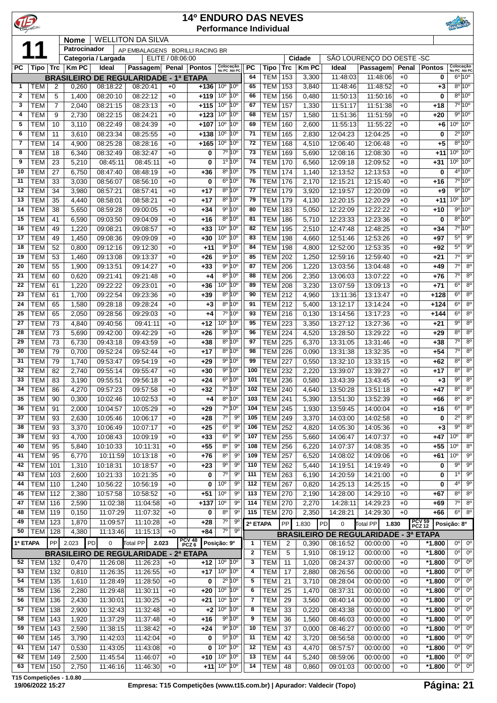| C            |                          |                |                |                      |                                              |                  | <b>14º ENDURO DAS NEVES</b> |                                                                          |                                  |              | <b>Performance Individual</b>    |            |                |                      |                                              |              |                          |                               |                                                    |
|--------------|--------------------------|----------------|----------------|----------------------|----------------------------------------------|------------------|-----------------------------|--------------------------------------------------------------------------|----------------------------------|--------------|----------------------------------|------------|----------------|----------------------|----------------------------------------------|--------------|--------------------------|-------------------------------|----------------------------------------------------|
|              |                          |                | <b>Nome</b>    |                      | <b>WELLITON DA SILVA</b>                     |                  |                             |                                                                          |                                  |              |                                  |            |                |                      |                                              |              |                          |                               |                                                    |
|              |                          |                | Patrocinador   | Categoria / Largada  | AP EMBALAGENS BORILLI RACING BR              | ELITE / 08:06:00 |                             |                                                                          |                                  |              |                                  |            | Cidade         |                      | SÃO LOURENÇO DO OESTE - SC                   |              |                          |                               |                                                    |
| <b>PC</b>    | Tipo                     | Trc            | <b>KmPC</b>    | Ideal                | Passagem                                     | Penal            | Pontos                      | Colocação<br>No PC Até PC                                                |                                  | PC           | Tipo                             | <b>Trc</b> | <b>Km PC</b>   | Ideal                | <b>Passagem</b>                              | Penal        | <b>Pontos</b>            | Colocação<br>No PC Até PC     |                                                    |
|              |                          |                |                |                      | <b>BRASILEIRO DE REGULARIDADE - 1ª ETAPA</b> |                  |                             |                                                                          |                                  | 64           | <b>TEM</b>                       | 153        | 3,300          | 11:48:03             | 11:48:06                                     | $+0$         | 0                        |                               | $6^{\circ}10^{\circ}$                              |
| 1            | TEM                      | 2              | 0,260          | 08:18:22             | 08:20:41                                     | $+0$             | $+136$                      | 10 <sup>o</sup>                                                          | 10 <sup>o</sup>                  | 65           | <b>TEM</b>                       | 153        | 3,840          | 11:48:46             | 11:48:52                                     | $+0$         | $+3$                     |                               | $8^{\circ} 10^{\circ}$                             |
| $\mathbf{2}$ | <b>TEM</b>               | 5              | 1,400          | 08:20:10             | 08:22:12                                     | $+0$             | $+119$                      | 10 <sup>o</sup>                                                          | 10 <sup>o</sup>                  | 66           | <b>TEM</b>                       | 156        | 0,480          | 11:50:13             | 11:50:16                                     | $+0$         | 0                        |                               | $8^{\circ}$ 10 <sup>°</sup>                        |
| 3            | <b>TEM</b>               | $\overline{7}$ | 2,040          | 08:21:15             | 08:23:13                                     | $+0$             | +115                        | 10 <sup>o</sup>                                                          | 10 <sup>o</sup>                  | 67           | <b>TEM</b>                       | 157        | 1,330          | 11:51:17             | 11:51:38                                     | $+0$         | $+18$                    |                               | 7°10°                                              |
| 4            | <b>TEM</b>               | 9              | 2,730          | 08:22:15             | 08:24:21                                     | $+0$             | $+123$                      | 10 <sup>o</sup>                                                          | 10 <sup>o</sup>                  | 68           | <b>TEM</b>                       | 157        | 1,580          | 11:51:36             | 11:51:59                                     | $+0$         | $+20$                    |                               | 9°10°                                              |
| 5            | TEM                      | 10             | 3,110          | 08:22:49             | 08:24:39                                     | $+0$             | $+107$                      | 10 <sup>o</sup>                                                          | 10 <sup>o</sup>                  | 69           | <b>TEM</b>                       | 160        | 2,600          | 11:55:13             | 11:55:22                                     | $+0$         | $+6$                     | $10^{\circ}$ $10^{\circ}$     |                                                    |
| 6            | <b>TEM</b>               | 11             | 3,610          | 08:23:34             | 08:25:55                                     | $+0$             | $+138$                      | 10 <sup>o</sup>                                                          | 10 <sup>o</sup>                  | 71           | <b>TEM</b>                       | 165        | 2,830          | 12:04:23             | 12:04:25                                     | $+0$         | 0                        |                               | $2^{\circ}$ 10 $^{\circ}$<br>$8^{\circ}10^{\circ}$ |
| 7<br>8       | <b>TEM</b><br><b>TEM</b> | 14<br>18       | 4,900<br>6,340 | 08:25:28<br>08:32:49 | 08:28:16<br>08:32:47                         | $+0$<br>$+0$     | $+165$<br>0                 | 10 <sup>o</sup>                                                          | $10^{\circ}$<br>7º 10°           | 72<br>73     | <b>TEM</b><br><b>TEM</b>         | 168<br>169 | 4,510<br>5,690 | 12:06:40<br>12:08:16 | 12:06:48<br>12:08:30                         | $+0$<br>$+0$ | $+5$<br>+11              | $10^{\circ}$ $10^{\circ}$     |                                                    |
| 9            | <b>TEM</b>               | 23             | 5,210          | 08:45:11             | 08:45:11                                     | $+0$             | $\mathbf 0$                 |                                                                          | 1º 10°                           | 74           | <b>TEM</b>                       | 170        | 6,560          | 12:09:18             | 12:09:52                                     | $+0$         | $+31$                    | $10^{\circ}$ 10 <sup>°</sup>  |                                                    |
| 10           | <b>TEM</b>               | 27             | 6,750          | 08:47:40             | 08:48:19                                     | $+0$             | +36                         |                                                                          | 8º 10°                           | 75           | <b>TEM</b>                       | 174        | 1,140          | 12:13:52             | 12:13:53                                     | $+0$         | 0                        |                               | $4^{\circ}$ 10 <sup>°</sup>                        |
| 11           | <b>TEM</b>               | 33             | 3,030          | 08:56:07             | 08:56:10                                     | $+0$             | 0                           |                                                                          | $6^{\circ} 10^{\circ}$           | 76           | <b>TEM</b>                       | 176        | 2,170          | 12:15:21             | 12:15:40                                     | $+0$         | $+16$                    |                               | 7º 10º                                             |
| 12           | <b>TEM</b>               | 34             | 3,980          | 08:57:21             | 08:57:41                                     | $+0$             | $+17$                       |                                                                          | 8º 10°                           | 77           | <b>TEM</b>                       | 179        | 3,920          | 12:19:57             | 12:20:09                                     | $+0$         | $+9$                     |                               | 9°10°                                              |
| 13           | <b>TEM</b>               | 35             | 4,440          | 08:58:01             | 08:58:21                                     | $+0$             | $+17$                       |                                                                          | 8º 10°                           | 79           | <b>TEM</b>                       | 179        | 4,130          | 12:20:15             | 12:20:29                                     | $+0$         | $+11$                    | $10^{\circ}$ 10 <sup>°</sup>  |                                                    |
| 14           | <b>TEM</b>               | 38             | 5,650          | 08:59:28             | 09:00:05                                     | $+0$             | $+34$                       |                                                                          | 9° 10°                           | 80           | <b>TEM</b>                       | 183        | 5,050          | 12:22:09             | 12:22:22                                     | $+0$         | $+10$                    |                               | 9°10°                                              |
| 15           | <b>TEM</b>               | 41             | 6,590          | 09:03:50             | 09:04:09                                     | $+0$             | $+16$                       |                                                                          | 8º 10°                           | 81           | <b>TEM</b>                       | 186        | 5,710          | 12:23:33             | 12:23:36                                     | $+0$         | 0                        |                               | $8^{\circ}10^{\circ}$                              |
| 16           | <b>TEM</b>               | 49             | 1,220          | 09:08:21             | 09:08:57                                     | $+0$             | $+33$                       | 10 <sup>o</sup>                                                          | $10^{\circ}$                     | 82           | <b>TEM</b>                       | 195        | 2,510          | 12:47:48             | 12:48:25                                     | $+0$         | $+34$                    |                               | 7°10°                                              |
| 17           | <b>TEM</b>               | 49             | 1,450          | 09:08:36             | 09:09:09                                     | $+0$             | $+30$                       | 10 <sup>o</sup>                                                          | 10 <sup>o</sup>                  | 83           | <b>TEM</b>                       | 198        | 4,660          | 12:51:46             | 12:53:26                                     | $+0$         | +97                      | $5^{\circ}$                   | $9^{\circ}$                                        |
| 18           | <b>TEM</b>               | 52             | 0,800          | 09:12:16             | 09:12:30                                     | $+0$             | $+11$                       |                                                                          | 9º 10°                           | 84           | <b>TEM</b>                       | 198        | 4,800          | 12:52:00             | 12:53:35                                     | $+0$         | $+92$                    | $5^{\circ}$<br>7 <sup>0</sup> | 9 <sup>o</sup>                                     |
| 19<br>20     | <b>TEM</b><br><b>TEM</b> | 53<br>55       | 1,460          | 09:13:08<br>09:13:51 | 09:13:37<br>09:14:27                         | $+0$<br>$+0$     | $+26$<br>$+33$              |                                                                          | 9º 10°<br>9º 10º                 | 85<br>87     | <b>TEM</b><br><b>TEM</b>         | 202<br>206 | 1,250          | 12:59:16             | 12:59:40<br>13:04:48                         | $+0$<br>$+0$ | $+21$                    | $7^{\circ}$                   | 9 <sup>o</sup><br>$8^{\circ}$                      |
| 21           | <b>TEM</b>               | 60             | 1,900<br>0,620 | 09:21:41             | 09:21:48                                     | $+0$             | $+4$                        |                                                                          | 8º 10°                           | 88           | <b>TEM</b>                       | 206        | 1,220<br>2,350 | 13:03:56<br>13:06:03 | 13:07:22                                     | $+0$         | $+49$<br>$+76$           | $7^\circ$                     | 8 <sup>o</sup>                                     |
| 22           | <b>TEM</b>               | 61             | 1,220          | 09:22:22             | 09:23:01                                     | $+0$             | $+36$                       | $10^{\circ}$                                                             | 10 <sup>o</sup>                  | 89           | <b>TEM</b>                       | 208        | 3,230          | 13:07:59             | 13:09:13                                     | $+0$         | $+71$                    | 6 <sup>o</sup>                | $8^{\circ}$                                        |
| 23           | <b>TEM</b>               | 61             | 1,700          | 09:22:54             | 09:23:36                                     | $+0$             | $+39$                       |                                                                          | 8º 10°                           | 90           | <b>TEM</b>                       | 212        | 4,960          | 13:11:36             | 13:13:47                                     | $+0$         | $+128$                   | 6 <sup>0</sup>                | 8 <sup>o</sup>                                     |
| 24           | <b>TEM</b>               | 65             | 1,580          | 09:28:18             | 09:28:24                                     | $+0$             | $+3$                        |                                                                          | 8º 10°                           | 91           | <b>TEM</b>                       | 212        | 5,400          | 13:12:17             | 13:14:24                                     | $+0$         | $+124$                   | 6 <sup>0</sup>                | 8 <sup>o</sup>                                     |
| 25           | <b>TEM</b>               | 65             | 2,050          | 09:28:56             | 09:29:03                                     | $+0$             | $+4$                        |                                                                          | 7º 10°                           | 93           | <b>TEM</b>                       | 216        | 0,130          | 13:14:56             | 13:17:23                                     | $+0$         | $+144$                   | 6 <sup>o</sup>                | 8 <sup>o</sup>                                     |
| 27           | <b>TEM</b>               | 73             | 4,840          | 09:40:56             | 09:41:11                                     | $+0$             | $+12$                       | 10 <sup>o</sup>                                                          | 10 <sup>o</sup>                  | 95           | <b>TEM</b>                       | 223        | 3,350          | 13:27:12             | 13:27:36                                     | $+0$         | $+21$                    | $9^{\circ}$                   | 8 <sup>o</sup>                                     |
| 28           | <b>TEM</b>               | 73             | 5,690          | 09:42:00             | 09:42:29                                     | $+0$             | $+26$                       |                                                                          | 9° 10°                           | 96           | TEM                              | 224        | 4,520          | 13:28:50             | 13:29:22                                     | $+0$         | $+29$                    | $8^{\circ}$                   | 8 <sup>o</sup>                                     |
| 29           | <b>TEM</b>               | 73             | 6,730          | 09:43:18             | 09:43:59                                     | $+0$             | +38                         |                                                                          | 8º 10°                           | 97           | <b>TEM</b>                       | 225        | 6,370          | 13:31:05             | 13:31:46                                     | $+0$         | $+38$                    | 7 <sup>0</sup>                | 8 <sup>o</sup>                                     |
| 30           | <b>TEM</b>               | 79             | 0,700          | 09:52:24             | 09:52:44                                     | $+0$             | $+17$                       |                                                                          | 8º 10°                           | 98           | <b>TEM</b>                       | 226        | 0,090          | 13:31:38             | 13:32:35                                     | $+0$         | $+54$                    | $7^\circ$                     | $8^{\circ}$                                        |
| 31           | <b>TEM</b>               | 79             | 1,740          | 09:53:47             | 09:54:19                                     | $+0$             | $+29$                       |                                                                          | 9º 10º                           | 99           | <b>TEM</b>                       | 227        | 0,550          | 13:32:10             | 13:33:15                                     | $+0$         | $+62$                    | $8^{\circ}$                   | 8 <sup>0</sup>                                     |
| 32           | <b>TEM</b>               | 82             | 2,740          | 09:55:14             | 09:55:47                                     | $+0$             | $+30$                       |                                                                          | 9º 10º                           | 100          | <b>TEM</b>                       | 232        | 2,220          | 13:39:07             | 13:39:27                                     | $+0$         | $+17$                    | $8^{\circ}$                   | $8^{\circ}$                                        |
| 33<br>34     | <b>TEM</b>               | 83             | 3,190          | 09:55:51<br>09:57:23 | 09:56:18<br>09:57:58                         | $+0$             | $+24$                       |                                                                          | $6^{\circ} 10^{\circ}$<br>7º 10° | 101<br>102   | TEM<br><b>TEM 240</b>            | 236        | 0,580          | 13:43:39<br>13:50:28 | 13:43:45<br>13:51:18                         | $+0$         | $+3$                     | $9^{\circ}$<br>80             | 8 <sup>o</sup><br>$8^{\circ}$                      |
| 35           | TEM<br><b>TEM</b>        | 86<br>90       | 4,270<br>0,300 | 10:02:46             | 10:02:53                                     | $+0$<br>$+0$     | +32<br>$+4$                 |                                                                          | 8º 10°                           | 103          | <b>TEM</b>                       | 241        | 4,640<br>5,390 | 13:51:30             | 13:52:39                                     | +0<br>$+0$   | +47<br>+66               | $8^{\circ}$                   | $8^{\circ}$                                        |
| 36           | <b>TEM</b>               | 91             | 2,000          | 10:04:57             | 10:05:29                                     | $+0$             | $+29$                       |                                                                          | 7°10°                            | 104          | TEM                              | 245        | 1,930          | 13:59:45             | 14:00:04                                     | $+0$         | $+16$                    | 6 <sup>o</sup>                | 8 <sup>0</sup>                                     |
| 37           | <b>TEM</b>               | 93             | 2,630          | 10:05:46             | 10:06:17                                     | $+0$             | $+28$                       | 70                                                                       | 90                               | 105          | TEM 249                          |            | 3,370          | 14:03:00             | 14:02:58                                     | $+0$         | 0                        | $2^{\circ}$                   | 8 <sup>0</sup>                                     |
| 38           | <b>TEM</b>               | 93             | 3,370          | 10:06:49             | 10:07:17                                     | $+0$             | $+25$                       | 6 <sup>o</sup>                                                           | 9 <sup>o</sup>                   | 106          | <b>TEM 252</b>                   |            | 4,820          | 14:05:30             | 14:05:36                                     | $+0$         | $+3$                     | 9 <sup>o</sup>                | 8 <sup>o</sup>                                     |
| 39           | <b>TEM</b>               | 93             | 4,700          | 10:08:43             | 10:09:19                                     | $+0$             | $+33$                       | $6^{\circ}$                                                              | 90                               | 107          | TEM                              | 255        | 5,660          | 14:06:47             | 14:07:37                                     | $+0$         | $+47$                    | 10 <sup>o</sup>               | 8 <sup>0</sup>                                     |
| 40           | <b>TEM</b>               | 95             | 5,840          | 10:10:33             | 10:11:31                                     | $+0$             | $+55$                       | $8^{\circ}$                                                              | 90                               | 108          | TEM                              | 256        | 6,220          | 14:07:37             | 14:08:35                                     | $+0$         | $+55$                    | 10 <sup>o</sup>               | $8^{\circ}$                                        |
| 41           | <b>TEM</b>               | 95             | 6,770          | 10:11:59             | 10:13:18                                     | $+0$             | $+76$                       | $8^{\circ}$                                                              | 90                               | 109          | TEM                              | 257        | 6,520          | 14:08:02             | 14:09:06                                     | $+0$         | $+61$                    | 10 <sup>o</sup>               | $9^{\circ}$                                        |
| 42           | <b>TEM</b>               | 101            | 1,310          | 10:18:31             | 10:18:57                                     | $+0$             | $+23$                       | $9^{\circ}$                                                              | 9 <sup>o</sup>                   | 110          | <b>TEM</b>                       | 262        | 5,440          | 14:19:51             | 14:19:49                                     | $+0$         | 0                        | $9^{\circ}$                   | 9 <sup>o</sup>                                     |
| 43           | <b>TEM</b>               | 103            | 2,600          | 10:21:33             | 10:21:35                                     | $+0$             | 0                           | $7^\circ$                                                                | 90                               | 111          | <b>TEM</b>                       | 263        | 6,190          | 14:20:59             | 14:21:00                                     | $+0$         | 0                        | $1^{\circ}$                   | 9 <sup>o</sup>                                     |
| 44           | <b>TEM</b>               | 110            | 1,240          | 10:56:22             | 10:56:19                                     | $+0$             | 0                           | 10 <sup>o</sup>                                                          | 90                               | 112          | <b>TEM</b>                       | 267        | 0,820          | 14:25:13             | 14:25:15                                     | $+0$         | 0                        | 40                            | $9^{\circ}$                                        |
| 45           | <b>TEM</b>               | 112            | 2,380          | 10:57:58             | 10:58:52                                     | $+0$             | $+51$                       | 10 <sup>o</sup>                                                          | $9^{\circ}$                      | 113          | $TEM$ 270                        |            | 2,190          | 14:28:00             | 14:29:10                                     | $+0$         | +67                      | $8^{\circ}$<br>$7^\circ$      | $8^{\circ}$<br>$8^{\circ}$                         |
| 47<br>48     | <b>TEM</b><br><b>TEM</b> | 116<br>119     | 2,590<br>0,150 | 11:02:38<br>11:07:29 | 11:04:58<br>11:07:32                         | $+0$<br>$+0$     | $+137$<br>0                 | 10 <sup>o</sup><br>$8^{\circ}$                                           | 90<br>$9^{\circ}$                | 114<br>115   | <b>TEM 270</b><br><b>TEM 270</b> |            | 2,270<br>2,350 | 14:28:11<br>14:28:21 | 14:29:23<br>14:29:30                         | $+0$<br>$+0$ | $+69$<br>+66             | $6^{\circ}$                   | $8^{\circ}$                                        |
| 49           | <b>TEM</b>               | 123            | 1,870          | 11:09:57             | 11:10:28                                     | $+0$             | $+28$                       | $7^\circ$                                                                | 90                               |              |                                  |            |                |                      |                                              |              |                          |                               |                                                    |
| 50           | <b>TEM 128</b>           |                | 4,380          | 11:13:46             | 11:15:13                                     | $+0$             | +84                         | $7^\circ$                                                                | 9°                               | 2ª ETAPA     |                                  | PP         | 1.830          | PD<br>0              | Total PP <sup>I</sup>                        | 1.830        | <b>PCV 59<br/>PCZ 12</b> | Posição: 8º                   |                                                    |
| 1ª ETAPA     |                          | PP             | 2.023          | PD<br>0              | Total PP<br>2.023                            |                  | PCV 48<br>PCZ 6             | Posição: 9º                                                              |                                  | 1            | <b>TEM</b>                       | 2          | 0,390          |                      | <b>BRASILEIRO DE REGULARIDADE - 3ª ETAPA</b> | $+0$         | *1.800                   | 0°                            | $0^{\circ}$                                        |
|              |                          |                |                |                      | <b>BRASILEIRO DE REGULARIDADE - 2ª ETAPA</b> |                  |                             |                                                                          |                                  | $\mathbf{2}$ | <b>TEM</b>                       | 5          | 1,910          | 08:16:52<br>08:19:12 | 00:00:00<br>00:00:00                         | $+0$         | $*1.800$                 | $0^{\circ}$                   | 0°                                                 |
| 52           | <b>TEM 132</b>           |                | 0,470          | 11:26:08             | 11:26:23                                     | $+0$             | $+12$                       | 10 <sup>°</sup> 10 <sup>°</sup>                                          |                                  | 3            | <b>TEM</b>                       | 11         | 1,020          | 08:24:37             | 00:00:00                                     | $+0$         | $*1.800$                 | $0^{\circ}$                   | $0^{\circ}$                                        |
| 53           | TEM   132                |                | 0,810          | 11:26:35             | 11:26:55                                     | $+0$             | $+17$                       | 10 <sup>°</sup> 10 <sup>°</sup>                                          |                                  | 4            | <b>TEM</b>                       | 17         | 2,880          | 08:26:56             | 00:00:00                                     | $+0$         | $*1.800$                 | 0°                            | $0^{\circ}$                                        |
| 54           | <b>TEM</b>               | 135            | 1,610          | 11:28:49             | 11:28:50                                     | $+0$             | 0                           |                                                                          | $2^{\circ} 10^{\circ}$           | 5            | <b>TEM</b>                       | 21         | 3,710          | 08:28:04             | 00:00:00                                     | $+0$         | $*1.800$                 | 0 <sup>o</sup>                | $0^{\circ}$                                        |
| 55           | <b>TEM</b>               | 136            | 2,280          | 11:29:48             | 11:30:11                                     | $+0$             | $+20$                       | 10 <sup>o</sup>                                                          | $10^{\circ}$                     | 6            | <b>TEM</b>                       | 25         | 1,470          | 08:37:31             | 00:00:00                                     | $+0$         | *1.800                   | 0 <sup>o</sup>                | $0^{\circ}$                                        |
| 56           | <b>TEM</b>               | 136            | 2,430          | 11:30:01             | 11:30:25                                     | $+0$             | $+21$                       | 10 <sup>o</sup>                                                          | $10^{\circ}$                     | 7            | <b>TEM</b>                       | 29         | 3,560          | 08:40:14             | 00:00:00                                     | $+0$         | $*1.800$                 | 0 <sup>o</sup>                | $0^{\circ}$                                        |
| 57           | <b>TEM</b>               | 138            | 2,900          | 11:32:43             | 11:32:48                                     | $+0$             | $+2$                        | 10 <sup>o</sup>                                                          | $10^{\circ}$                     | 8            | TEM                              | 33         | 0,220          | 08:43:38             | 00:00:00                                     | $+0$         | $*1.800$                 | 0°                            | $0^{\circ}$                                        |
| 58           | <b>TEM</b>               | 143            | 1,920          | 11:37:29             | 11:37:48                                     | $+0$             | $+16$                       |                                                                          | 9º 10°                           | 9            | <b>TEM</b>                       | 36         | 1,560          | 08:46:03             | 00:00:00                                     | $+0$         | $*1.800$                 | 0°                            | $0^{\circ}$                                        |
| 59           | <b>TEM</b>               | 143            | 2,590          | 11:38:15             | 11:38:42                                     | $+0$             | $+24$                       |                                                                          | 9º 10º                           | 10           | <b>TEM</b>                       | 37         | 0,000          | 08:46:27             | 00:00:00                                     | $+0$         | *1.800                   | 0°                            | $0^{\circ}$                                        |
| 60           | <b>TEM</b>               | 145            | 3,790          | 11:42:03             | 11:42:04                                     | $+0$             | 0                           |                                                                          | 5º 10°                           | 11           | <b>TEM</b>                       | 42         | 3,720          | 08:56:58             | 00:00:00                                     | $+0$         | $*1.800$                 | 0 <sup>o</sup>                | $0^{\circ}$                                        |
| 61           | <b>TEM</b>               | 147            | 0,530          | 11:43:05             | 11:43:08                                     | $+0$             | 0                           | 10 <sup>o</sup>                                                          | 10 <sup>o</sup>                  | 12           | <b>TEM</b>                       | 43         | 4,470          | 08:57:57             | 00:00:00                                     | $+0$         | $*1.800$                 | 0°                            | $0^{\circ}$                                        |
| 62           | TEM   149                |                | 2,500          | 11:45:54             | 11:46:07                                     | $+0$             | +10                         | 10 <sup>o</sup> 10 <sup>o</sup><br>$+11$ 10 <sup>o</sup> 10 <sup>o</sup> |                                  | 13           | TEM                              | 44         | 5,240          | 08:59:06             | 00:00:00                                     | $+0$         | $*1.800$<br>*1.800       | $0^{\circ}$<br>0 <sup>o</sup> | $0^{\circ}$<br>0 <sup>o</sup>                      |
| 63           | TEM   150                |                | 2,750          | 11:46:16             | 11:46:30                                     | $+0$             |                             |                                                                          |                                  | 14           | <b>TEM</b>                       | 48         | 0,860          | 09:01:03             | 00:00:00                                     | $+0$         |                          |                               |                                                    |